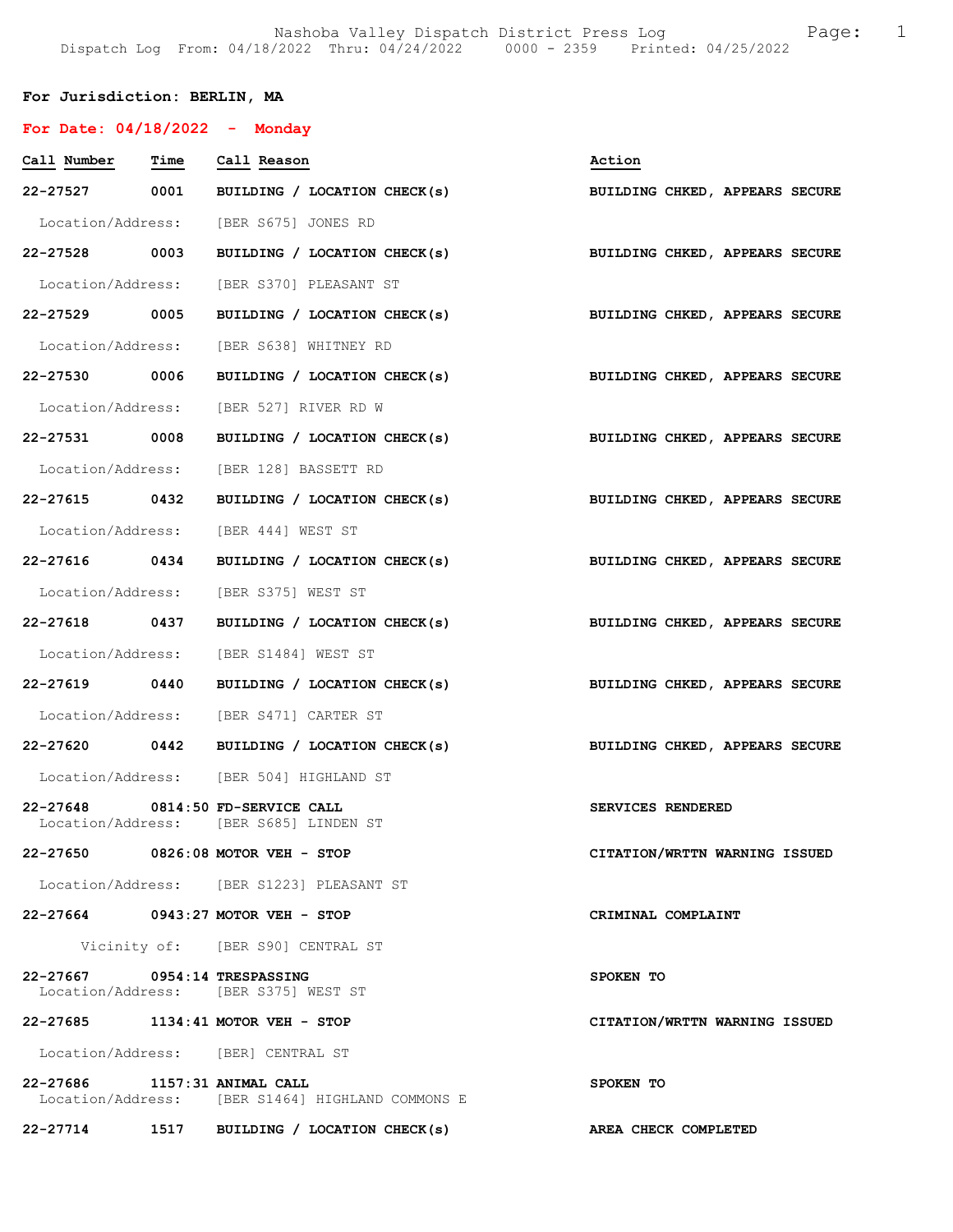# For Jurisdiction: BERLIN, MA

| For Date: $04/18/2022 -$ Monday |                                                                            |                                |
|---------------------------------|----------------------------------------------------------------------------|--------------------------------|
| Call Number Time Call Reason    |                                                                            | Action                         |
|                                 | 22-27527 0001 BUILDING / LOCATION CHECK(s)                                 | BUILDING CHKED, APPEARS SECURE |
|                                 | Location/Address: [BER S675] JONES RD                                      |                                |
|                                 | 22-27528 0003 BUILDING / LOCATION CHECK(s)                                 | BUILDING CHKED, APPEARS SECURE |
|                                 | Location/Address: [BER S370] PLEASANT ST                                   |                                |
|                                 | 22-27529 0005 BUILDING / LOCATION CHECK(s) BUILDING CHKED, APPEARS SECURE  |                                |
|                                 | Location/Address: [BER S638] WHITNEY RD                                    |                                |
|                                 | 22-27530 0006 BUILDING / LOCATION CHECK(s)                                 | BUILDING CHKED, APPEARS SECURE |
|                                 | Location/Address: [BER 527] RIVER RD W                                     |                                |
| 22-27531 0008                   | BUILDING / LOCATION CHECK(s) BUILDING CHKED, APPEARS SECURE                |                                |
|                                 | Location/Address: [BER 128] BASSETT RD                                     |                                |
|                                 | 22-27615 0432 BUILDING / LOCATION CHECK(s)                                 | BUILDING CHKED, APPEARS SECURE |
|                                 | Location/Address: [BER 444] WEST ST                                        |                                |
| 22-27616 0434                   | BUILDING / LOCATION CHECK(s)                                               | BUILDING CHKED, APPEARS SECURE |
|                                 | Location/Address: [BER S375] WEST ST                                       |                                |
| 22-27618 0437                   | BUILDING / LOCATION CHECK(s) BUILDING CHKED, APPEARS SECURE                |                                |
|                                 | Location/Address: [BER S1484] WEST ST                                      |                                |
|                                 | 22-27619 0440 BUILDING / LOCATION CHECK(s)                                 | BUILDING CHKED, APPEARS SECURE |
|                                 | Location/Address: [BER S471] CARTER ST                                     |                                |
|                                 | 22-27620 0442 BUILDING / LOCATION CHECK(s)                                 | BUILDING CHKED, APPEARS SECURE |
|                                 | Location/Address: [BER 504] HIGHLAND ST                                    |                                |
|                                 | 22-27648 0814:50 FD-SERVICE CALL<br>Location/Address: [BER S685] LINDEN ST | SERVICES RENDERED              |
|                                 | 22-27650 0826:08 MOTOR VEH - STOP                                          | CITATION/WRTTN WARNING ISSUED  |
|                                 | Location/Address: [BER S1223] PLEASANT ST                                  |                                |
|                                 | 22-27664 0943:27 MOTOR VEH - STOP                                          | CRIMINAL COMPLAINT             |
|                                 | Vicinity of: [BER S90] CENTRAL ST                                          |                                |
| 22-27667 0954:14 TRESPASSING    | Location/Address: [BER S375] WEST ST                                       | SPOKEN TO                      |
| 22-27685                        | $1134:41$ MOTOR VEH - STOP                                                 | CITATION/WRTTN WARNING ISSUED  |
|                                 | Location/Address: [BER] CENTRAL ST                                         |                                |
| 22-27686 1157:31 ANIMAL CALL    | Location/Address: [BER S1464] HIGHLAND COMMONS E                           | SPOKEN TO                      |
|                                 | 22-27714 1517 BUILDING / LOCATION CHECK(s)                                 | AREA CHECK COMPLETED           |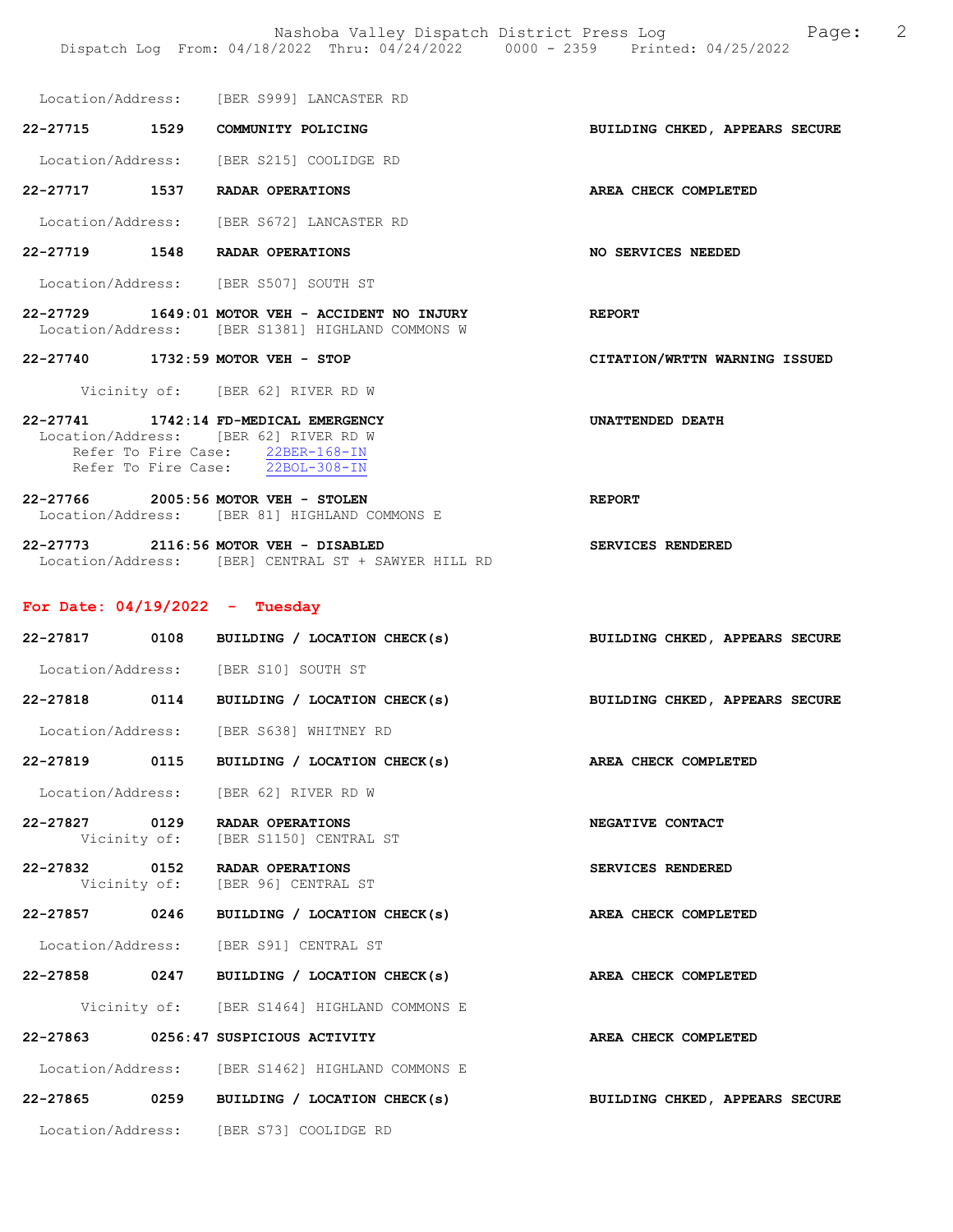Location/Address: [BER S999] LANCASTER RD

22-27715 1529 COMMUNITY POLICING BUILDING CHKED, APPEARS SECURE

Location/Address: [BER S215] COOLIDGE RD

22-27717 1537 RADAR OPERATIONS AREA CHECK COMPLETED

Location/Address: [BER S672] LANCASTER RD

22-27719 1548 RADAR OPERATIONS NO SERVICES NEEDED

Location/Address: [BER S507] SOUTH ST

- 22-27729 1649:01 MOTOR VEH ACCIDENT NO INJURY REPORT Location/Address: [BER S1381] HIGHLAND COMMONS W
- 22-27740 1732:59 MOTOR VEH STOP CITATION/WRTTN WARNING ISSUED

Vicinity of: [BER 62] RIVER RD W

22-27741 1742:14 FD-MEDICAL EMERGENCY UNATTENDED DEATH Location/Address: [BER 62] RIVER RD W Refer To Fire Case: 22BER-168-IN Refer To Fire Case: 22BOL-308-IN

22-27766 2005:56 MOTOR VEH - STOLEN REPORT Location/Address: [BER 81] HIGHLAND COMMONS E

22-27773 2116:56 MOTOR VEH - DISABLED SERVICES RENDERED Location/Address: [BER] CENTRAL ST + SAWYER HILL RD

#### For Date: 04/19/2022 - Tuesday

| 22-27817 0108 | BUILDING / LOCATION CHECK(s)                                       | BUILDING CHKED, APPEARS SECURE |
|---------------|--------------------------------------------------------------------|--------------------------------|
|               | Location/Address: [BER S10] SOUTH ST                               |                                |
| 22-27818 0114 | BUILDING / LOCATION CHECK(s)                                       | BUILDING CHKED, APPEARS SECURE |
|               | Location/Address: [BER S638] WHITNEY RD                            |                                |
| 22-27819 0115 | BUILDING / LOCATION CHECK(s) AREA CHECK COMPLETED                  |                                |
|               | Location/Address: [BER 62] RIVER RD W                              |                                |
| 22-27827 0129 | RADAR OPERATIONS<br>Vicinity of: [BER S1150] CENTRAL ST            | NEGATIVE CONTACT               |
|               | 22-27832 0152 RADAR OPERATIONS<br>Vicinity of: [BER 96] CENTRAL ST | SERVICES RENDERED              |
| 22-27857 0246 | BUILDING / LOCATION CHECK(s) AREA CHECK COMPLETED                  |                                |
|               | Location/Address: [BER S91] CENTRAL ST                             |                                |
| 22-27858 0247 | BUILDING / LOCATION CHECK(s) AREA CHECK COMPLETED                  |                                |
|               | Vicinity of: [BER S1464] HIGHLAND COMMONS E                        |                                |
|               | 22-27863 0256:47 SUSPICIOUS ACTIVITY                               | AREA CHECK COMPLETED           |
|               | Location/Address: [BER S1462] HIGHLAND COMMONS E                   |                                |
| 22-27865 0259 | BUILDING / LOCATION CHECK(s)                                       | BUILDING CHKED, APPEARS SECURE |
|               | Location/Address: [BER S73] COOLIDGE RD                            |                                |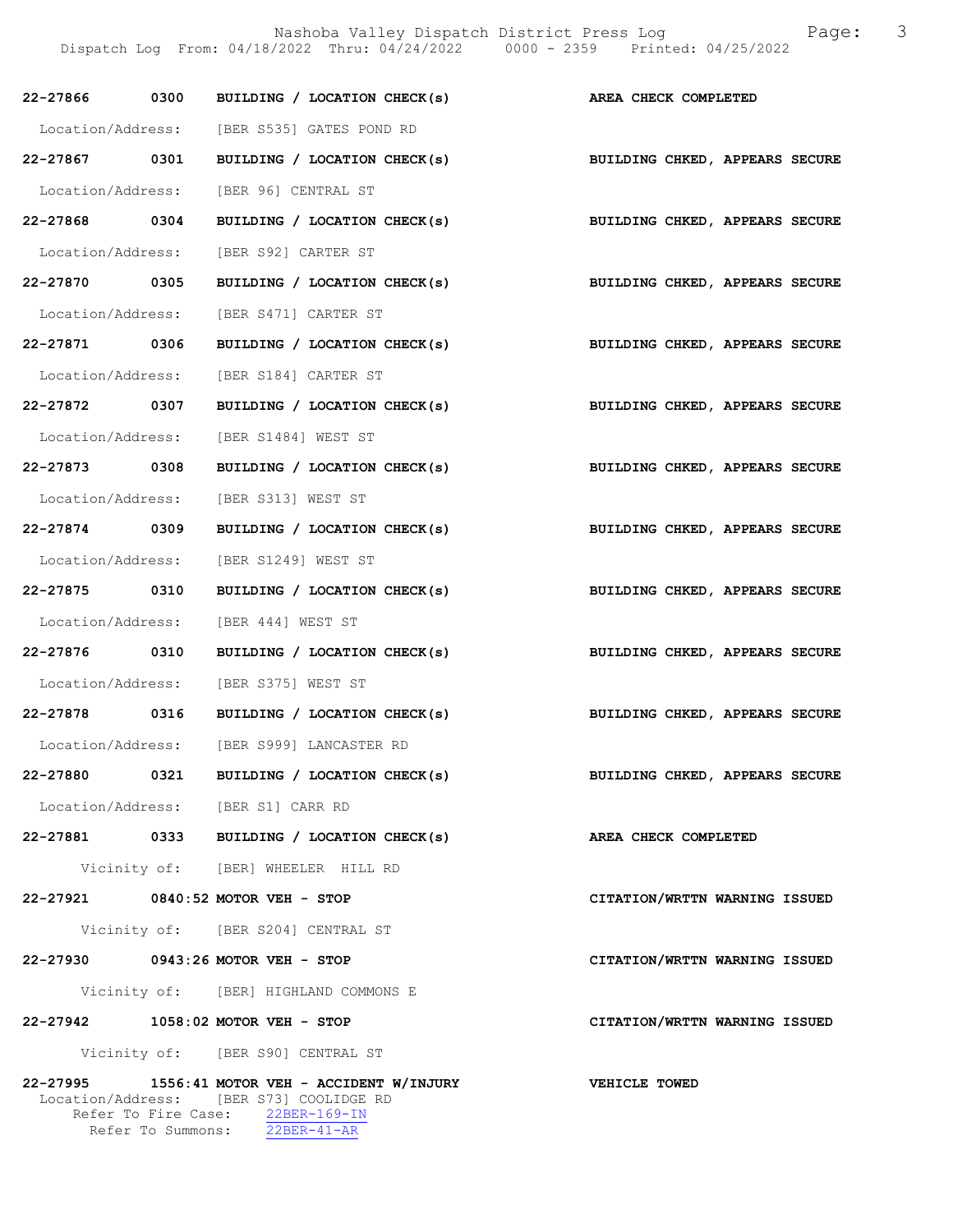|                               |                   | 22-27866 0300 BUILDING / LOCATION CHECK(s) AREA CHECK COMPLETED                                                     |                                |
|-------------------------------|-------------------|---------------------------------------------------------------------------------------------------------------------|--------------------------------|
|                               |                   | Location/Address: [BER S535] GATES POND RD                                                                          |                                |
| 22-27867 0301                 |                   | BUILDING / LOCATION CHECK(s)                                                                                        | BUILDING CHKED, APPEARS SECURE |
|                               |                   | Location/Address: [BER 96] CENTRAL ST                                                                               |                                |
| 22-27868 0304                 |                   | BUILDING / LOCATION CHECK(s) BUILDING CHKED, APPEARS SECURE                                                         |                                |
|                               |                   | Location/Address: [BER S92] CARTER ST                                                                               |                                |
| 22-27870 0305                 |                   | BUILDING / LOCATION CHECK(s) BUILDING CHKED, APPEARS SECURE                                                         |                                |
|                               |                   | Location/Address: [BER S471] CARTER ST                                                                              |                                |
| 22-27871 0306                 |                   | BUILDING / LOCATION CHECK(s)                                                                                        | BUILDING CHKED, APPEARS SECURE |
|                               |                   | Location/Address: [BER S184] CARTER ST                                                                              |                                |
| 22-27872 0307                 |                   | BUILDING / LOCATION CHECK(s) BUILDING CHKED, APPEARS SECURE                                                         |                                |
|                               |                   | Location/Address: [BER S1484] WEST ST                                                                               |                                |
| 22-27873 0308                 |                   | BUILDING / LOCATION CHECK(s)                                                                                        | BUILDING CHKED, APPEARS SECURE |
|                               |                   | Location/Address: [BER S313] WEST ST                                                                                |                                |
| 22-27874 0309                 |                   | BUILDING / LOCATION CHECK(s)                                                                                        | BUILDING CHKED, APPEARS SECURE |
|                               |                   | Location/Address: [BER S1249] WEST ST                                                                               |                                |
| 22-27875 0310                 |                   | BUILDING / LOCATION CHECK(s) BUILDING CHKED, APPEARS SECURE                                                         |                                |
|                               |                   | Location/Address: [BER 444] WEST ST                                                                                 |                                |
| 22-27876 0310                 |                   | BUILDING / LOCATION CHECK(s)                                                                                        | BUILDING CHKED, APPEARS SECURE |
|                               |                   | Location/Address: [BER S375] WEST ST                                                                                |                                |
|                               |                   | 22-27878 0316 BUILDING / LOCATION CHECK(s)                                                                          | BUILDING CHKED, APPEARS SECURE |
|                               |                   | Location/Address: [BER S999] LANCASTER RD                                                                           |                                |
| 22-27880                      | 0321              | BUILDING / LOCATION CHECK(s)                                                                                        | BUILDING CHKED, APPEARS SECURE |
|                               |                   | Location/Address: [BER S1] CARR RD                                                                                  |                                |
|                               |                   | 22-27881 0333 BUILDING / LOCATION CHECK(s)                                                                          | AREA CHECK COMPLETED           |
|                               |                   | Vicinity of: [BER] WHEELER HILL RD                                                                                  |                                |
|                               |                   | 22-27921 0840:52 MOTOR VEH - STOP                                                                                   | CITATION/WRTTN WARNING ISSUED  |
|                               |                   | Vicinity of: [BER S204] CENTRAL ST                                                                                  |                                |
|                               |                   | 22-27930 0943:26 MOTOR VEH - STOP                                                                                   | CITATION/WRTTN WARNING ISSUED  |
|                               |                   | Vicinity of: [BER] HIGHLAND COMMONS E                                                                               |                                |
|                               |                   | 22-27942 1058:02 MOTOR VEH - STOP                                                                                   | CITATION/WRTTN WARNING ISSUED  |
|                               |                   | Vicinity of: [BER S90] CENTRAL ST                                                                                   |                                |
| 22-27995<br>Location/Address: | Refer To Summons: | 1556:41 MOTOR VEH - ACCIDENT W/INJURY<br>[BER S73] COOLIDGE RD<br>Refer To Fire Case: 22BER-169-IN<br>$22BER-41-AR$ | <b>VEHICLE TOWED</b>           |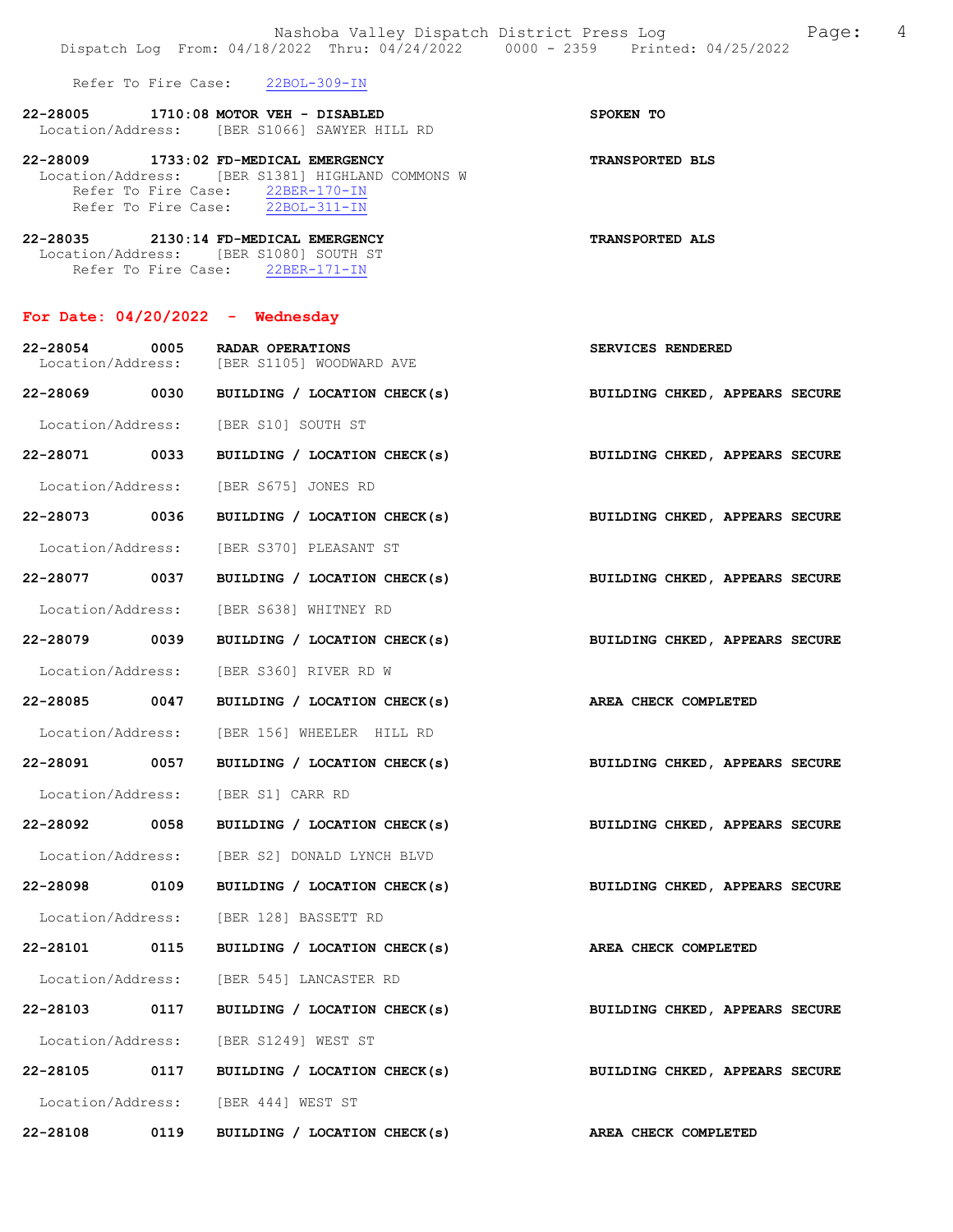Refer To Fire Case: 22BOL-309-IN

| 22-28005          | 1710:08 MOTOR VEH - DISABLED |  |                            |  | SPOKEN TO |  |
|-------------------|------------------------------|--|----------------------------|--|-----------|--|
| Location/Address: |                              |  | [BER S1066] SAWYER HILL RD |  |           |  |

22-28009 1733:02 FD-MEDICAL EMERGENCY TRANSPORTED BLS Location/Address: [BER S1381] HIGHLAND COMMONS W Refer To Fire Case: 22BER-170-IN Refer To Fire Case: 22BOL-311-IN

| 22-28035          |                     | 2130:14 FD-MEDICAL EMERGENCY |                 | <b>TRANSPORTED ALS</b> |
|-------------------|---------------------|------------------------------|-----------------|------------------------|
| Location/Address: |                     | TBER S10801 SOUTH ST         |                 |                        |
|                   | Refer To Fire Case: |                              | $22$ BER-171-IN |                        |

# For Date: 04/20/2022 - Wednesday

| 22-28054 0005<br>Location/Address: |      | RADAR OPERATIONS<br>[BER S1105] WOODWARD AVE | SERVICES RENDERED              |
|------------------------------------|------|----------------------------------------------|--------------------------------|
| 22-28069 0030                      |      | BUILDING / LOCATION CHECK(s)                 | BUILDING CHKED, APPEARS SECURE |
|                                    |      | Location/Address: [BER S10] SOUTH ST         |                                |
| 22-28071 0033                      |      | BUILDING / LOCATION CHECK(s)                 | BUILDING CHKED, APPEARS SECURE |
| Location/Address:                  |      | [BER S675] JONES RD                          |                                |
| 22-28073 0036                      |      | BUILDING / LOCATION CHECK(s)                 | BUILDING CHKED, APPEARS SECURE |
| Location/Address:                  |      | [BER S370] PLEASANT ST                       |                                |
| 22-28077 0037                      |      | BUILDING / LOCATION CHECK(s)                 | BUILDING CHKED, APPEARS SECURE |
|                                    |      | Location/Address: [BER S638] WHITNEY RD      |                                |
| 22-28079 0039                      |      | BUILDING / LOCATION CHECK(s)                 | BUILDING CHKED, APPEARS SECURE |
| Location/Address:                  |      | [BER S360] RIVER RD W                        |                                |
| 22-28085 0047                      |      | BUILDING / LOCATION CHECK(s)                 | AREA CHECK COMPLETED           |
| Location/Address:                  |      | [BER 156] WHEELER HILL RD                    |                                |
| 22-28091 0057                      |      | BUILDING / LOCATION CHECK(s)                 | BUILDING CHKED, APPEARS SECURE |
| Location/Address:                  |      | [BER S1] CARR RD                             |                                |
| 22-28092 0058                      |      | BUILDING / LOCATION CHECK(s)                 | BUILDING CHKED, APPEARS SECURE |
| Location/Address:                  |      | [BER S2] DONALD LYNCH BLVD                   |                                |
| 22-28098 0109                      |      | BUILDING / LOCATION CHECK(s)                 | BUILDING CHKED, APPEARS SECURE |
| Location/Address:                  |      | [BER 128] BASSETT RD                         |                                |
| 22-28101 0115                      |      | BUILDING / LOCATION CHECK(s)                 | AREA CHECK COMPLETED           |
| Location/Address:                  |      | [BER 545] LANCASTER RD                       |                                |
| 22-28103 0117                      |      | BUILDING / LOCATION CHECK(s)                 | BUILDING CHKED, APPEARS SECURE |
| Location/Address:                  |      | [BER S1249] WEST ST                          |                                |
| 22-28105 0117                      |      | BUILDING / LOCATION CHECK(s)                 | BUILDING CHKED, APPEARS SECURE |
|                                    |      | Location/Address: [BER 444] WEST ST          |                                |
| 22-28108                           | 0119 | BUILDING / LOCATION CHECK(s)                 | AREA CHECK COMPLETED           |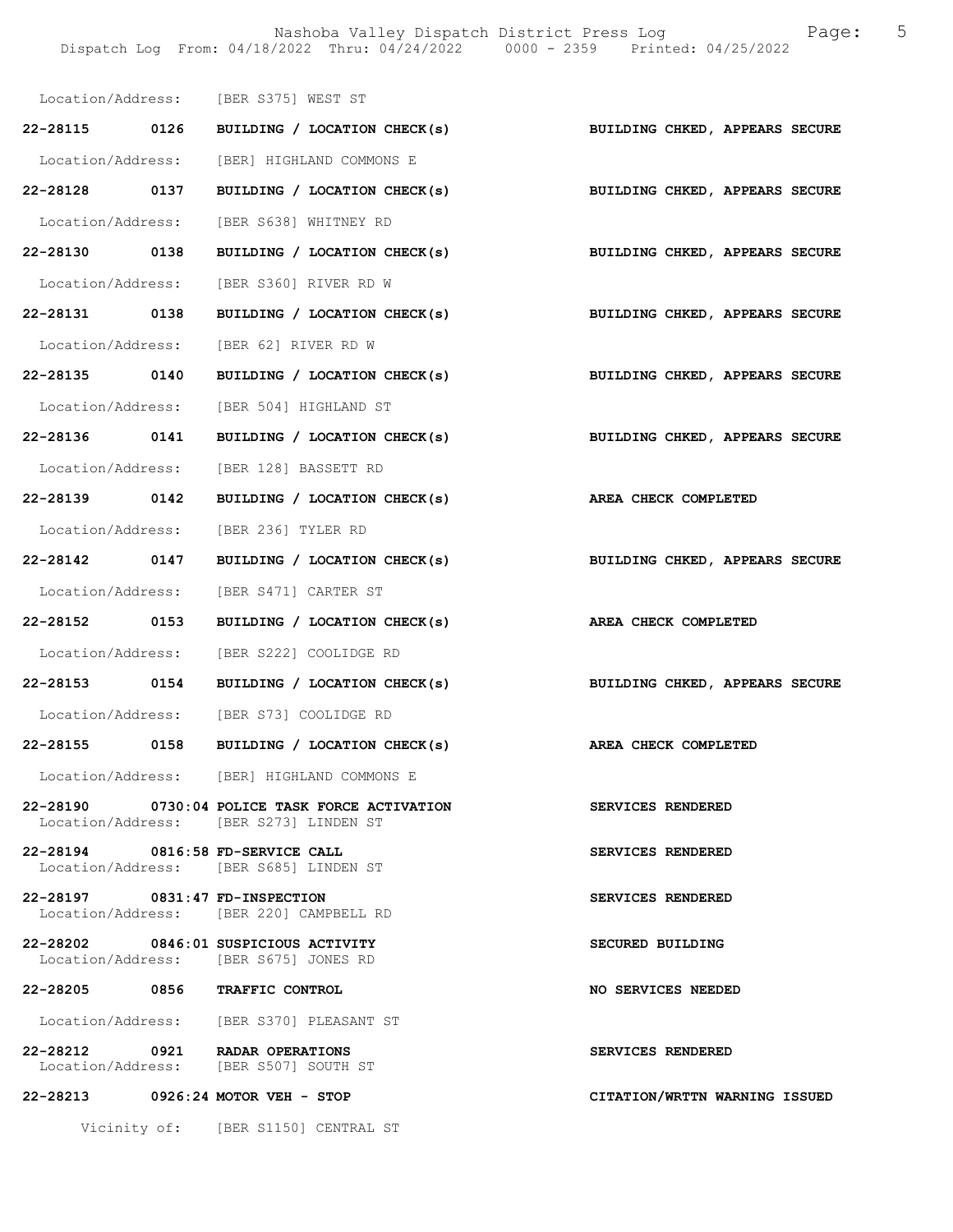Nashoba Valley Dispatch District Press Log Fage: 5 Dispatch Log From: 04/18/2022 Thru: 04/24/2022 0000 - 2359 Printed: 04/25/2022

|                                | Location/Address: [BER S375] WEST ST                                                    |                                |
|--------------------------------|-----------------------------------------------------------------------------------------|--------------------------------|
|                                | 22-28115 0126 BUILDING / LOCATION CHECK(s) BUILDING CHKED, APPEARS SECURE               |                                |
|                                | Location/Address: [BER] HIGHLAND COMMONS E                                              |                                |
|                                | 22-28128 0137 BUILDING / LOCATION CHECK(s) BUILDING CHKED, APPEARS SECURE               |                                |
|                                | Location/Address: [BER S638] WHITNEY RD                                                 |                                |
|                                | 22-28130 0138 BUILDING / LOCATION CHECK(s) BUILDING CHKED, APPEARS SECURE               |                                |
|                                | Location/Address: [BER S360] RIVER RD W                                                 |                                |
|                                | 22-28131 0138 BUILDING / LOCATION CHECK(s) BUILDING CHKED, APPEARS SECURE               |                                |
|                                | Location/Address: [BER 62] RIVER RD W                                                   |                                |
|                                | 22-28135 0140 BUILDING / LOCATION CHECK(s)                                              | BUILDING CHKED, APPEARS SECURE |
|                                | Location/Address: [BER 504] HIGHLAND ST                                                 |                                |
|                                | 22-28136 0141 BUILDING / LOCATION CHECK(s) BUILDING CHKED, APPEARS SECURE               |                                |
|                                | Location/Address: [BER 128] BASSETT RD                                                  |                                |
|                                | 22-28139 0142 BUILDING / LOCATION CHECK(s) AREA CHECK COMPLETED                         |                                |
|                                | Location/Address: [BER 236] TYLER RD                                                    |                                |
|                                | 22-28142 0147 BUILDING / LOCATION CHECK(s)                                              | BUILDING CHKED, APPEARS SECURE |
|                                | Location/Address: [BER S471] CARTER ST                                                  |                                |
|                                | 22-28152 0153 BUILDING / LOCATION CHECK(s) AREA CHECK COMPLETED                         |                                |
|                                | Location/Address: [BER S222] COOLIDGE RD                                                |                                |
|                                | 22-28153 0154 BUILDING / LOCATION CHECK(s) BUILDING CHKED, APPEARS SECURE               |                                |
|                                | Location/Address: [BER S73] COOLIDGE RD                                                 |                                |
|                                | 22-28155 0158 BUILDING / LOCATION CHECK(s)                                              | AREA CHECK COMPLETED           |
|                                | Location/Address: [BER] HIGHLAND COMMONS E                                              |                                |
|                                | 22-28190 0730:04 POLICE TASK FORCE ACTIVATION<br>Location/Address: [BER S273] LINDEN ST | SERVICES RENDERED              |
|                                | 22-28194 0816:58 FD-SERVICE CALL<br>Location/Address: [BER S685] LINDEN ST              | SERVICES RENDERED              |
| 22-28197 0831:47 FD-INSPECTION | Location/Address: [BER 220] CAMPBELL RD                                                 | SERVICES RENDERED              |
|                                | 22-28202 0846:01 SUSPICIOUS ACTIVITY<br>Location/Address: [BER S675] JONES RD           | SECURED BUILDING               |
|                                | 22-28205 0856 TRAFFIC CONTROL                                                           | NO SERVICES NEEDED             |
|                                | Location/Address: [BER S370] PLEASANT ST                                                |                                |
|                                | 22-28212 0921 RADAR OPERATIONS<br>Location/Address: [BER S507] SOUTH ST                 | SERVICES RENDERED              |
|                                | 22-28213 0926:24 MOTOR VEH - STOP                                                       | CITATION/WRTTN WARNING ISSUED  |
|                                | Vicinity of: [BER S1150] CENTRAL ST                                                     |                                |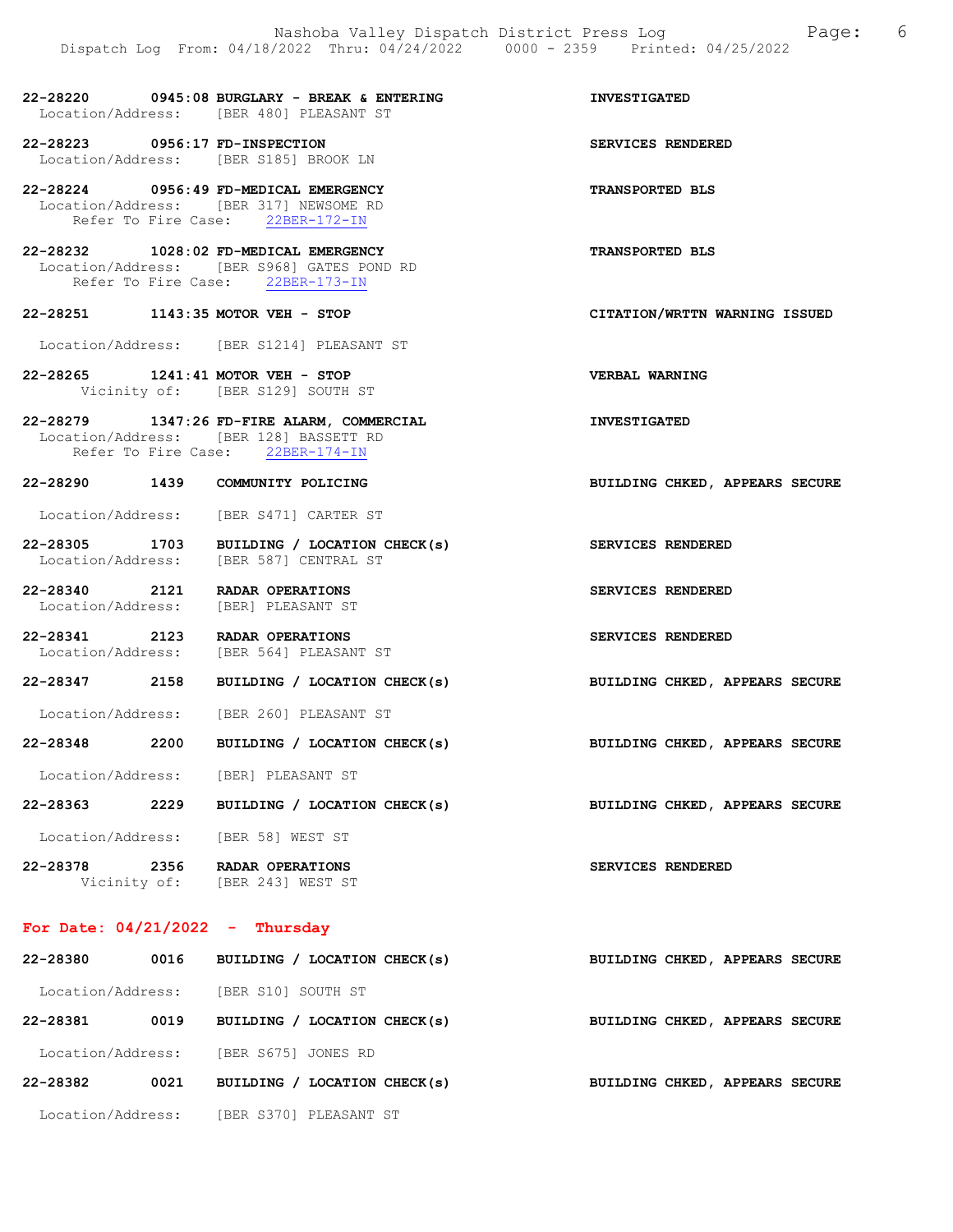22-28220 0945:08 BURGLARY - BREAK & ENTERING INVESTIGATED Location/Address: [BER 480] PLEASANT ST

22-28223 0956:17 FD-INSPECTION SERVICES RENDERED Location/Address: [BER S185] BROOK LN

22-28224 0956:49 FD-MEDICAL EMERGENCY TRANSPORTED BLS Location/Address: [BER 317] NEWSOME RD Refer To Fire Case: 22BER-172-IN

22-28232 1028:02 FD-MEDICAL EMERGENCY TRANSPORTED BLS Location/Address: [BER S968] GATES POND RD Refer To Fire Case: 22BER-173-IN

22-28251 1143:35 MOTOR VEH - STOP CITATION/WRTTN WARNING ISSUED

Location/Address: [BER S1214] PLEASANT ST

22-28265 1241:41 MOTOR VEH - STOP VERBAL WARNING Vicinity of: [BER S129] SOUTH ST

22-28279 1347:26 FD-FIRE ALARM, COMMERCIAL INVESTIGATED Location/Address: [BER 128] BASSETT RD Refer To Fire Case: 22BER-174-IN

22-28290 1439 COMMUNITY POLICING BUILDING CHKED, APPEARS SECURE

Location/Address: [BER S471] CARTER ST

22-28305 1703 BUILDING / LOCATION CHECK(s) SERVICES RENDERED<br>Location/Address: [BER 587] CENTRAL ST [BER 587] CENTRAL ST

22-28340 2121 RADAR OPERATIONS SERVICES RENDERED Location/Address: [BER] PLEASANT ST Location/Address:

22-28341 2123 RADAR OPERATIONS SERVICES RENDERED Location/Address: [BER 564] PLEASANT ST

22-28347 2158 BUILDING / LOCATION CHECK(s) BUILDING CHKED, APPEARS SECURE

Location/Address: [BER 260] PLEASANT ST

22-28348 2200 BUILDING / LOCATION CHECK(s) BUILDING CHKED, APPEARS SECURE

Location/Address: [BER] PLEASANT ST

22-28363 2229 BUILDING / LOCATION CHECK(s) BUILDING CHKED, APPEARS SECURE

Location/Address: [BER 58] WEST ST

22-28378 2356 RADAR OPERATIONS SERVICES RENDERED<br>Vicinity of: [BER 243] WEST ST [BER 243] WEST ST

#### For Date: 04/21/2022 - Thursday

| 22-28380          | 0016 | BUILDING / LOCATION CHECK(s) |  |  | BUILDING CHKED, APPEARS SECURE |  |
|-------------------|------|------------------------------|--|--|--------------------------------|--|
| Location/Address: |      | [BER S10] SOUTH ST           |  |  |                                |  |
| 22-28381          | 0019 | BUILDING / LOCATION CHECK(s) |  |  | BUILDING CHKED, APPEARS SECURE |  |
| Location/Address: |      | [BER S675] JONES RD          |  |  |                                |  |
| 22-28382          | 0021 | BUILDING / LOCATION CHECK(s) |  |  | BUILDING CHKED, APPEARS SECURE |  |
| Location/Address: |      | [BER S370] PLEASANT ST       |  |  |                                |  |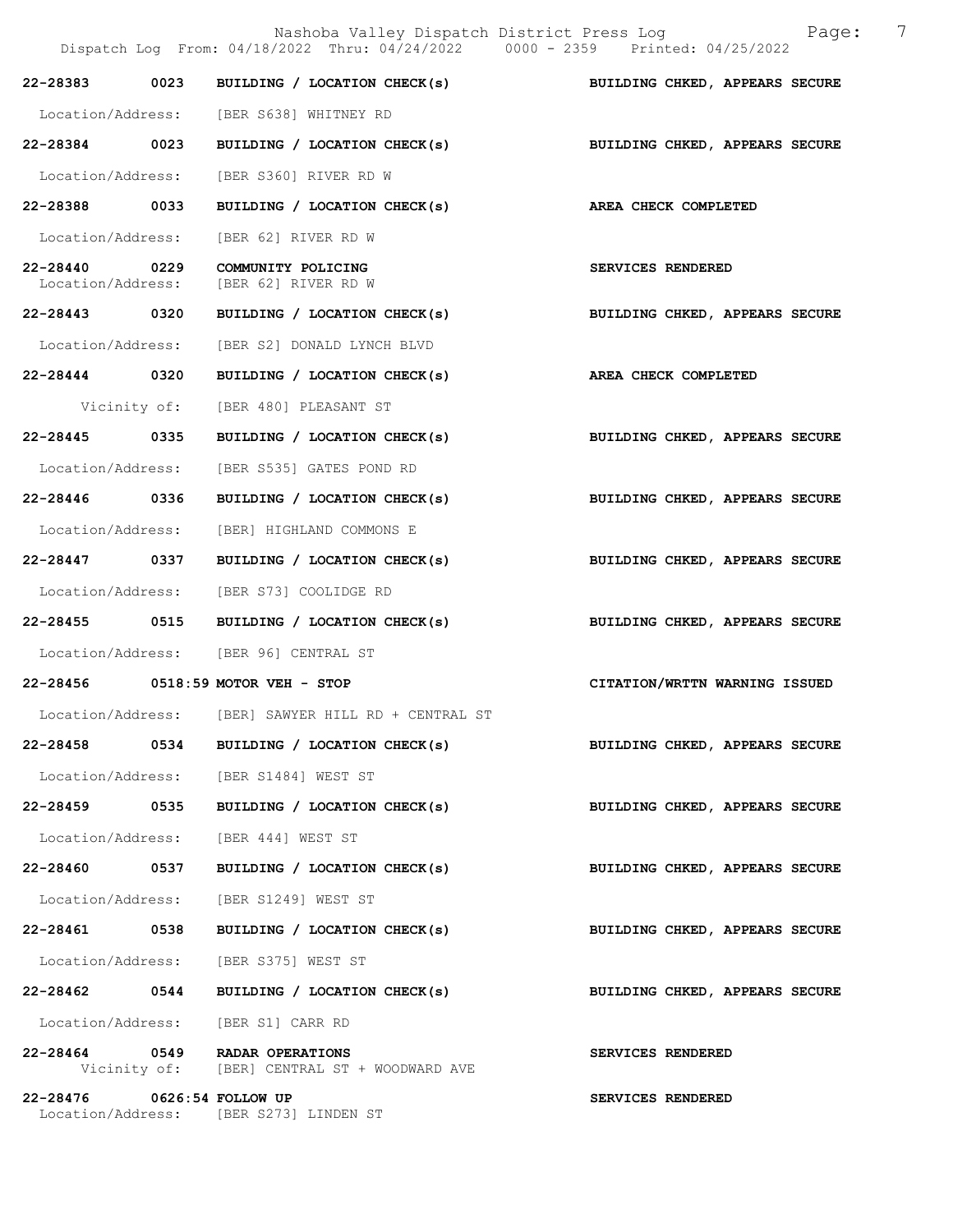|                                    | Nashoba Valley Dispatch District Press Log<br>Dispatch Log From: 04/18/2022 Thru: 04/24/2022 0000 - 2359 Printed: 04/25/2022 |                                | 7<br>Page: |
|------------------------------------|------------------------------------------------------------------------------------------------------------------------------|--------------------------------|------------|
|                                    | $22-28383$ 0023 BUILDING / LOCATION CHECK(s)                                                                                 | BUILDING CHKED, APPEARS SECURE |            |
|                                    | Location/Address: [BER S638] WHITNEY RD                                                                                      |                                |            |
| 22-28384 0023                      | BUILDING / LOCATION CHECK(s) BUILDING CHKED, APPEARS SECURE                                                                  |                                |            |
| Location/Address:                  | [BER S360] RIVER RD W                                                                                                        |                                |            |
| 22-28388 0033                      | BUILDING / LOCATION CHECK(s)                                                                                                 | AREA CHECK COMPLETED           |            |
| Location/Address:                  | [BER 62] RIVER RD W                                                                                                          |                                |            |
| 22-28440 0229<br>Location/Address: | COMMUNITY POLICING<br>[BER 62] RIVER RD W                                                                                    | SERVICES RENDERED              |            |
| 22-28443 0320                      | BUILDING / LOCATION CHECK(s)                                                                                                 | BUILDING CHKED, APPEARS SECURE |            |
| Location/Address:                  | [BER S2] DONALD LYNCH BLVD                                                                                                   |                                |            |
| 22-28444 0320                      | BUILDING / LOCATION CHECK(s)                                                                                                 | AREA CHECK COMPLETED           |            |
|                                    | Vicinity of: [BER 480] PLEASANT ST                                                                                           |                                |            |
| 22-28445 0335                      | BUILDING / LOCATION CHECK(s)                                                                                                 | BUILDING CHKED, APPEARS SECURE |            |
| Location/Address:                  | [BER S535] GATES POND RD                                                                                                     |                                |            |
| 22-28446 0336                      | BUILDING / LOCATION CHECK(s)                                                                                                 | BUILDING CHKED, APPEARS SECURE |            |
| Location/Address:                  | [BER] HIGHLAND COMMONS E                                                                                                     |                                |            |
| 22-28447 0337                      | BUILDING / LOCATION CHECK(s)                                                                                                 | BUILDING CHKED, APPEARS SECURE |            |
|                                    | Location/Address: [BER S73] COOLIDGE RD                                                                                      |                                |            |
| 22-28455 0515                      | BUILDING / LOCATION CHECK(s)                                                                                                 | BUILDING CHKED, APPEARS SECURE |            |
|                                    | Location/Address: [BER 96] CENTRAL ST                                                                                        |                                |            |
|                                    | 22-28456 0518:59 MOTOR VEH - STOP                                                                                            | CITATION/WRTTN WARNING ISSUED  |            |
| Location/Address:                  | [BER] SAWYER HILL RD + CENTRAL ST                                                                                            |                                |            |
|                                    | 22-28458 0534 BUILDING / LOCATION CHECK(s)                                                                                   | BUILDING CHKED, APPEARS SECURE |            |
|                                    | Location/Address: [BER S1484] WEST ST                                                                                        |                                |            |
|                                    | 22-28459 0535 BUILDING / LOCATION CHECK(s)                                                                                   | BUILDING CHKED, APPEARS SECURE |            |
|                                    | Location/Address: [BER 444] WEST ST                                                                                          |                                |            |
| 22-28460 0537                      | BUILDING / LOCATION CHECK(s)                                                                                                 | BUILDING CHKED, APPEARS SECURE |            |
|                                    | Location/Address: [BER S1249] WEST ST                                                                                        |                                |            |
| 22-28461 0538                      | BUILDING / LOCATION CHECK(s)                                                                                                 | BUILDING CHKED, APPEARS SECURE |            |
|                                    | Location/Address: [BER S375] WEST ST                                                                                         |                                |            |
| 22-28462 0544                      | BUILDING / LOCATION CHECK(s)                                                                                                 | BUILDING CHKED, APPEARS SECURE |            |
|                                    | Location/Address: [BER S1] CARR RD                                                                                           |                                |            |
|                                    | 22-28464 0549 RADAR OPERATIONS<br>Vicinity of: [BER] CENTRAL ST + WOODWARD AVE                                               | SERVICES RENDERED              |            |
| 22-28476 0626:54 FOLLOW UP         | Location/Address: [BER S273] LINDEN ST                                                                                       | SERVICES RENDERED              |            |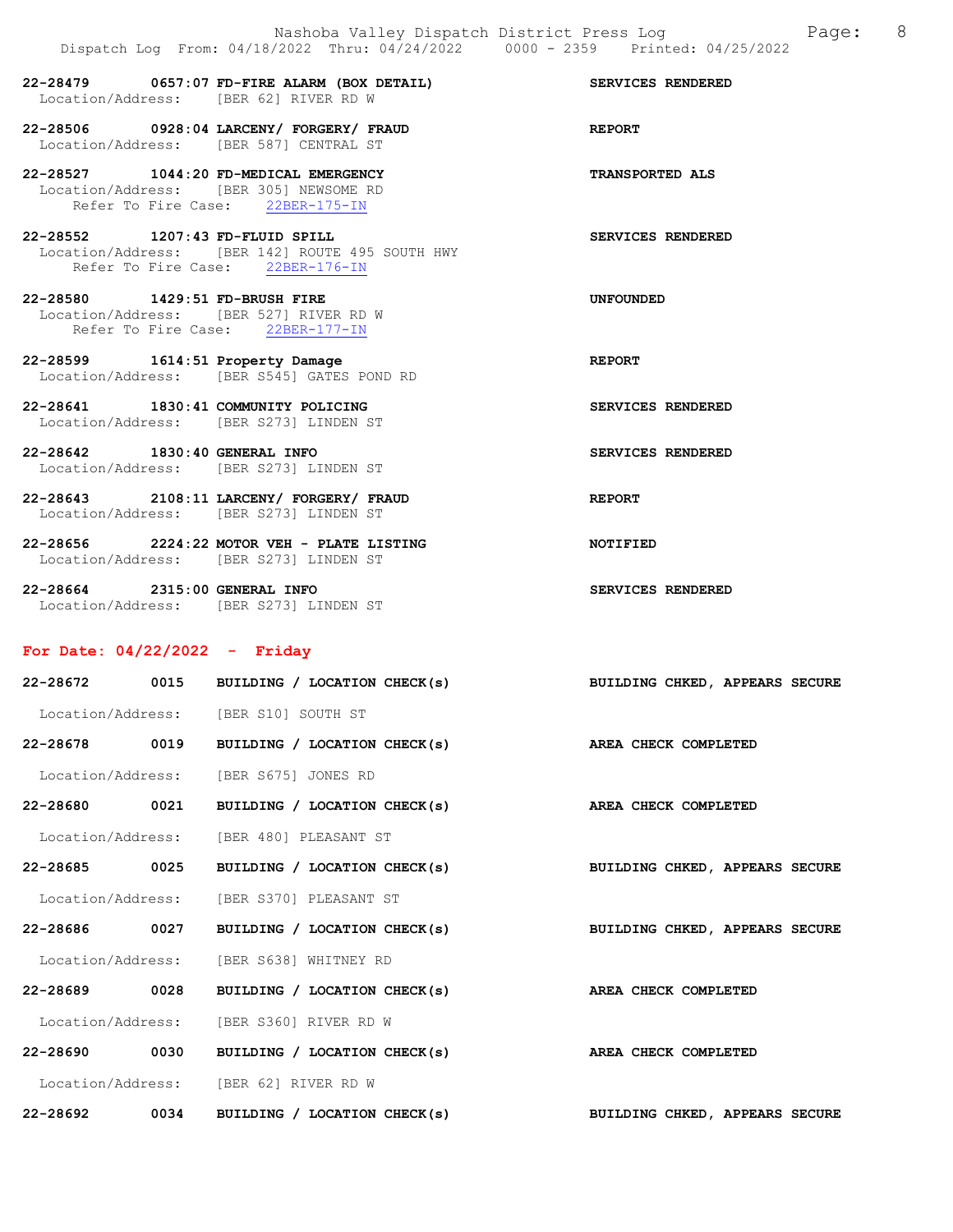22-28479 0657:07 FD-FIRE ALARM (BOX DETAIL) SERVICES RENDERED Location/Address: [BER 62] RIVER RD W

22-28506 0928:04 LARCENY/ FORGERY/ FRAUD REPORT Location/Address: [BER 587] CENTRAL ST

22-28527 1044:20 FD-MEDICAL EMERGENCY TRANSPORTED ALS Location/Address: [BER 305] NEWSOME RD Refer To Fire Case: 22BER-175-IN

22-28552 1207:43 FD-FLUID SPILL SERVICES RENDERED Location/Address: [BER 142] ROUTE 495 SOUTH HWY Refer To Fire Case: 22BER-176-IN

22-28580 1429:51 FD-BRUSH FIRE UNFOUNDED Location/Address: [BER 527] RIVER RD W Refer To Fire Case: 22BER-177-IN

22-28599 1614:51 Property Damage REPORT Location/Address: [BER S545] GATES POND RD

22-28641 1830:41 COMMUNITY POLICING SERVICES RENDERED Location/Address: [BER S273] LINDEN ST

22-28642 1830:40 GENERAL INFO SERVICES RENDERED Location/Address: [BER S273] LINDEN ST

22-28643 2108:11 LARCENY/ FORGERY/ FRAUD REPORT Location/Address: [BER S273] LINDEN ST

22-28656 2224:22 MOTOR VEH - PLATE LISTING NOTIFIED Location/Address: [BER S273] LINDEN ST

22-28664 2315:00 GENERAL INFO SERVICES RENDERED Location/Address: [BER S273] LINDEN ST

# For Date: 04/22/2022 - Friday

|               |      | 22-28672 0015 BUILDING / LOCATION CHECK(s) | BUILDING CHKED, APPEARS SECURE |
|---------------|------|--------------------------------------------|--------------------------------|
|               |      | Location/Address: [BER S10] SOUTH ST       |                                |
|               |      | 22-28678 0019 BUILDING / LOCATION CHECK(s) | AREA CHECK COMPLETED           |
|               |      | Location/Address: [BER S675] JONES RD      |                                |
| 22-28680 0021 |      | BUILDING / LOCATION CHECK(s)               | AREA CHECK COMPLETED           |
|               |      | Location/Address: [BER 480] PLEASANT ST    |                                |
| 22-28685 0025 |      | BUILDING / LOCATION CHECK(s)               | BUILDING CHKED, APPEARS SECURE |
|               |      | Location/Address: [BER S370] PLEASANT ST   |                                |
|               |      | 22-28686 0027 BUILDING / LOCATION CHECK(s) | BUILDING CHKED, APPEARS SECURE |
|               |      | Location/Address: [BER S638] WHITNEY RD    |                                |
| 22-28689 0028 |      | BUILDING / LOCATION CHECK(s)               | AREA CHECK COMPLETED           |
|               |      | Location/Address: [BER S360] RIVER RD W    |                                |
| 22-28690 0030 |      | BUILDING / LOCATION CHECK(s)               | AREA CHECK COMPLETED           |
|               |      | Location/Address: [BER 62] RIVER RD W      |                                |
| 22-28692      | 0034 | BUILDING / LOCATION CHECK(s)               | BUILDING CHKED, APPEARS SECURE |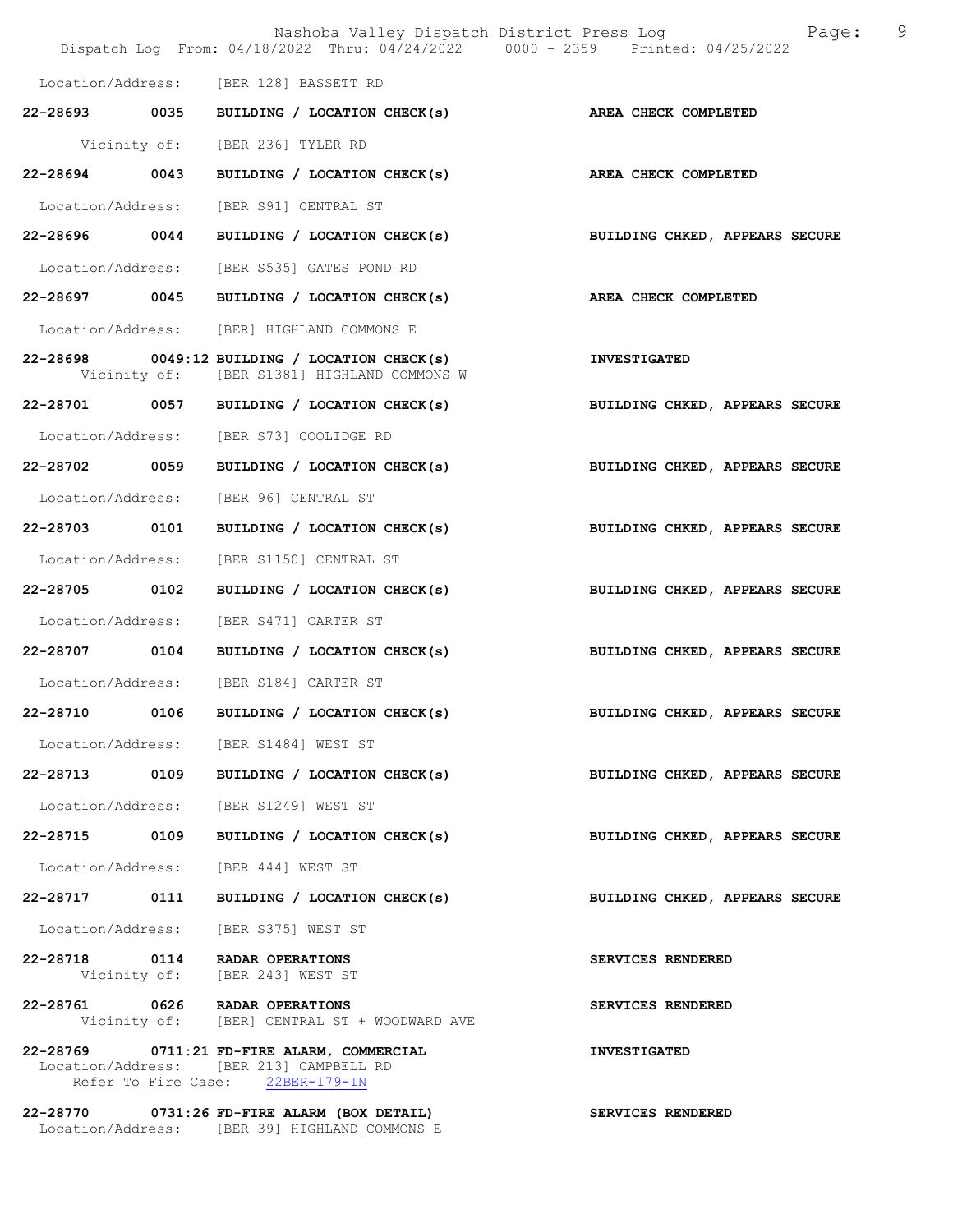|                   |      | Nashoba Valley Dispatch District Press Log<br>Dispatch Log From: 04/18/2022 Thru: 04/24/2022 0000 - 2359 Printed: 04/25/2022 | 9<br>Page:                     |
|-------------------|------|------------------------------------------------------------------------------------------------------------------------------|--------------------------------|
|                   |      | Location/Address: [BER 128] BASSETT RD                                                                                       |                                |
|                   |      | 22-28693 0035 BUILDING / LOCATION CHECK(s)                                                                                   | AREA CHECK COMPLETED           |
|                   |      | Vicinity of: [BER 236] TYLER RD                                                                                              |                                |
| 22-28694 0043     |      | BUILDING / LOCATION CHECK(s)                                                                                                 | AREA CHECK COMPLETED           |
|                   |      | Location/Address: [BER S91] CENTRAL ST                                                                                       |                                |
| 22-28696 0044     |      | BUILDING / LOCATION CHECK(s)                                                                                                 | BUILDING CHKED, APPEARS SECURE |
| Location/Address: |      | [BER S535] GATES POND RD                                                                                                     |                                |
|                   |      | 22-28697 0045 BUILDING / LOCATION CHECK(s)                                                                                   | AREA CHECK COMPLETED           |
|                   |      | Location/Address: [BER] HIGHLAND COMMONS E                                                                                   |                                |
|                   |      | 22-28698 0049:12 BUILDING / LOCATION CHECK(s)<br>Vicinity of: [BER S1381] HIGHLAND COMMONS W                                 | <b>INVESTIGATED</b>            |
|                   |      | 22-28701 0057 BUILDING / LOCATION CHECK(s)                                                                                   | BUILDING CHKED, APPEARS SECURE |
| Location/Address: |      | [BER S73] COOLIDGE RD                                                                                                        |                                |
| 22-28702 0059     |      | BUILDING / LOCATION CHECK(s)                                                                                                 | BUILDING CHKED, APPEARS SECURE |
| Location/Address: |      | [BER 96] CENTRAL ST                                                                                                          |                                |
| 22-28703 0101     |      | BUILDING / LOCATION CHECK(s)                                                                                                 | BUILDING CHKED, APPEARS SECURE |
| Location/Address: |      | [BER S1150] CENTRAL ST                                                                                                       |                                |
| 22-28705 0102     |      | BUILDING / LOCATION CHECK(s)                                                                                                 | BUILDING CHKED, APPEARS SECURE |
| Location/Address: |      | [BER S471] CARTER ST                                                                                                         |                                |
| 22-28707 0104     |      | BUILDING / LOCATION CHECK(s)                                                                                                 | BUILDING CHKED, APPEARS SECURE |
|                   |      | Location/Address: [BER S184] CARTER ST                                                                                       |                                |
| 22-28710          | 0106 | BUILDING / LOCATION CHECK(s)                                                                                                 | BUILDING CHKED, APPEARS SECURE |
|                   |      | Location/Address: [BER S1484] WEST ST                                                                                        |                                |
|                   |      | 22-28713 0109 BUILDING / LOCATION CHECK(s)                                                                                   | BUILDING CHKED, APPEARS SECURE |
|                   |      | Location/Address: [BER S1249] WEST ST                                                                                        |                                |
|                   |      | 22-28715 0109 BUILDING / LOCATION CHECK(s)                                                                                   | BUILDING CHKED, APPEARS SECURE |
|                   |      | Location/Address: [BER 444] WEST ST                                                                                          |                                |
|                   |      | 22-28717 0111 BUILDING / LOCATION CHECK(s)                                                                                   | BUILDING CHKED, APPEARS SECURE |
|                   |      | Location/Address: [BER S375] WEST ST                                                                                         |                                |
|                   |      | 22-28718 0114 RADAR OPERATIONS<br>Vicinity of: [BER 243] WEST ST                                                             | SERVICES RENDERED              |
|                   |      | 22-28761 0626 RADAR OPERATIONS<br>Vicinity of: [BER] CENTRAL ST + WOODWARD AVE                                               | SERVICES RENDERED              |
|                   |      | 22-28769 0711:21 FD-FIRE ALARM, COMMERCIAL<br>Location/Address: [BER 213] CAMPBELL RD<br>Refer To Fire Case: 22BER-179-IN    | <b>INVESTIGATED</b>            |
|                   |      | 22-28770 0731:26 FD-FIRE ALARM (BOX DETAIL)                                                                                  | <b>SERVICES RENDERED</b>       |

Location/Address: [BER 39] HIGHLAND COMMONS E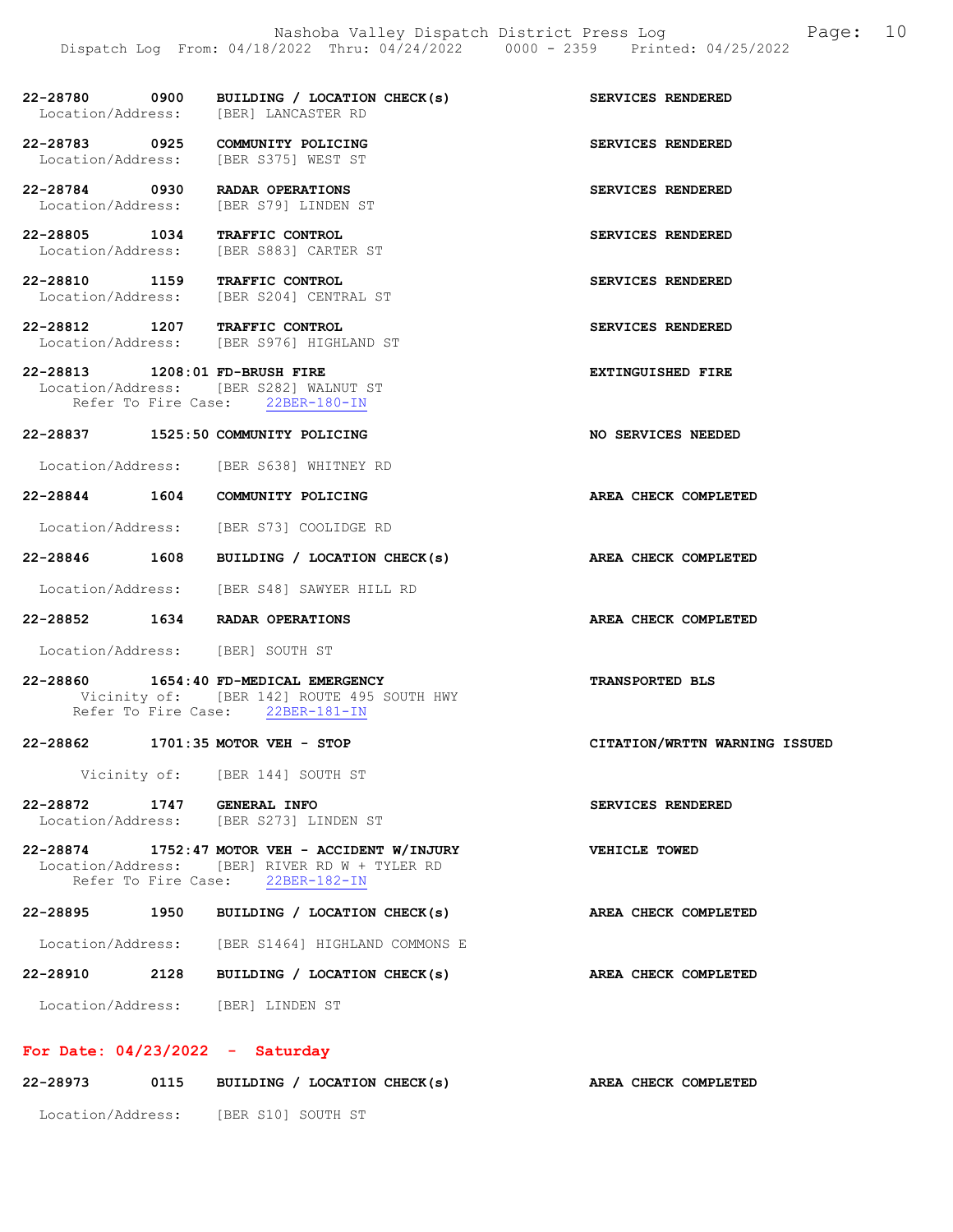| 22-28780 0900<br>Location/Address: | BUILDING / LOCATION CHECK(s)<br>[BER] LANCASTER RD                                                                                  | SERVICES RENDERED             |
|------------------------------------|-------------------------------------------------------------------------------------------------------------------------------------|-------------------------------|
| 22-28783 0925<br>Location/Address: | COMMUNITY POLICING<br>[BER S375] WEST ST                                                                                            | SERVICES RENDERED             |
| 22-28784 0930<br>Location/Address: | RADAR OPERATIONS<br>[BER S79] LINDEN ST                                                                                             | SERVICES RENDERED             |
| 22-28805 1034<br>Location/Address: | TRAFFIC CONTROL<br>[BER S883] CARTER ST                                                                                             | SERVICES RENDERED             |
| Location/Address:                  | 22-28810 1159 TRAFFIC CONTROL<br>[BER S204] CENTRAL ST                                                                              | SERVICES RENDERED             |
|                                    | 22-28812 1207 TRAFFIC CONTROL<br>Location/Address: [BER S976] HIGHLAND ST                                                           | SERVICES RENDERED             |
| 22-28813 1208:01 FD-BRUSH FIRE     | Location/Address: [BER S282] WALNUT ST<br>Refer To Fire Case: 22BER-180-IN                                                          | <b>EXTINGUISHED FIRE</b>      |
|                                    | 22-28837 1525:50 COMMUNITY POLICING                                                                                                 | NO SERVICES NEEDED            |
|                                    | Location/Address: [BER S638] WHITNEY RD                                                                                             |                               |
|                                    | 22-28844 1604 COMMUNITY POLICING<br>Location/Address: [BER S73] COOLIDGE RD                                                         | AREA CHECK COMPLETED          |
|                                    | 22-28846 1608 BUILDING / LOCATION CHECK(s)                                                                                          | AREA CHECK COMPLETED          |
|                                    | Location/Address: [BER S48] SAWYER HILL RD                                                                                          |                               |
|                                    | 22-28852 1634 RADAR OPERATIONS                                                                                                      | AREA CHECK COMPLETED          |
|                                    | Location/Address: [BER] SOUTH ST                                                                                                    |                               |
| 22-28860                           | 1654:40 FD-MEDICAL EMERGENCY<br>Vicinity of: [BER 142] ROUTE 495 SOUTH HWY<br>Refer To Fire Case: 22BER-181-IN                      | <b>TRANSPORTED BLS</b>        |
| 22-28862                           | $1701:35$ MOTOR VEH - STOP                                                                                                          | CITATION/WRTTN WARNING ISSUED |
|                                    | Vicinity of: [BER 144] SOUTH ST                                                                                                     |                               |
| 22-28872 1747 GENERAL INFO         | Location/Address: [BER S273] LINDEN ST                                                                                              | SERVICES RENDERED             |
|                                    | 22-28874 1752:47 MOTOR VEH - ACCIDENT W/INJURY<br>Location/Address: [BER] RIVER RD W + TYLER RD<br>Refer To Fire Case: 22BER-182-IN | VEHICLE TOWED                 |
|                                    | 22-28895 1950 BUILDING / LOCATION CHECK(s)                                                                                          | AREA CHECK COMPLETED          |
|                                    | Location/Address: [BER S1464] HIGHLAND COMMONS E                                                                                    |                               |
| 22-28910                           | 2128 BUILDING / LOCATION CHECK(s)                                                                                                   | AREA CHECK COMPLETED          |
|                                    | Location/Address: [BER] LINDEN ST                                                                                                   |                               |
| For Date: $04/23/2022 -$ Saturday  |                                                                                                                                     |                               |

| 22-28973          | 0115 | BUILDING / LOCATION CHECK(s) | AREA CHECK COMPLETED |  |
|-------------------|------|------------------------------|----------------------|--|
| Location/Address: |      | [BER S10] SOUTH ST           |                      |  |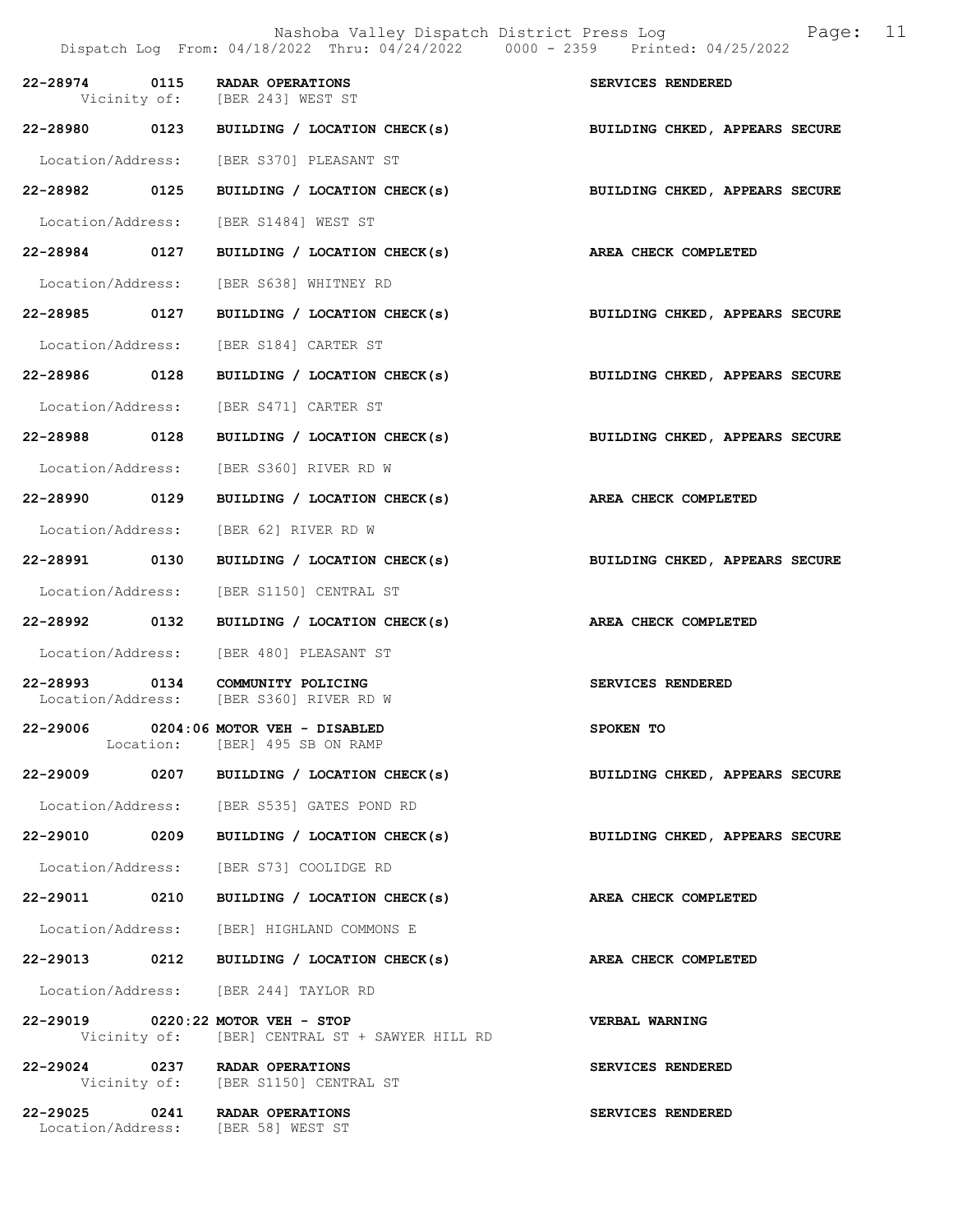|                   | Nashoba Valley Dispatch District Press Log and Page:<br>Dispatch Log From: 04/18/2022 Thru: 04/24/2022 0000 - 2359 Printed: 04/25/2022 | 11                             |
|-------------------|----------------------------------------------------------------------------------------------------------------------------------------|--------------------------------|
| 22-28974 0115     | <b>RADAR OPERATIONS</b><br>Vicinity of: [BER 243] WEST ST                                                                              | SERVICES RENDERED              |
|                   | 22-28980 0123 BUILDING / LOCATION CHECK(s)                                                                                             | BUILDING CHKED, APPEARS SECURE |
|                   | Location/Address: [BER S370] PLEASANT ST                                                                                               |                                |
| 22-28982 0125     | BUILDING / LOCATION CHECK(s)                                                                                                           | BUILDING CHKED, APPEARS SECURE |
| Location/Address: | [BER S1484] WEST ST                                                                                                                    |                                |
|                   | 22-28984 0127 BUILDING / LOCATION CHECK(s) AREA CHECK COMPLETED                                                                        |                                |
| Location/Address: | [BER S638] WHITNEY RD                                                                                                                  |                                |
| 22-28985 0127     | BUILDING / LOCATION CHECK(s)                                                                                                           | BUILDING CHKED, APPEARS SECURE |
| Location/Address: | [BER S184] CARTER ST                                                                                                                   |                                |
| 22-28986 0128     | BUILDING / LOCATION CHECK(s)                                                                                                           | BUILDING CHKED, APPEARS SECURE |
| Location/Address: | [BER S471] CARTER ST                                                                                                                   |                                |
| 22-28988 0128     | BUILDING / LOCATION CHECK(s) BUILDING CHKED, APPEARS SECURE                                                                            |                                |
| Location/Address: | [BER S360] RIVER RD W                                                                                                                  |                                |
| 22-28990 0129     | BUILDING / LOCATION CHECK(s)                                                                                                           | AREA CHECK COMPLETED           |
| Location/Address: | [BER 62] RIVER RD W                                                                                                                    |                                |
| 22-28991 0130     | BUILDING / LOCATION CHECK(s)                                                                                                           | BUILDING CHKED, APPEARS SECURE |
| Location/Address: | [BER S1150] CENTRAL ST                                                                                                                 |                                |
| 22-28992 0132     | BUILDING / LOCATION CHECK(s)                                                                                                           | AREA CHECK COMPLETED           |
|                   | Location/Address: [BER 480] PLEASANT ST                                                                                                |                                |
|                   | 22-28993 0134 COMMUNITY POLICING<br>Location/Address: [BER S360] RIVER RD W                                                            | SERVICES RENDERED              |
|                   | 22-29006 0204:06 MOTOR VEH - DISABLED<br>Location: [BER] 495 SB ON RAMP                                                                | SPOKEN TO                      |
|                   | 22-29009 0207 BUILDING / LOCATION CHECK(s)                                                                                             | BUILDING CHKED, APPEARS SECURE |
|                   | Location/Address: [BER S535] GATES POND RD                                                                                             |                                |
|                   | 22-29010 0209 BUILDING / LOCATION CHECK(s)                                                                                             | BUILDING CHKED, APPEARS SECURE |
|                   | Location/Address: [BER S73] COOLIDGE RD                                                                                                |                                |
|                   | 22-29011 0210 BUILDING / LOCATION CHECK(s)                                                                                             | AREA CHECK COMPLETED           |
|                   | Location/Address: [BER] HIGHLAND COMMONS E                                                                                             |                                |
|                   | 22-29013 0212 BUILDING / LOCATION CHECK(s)                                                                                             | AREA CHECK COMPLETED           |
|                   | Location/Address: [BER 244] TAYLOR RD                                                                                                  |                                |
|                   | 22-29019 0220:22 MOTOR VEH - STOP<br>Vicinity of: [BER] CENTRAL ST + SAWYER HILL RD                                                    | VERBAL WARNING                 |
|                   | 22-29024 0237 RADAR OPERATIONS<br>Vicinity of: [BER S1150] CENTRAL ST                                                                  | SERVICES RENDERED              |
|                   | 22-29025 0241 RADAR OPERATIONS<br>Location/Address: [BER 58] WEST ST                                                                   | SERVICES RENDERED              |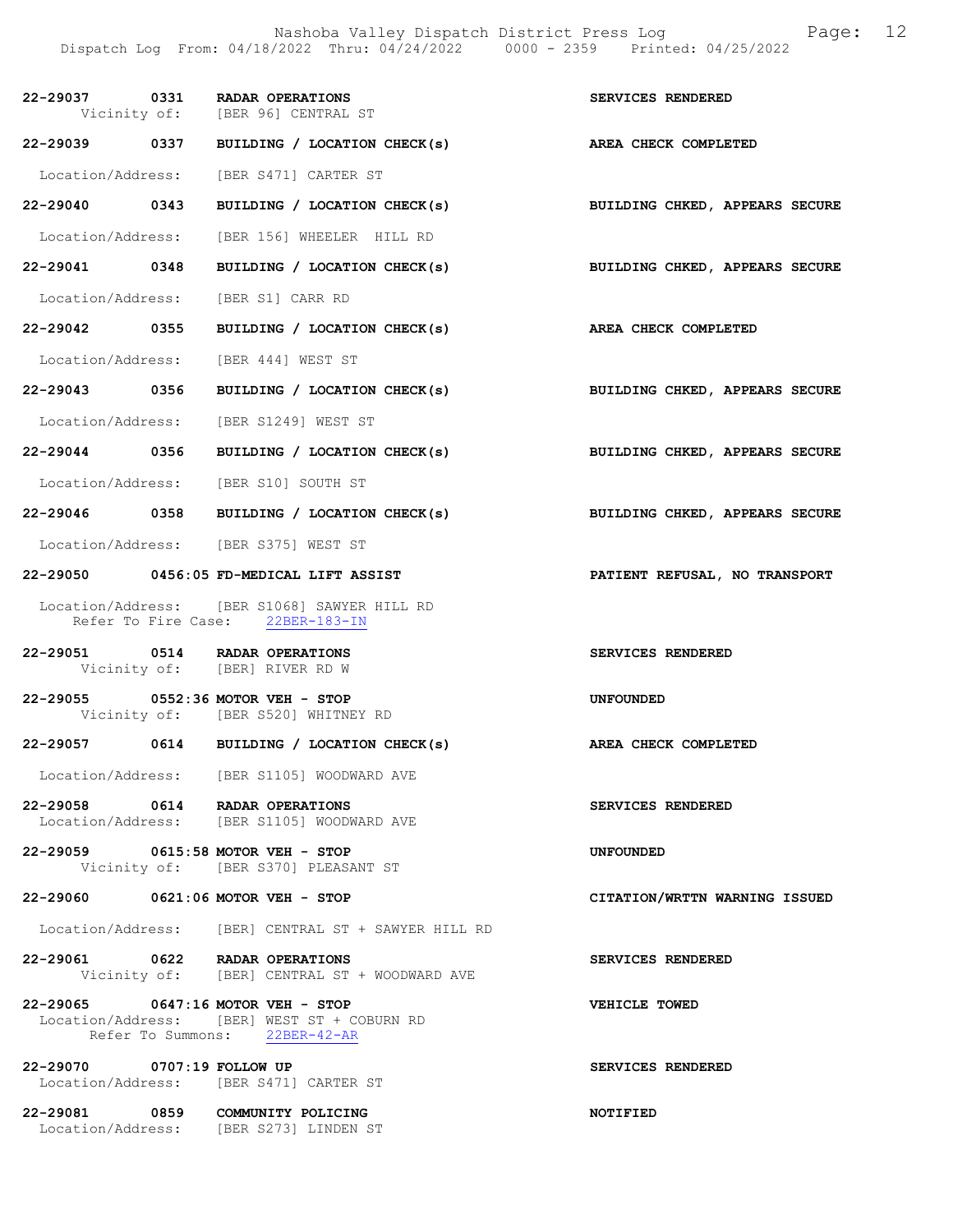Nashoba Valley Dispatch District Press Log Fage: 12 Dispatch Log From: 04/18/2022 Thru: 04/24/2022 0000 - 2359 Printed: 04/25/2022

|                            | 22-29037 0331 RADAR OPERATIONS<br>Vicinity of: [BER 96] CENTRAL ST                                                | SERVICES RENDERED              |
|----------------------------|-------------------------------------------------------------------------------------------------------------------|--------------------------------|
|                            | 22-29039 0337 BUILDING / LOCATION CHECK(s)                                                                        | AREA CHECK COMPLETED           |
|                            | Location/Address: [BER S471] CARTER ST                                                                            |                                |
|                            | 22-29040 0343 BUILDING / LOCATION CHECK(s) BUILDING CHKED, APPEARS SECURE                                         |                                |
|                            | Location/Address: [BER 156] WHEELER HILL RD                                                                       |                                |
| 22-29041 0348              | BUILDING / LOCATION CHECK(s)                                                                                      | BUILDING CHKED, APPEARS SECURE |
|                            | Location/Address: [BER S1] CARR RD                                                                                |                                |
| 22-29042 0355              | BUILDING / LOCATION CHECK(s)                                                                                      | <b>AREA CHECK COMPLETED</b>    |
|                            | Location/Address: [BER 444] WEST ST                                                                               |                                |
|                            | 22-29043 0356 BUILDING / LOCATION CHECK(s) BUILDING CHKED, APPEARS SECURE                                         |                                |
|                            | Location/Address: [BER S1249] WEST ST                                                                             |                                |
|                            | 22-29044 0356 BUILDING / LOCATION CHECK(s)                                                                        | BUILDING CHKED, APPEARS SECURE |
|                            | Location/Address: [BER S10] SOUTH ST                                                                              |                                |
|                            | 22-29046 0358 BUILDING / LOCATION CHECK(s)                                                                        | BUILDING CHKED, APPEARS SECURE |
|                            | Location/Address: [BER S375] WEST ST                                                                              |                                |
|                            | 22-29050 0456:05 FD-MEDICAL LIFT ASSIST                                                                           | PATIENT REFUSAL, NO TRANSPORT  |
|                            | Location/Address: [BER S1068] SAWYER HILL RD<br>Refer To Fire Case: 22BER-183-IN                                  |                                |
|                            | 22-29051 0514 RADAR OPERATIONS<br>Vicinity of: [BER] RIVER RD W                                                   | SERVICES RENDERED              |
|                            | 22-29055 0552:36 MOTOR VEH - STOP<br>Vicinity of: [BER S520] WHITNEY RD                                           | <b>UNFOUNDED</b>               |
|                            | 22-29057 0614 BUILDING / LOCATION CHECK(s)                                                                        | AREA CHECK COMPLETED           |
|                            | Location/Address: [BER S1105] WOODWARD AVE                                                                        |                                |
|                            | 22-29058 0614 RADAR OPERATIONS<br>Location/Address: [BER S1105] WOODWARD AVE                                      | SERVICES RENDERED              |
|                            | 22-29059 0615:58 MOTOR VEH - STOP<br>Vicinity of: [BER S370] PLEASANT ST                                          | <b>UNFOUNDED</b>               |
| 22-29060                   | $0621:06$ MOTOR VEH - STOP                                                                                        | CITATION/WRTTN WARNING ISSUED  |
|                            | Location/Address: [BER] CENTRAL ST + SAWYER HILL RD                                                               |                                |
|                            | 22-29061 0622 RADAR OPERATIONS<br>Vicinity of: [BER] CENTRAL ST + WOODWARD AVE                                    | SERVICES RENDERED              |
|                            | 22-29065 0647:16 MOTOR VEH - STOP<br>Location/Address: [BER] WEST ST + COBURN RD<br>Refer To Summons: 22BER-42-AR | VEHICLE TOWED                  |
| 22-29070 0707:19 FOLLOW UP | Location/Address: [BER S471] CARTER ST                                                                            | SERVICES RENDERED              |
|                            | 22-29081 0859 COMMUNITY POLICING<br>Location/Address: [BER S273] LINDEN ST                                        | NOTIFIED                       |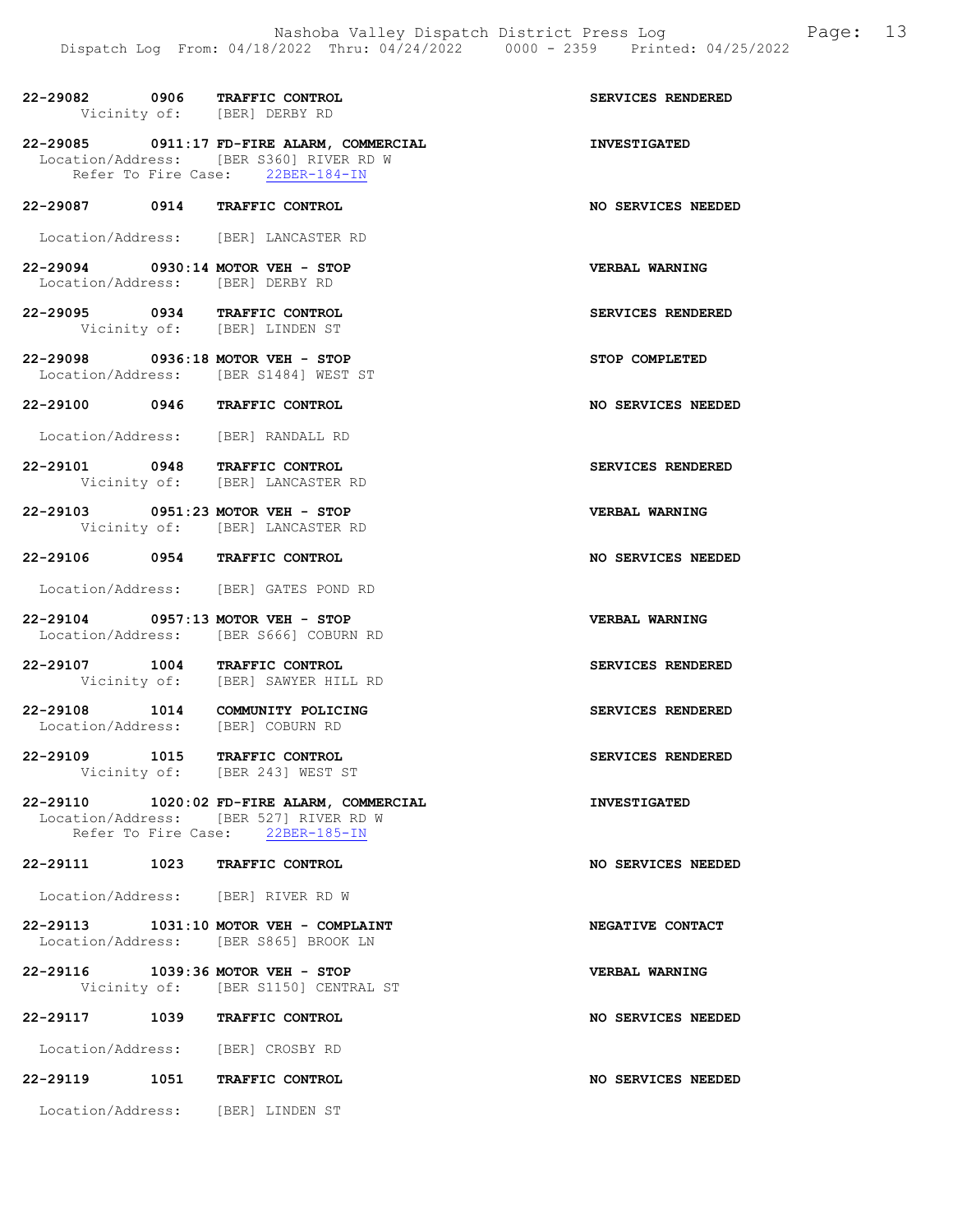|  | 22-29082 0906 TRAFFIC CONTROL<br>Vicinity of: [BER] DERBY RD                                                             | SERVICES RENDERED     |
|--|--------------------------------------------------------------------------------------------------------------------------|-----------------------|
|  | 22-29085 0911:17 FD-FIRE ALARM, COMMERCIAL                                                                               | <b>INVESTIGATED</b>   |
|  | Location/Address: [BER S360] RIVER RD W<br>Refer To Fire Case: 22BER-184-IN                                              |                       |
|  | 22-29087 0914 TRAFFIC CONTROL                                                                                            | NO SERVICES NEEDED    |
|  | Location/Address: [BER] LANCASTER RD                                                                                     |                       |
|  | 22-29094 0930:14 MOTOR VEH - STOP<br>Location/Address: [BER] DERBY RD                                                    | VERBAL WARNING        |
|  | 22-29095 0934 TRAFFIC CONTROL<br>Vicinity of: [BER] LINDEN ST                                                            | SERVICES RENDERED     |
|  | 22-29098 0936:18 MOTOR VEH - STOP<br>Location/Address: [BER S1484] WEST ST                                               | STOP COMPLETED        |
|  | 22-29100 0946 TRAFFIC CONTROL                                                                                            | NO SERVICES NEEDED    |
|  | Location/Address: [BER] RANDALL RD                                                                                       |                       |
|  | 22-29101 0948 TRAFFIC CONTROL                                                                                            | SERVICES RENDERED     |
|  | Vicinity of: [BER] LANCASTER RD                                                                                          |                       |
|  | 22-29103 0951:23 MOTOR VEH - STOP<br>Vicinity of: [BER] LANCASTER RD                                                     | <b>VERBAL WARNING</b> |
|  | 22-29106 0954 TRAFFIC CONTROL                                                                                            | NO SERVICES NEEDED    |
|  | Location/Address: [BER] GATES POND RD                                                                                    |                       |
|  | 22-29104 0957:13 MOTOR VEH - STOP<br>Location/Address: [BER S666] COBURN RD                                              | VERBAL WARNING        |
|  | 22-29107 1004 TRAFFIC CONTROL<br>Vicinity of: [BER] SAWYER HILL RD                                                       | SERVICES RENDERED     |
|  | 22-29108 1014 COMMUNITY POLICING<br>Location/Address: [BER] COBURN RD                                                    | SERVICES RENDERED     |
|  | 22-29109 1015 TRAFFIC CONTROL<br>Vicinity of: [BER 243] WEST ST                                                          | SERVICES RENDERED     |
|  | 22-29110 1020:02 FD-FIRE ALARM, COMMERCIAL<br>Location/Address: [BER 527] RIVER RD W<br>Refer To Fire Case: 22BER-185-IN | <b>INVESTIGATED</b>   |
|  | 22-29111 1023 TRAFFIC CONTROL                                                                                            | NO SERVICES NEEDED    |
|  | Location/Address: [BER] RIVER RD W                                                                                       |                       |
|  | 22-29113 1031:10 MOTOR VEH - COMPLAINT                                                                                   | NEGATIVE CONTACT      |
|  | Location/Address: [BER S865] BROOK LN                                                                                    |                       |
|  | 22-29116 1039:36 MOTOR VEH - STOP<br>Vicinity of: [BER S1150] CENTRAL ST                                                 | <b>VERBAL WARNING</b> |
|  | 22-29117 1039 TRAFFIC CONTROL                                                                                            | NO SERVICES NEEDED    |
|  | Location/Address: [BER] CROSBY RD                                                                                        |                       |
|  | 22-29119 1051 TRAFFIC CONTROL                                                                                            | NO SERVICES NEEDED    |
|  | Location/Address: [BER] LINDEN ST                                                                                        |                       |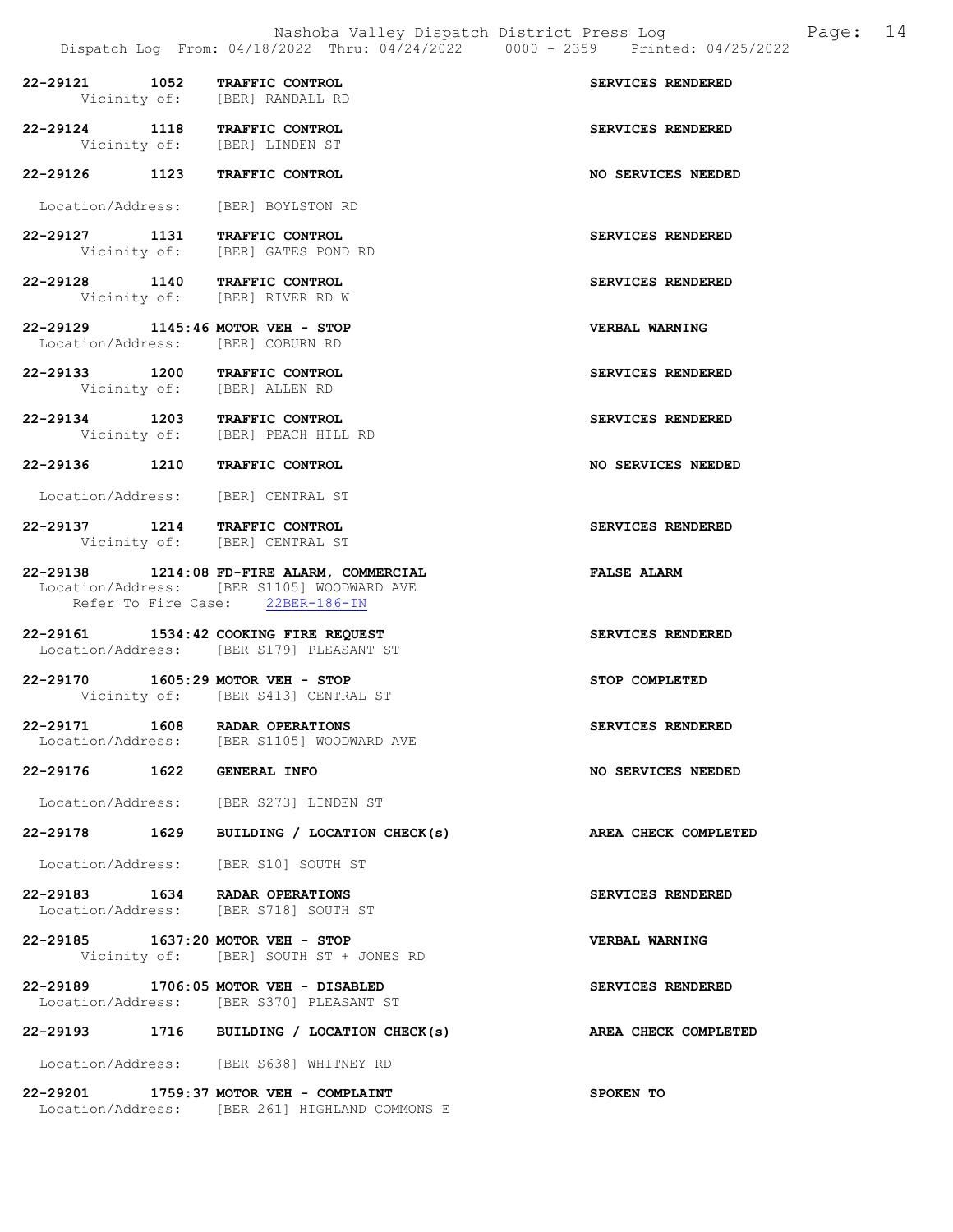|                                                                        |                                                                                                                              | Dispatch Log From: 04/18/2022 Thru: 04/24/2022 0000 - 2359 Printed: 04/25/2022 |
|------------------------------------------------------------------------|------------------------------------------------------------------------------------------------------------------------------|--------------------------------------------------------------------------------|
| 22-29121 1052 TRAFFIC CONTROL                                          | Vicinity of: [BER] RANDALL RD                                                                                                | SERVICES RENDERED                                                              |
| 22-29124 1118 TRAFFIC CONTROL<br>Vicinity of: [BER] LINDEN ST          |                                                                                                                              | SERVICES RENDERED                                                              |
| 22-29126 1123 TRAFFIC CONTROL                                          |                                                                                                                              | NO SERVICES NEEDED                                                             |
| Location/Address: [BER] BOYLSTON RD                                    |                                                                                                                              |                                                                                |
| 22-29127 1131 TRAFFIC CONTROL                                          | Vicinity of: [BER] GATES POND RD                                                                                             | SERVICES RENDERED                                                              |
| 22-29128 1140 TRAFFIC CONTROL                                          | Vicinity of: [BER] RIVER RD W                                                                                                | SERVICES RENDERED                                                              |
| 22-29129 1145:46 MOTOR VEH - STOP<br>Location/Address: [BER] COBURN RD |                                                                                                                              | <b>VERBAL WARNING</b>                                                          |
| 22-29133 1200 TRAFFIC CONTROL                                          | Vicinity of: [BER] ALLEN RD                                                                                                  | SERVICES RENDERED                                                              |
| 22-29134 1203 TRAFFIC CONTROL                                          | Vicinity of: [BER] PEACH HILL RD                                                                                             | SERVICES RENDERED                                                              |
| 22-29136 1210 TRAFFIC CONTROL                                          |                                                                                                                              | NO SERVICES NEEDED                                                             |
| Location/Address: [BER] CENTRAL ST                                     |                                                                                                                              |                                                                                |
| 22-29137 1214 TRAFFIC CONTROL<br>Vicinity of: [BER] CENTRAL ST         |                                                                                                                              | SERVICES RENDERED                                                              |
|                                                                        | 22-29138 1214:08 FD-FIRE ALARM, COMMERCIAL<br>Location/Address: [BER S1105] WOODWARD AVE<br>Refer To Fire Case: 22BER-186-IN | <b>FALSE ALARM</b>                                                             |
|                                                                        | 22-29161 1534:42 COOKING FIRE REQUEST<br>Location/Address: [BER S179] PLEASANT ST                                            | SERVICES RENDERED                                                              |
| 22-29170 1605:29 MOTOR VEH - STOP                                      | Vicinity of: [BER S413] CENTRAL ST                                                                                           | STOP COMPLETED                                                                 |
| 22-29171                                                               | 1608 RADAR OPERATIONS<br>Location/Address: [BER S1105] WOODWARD AVE                                                          | SERVICES RENDERED                                                              |
| 22-29176 1622 GENERAL INFO                                             |                                                                                                                              | <b>NO SERVICES NEEDED</b>                                                      |
|                                                                        | Location/Address: [BER S273] LINDEN ST                                                                                       |                                                                                |
|                                                                        | 22-29178 1629 BUILDING / LOCATION CHECK(s)                                                                                   | AREA CHECK COMPLETED                                                           |
|                                                                        | Location/Address: [BER S10] SOUTH ST                                                                                         |                                                                                |
| 22-29183 1634 RADAR OPERATIONS                                         | Location/Address: [BER S718] SOUTH ST                                                                                        | SERVICES RENDERED                                                              |
| 22-29185 1637:20 MOTOR VEH - STOP                                      | Vicinity of: [BER] SOUTH ST + JONES RD                                                                                       | <b>VERBAL WARNING</b>                                                          |
|                                                                        | 22-29189 1706:05 MOTOR VEH - DISABLED<br>Location/Address: [BER S370] PLEASANT ST                                            | SERVICES RENDERED                                                              |
|                                                                        | 22-29193 1716 BUILDING / LOCATION CHECK(s)                                                                                   | AREA CHECK COMPLETED                                                           |
|                                                                        | Location/Address: [BER S638] WHITNEY RD                                                                                      |                                                                                |
|                                                                        | 22-29201 1759:37 MOTOR VEH - COMPLAINT<br>Location/Address: [BER 261] HIGHLAND COMMONS E                                     | SPOKEN TO                                                                      |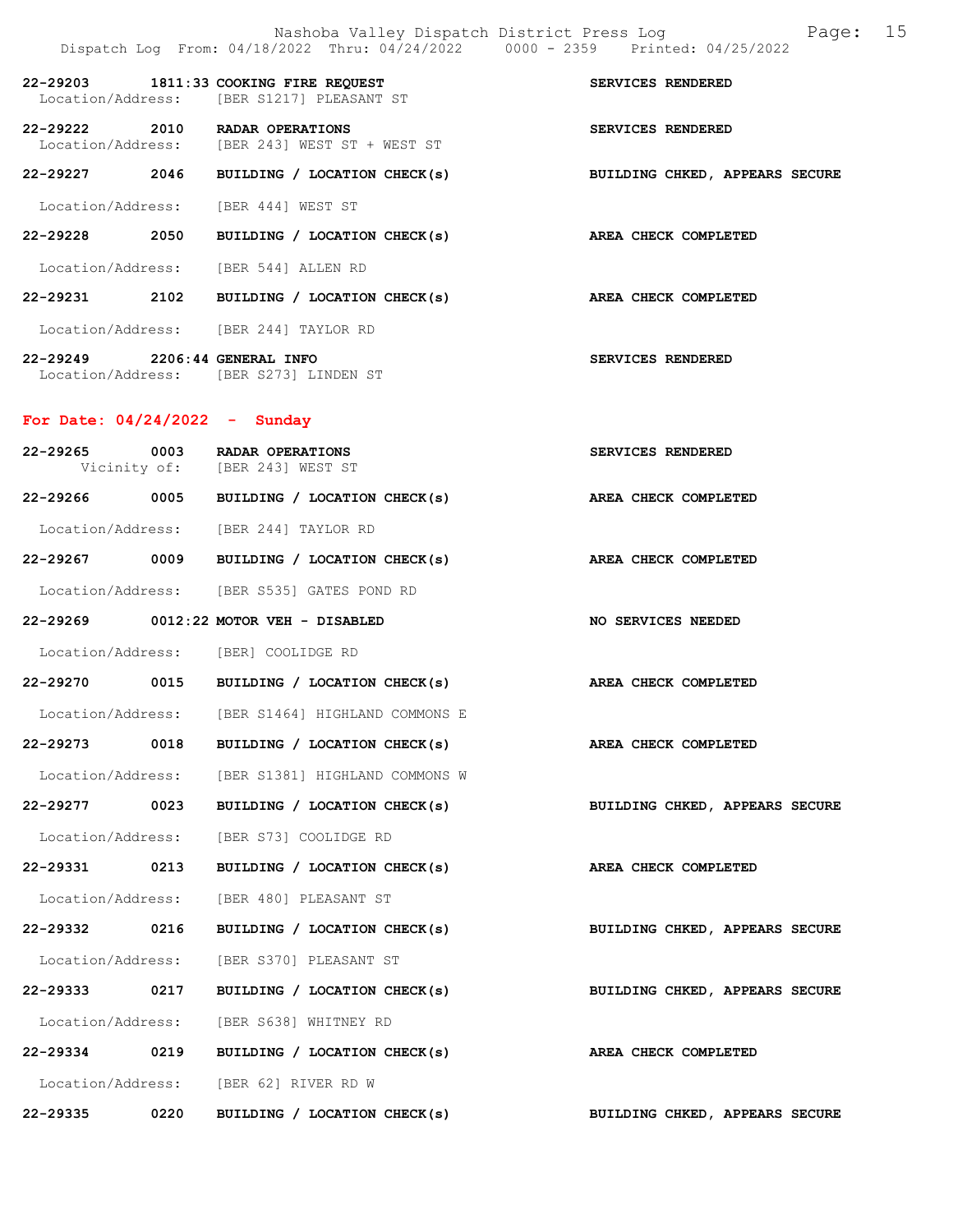|                                 | Dispatch Log From: 04/18/2022 Thru: 04/24/2022 0000 - 2359 Printed: 04/25/2022     | Page: 15<br>Nashoba Valley Dispatch District Press Log |  |
|---------------------------------|------------------------------------------------------------------------------------|--------------------------------------------------------|--|
|                                 | 22-29203 1811:33 COOKING FIRE REQUEST<br>Location/Address: [BER S1217] PLEASANT ST | SERVICES RENDERED                                      |  |
|                                 | 22-29222 2010 RADAR OPERATIONS<br>Location/Address: [BER 243] WEST ST + WEST ST    | SERVICES RENDERED                                      |  |
|                                 | 22-29227 2046 BUILDING / LOCATION CHECK(s)                                         | BUILDING CHKED, APPEARS SECURE                         |  |
|                                 | Location/Address: [BER 444] WEST ST                                                |                                                        |  |
| 22-29228 2050                   | BUILDING / LOCATION CHECK(s) AREA CHECK COMPLETED                                  |                                                        |  |
|                                 | Location/Address: [BER 544] ALLEN RD                                               |                                                        |  |
|                                 | 22-29231 2102 BUILDING / LOCATION CHECK(s) AREA CHECK COMPLETED                    |                                                        |  |
|                                 | Location/Address: [BER 244] TAYLOR RD                                              |                                                        |  |
| 22-29249 2206:44 GENERAL INFO   | Location/Address: [BER S273] LINDEN ST                                             | SERVICES RENDERED                                      |  |
| For Date: $04/24/2022 -$ Sunday |                                                                                    |                                                        |  |
|                                 | 22-29265 0003 RADAR OPERATIONS<br>Vicinity of: [BER 243] WEST ST                   | SERVICES RENDERED                                      |  |
|                                 | 22-29266 0005 BUILDING / LOCATION CHECK(s) AREA CHECK COMPLETED                    |                                                        |  |
|                                 | Location/Address: [BER 244] TAYLOR RD                                              |                                                        |  |
|                                 | 22-29267 0009 BUILDING / LOCATION CHECK(s) AREA CHECK COMPLETED                    |                                                        |  |

Location/Address: [BER S535] GATES POND RD

22-29269 0012:22 MOTOR VEH - DISABLED NO SERVICES NEEDED Location/Address: [BER] COOLIDGE RD 22-29270 0015 BUILDING / LOCATION CHECK(s) AREA CHECK COMPLETED

 Location/Address: [BER S1464] HIGHLAND COMMONS E 22-29273 0018 BUILDING / LOCATION CHECK(s) AREA CHECK COMPLETED Location/Address: [BER S1381] HIGHLAND COMMONS W 22-29277 0023 BUILDING / LOCATION CHECK(s) BUILDING CHKED, APPEARS SECURE Location/Address: [BER S73] COOLIDGE RD 22-29331 0213 BUILDING / LOCATION CHECK(s) AREA CHECK COMPLETED Location/Address: [BER 480] PLEASANT ST 22-29332 0216 BUILDING / LOCATION CHECK(s) BUILDING CHKED, APPEARS SECURE Location/Address: [BER S370] PLEASANT ST 22-29333 0217 BUILDING / LOCATION CHECK(s) BUILDING CHKED, APPEARS SECURE Location/Address: [BER S638] WHITNEY RD 22-29334 0219 BUILDING / LOCATION CHECK(s) AREA CHECK COMPLETED Location/Address: [BER 62] RIVER RD W

22-29335 0220 BUILDING / LOCATION CHECK(s) BUILDING CHKED, APPEARS SECURE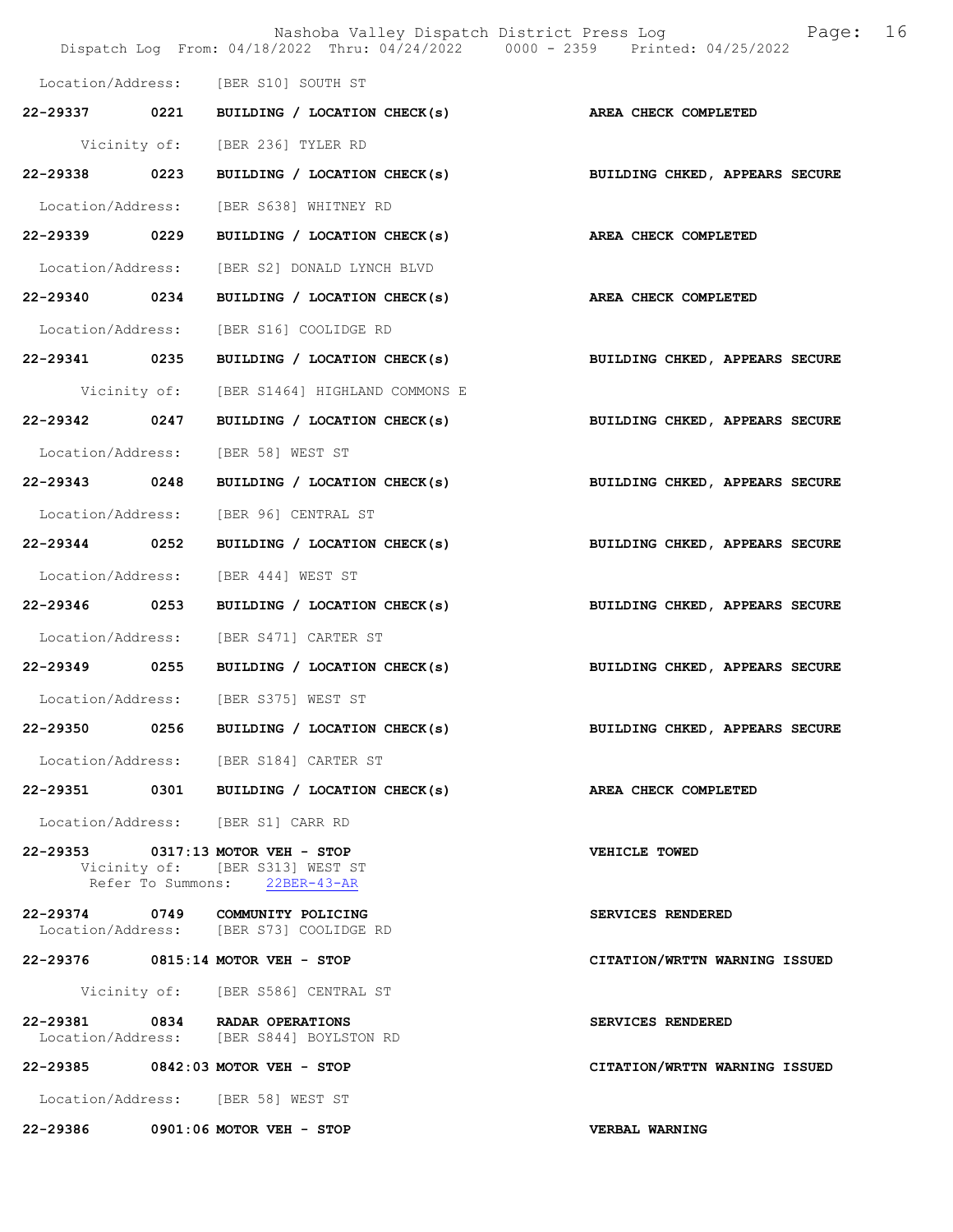|                   |      | Nashoba Valley Dispatch District Press Log<br>Dispatch Log From: 04/18/2022 Thru: 04/24/2022 0000 - 2359 Printed: 04/25/2022 | 16<br>Page:                    |
|-------------------|------|------------------------------------------------------------------------------------------------------------------------------|--------------------------------|
|                   |      | Location/Address: [BER S10] SOUTH ST                                                                                         |                                |
| 22-29337 0221     |      | BUILDING / LOCATION CHECK(s)                                                                                                 | AREA CHECK COMPLETED           |
|                   |      | Vicinity of: [BER 236] TYLER RD                                                                                              |                                |
| 22-29338 0223     |      | BUILDING / LOCATION CHECK(s)                                                                                                 | BUILDING CHKED, APPEARS SECURE |
| Location/Address: |      | [BER S638] WHITNEY RD                                                                                                        |                                |
| 22-29339 0229     |      | BUILDING / LOCATION CHECK(s)                                                                                                 | AREA CHECK COMPLETED           |
| Location/Address: |      | [BER S2] DONALD LYNCH BLVD                                                                                                   |                                |
| 22-29340 0234     |      | BUILDING / LOCATION CHECK(s)                                                                                                 | <b>AREA CHECK COMPLETED</b>    |
| Location/Address: |      | [BER S16] COOLIDGE RD                                                                                                        |                                |
| 22-29341 0235     |      | BUILDING / LOCATION CHECK(s)                                                                                                 | BUILDING CHKED, APPEARS SECURE |
| Vicinity of:      |      | [BER S1464] HIGHLAND COMMONS E                                                                                               |                                |
| 22-29342 0247     |      | BUILDING / LOCATION CHECK(s)                                                                                                 | BUILDING CHKED, APPEARS SECURE |
| Location/Address: |      | [BER 58] WEST ST                                                                                                             |                                |
| 22-29343 0248     |      | BUILDING / LOCATION CHECK(s)                                                                                                 | BUILDING CHKED, APPEARS SECURE |
| Location/Address: |      | [BER 96] CENTRAL ST                                                                                                          |                                |
| 22-29344 0252     |      | BUILDING / LOCATION CHECK(s)                                                                                                 | BUILDING CHKED, APPEARS SECURE |
| Location/Address: |      | [BER 444] WEST ST                                                                                                            |                                |
| 22-29346 0253     |      | BUILDING / LOCATION CHECK(s)                                                                                                 | BUILDING CHKED, APPEARS SECURE |
| Location/Address: |      | [BER S471] CARTER ST                                                                                                         |                                |
| 22-29349 0255     |      | BUILDING / LOCATION CHECK(s)                                                                                                 | BUILDING CHKED, APPEARS SECURE |
|                   |      | Location/Address: [BER S375] WEST ST                                                                                         |                                |
| 22-29350          | 0256 | BUILDING / LOCATION CHECK(s)                                                                                                 | BUILDING CHKED, APPEARS SECURE |
|                   |      | Location/Address: [BER S184] CARTER ST                                                                                       |                                |
|                   |      | 22-29351 0301 BUILDING / LOCATION CHECK(s)                                                                                   | AREA CHECK COMPLETED           |
|                   |      | Location/Address: [BER S1] CARR RD                                                                                           |                                |
|                   |      | 22-29353 0317:13 MOTOR VEH - STOP<br>Vicinity of: [BER S313] WEST ST<br>Refer To Summons: 22BER-43-AR                        | <b>VEHICLE TOWED</b>           |
|                   |      | 22-29374 0749 COMMUNITY POLICING<br>Location/Address: [BER S73] COOLIDGE RD                                                  | SERVICES RENDERED              |
|                   |      | 22-29376 0815:14 MOTOR VEH - STOP                                                                                            | CITATION/WRTTN WARNING ISSUED  |
|                   |      | Vicinity of: [BER S586] CENTRAL ST                                                                                           |                                |
|                   |      | 22-29381 0834 RADAR OPERATIONS<br>Location/Address: [BER S844] BOYLSTON RD                                                   | SERVICES RENDERED              |
|                   |      | 22-29385 0842:03 MOTOR VEH - STOP                                                                                            | CITATION/WRTTN WARNING ISSUED  |
|                   |      | Location/Address: [BER 58] WEST ST                                                                                           |                                |
| 22-29386          |      | $0901:06$ MOTOR VEH - STOP                                                                                                   | VERBAL WARNING                 |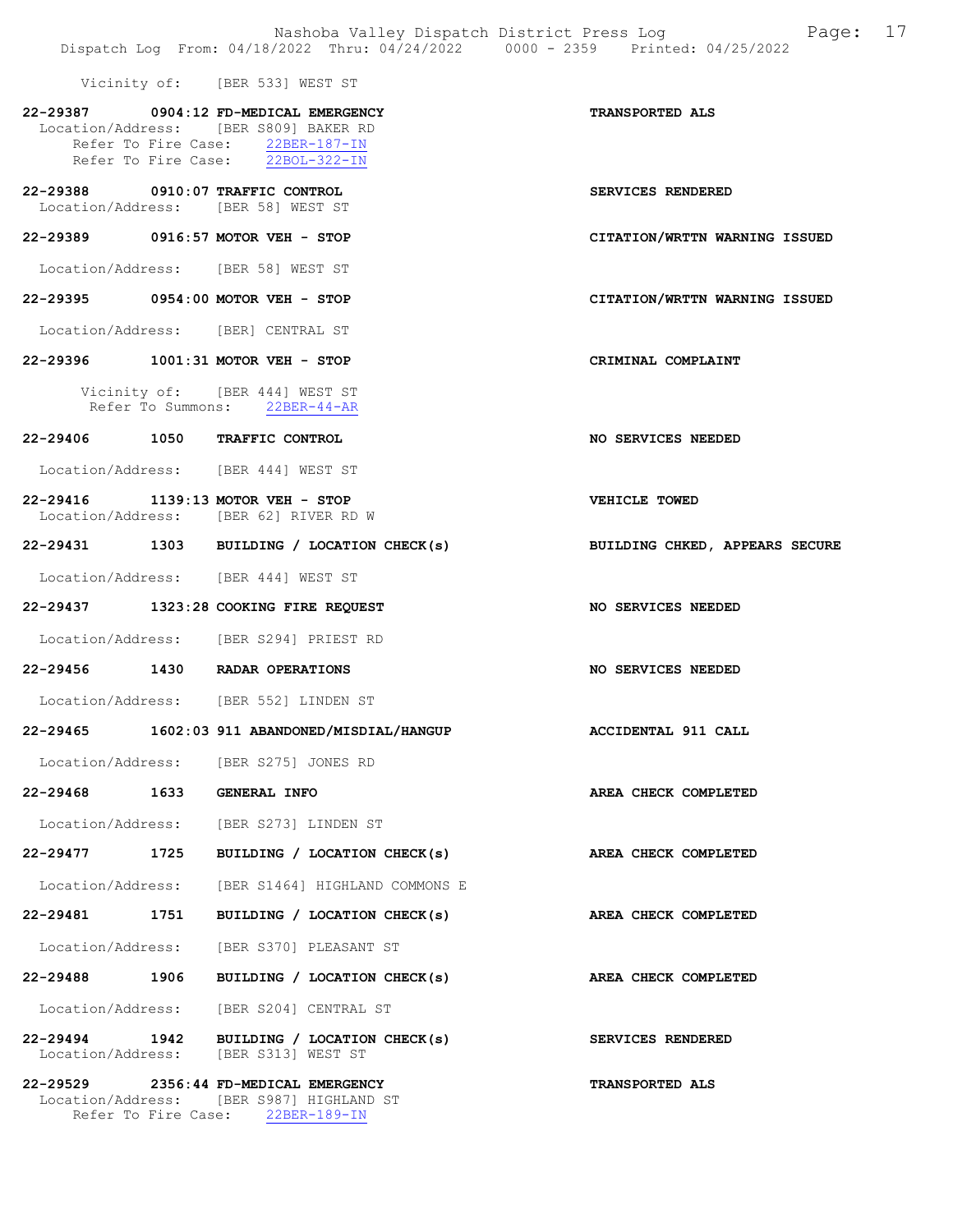Vicinity of: [BER 533] WEST ST

|                            | 22-29387 0904:12 FD-MEDICAL EMERGENCY<br>Location/Address: [BER S809] BAKER RD<br>Refer To Fire Case: 22BER-187-IN<br>Refer To Fire Case: 22BOL-322-IN | <b>TRANSPORTED ALS</b>         |
|----------------------------|--------------------------------------------------------------------------------------------------------------------------------------------------------|--------------------------------|
|                            | 22-29388 0910:07 TRAFFIC CONTROL<br>Location/Address: [BER 58] WEST ST                                                                                 | SERVICES RENDERED              |
|                            | 22-29389 0916:57 MOTOR VEH - STOP                                                                                                                      | CITATION/WRTTN WARNING ISSUED  |
|                            | Location/Address: [BER 58] WEST ST                                                                                                                     |                                |
|                            | 22-29395 0954:00 MOTOR VEH - STOP                                                                                                                      | CITATION/WRTTN WARNING ISSUED  |
|                            | Location/Address: [BER] CENTRAL ST                                                                                                                     |                                |
|                            | 22-29396 1001:31 MOTOR VEH - STOP                                                                                                                      | CRIMINAL COMPLAINT             |
|                            | Vicinity of: [BER 444] WEST ST<br>Refer To Summons: 22BER-44-AR                                                                                        |                                |
|                            | 22-29406 1050 TRAFFIC CONTROL                                                                                                                          | NO SERVICES NEEDED             |
|                            | Location/Address: [BER 444] WEST ST                                                                                                                    |                                |
|                            | 22-29416 1139:13 MOTOR VEH - STOP<br>Location/Address: [BER 62] RIVER RD W                                                                             | <b>VEHICLE TOWED</b>           |
|                            | 22-29431 1303 BUILDING / LOCATION CHECK(s)                                                                                                             | BUILDING CHKED, APPEARS SECURE |
|                            | Location/Address: [BER 444] WEST ST                                                                                                                    |                                |
|                            | 22-29437 1323:28 COOKING FIRE REQUEST                                                                                                                  | NO SERVICES NEEDED             |
|                            | Location/Address: [BER S294] PRIEST RD                                                                                                                 |                                |
|                            | 22-29456 1430 RADAR OPERATIONS                                                                                                                         | NO SERVICES NEEDED             |
|                            | Location/Address: [BER 552] LINDEN ST                                                                                                                  |                                |
|                            | 22-29465 1602:03 911 ABANDONED/MISDIAL/HANGUP ACCIDENTAL 911 CALL                                                                                      |                                |
|                            | Location/Address: [BER S275] JONES RD                                                                                                                  |                                |
| 22-29468 1633 GENERAL INFO |                                                                                                                                                        | AREA CHECK COMPLETED           |
|                            | Location/Address: [BER S273] LINDEN ST                                                                                                                 |                                |
|                            | 22-29477 1725 BUILDING / LOCATION CHECK(s)                                                                                                             | AREA CHECK COMPLETED           |
|                            | Location/Address: [BER S1464] HIGHLAND COMMONS E                                                                                                       |                                |
|                            | 22-29481 1751 BUILDING / LOCATION CHECK(s)                                                                                                             | AREA CHECK COMPLETED           |
|                            | Location/Address: [BER S370] PLEASANT ST                                                                                                               |                                |
|                            | 22-29488 1906 BUILDING / LOCATION CHECK(s)                                                                                                             | AREA CHECK COMPLETED           |
|                            | Location/Address: [BER S204] CENTRAL ST                                                                                                                |                                |
|                            | 22-29494 1942 BUILDING / LOCATION CHECK(s)<br>Location/Address: [BER S313] WEST ST                                                                     | SERVICES RENDERED              |
|                            | 22-29529 2356:44 FD-MEDICAL EMERGENCY<br>Location/Address: [BER S987] HIGHLAND ST<br>Refer To Fire Case: 22BER-189-IN                                  | <b>TRANSPORTED ALS</b>         |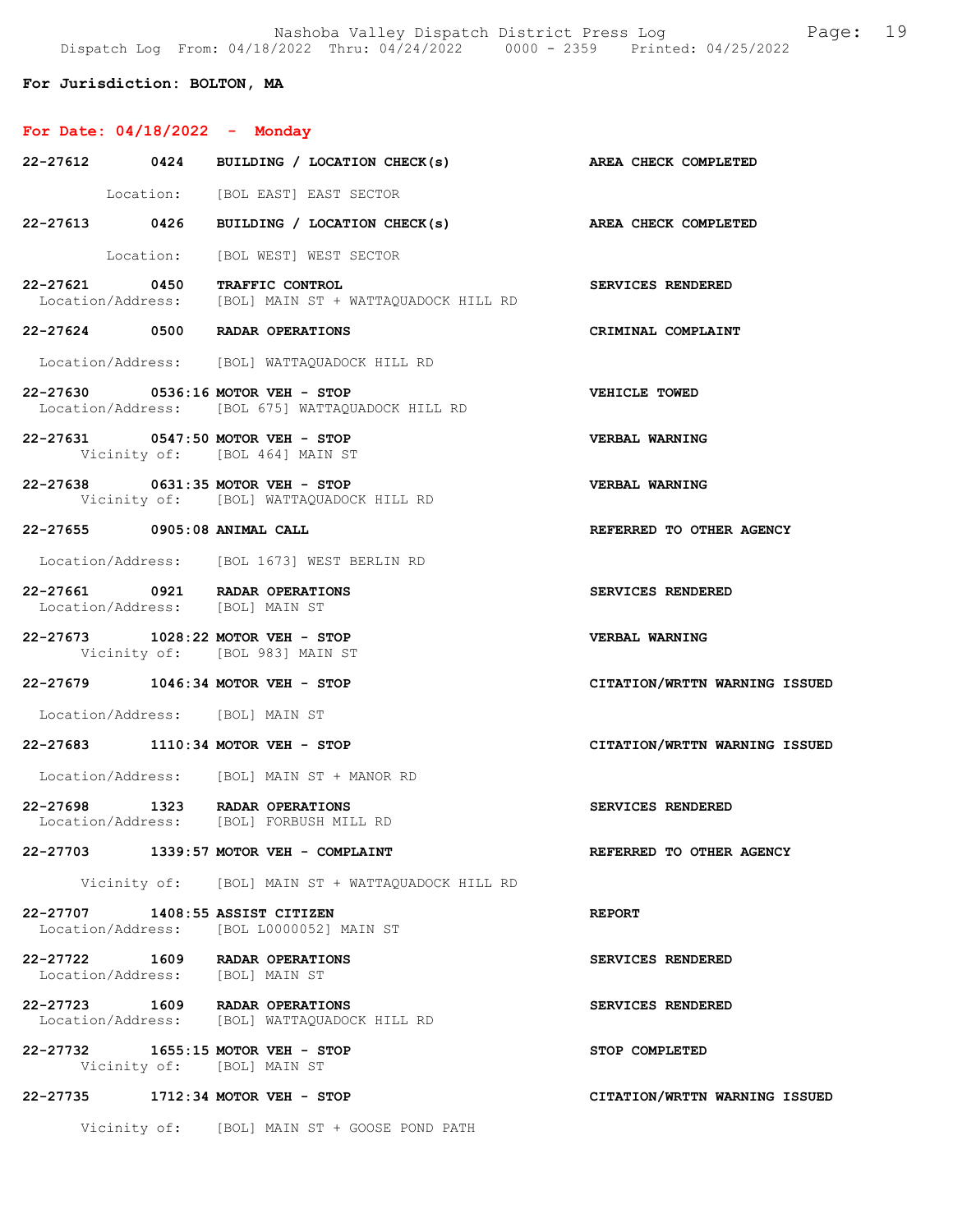Nashoba Valley Dispatch District Press Log Fage: 19 Dispatch Log From: 04/18/2022 Thru: 04/24/2022 0000 - 2359 Printed: 04/25/2022

# For Jurisdiction: BOLTON, MA

# For Date: 04/18/2022 - Monday

|                                 | 22-27612 0424 BUILDING / LOCATION CHECK(s) AREA CHECK COMPLETED                         |                               |
|---------------------------------|-----------------------------------------------------------------------------------------|-------------------------------|
|                                 | Location: [BOL EAST] EAST SECTOR                                                        |                               |
|                                 | 22-27613 0426 BUILDING / LOCATION CHECK(s) AREA CHECK COMPLETED                         |                               |
|                                 | Location: [BOL WEST] WEST SECTOR                                                        |                               |
|                                 | 22-27621 0450 TRAFFIC CONTROL<br>Location/Address: [BOL] MAIN ST + WATTAQUADOCK HILL RD | SERVICES RENDERED             |
|                                 | 22-27624 0500 RADAR OPERATIONS                                                          | CRIMINAL COMPLAINT            |
|                                 | Location/Address: [BOL] WATTAQUADOCK HILL RD                                            |                               |
|                                 | 22-27630 0536:16 MOTOR VEH - STOP<br>Location/Address: [BOL 675] WATTAQUADOCK HILL RD   | <b>VEHICLE TOWED</b>          |
|                                 | 22-27631 0547:50 MOTOR VEH - STOP<br>Vicinity of: [BOL 464] MAIN ST                     | VERBAL WARNING                |
|                                 | 22-27638 0631:35 MOTOR VEH - STOP<br>Vicinity of: [BOL] WATTAQUADOCK HILL RD            | <b>VERBAL WARNING</b>         |
| 22-27655 0905:08 ANIMAL CALL    |                                                                                         | REFERRED TO OTHER AGENCY      |
|                                 | Location/Address: [BOL 1673] WEST BERLIN RD                                             |                               |
|                                 | 22-27661 0921 RADAR OPERATIONS<br>Location/Address: [BOL] MAIN ST                       | SERVICES RENDERED             |
|                                 | 22-27673 1028:22 MOTOR VEH - STOP<br>Vicinity of: [BOL 983] MAIN ST                     | <b>VERBAL WARNING</b>         |
|                                 | 22-27679 1046:34 MOTOR VEH - STOP                                                       | CITATION/WRTTN WARNING ISSUED |
| Location/Address: [BOL] MAIN ST |                                                                                         |                               |
|                                 | 22-27683 1110:34 MOTOR VEH - STOP                                                       | CITATION/WRTTN WARNING ISSUED |
|                                 | Location/Address: [BOL] MAIN ST + MANOR RD                                              |                               |
|                                 | 22-27698 1323 RADAR OPERATIONS<br>Location/Address: [BOL] FORBUSH MILL RD               | SERVICES RENDERED             |
|                                 | 22-27703 1339:57 MOTOR VEH - COMPLAINT                                                  | REFERRED TO OTHER AGENCY      |
|                                 | Vicinity of: [BOL] MAIN ST + WATTAOUADOCK HILL RD                                       |                               |
|                                 | 22-27707 1408:55 ASSIST CITIZEN<br>Location/Address: [BOL L0000052] MAIN ST             | <b>REPORT</b>                 |
|                                 | 22-27722 1609 RADAR OPERATIONS<br>Location/Address: [BOL] MAIN ST                       | SERVICES RENDERED             |
|                                 | 22-27723 1609 RADAR OPERATIONS<br>Location/Address: [BOL] WATTAQUADOCK HILL RD          | SERVICES RENDERED             |
|                                 | 22-27732 1655:15 MOTOR VEH - STOP<br>Vicinity of: [BOL] MAIN ST                         | STOP COMPLETED                |
|                                 | 22-27735 1712:34 MOTOR VEH - STOP                                                       | CITATION/WRTTN WARNING ISSUED |
|                                 | Vicinity of: [BOL] MAIN ST + GOOSE POND PATH                                            |                               |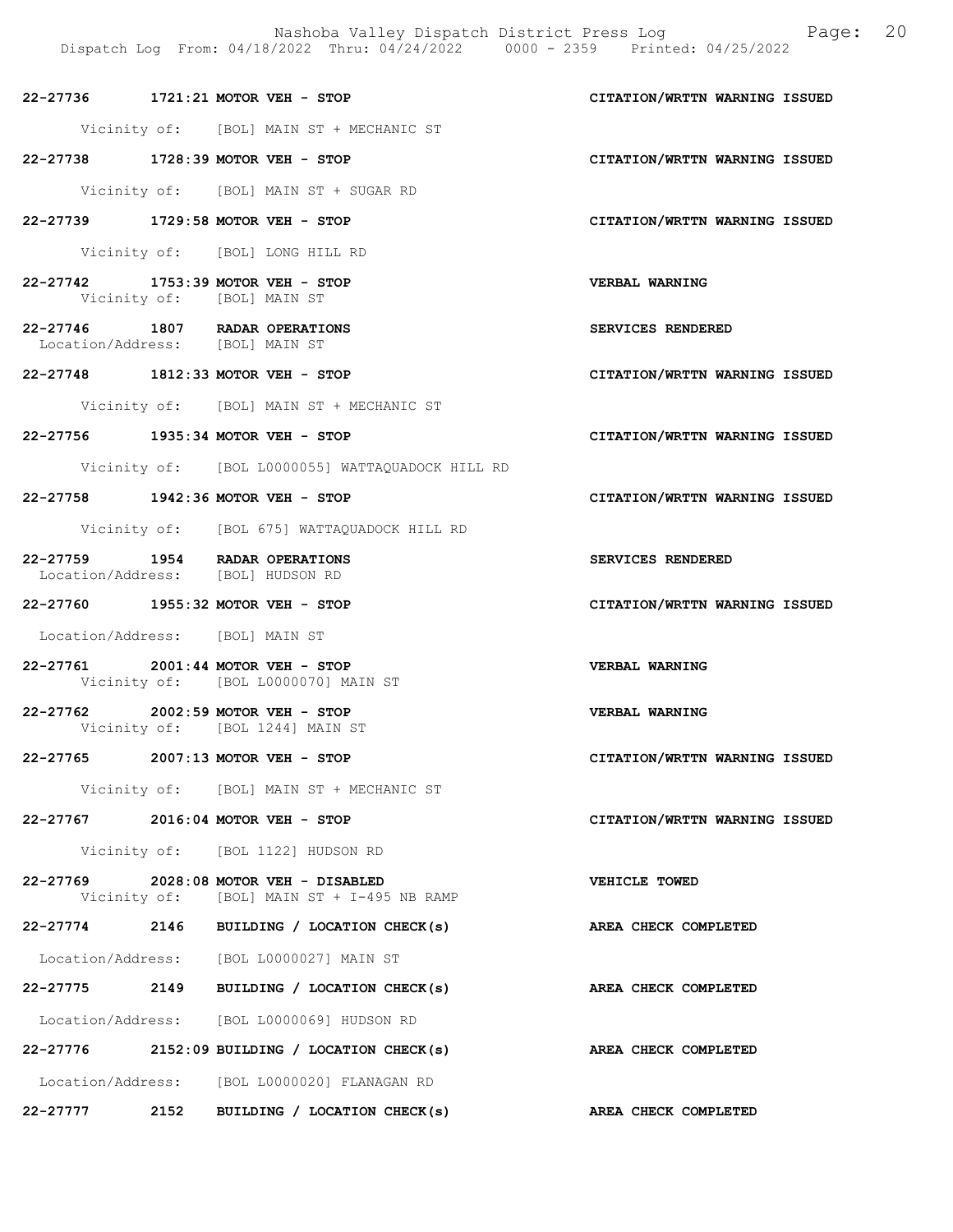- Dispatch Log From: 04/18/2022 Thru: 04/24/2022 0000 2359 Printed: 04/25/2022
- 22-27736 1721:21 MOTOR VEH STOP CITATION/WRTTN WARNING ISSUED Vicinity of: [BOL] MAIN ST + MECHANIC ST
- 22-27738 1728:39 MOTOR VEH STOP CITATION/WRTTN WARNING ISSUED

Vicinity of: [BOL] MAIN ST + SUGAR RD

22-27739 1729:58 MOTOR VEH - STOP CITATION/WRTTN WARNING ISSUED

Vicinity of: [BOL] LONG HILL RD

- 22-27742 1753:39 MOTOR VEH STOP VERBAL WARNING Vicinity of: [BOL] MAIN ST
- 22-27746 1807 RADAR OPERATIONS SERVICES RENDERED Location/Address: [BOL] MAIN ST
- 22-27748 1812:33 MOTOR VEH STOP CITATION/WRTTN WARNING ISSUED

Vicinity of: [BOL] MAIN ST + MECHANIC ST

22-27756 1935:34 MOTOR VEH - STOP CITATION/WRTTN WARNING ISSUED

Vicinity of: [BOL L0000055] WATTAQUADOCK HILL RD

22-27758 1942:36 MOTOR VEH - STOP CITATION/WRTTN WARNING ISSUED

Vicinity of: [BOL 675] WATTAQUADOCK HILL RD

- 22-27759 1954 RADAR OPERATIONS SERVICES RENDERED<br>
Location/Address: [BOL] HUDSON RD Location/Address:
- 22-27760 1955:32 MOTOR VEH STOP CITATION/WRTTN WARNING ISSUED

Location/Address: [BOL] MAIN ST

- 22-27761 2001:44 MOTOR VEH STOP VERBAL WARNING Vicinity of: [BOL L0000070] MAIN ST
- 22-27762 2002:59 MOTOR VEH STOP VERBAL WARNING Vicinity of: [BOL 1244] MAIN ST
- 22-27765 2007:13 MOTOR VEH STOP CITATION/WRTTN WARNING ISSUED

Vicinity of: [BOL] MAIN ST + MECHANIC ST

22-27767 2016:04 MOTOR VEH - STOP CITATION/WRTTN WARNING ISSUED

Vicinity of: [BOL 1122] HUDSON RD

- 22-27769 2028:08 MOTOR VEH DISABLED VEHICLE TOWED Vicinity of: [BOL] MAIN ST + I-495 NB RAMP
- 22-27774 2146 BUILDING / LOCATION CHECK(s) AREA CHECK COMPLETED Location/Address: [BOL L0000027] MAIN ST
- 22-27775 2149 BUILDING / LOCATION CHECK(s) AREA CHECK COMPLETED

Location/Address: [BOL L0000069] HUDSON RD

22-27776 2152:09 BUILDING / LOCATION CHECK(s) AREA CHECK COMPLETED Location/Address: [BOL L0000020] FLANAGAN RD

## 22-27777 2152 BUILDING / LOCATION CHECK(s) AREA CHECK COMPLETED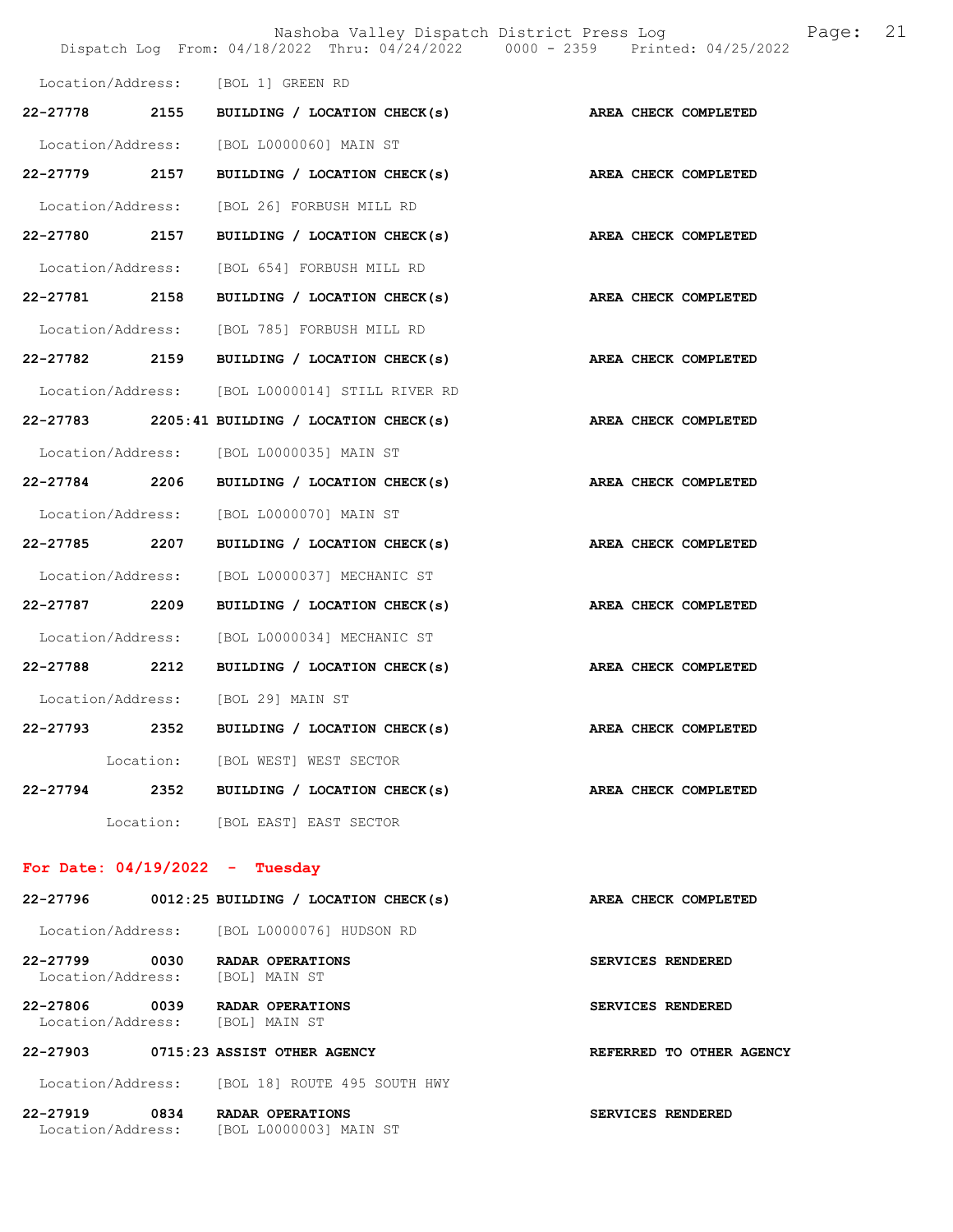|                   |                                                                 | Nashoba Valley Dispatch District Press Log<br>Dispatch Log From: 04/18/2022 Thru: 04/24/2022 0000 - 2359 Printed: 04/25/2022 | Page: 21 |
|-------------------|-----------------------------------------------------------------|------------------------------------------------------------------------------------------------------------------------------|----------|
|                   | Location/Address: [BOL 1] GREEN RD                              |                                                                                                                              |          |
|                   | 22-27778 2155 BUILDING / LOCATION CHECK(s)                      | AREA CHECK COMPLETED                                                                                                         |          |
|                   | Location/Address: [BOL L0000060] MAIN ST                        |                                                                                                                              |          |
| 22–27779 2157     | BUILDING / LOCATION CHECK(s)                                    | AREA CHECK COMPLETED                                                                                                         |          |
|                   | Location/Address: [BOL 26] FORBUSH MILL RD                      |                                                                                                                              |          |
|                   | 22-27780 2157 BUILDING / LOCATION CHECK(s) AREA CHECK COMPLETED |                                                                                                                              |          |
|                   | Location/Address: [BOL 654] FORBUSH MILL RD                     |                                                                                                                              |          |
|                   | 22-27781 2158 BUILDING / LOCATION CHECK(s) AREA CHECK COMPLETED |                                                                                                                              |          |
|                   | Location/Address: [BOL 785] FORBUSH MILL RD                     |                                                                                                                              |          |
|                   | 22-27782 2159 BUILDING / LOCATION CHECK(s)                      | AREA CHECK COMPLETED                                                                                                         |          |
|                   | Location/Address: [BOL L0000014] STILL RIVER RD                 |                                                                                                                              |          |
|                   | 22-27783 2205:41 BUILDING / LOCATION CHECK(s)                   | AREA CHECK COMPLETED                                                                                                         |          |
|                   | Location/Address: [BOL L0000035] MAIN ST                        |                                                                                                                              |          |
|                   | 22-27784 2206 BUILDING / LOCATION CHECK(s)                      | AREA CHECK COMPLETED                                                                                                         |          |
|                   | Location/Address: [BOL L0000070] MAIN ST                        |                                                                                                                              |          |
|                   | 22-27785 2207 BUILDING / LOCATION CHECK(s)                      | AREA CHECK COMPLETED                                                                                                         |          |
| Location/Address: | [BOL L0000037] MECHANIC ST                                      |                                                                                                                              |          |
| 22-27787 2209     | BUILDING / LOCATION CHECK(s)                                    | AREA CHECK COMPLETED                                                                                                         |          |
|                   | Location/Address: [BOL L0000034] MECHANIC ST                    |                                                                                                                              |          |
|                   | 22-27788 2212 BUILDING / LOCATION CHECK(s)                      | AREA CHECK COMPLETED                                                                                                         |          |
| Location/Address: | [BOL 29] MAIN ST                                                |                                                                                                                              |          |
|                   | $22-27793$ 2352 BUILDING / LOCATION CHECK(s)                    | AREA CHECK COMPLETED                                                                                                         |          |
|                   | Location: [BOL WEST] WEST SECTOR                                |                                                                                                                              |          |
|                   | 22-27794 2352 BUILDING / LOCATION CHECK(s)                      | AREA CHECK COMPLETED                                                                                                         |          |
|                   | Location: [BOL EAST] EAST SECTOR                                |                                                                                                                              |          |

# For Date: 04/19/2022 - Tuesday

| 22-27796                                  | 0012:25 BUILDING / LOCATION CHECK(s)       | AREA CHECK COMPLETED               |
|-------------------------------------------|--------------------------------------------|------------------------------------|
|                                           | Location/Address: [BOL L0000076] HUDSON RD |                                    |
| $22 - 27799$<br>0030<br>Location/Address: | RADAR OPERATIONS<br>[BOL] MAIN ST          | SERVICES RENDERED                  |
| 22-27806<br>0039<br>Location/Address:     | RADAR OPERATIONS<br>[BOL] MAIN ST          | <b>SERVICES RENDERED</b>           |
| 22-27903                                  | 0715:23 ASSIST OTHER AGENCY                | <b>REFERRED</b><br>TO OTHER AGENCY |
| Location/Address:                         | [BOL 18] ROUTE 495 SOUTH HWY               |                                    |
| $22 - 27919$<br>0834<br>Location/Address: | RADAR OPERATIONS<br>[BOL L0000003] MAIN ST | <b>SERVICES RENDERED</b>           |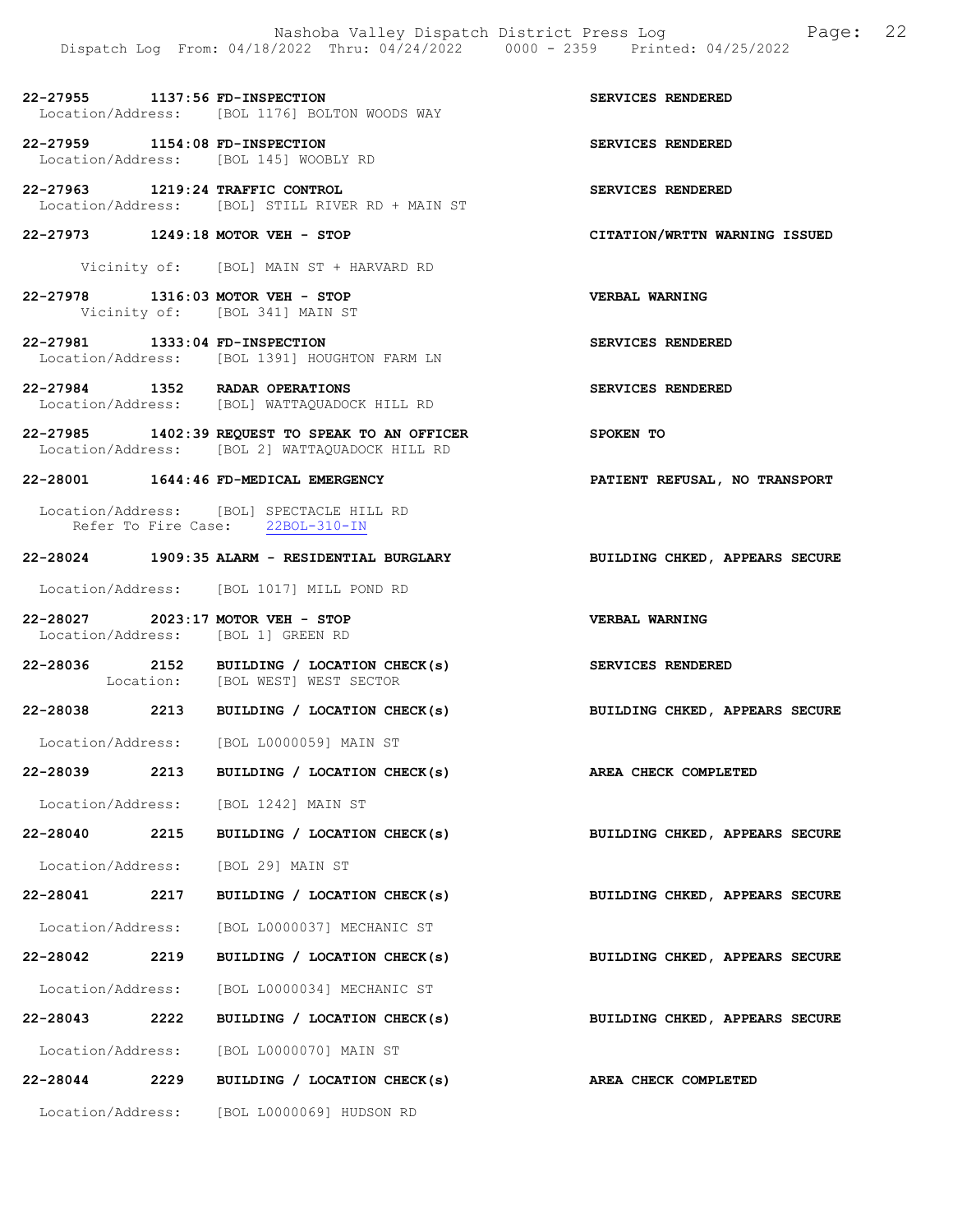22-27955 1137:56 FD-INSPECTION SERVICES RENDERED Location/Address: [BOL 1176] BOLTON WOODS WAY

22-27959 1154:08 FD-INSPECTION SERVICES RENDERED Location/Address: [BOL 145] WOOBLY RD

22-27963 1219:24 TRAFFIC CONTROL SERVICES RENDERED Location/Address: [BOL] STILL RIVER RD + MAIN ST

22-27973 1249:18 MOTOR VEH - STOP CITATION/WRTTN WARNING ISSUED

Vicinity of: [BOL] MAIN ST + HARVARD RD

22-27978 1316:03 MOTOR VEH - STOP VERBAL WARNING Vicinity of: [BOL 341] MAIN ST

22-27981 1333:04 FD-INSPECTION SERVICES RENDERED<br>Location/Address: [BOL 1391] HOUGHTON FARM LN [BOL 1391] HOUGHTON FARM LN

22-27984 1352 RADAR OPERATIONS SERVICES RENDERED Location/Address: [BOL] WATTAQUADOCK HILL RD

22-27985 1402:39 REQUEST TO SPEAK TO AN OFFICER SPOKEN TO Location/Address: [BOL 2] WATTAQUADOCK HILL RD

22-28001 1644:46 FD-MEDICAL EMERGENCY PATIENT REFUSAL, NO TRANSPORT

Location/Address: [BOL] SPECTACLE HILL RD<br>Refer To Fire Case: 22BOL-310-IN Refer To Fire Case:

#### 22-28024 1909:35 ALARM - RESIDENTIAL BURGLARY BUILDING CHKED, APPEARS SECURE

Location/Address: [BOL 1017] MILL POND RD

22-28027 2023:17 MOTOR VEH - STOP VERBAL WARNING Location/Address: [BOL 1] GREEN RD

22-28036 2152 BUILDING / LOCATION CHECK(s) SERVICES RENDERED Location: [BOL WEST] WEST SECTOR

22-28038 2213 BUILDING / LOCATION CHECK(s) BUILDING CHKED, APPEARS SECURE

Location/Address: [BOL L0000059] MAIN ST

22-28039 2213 BUILDING / LOCATION CHECK(s) AREA CHECK COMPLETED

Location/Address: [BOL 1242] MAIN ST

22-28040 2215 BUILDING / LOCATION CHECK(s) BUILDING CHKED, APPEARS SECURE

Location/Address: [BOL 29] MAIN ST

22-28041 2217 BUILDING / LOCATION CHECK(s) BUILDING CHKED, APPEARS SECURE

Location/Address: [BOL L0000037] MECHANIC ST

22-28042 2219 BUILDING / LOCATION CHECK(s) BUILDING CHKED, APPEARS SECURE

Location/Address: [BOL L0000034] MECHANIC ST

Location/Address: [BOL L0000070] MAIN ST

22-28044 2229 BUILDING / LOCATION CHECK(s) AREA CHECK COMPLETED

Location/Address: [BOL L0000069] HUDSON RD

22-28043 2222 BUILDING / LOCATION CHECK(s) BUILDING CHKED, APPEARS SECURE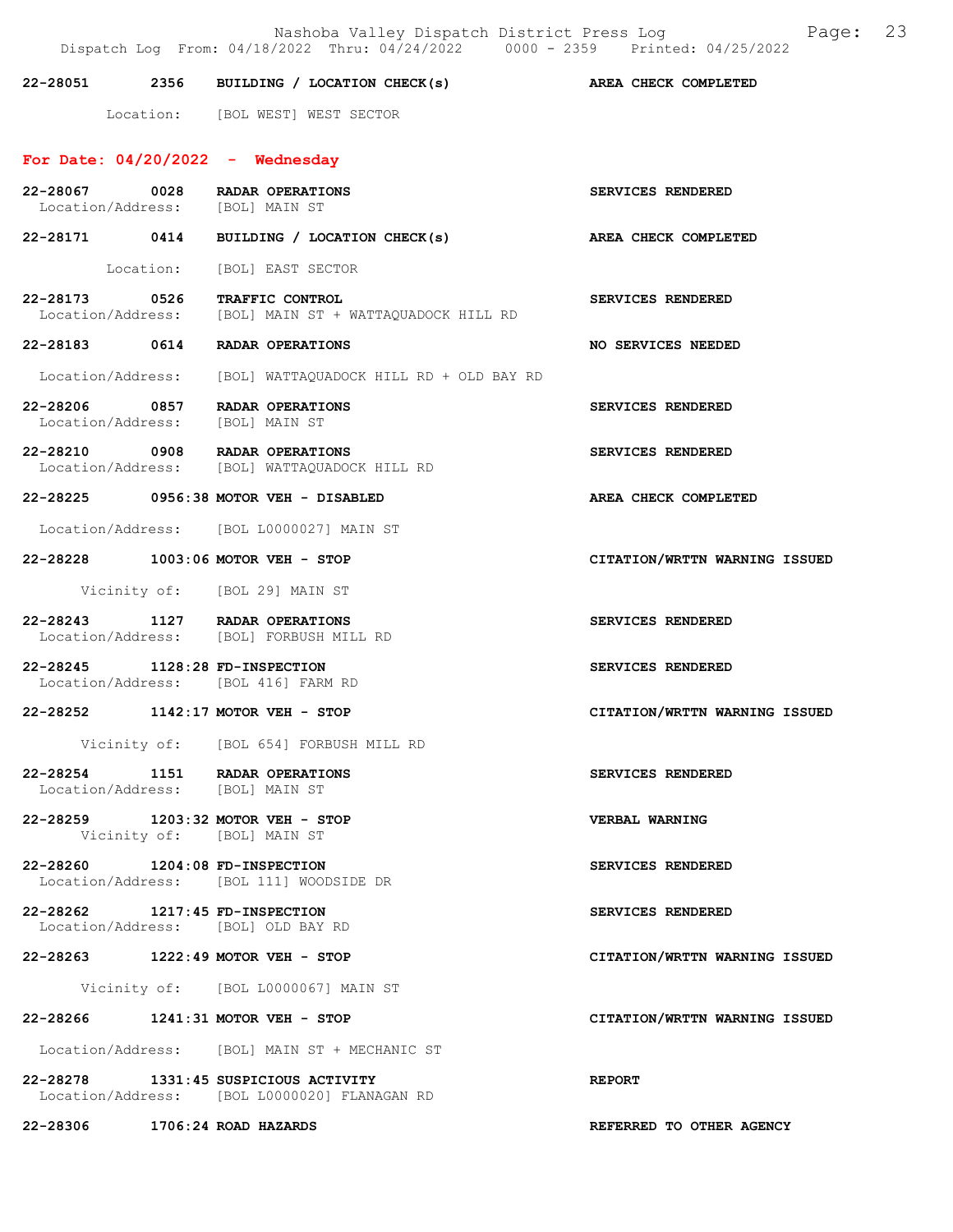Nashoba Valley Dispatch District Press Log Page: 23 Dispatch Log From: 04/18/2022 Thru: 04/24/2022 0000 - 2359 Printed: 04/25/2022 22-28051 2356 BUILDING / LOCATION CHECK(s) AREA CHECK COMPLETED Location: [BOL WEST] WEST SECTOR For Date:  $04/20/2022 -$  Wednesday 22-28067 0028 RADAR OPERATIONS SERVICES RENDERED<br>
Location/Address: [BOL] MAIN ST Location/Address: 22-28171 0414 BUILDING / LOCATION CHECK(s) AREA CHECK COMPLETED Location: [BOL] EAST SECTOR 22-28173 0526 TRAFFIC CONTROL SERVICES RENDERED<br>Location/Address: [BOL] MAIN ST + WATTAOUADOCK HILL RD [BOL] MAIN ST + WATTAQUADOCK HILL RD 22-28183 0614 RADAR OPERATIONS NO SERVICES NEEDED Location/Address: [BOL] WATTAQUADOCK HILL RD + OLD BAY RD 22-28206 0857 RADAR OPERATIONS SERVICES RENDERED<br>
Location/Address: [BOL] MAIN ST Location/Address: 22-28210 0908 RADAR OPERATIONS SERVICES RENDERED Location/Address: [BOL] WATTAQUADOCK HILL RD 22-28225 0956:38 MOTOR VEH - DISABLED AREA CHECK COMPLETED Location/Address: [BOL L0000027] MAIN ST 22-28228 1003:06 MOTOR VEH - STOP CITATION/WRTTN WARNING ISSUED Vicinity of: [BOL 29] MAIN ST 22-28243 1127 RADAR OPERATIONS SERVICES RENDERED Location/Address: [BOL] FORBUSH MILL RD 22-28245 1128:28 FD-INSPECTION SERVICES RENDERED Location/Address: [BOL 416] FARM RD 22-28252 1142:17 MOTOR VEH - STOP CITATION/WRTTN WARNING ISSUED Vicinity of: [BOL 654] FORBUSH MILL RD 22-28254 1151 RADAR OPERATIONS SERVICES RENDERED Location/Address: [BOL] MAIN ST 22-28259 1203:32 MOTOR VEH - STOP VERBAL WARNING Vicinity of: [BOL] MAIN ST 22-28260 1204:08 FD-INSPECTION SERVICES RENDERED Location/Address: [BOL 111] WOODSIDE DR 22-28262 1217:45 FD-INSPECTION SERVICES RENDERED Location/Address: [BOL] OLD BAY RD 22-28263 1222:49 MOTOR VEH - STOP CITATION/WRTTN WARNING ISSUED Vicinity of: [BOL L0000067] MAIN ST 22-28266 1241:31 MOTOR VEH - STOP CITATION/WRTTN WARNING ISSUED Location/Address: [BOL] MAIN ST + MECHANIC ST

22-28278 1331:45 SUSPICIOUS ACTIVITY REPORT Location/Address: [BOL L0000020] FLANAGAN RD

22-28306 1706:24 ROAD HAZARDS REFERRED TO OTHER AGENCY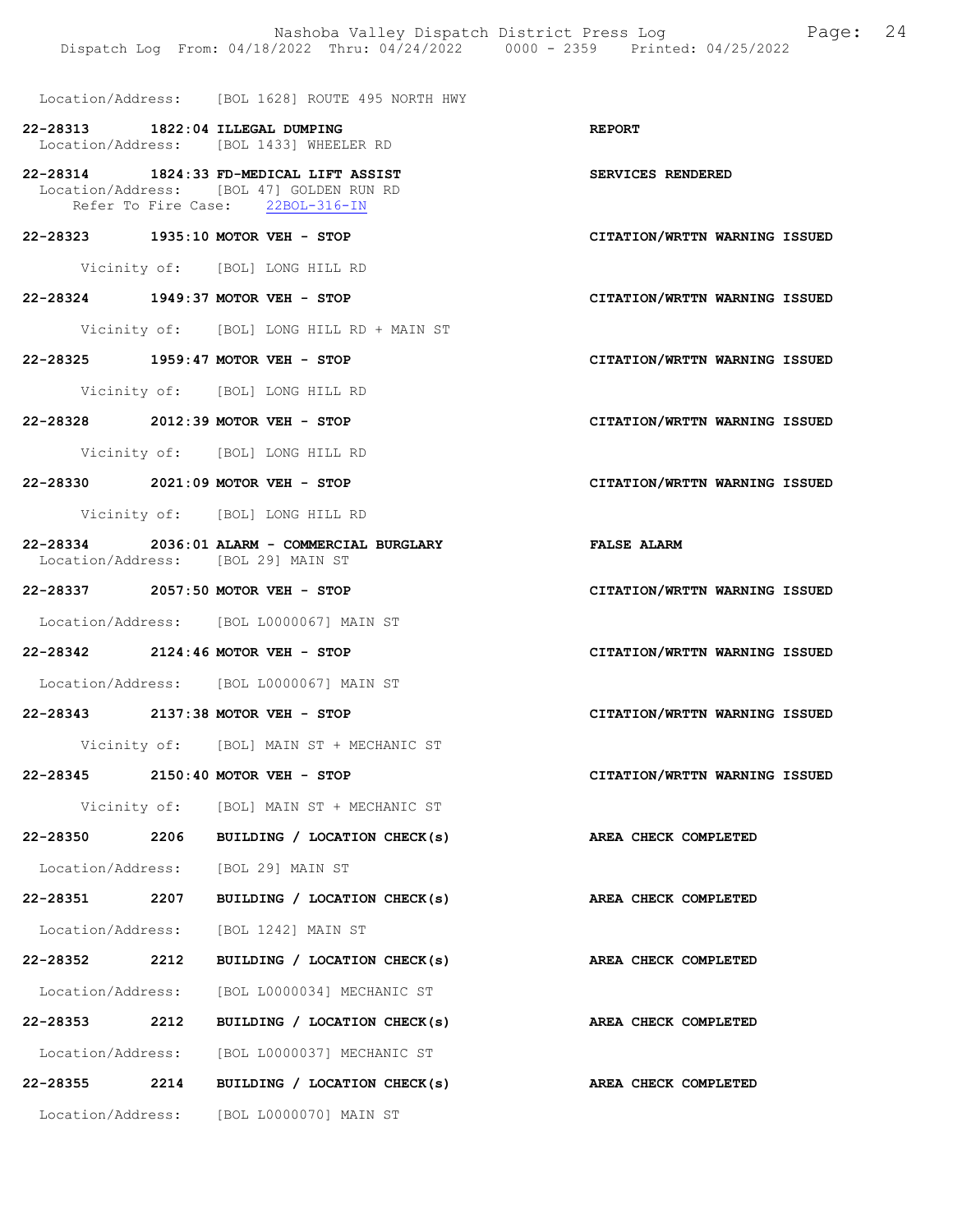Location/Address: [BOL 1628] ROUTE 495 NORTH HWY

22-28313 1822:04 ILLEGAL DUMPING<br>
Location/Address: [BOL 1433] WHEELER RD [BOL 1433] WHEELER RD

22-28314 1824:33 FD-MEDICAL LIFT ASSIST SERVICES RENDERED Location/Address: [BOL 47] GOLDEN RUN RD Refer To Fire Case: 22BOL-316-IN

22-28323 1935:10 MOTOR VEH - STOP CITATION/WRTTN WARNING ISSUED

Vicinity of: [BOL] LONG HILL RD

#### 22-28324 1949:37 MOTOR VEH - STOP CITATION/WRTTN WARNING ISSUED

Vicinity of: [BOL] LONG HILL RD + MAIN ST

22-28325 1959:47 MOTOR VEH - STOP CITATION/WRTTN WARNING ISSUED

Vicinity of: [BOL] LONG HILL RD

22-28328 2012:39 MOTOR VEH - STOP CITATION/WRTTN WARNING ISSUED

Vicinity of: [BOL] LONG HILL RD

22-28330 2021:09 MOTOR VEH - STOP CITATION/WRTTN WARNING ISSUED

Vicinity of: [BOL] LONG HILL RD

- 22-28334 2036:01 ALARM COMMERCIAL BURGLARY FALSE ALARM Location/Address: [BOL 29] MAIN ST
- 22-28337 2057:50 MOTOR VEH STOP CITATION/WRTTN WARNING ISSUED

Location/Address: [BOL L0000067] MAIN ST

22-28342 2124:46 MOTOR VEH - STOP CITATION/WRTTN WARNING ISSUED

Location/Address: [BOL L0000067] MAIN ST

22-28343 2137:38 MOTOR VEH - STOP CITATION/WRTTN WARNING ISSUED

Vicinity of: [BOL] MAIN ST + MECHANIC ST

#### 22-28345 2150:40 MOTOR VEH - STOP CITATION/WRTTN WARNING ISSUED

Vicinity of: [BOL] MAIN ST + MECHANIC ST

22-28350 2206 BUILDING / LOCATION CHECK(s) AREA CHECK COMPLETED

Location/Address: [BOL 29] MAIN ST

22-28351 2207 BUILDING / LOCATION CHECK(s) AREA CHECK COMPLETED Location/Address: [BOL 1242] MAIN ST

Location/Address: [BOL L0000034] MECHANIC ST

22-28353 2212 BUILDING / LOCATION CHECK(s) AREA CHECK COMPLETED

Location/Address: [BOL L0000037] MECHANIC ST

22-28355 2214 BUILDING / LOCATION CHECK(s) AREA CHECK COMPLETED Location/Address: [BOL L0000070] MAIN ST

22-28352 2212 BUILDING / LOCATION CHECK(s) AREA CHECK COMPLETED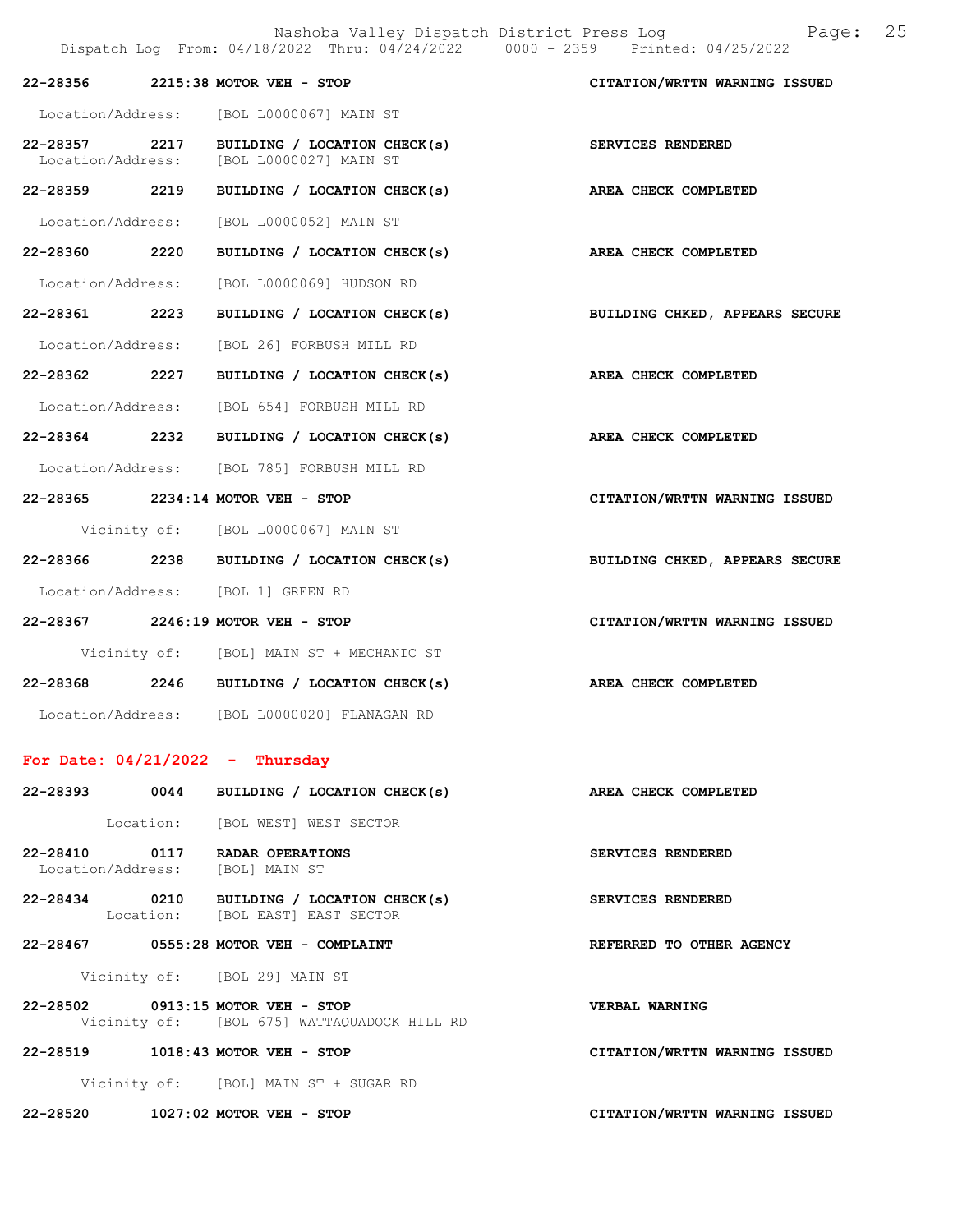Nashoba Valley Dispatch District Press Log Page: 25 Dispatch Log From: 04/18/2022 Thru: 04/24/2022 0000 - 2359 Printed: 04/25/2022 22-28356 2215:38 MOTOR VEH - STOP CITATION/WRTTN WARNING ISSUED Location/Address: [BOL L0000067] MAIN ST 22-28357 2217 BUILDING / LOCATION CHECK(s) SERVICES RENDERED<br>Location/Address: [BOL L0000027] MAIN ST [BOL L0000027] MAIN ST 22-28359 2219 BUILDING / LOCATION CHECK(s) AREA CHECK COMPLETED Location/Address: [BOL L0000052] MAIN ST 22-28360 2220 BUILDING / LOCATION CHECK(s) AREA CHECK COMPLETED Location/Address: [BOL L0000069] HUDSON RD 22-28361 2223 BUILDING / LOCATION CHECK(s) BUILDING CHKED, APPEARS SECURE Location/Address: [BOL 26] FORBUSH MILL RD 22-28362 2227 BUILDING / LOCATION CHECK(s) AREA CHECK COMPLETED Location/Address: [BOL 654] FORBUSH MILL RD 22-28364 2232 BUILDING / LOCATION CHECK(s) AREA CHECK COMPLETED Location/Address: [BOL 785] FORBUSH MILL RD 22-28365 2234:14 MOTOR VEH - STOP CITATION/WRTTN WARNING ISSUED Vicinity of: [BOL L0000067] MAIN ST 22-28366 2238 BUILDING / LOCATION CHECK(s) BUILDING CHKED, APPEARS SECURE Location/Address: [BOL 1] GREEN RD 22-28367 2246:19 MOTOR VEH - STOP CITATION/WRTTN WARNING ISSUED Vicinity of: [BOL] MAIN ST + MECHANIC ST 22-28368 2246 BUILDING / LOCATION CHECK(s) AREA CHECK COMPLETED Location/Address: [BOL L0000020] FLANAGAN RD For Date: 04/21/2022 - Thursday 22-28393 0044 BUILDING / LOCATION CHECK(s) AREA CHECK COMPLETED Location: [BOL WEST] WEST SECTOR 22-28410 0117 RADAR OPERATIONS SERVICES RENDERED Location/Address: [BOL] MAIN ST 22-28434 0210 BUILDING / LOCATION CHECK(s) SERVICES RENDERED Location: [BOL EAST] EAST SECTOR 22-28467 0555:28 MOTOR VEH - COMPLAINT REFERRED TO OTHER AGENCY Vicinity of: [BOL 29] MAIN ST 22-28502 0913:15 MOTOR VEH - STOP VERBAL WARNING Vicinity of: [BOL 675] WATTAQUADOCK HILL RD 22-28519 1018:43 MOTOR VEH - STOP CITATION/WRTTN WARNING ISSUED Vicinity of: [BOL] MAIN ST + SUGAR RD 22-28520 1027:02 MOTOR VEH - STOP CITATION/WRTTN WARNING ISSUED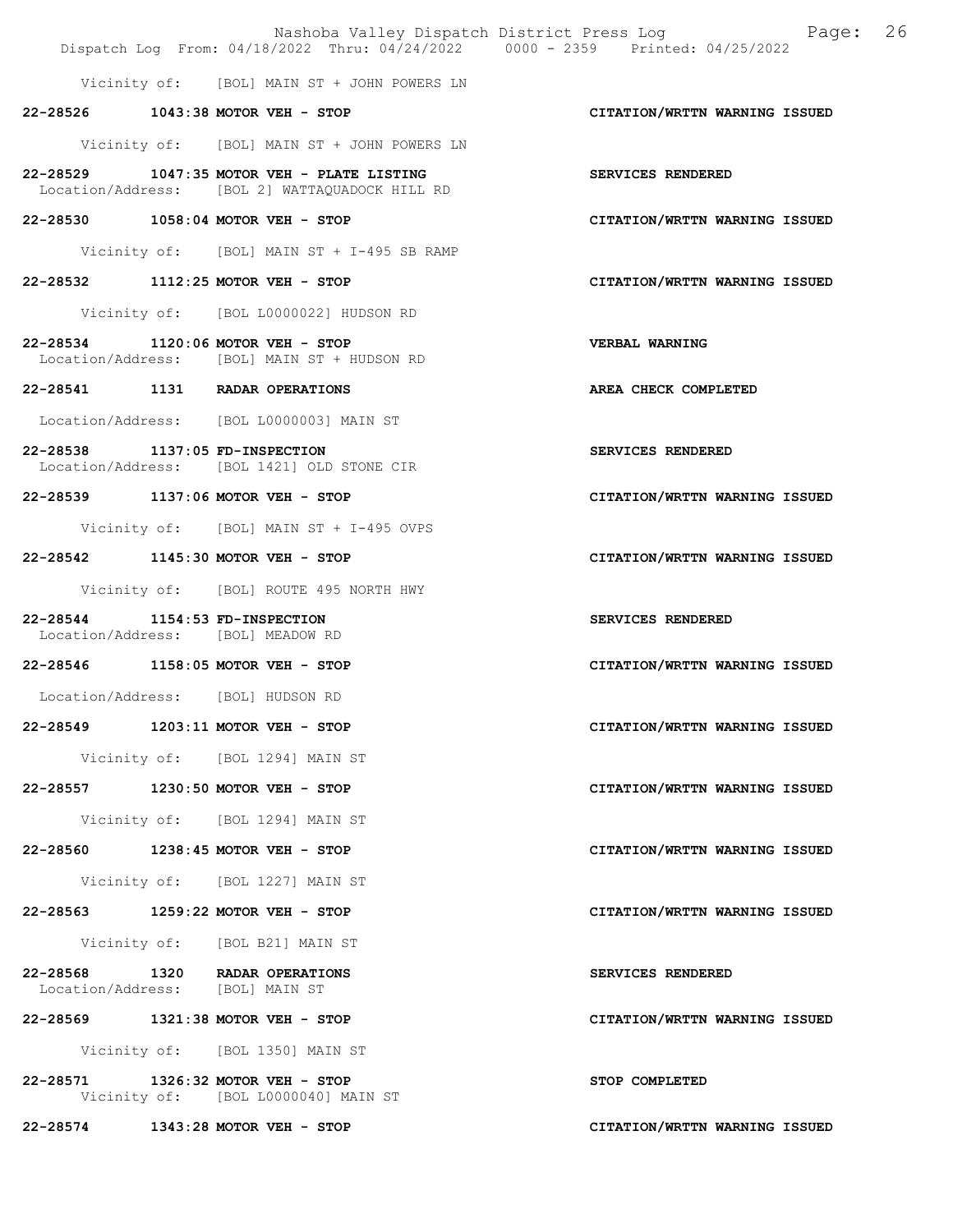|                                                                     | Dispatch Log From: 04/18/2022 Thru: 04/24/2022 0000 - 2359 Printed: 04/25/2022               | Nashoba Valley Dispatch District Press Log Mashoba Valley Dispatch District Press Log |
|---------------------------------------------------------------------|----------------------------------------------------------------------------------------------|---------------------------------------------------------------------------------------|
|                                                                     | Vicinity of: [BOL] MAIN ST + JOHN POWERS LN                                                  |                                                                                       |
|                                                                     | 22-28526 1043:38 MOTOR VEH - STOP                                                            | CITATION/WRTTN WARNING ISSUED                                                         |
|                                                                     | Vicinity of: [BOL] MAIN ST + JOHN POWERS LN                                                  |                                                                                       |
|                                                                     | 22-28529 1047:35 MOTOR VEH - PLATE LISTING<br>Location/Address: [BOL 2] WATTAQUADOCK HILL RD | SERVICES RENDERED                                                                     |
|                                                                     | 22-28530 1058:04 MOTOR VEH - STOP                                                            | CITATION/WRTTN WARNING ISSUED                                                         |
|                                                                     | Vicinity of: [BOL] MAIN ST + I-495 SB RAMP                                                   |                                                                                       |
|                                                                     | 22-28532 1112:25 MOTOR VEH - STOP                                                            | CITATION/WRTTN WARNING ISSUED                                                         |
|                                                                     | Vicinity of: [BOL L0000022] HUDSON RD                                                        |                                                                                       |
|                                                                     | 22-28534 1120:06 MOTOR VEH - STOP<br>Location/Address: [BOL] MAIN ST + HUDSON RD             | VERBAL WARNING                                                                        |
|                                                                     | 22-28541 1131 RADAR OPERATIONS                                                               | AREA CHECK COMPLETED                                                                  |
|                                                                     | Location/Address: [BOL L0000003] MAIN ST                                                     |                                                                                       |
| 22-28538 1137:05 FD-INSPECTION                                      | Location/Address: [BOL 1421] OLD STONE CIR                                                   | SERVICES RENDERED                                                                     |
|                                                                     | 22-28539 1137:06 MOTOR VEH - STOP                                                            | CITATION/WRTTN WARNING ISSUED                                                         |
|                                                                     | Vicinity of: [BOL] MAIN ST + I-495 OVPS                                                      |                                                                                       |
|                                                                     | 22-28542 1145:30 MOTOR VEH - STOP                                                            | CITATION/WRTTN WARNING ISSUED                                                         |
|                                                                     | Vicinity of: [BOL] ROUTE 495 NORTH HWY                                                       |                                                                                       |
| 22-28544 1154:53 FD-INSPECTION<br>Location/Address: [BOL] MEADOW RD |                                                                                              | SERVICES RENDERED                                                                     |
|                                                                     | 22-28546 1158:05 MOTOR VEH - STOP                                                            | CITATION/WRTTN WARNING ISSUED                                                         |
| Location/Address: [BOL] HUDSON RD                                   |                                                                                              |                                                                                       |
|                                                                     |                                                                                              | CITATION/WRTTN WARNING ISSUED                                                         |
|                                                                     | Vicinity of: [BOL 1294] MAIN ST                                                              |                                                                                       |
|                                                                     | 22-28557 1230:50 MOTOR VEH - STOP                                                            | CITATION/WRTTN WARNING ISSUED                                                         |
|                                                                     | Vicinity of: [BOL 1294] MAIN ST                                                              |                                                                                       |
|                                                                     | 22-28560 1238:45 MOTOR VEH - STOP                                                            | CITATION/WRTTN WARNING ISSUED                                                         |
|                                                                     | Vicinity of: [BOL 1227] MAIN ST                                                              |                                                                                       |
|                                                                     | 22-28563 1259:22 MOTOR VEH - STOP                                                            | CITATION/WRTTN WARNING ISSUED                                                         |
|                                                                     | Vicinity of: [BOL B21] MAIN ST                                                               |                                                                                       |
| Location/Address: [BOL] MAIN ST                                     | 22-28568 1320 RADAR OPERATIONS                                                               | SERVICES RENDERED                                                                     |
|                                                                     | 22-28569 1321:38 MOTOR VEH - STOP                                                            | CITATION/WRTTN WARNING ISSUED                                                         |
|                                                                     | Vicinity of: [BOL 1350] MAIN ST                                                              |                                                                                       |
|                                                                     | 22-28571 1326:32 MOTOR VEH - STOP<br>Vicinity of: [BOL L0000040] MAIN ST                     | STOP COMPLETED                                                                        |
|                                                                     | 22-28574 1343:28 MOTOR VEH - STOP                                                            | CITATION/WRTTN WARNING ISSUED                                                         |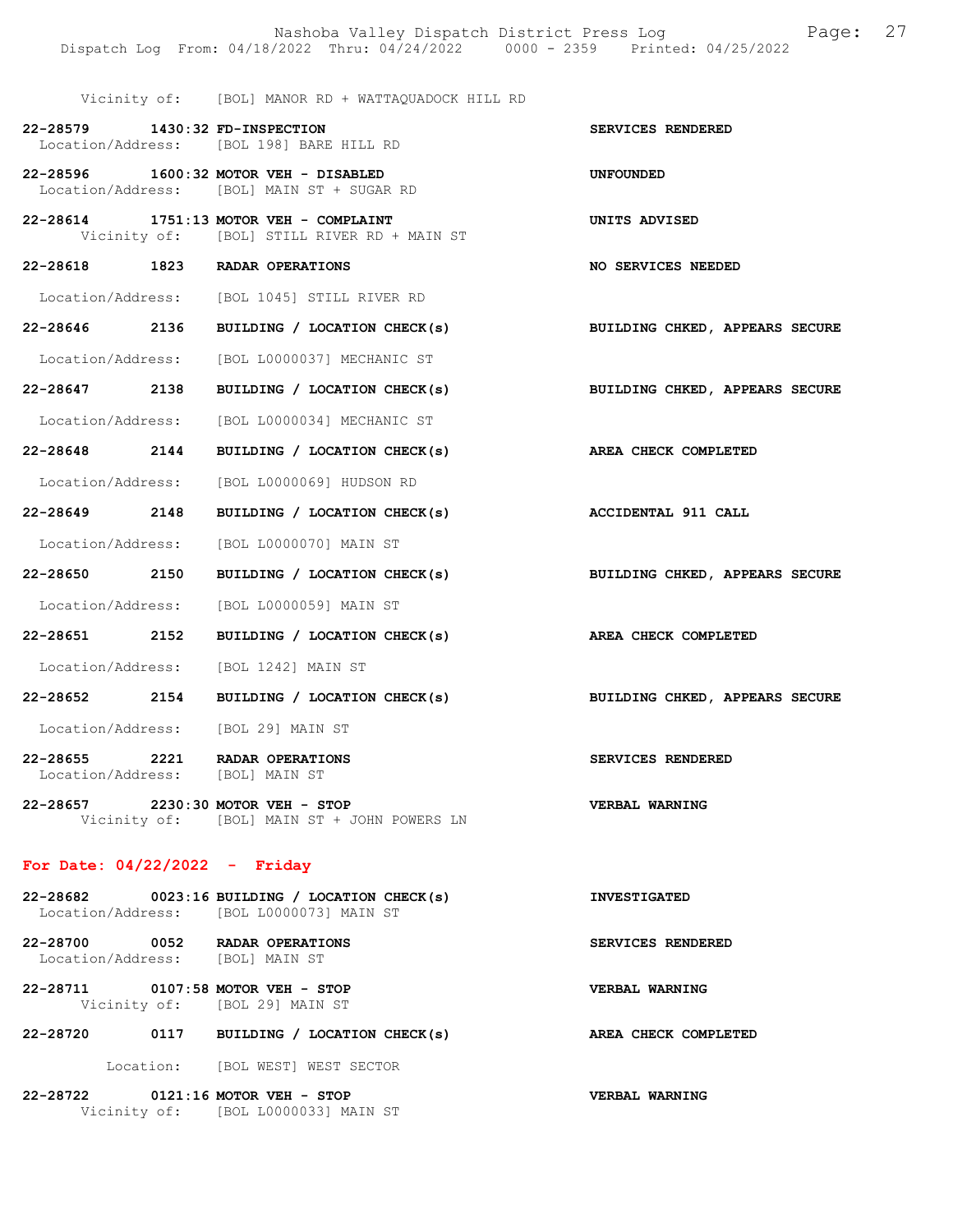SERVICES RENDERED

Vicinity of: [BOL] MANOR RD + WATTAQUADOCK HILL RD

| 22-28579          | 1430:32 FD-INSPECTION |  |                        |  |  |
|-------------------|-----------------------|--|------------------------|--|--|
| Location/Address: |                       |  | [BOL 198] BARE HILL RD |  |  |

22-28596 1600:32 MOTOR VEH - DISABLED UNFOUNDED Location/Address: [BOL] MAIN ST + SUGAR RD

- 22-28614 1751:13 MOTOR VEH COMPLAINT UNITS ADVISED Vicinity of: [BOL] STILL RIVER RD + MAIN ST
- 22-28618 1823 RADAR OPERATIONS NO SERVICES NEEDED

Location/Address: [BOL 1045] STILL RIVER RD

22-28646 2136 BUILDING / LOCATION CHECK(s) BUILDING CHKED, APPEARS SECURE

Location/Address: [BOL L0000037] MECHANIC ST

- 22-28647 2138 BUILDING / LOCATION CHECK(s) BUILDING CHKED, APPEARS SECURE Location/Address: [BOL L0000034] MECHANIC ST
- 
- 22-28648 2144 BUILDING / LOCATION CHECK(s) AREA CHECK COMPLETED

Location/Address: [BOL L0000069] HUDSON RD

- 22-28649 2148 BUILDING / LOCATION CHECK(s) ACCIDENTAL 911 CALL Location/Address: [BOL L0000070] MAIN ST
- 22-28650 2150 BUILDING / LOCATION CHECK(s) BUILDING CHKED, APPEARS SECURE Location/Address: [BOL L0000059] MAIN ST

22-28651 2152 BUILDING / LOCATION CHECK(s) AREA CHECK COMPLETED

Location/Address: [BOL 1242] MAIN ST

22-28652 2154 BUILDING / LOCATION CHECK(s) BUILDING CHKED, APPEARS SECURE

Location/Address: [BOL 29] MAIN ST

22-28655 2221 RADAR OPERATIONS SERVICES RENDERED Location/Address: [BOL] MAIN ST

22-28657 2230:30 MOTOR VEH - STOP VERBAL WARNING Vicinity of: [BOL] MAIN ST + JOHN POWERS LN

#### For Date: 04/22/2022 - Friday

| 22-28682                                    |      | 0023:16 BUILDING / LOCATION CHECK(s)<br>Location/Address: [BOL L0000073] MAIN ST | <b>INVESTIGATED</b>   |
|---------------------------------------------|------|----------------------------------------------------------------------------------|-----------------------|
| 22-28700<br>Location/Address: [BOL] MAIN ST | 0052 | RADAR OPERATIONS                                                                 | SERVICES RENDERED     |
| 22-28711                                    |      | $0107:58$ MOTOR VEH - STOP                                                       | <b>VERBAL WARNING</b> |

22-28720 0117 BUILDING / LOCATION CHECK(s) AREA CHECK COMPLETED

Location: [BOL WEST] WEST SECTOR

22-28722 0121:16 MOTOR VEH - STOP VERBAL WARNING Vicinity of: [BOL L0000033] MAIN ST

Vicinity of: [BOL 29] MAIN ST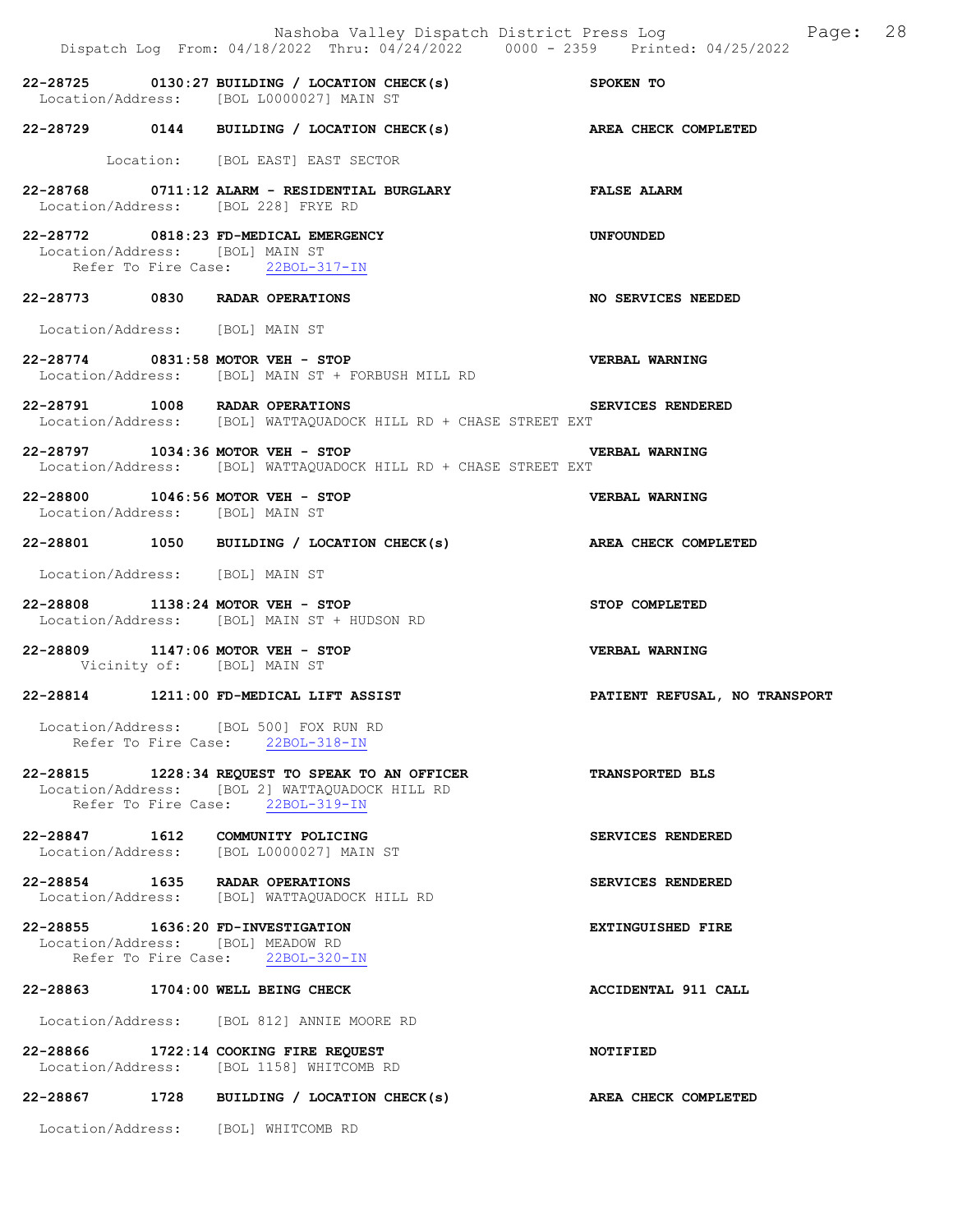|                                 | Nashoba Valley Dispatch District Press Log Fage: 28<br>Dispatch Log From: 04/18/2022 Thru: 04/24/2022 0000 - 2359 Printed: 04/25/2022 |                                      |
|---------------------------------|---------------------------------------------------------------------------------------------------------------------------------------|--------------------------------------|
|                                 | 22-28725 0130:27 BUILDING / LOCATION CHECK(s) SPOKEN TO<br>Location/Address: [BOL L0000027] MAIN ST                                   |                                      |
|                                 | 22-28729 0144 BUILDING / LOCATION CHECK(s)                                                                                            | AREA CHECK COMPLETED                 |
|                                 | Location: [BOL EAST] EAST SECTOR                                                                                                      |                                      |
|                                 | 22-28768 0711:12 ALARM - RESIDENTIAL BURGLARY TALSE ALARM<br>Location/Address: [BOL 228] FRYE RD                                      |                                      |
| Location/Address: [BOL] MAIN ST | 22-28772 0818:23 FD-MEDICAL EMERGENCY<br>Refer To Fire Case: 22BOL-317-IN                                                             | UNFOUNDED                            |
|                                 | 22-28773 0830 RADAR OPERATIONS                                                                                                        | NO SERVICES NEEDED                   |
| Location/Address: [BOL] MAIN ST |                                                                                                                                       |                                      |
|                                 | 22-28774 0831:58 MOTOR VEH - STOP<br>Location/Address: [BOL] MAIN ST + FORBUSH MILL RD                                                | <b>VERBAL WARNING</b>                |
|                                 | 22-28791 1008 RADAR OPERATIONS<br>Location/Address: [BOL] WATTAQUADOCK HILL RD + CHASE STREET EXT                                     | SERVICES RENDERED                    |
|                                 | <b>VERBAL WARNING</b><br>22-28797 1034:36 MOTOR VEH - STOP<br>Location/Address: [BOL] WATTAQUADOCK HILL RD + CHASE STREET EXT         |                                      |
| Location/Address: [BOL] MAIN ST | 22-28800 1046:56 MOTOR VEH - STOP                                                                                                     | <b>VERBAL WARNING</b>                |
|                                 | 22-28801 1050 BUILDING / LOCATION CHECK(s) AREA CHECK COMPLETED                                                                       |                                      |
| Location/Address: [BOL] MAIN ST |                                                                                                                                       |                                      |
|                                 | 22-28808 1138:24 MOTOR VEH - STOP<br>Location/Address: [BOL] MAIN ST + HUDSON RD                                                      | STOP COMPLETED                       |
| Vicinity of: [BOL] MAIN ST      | 22-28809 1147:06 MOTOR VEH - STOP                                                                                                     | <b>VERBAL WARNING</b>                |
|                                 | 22-28814 1211:00 FD-MEDICAL LIFT ASSIST                                                                                               | <b>PATIENT REFUSAL, NO TRANSPORT</b> |
|                                 | Location/Address: [BOL 500] FOX RUN RD<br>Refer To Fire Case: 22BOL-318-IN                                                            |                                      |
|                                 | 22-28815 1228:34 REQUEST TO SPEAK TO AN OFFICER<br>Location/Address: [BOL 2] WATTAQUADOCK HILL RD<br>Refer To Fire Case: 22BOL-319-IN | <b>TRANSPORTED BLS</b>               |
|                                 | 22-28847 1612 COMMUNITY POLICING<br>Location/Address: [BOL L0000027] MAIN ST                                                          | SERVICES RENDERED                    |
|                                 | 22-28854 1635 RADAR OPERATIONS<br>Location/Address: [BOL] WATTAQUADOCK HILL RD                                                        | SERVICES RENDERED                    |
|                                 | 22-28855 1636:20 FD-INVESTIGATION<br>Location/Address: [BOL] MEADOW RD<br>Refer To Fire Case: 22BOL-320-IN                            | <b>EXTINGUISHED FIRE</b>             |
|                                 | 22-28863 1704:00 WELL BEING CHECK                                                                                                     | ACCIDENTAL 911 CALL                  |
|                                 | Location/Address: [BOL 812] ANNIE MOORE RD                                                                                            |                                      |
|                                 | 22-28866 1722:14 COOKING FIRE REQUEST<br>Location/Address: [BOL 1158] WHITCOMB RD                                                     | NOTIFIED                             |
|                                 | 22-28867 1728 BUILDING / LOCATION CHECK(s)                                                                                            | AREA CHECK COMPLETED                 |
|                                 | Location/Address: [BOL] WHITCOMB RD                                                                                                   |                                      |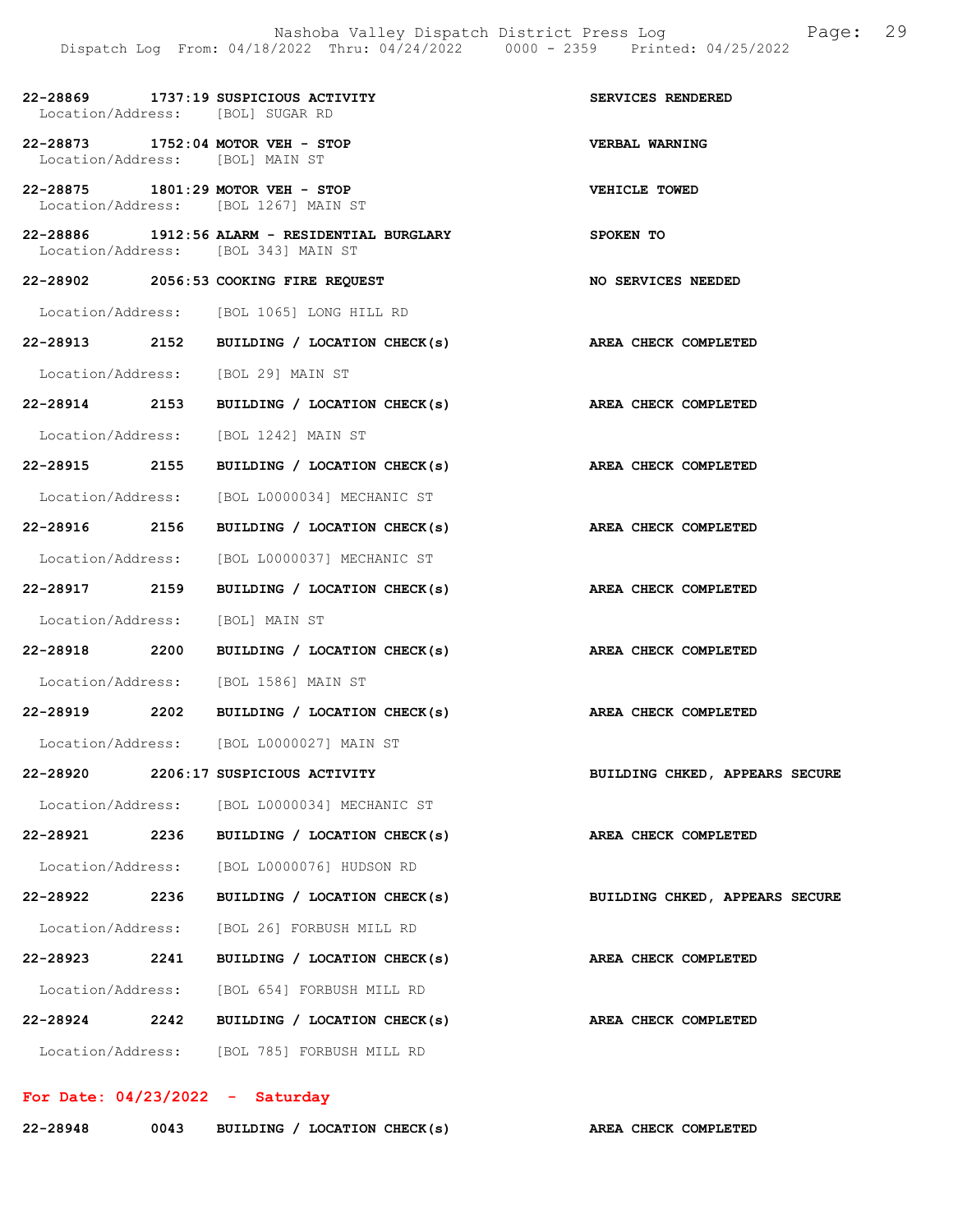|                   | 22-28869 1737:19 SUSPICIOUS ACTIVITY<br>Location/Address: [BOL] SUGAR RD             | SERVICES RENDERED              |
|-------------------|--------------------------------------------------------------------------------------|--------------------------------|
|                   | 22-28873 1752:04 MOTOR VEH - STOP<br>Location/Address: [BOL] MAIN ST                 | VERBAL WARNING                 |
|                   | 22-28875 1801:29 MOTOR VEH - STOP<br>Location/Address: [BOL 1267] MAIN ST            | VEHICLE TOWED                  |
|                   | 22-28886 1912:56 ALARM - RESIDENTIAL BURGLARY<br>Location/Address: [BOL 343] MAIN ST | SPOKEN TO                      |
|                   | 22-28902 2056:53 COOKING FIRE REQUEST                                                | NO SERVICES NEEDED             |
|                   | Location/Address: [BOL 1065] LONG HILL RD                                            |                                |
|                   | 22-28913 2152 BUILDING / LOCATION CHECK(s)                                           | AREA CHECK COMPLETED           |
|                   | Location/Address: [BOL 29] MAIN ST                                                   |                                |
|                   | 22-28914 2153 BUILDING / LOCATION CHECK(s) AREA CHECK COMPLETED                      |                                |
|                   | Location/Address: [BOL 1242] MAIN ST                                                 |                                |
|                   | 22-28915 2155 BUILDING / LOCATION CHECK(s)                                           | AREA CHECK COMPLETED           |
|                   | Location/Address: [BOL L0000034] MECHANIC ST                                         |                                |
|                   | 22-28916 2156 BUILDING / LOCATION CHECK(s)                                           | AREA CHECK COMPLETED           |
|                   | Location/Address: [BOL L0000037] MECHANIC ST                                         |                                |
|                   | 22-28917 2159 BUILDING / LOCATION CHECK(s) AREA CHECK COMPLETED                      |                                |
|                   | Location/Address: [BOL] MAIN ST                                                      |                                |
|                   | 22-28918 2200 BUILDING / LOCATION CHECK(s)                                           | AREA CHECK COMPLETED           |
|                   | Location/Address: [BOL 1586] MAIN ST                                                 |                                |
|                   | 22-28919 2202 BUILDING / LOCATION CHECK(s) AREA CHECK COMPLETED                      |                                |
|                   | Location/Address: [BOL L0000027] MAIN ST                                             |                                |
|                   | 22-28920 2206:17 SUSPICIOUS ACTIVITY                                                 | BUILDING CHKED, APPEARS SECURE |
|                   | Location/Address: [BOL L0000034] MECHANIC ST                                         |                                |
| 22-28921 2236     | BUILDING / LOCATION CHECK(s)                                                         | AREA CHECK COMPLETED           |
| Location/Address: | [BOL L0000076] HUDSON RD                                                             |                                |
| 22-28922 2236     | BUILDING / LOCATION CHECK(s)                                                         | BUILDING CHKED, APPEARS SECURE |
| Location/Address: | [BOL 26] FORBUSH MILL RD                                                             |                                |
| 22-28923 2241     | BUILDING / LOCATION CHECK(s)                                                         | AREA CHECK COMPLETED           |
| Location/Address: | [BOL 654] FORBUSH MILL RD                                                            |                                |
| 22-28924 2242     | BUILDING / LOCATION CHECK(s)                                                         | AREA CHECK COMPLETED           |
|                   | Location/Address: [BOL 785] FORBUSH MILL RD                                          |                                |

For Date: 04/23/2022 - Saturday

| 22-28948<br>0043 |  | BUILDING / LOCATION CHECK(s) |  |  | AREA CHECK COMPLETED |
|------------------|--|------------------------------|--|--|----------------------|
|------------------|--|------------------------------|--|--|----------------------|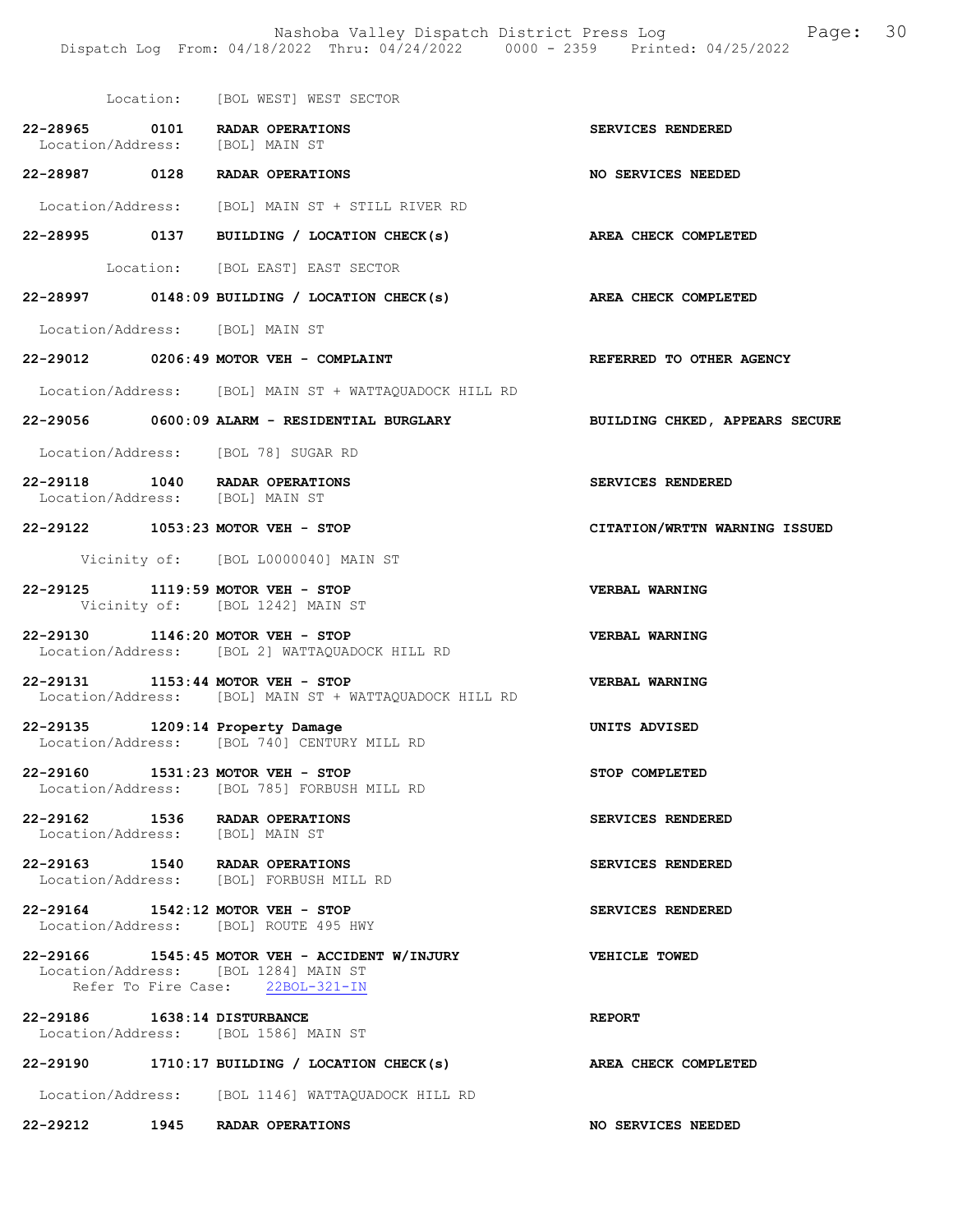Nashoba Valley Dispatch District Press Log Fage: 30 Dispatch Log From: 04/18/2022 Thru: 04/24/2022 0000 - 2359 Printed: 04/25/2022

 Location: [BOL WEST] WEST SECTOR 22-28965 0101 RADAR OPERATIONS SERVICES RENDERED<br>Location/Address: [BOL] MAIN ST Location/Address: 22-28987 0128 RADAR OPERATIONS NO SERVICES NEEDED Location/Address: [BOL] MAIN ST + STILL RIVER RD 22-28995 0137 BUILDING / LOCATION CHECK(s) AREA CHECK COMPLETED Location: [BOL EAST] EAST SECTOR 22-28997 0148:09 BUILDING / LOCATION CHECK(s) AREA CHECK COMPLETED Location/Address: [BOL] MAIN ST 22-29012 0206:49 MOTOR VEH - COMPLAINT REFERRED TO OTHER AGENCY Location/Address: [BOL] MAIN ST + WATTAQUADOCK HILL RD 22-29056 0600:09 ALARM - RESIDENTIAL BURGLARY BUILDING CHKED, APPEARS SECURE Location/Address: [BOL 78] SUGAR RD 22-29118 1040 RADAR OPERATIONS SERVICES RENDERED Location/Address: [BOL] MAIN ST 22-29122 1053:23 MOTOR VEH - STOP CITATION/WRTTN WARNING ISSUED Vicinity of: [BOL L0000040] MAIN ST 22-29125 1119:59 MOTOR VEH - STOP VERBAL WARNING Vicinity of: [BOL 1242] MAIN ST 22-29130 1146:20 MOTOR VEH - STOP VERBAL WARNING Location/Address: [BOL 2] WATTAQUADOCK HILL RD 22-29131 1153:44 MOTOR VEH - STOP VERBAL WARNING Location/Address: [BOL] MAIN ST + WATTAQUADOCK HILL RD 22-29135 1209:14 Property Damage UNITS ADVISED Location/Address: [BOL 740] CENTURY MILL RD [BOL 740] CENTURY MILL RD 22-29160 1531:23 MOTOR VEH - STOP STOP COMPLETED Location/Address: [BOL 785] FORBUSH MILL RD 22-29162 1536 RADAR OPERATIONS SERVICES RENDERED Location/Address: [BOL] MAIN ST 22-29163 1540 RADAR OPERATIONS SERVICES RENDERED Location/Address: [BOL] FORBUSH MILL RD 22-29164 1542:12 MOTOR VEH - STOP SERVICES RENDERED Location/Address: [BOL] ROUTE 495 HWY 22-29166 1545:45 MOTOR VEH - ACCIDENT W/INJURY VEHICLE TOWED Location/Address: [BOL 1284] MAIN ST Refer To Fire Case: 22BOL-321-IN 22-29186 1638:14 DISTURBANCE REPORT Location/Address: [BOL 1586] MAIN ST 22-29190 1710:17 BUILDING / LOCATION CHECK(s) AREA CHECK COMPLETED Location/Address: [BOL 1146] WATTAQUADOCK HILL RD 22-29212 1945 RADAR OPERATIONS NO SERVICES NEEDED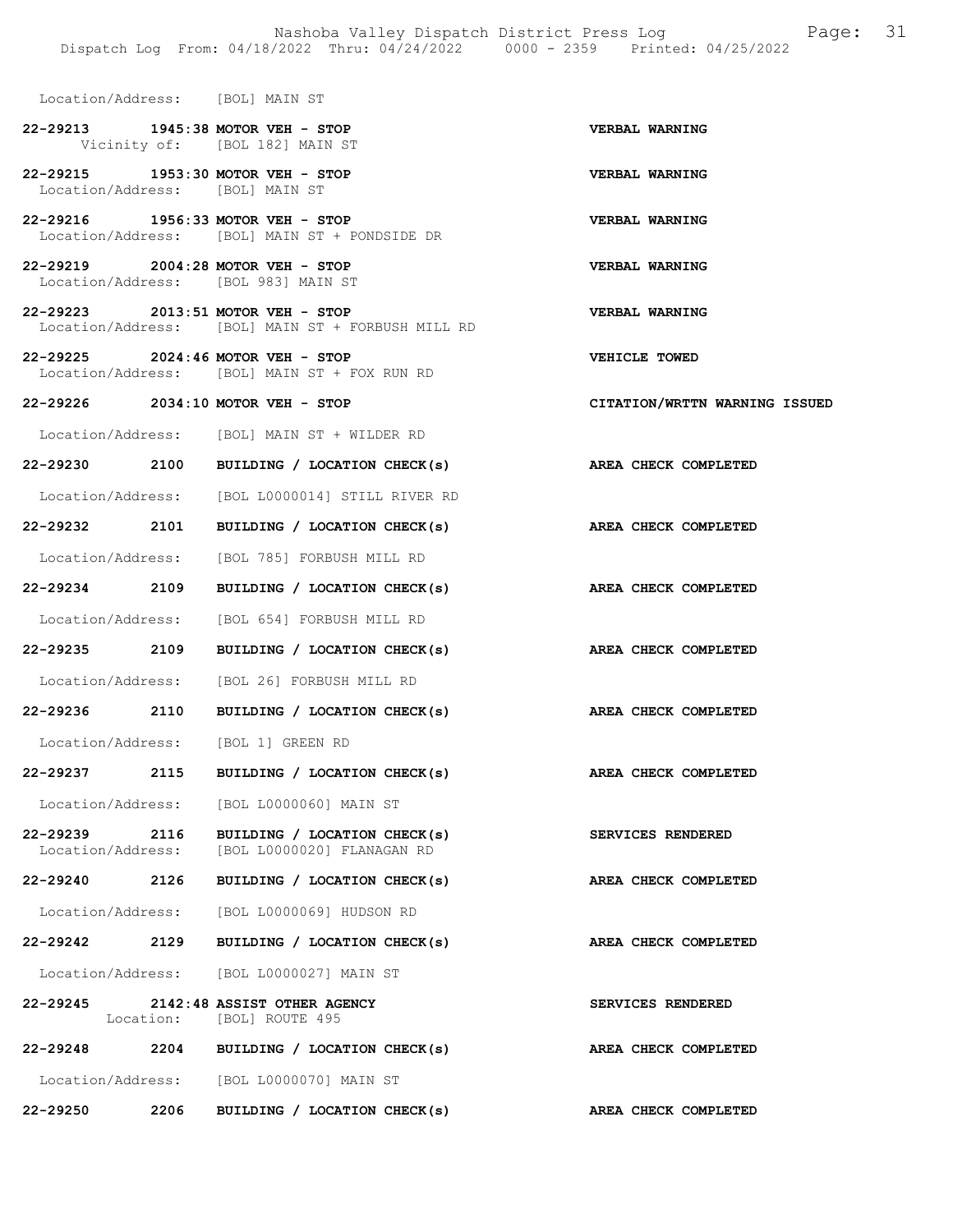Location/Address: [BOL] MAIN ST 22-29213 1945:38 MOTOR VEH - STOP VERBAL WARNING Vicinity of: [BOL 182] MAIN ST 22-29215 1953:30 MOTOR VEH - STOP VERBAL WARNING Location/Address: [BOL] MAIN ST 22-29216 1956:33 MOTOR VEH - STOP VERBAL WARNING Location/Address: [BOL] MAIN ST + PONDSIDE DR 22-29219 2004:28 MOTOR VEH - STOP VERBAL WARNING Location/Address: [BOL 983] MAIN ST 22-29223 2013:51 MOTOR VEH - STOP<br>Location/Address: [BOL] MAIN ST + FORBUSH MILL RD Location/Address: [BOL] MAIN ST + FORBUSH MILL RD 22-29225 2024:46 MOTOR VEH - STOP VEHICLE TOWED Location/Address: [BOL] MAIN ST + FOX RUN RD 22-29226 2034:10 MOTOR VEH - STOP CITATION/WRTTN WARNING ISSUED Location/Address: [BOL] MAIN ST + WILDER RD 22-29230 2100 BUILDING / LOCATION CHECK(s) AREA CHECK COMPLETED Location/Address: [BOL L0000014] STILL RIVER RD 22-29232 2101 BUILDING / LOCATION CHECK(s) AREA CHECK COMPLETED Location/Address: [BOL 785] FORBUSH MILL RD 22-29234 2109 BUILDING / LOCATION CHECK(s) AREA CHECK COMPLETED Location/Address: [BOL 654] FORBUSH MILL RD 22-29235 2109 BUILDING / LOCATION CHECK(s) AREA CHECK COMPLETED Location/Address: [BOL 26] FORBUSH MILL RD 22-29236 2110 BUILDING / LOCATION CHECK(s) AREA CHECK COMPLETED Location/Address: [BOL 1] GREEN RD 22-29237 2115 BUILDING / LOCATION CHECK(s) AREA CHECK COMPLETED Location/Address: [BOL L0000060] MAIN ST 22-29239 2116 BUILDING / LOCATION CHECK(s) SERVICES RENDERED<br>Location/Address: [BOL L0000020] FLANAGAN RD [BOL L0000020] FLANAGAN RD 22-29240 2126 BUILDING / LOCATION CHECK(s) AREA CHECK COMPLETED Location/Address: [BOL L0000069] HUDSON RD 22-29242 2129 BUILDING / LOCATION CHECK(s) AREA CHECK COMPLETED Location/Address: [BOL L0000027] MAIN ST 22-29245 2142:48 ASSIST OTHER AGENCY SERVICES RENDERED<br>
Location: [BOL] ROUTE 495 [BOL] ROUTE 495 22-29248 2204 BUILDING / LOCATION CHECK(s) AREA CHECK COMPLETED Location/Address: [BOL L0000070] MAIN ST 22-29250 2206 BUILDING / LOCATION CHECK(s) AREA CHECK COMPLETED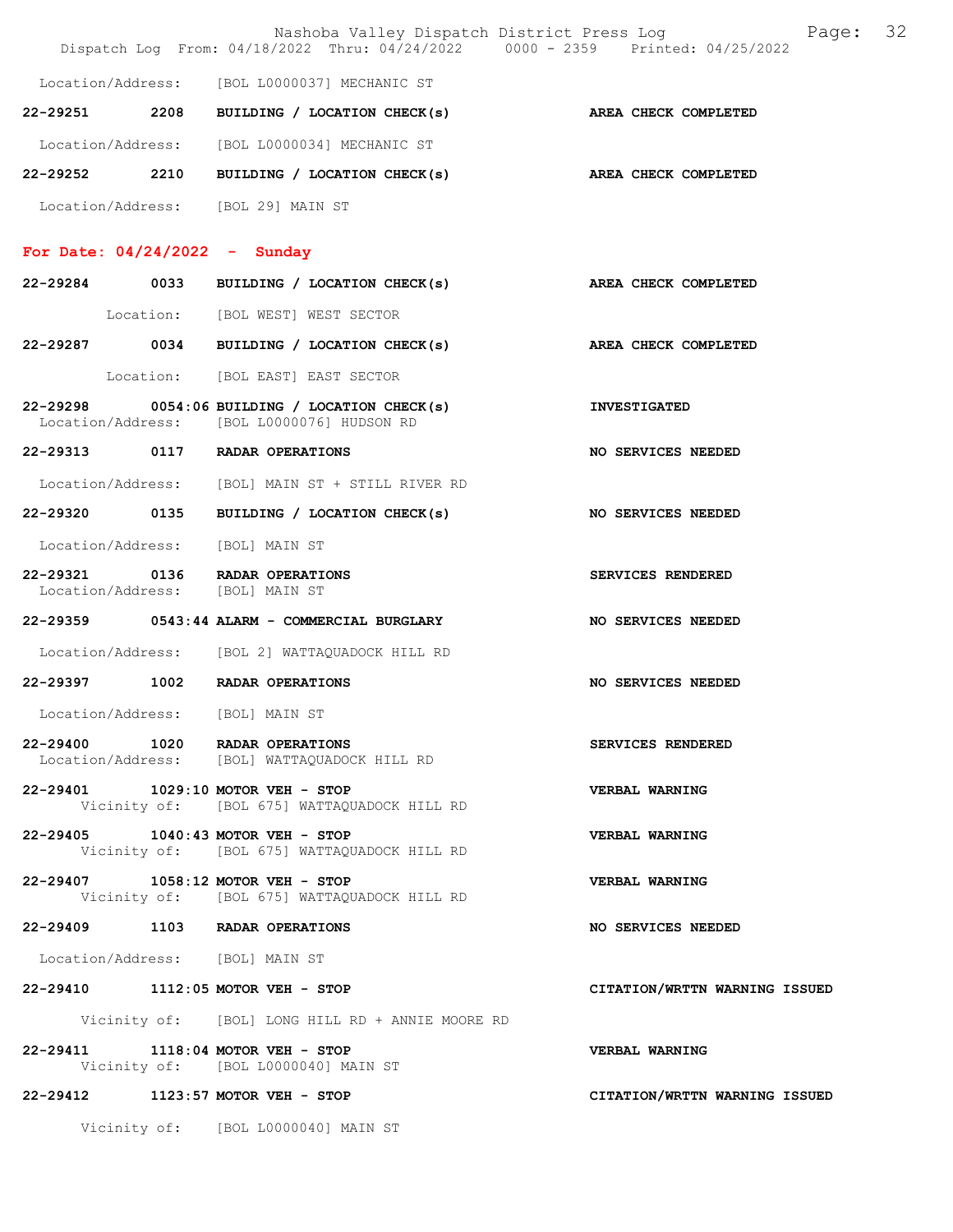|                                 |                                                                                               | Page: 32<br>Nashoba Valley Dispatch District Press Log<br>Dispatch Log From: 04/18/2022 Thru: 04/24/2022 0000 - 2359 Printed: 04/25/2022 |  |
|---------------------------------|-----------------------------------------------------------------------------------------------|------------------------------------------------------------------------------------------------------------------------------------------|--|
|                                 | Location/Address: [BOL L0000037] MECHANIC ST                                                  |                                                                                                                                          |  |
|                                 | 22-29251 2208 BUILDING / LOCATION CHECK(s) AREA CHECK COMPLETED                               |                                                                                                                                          |  |
|                                 | Location/Address: [BOL L0000034] MECHANIC ST                                                  |                                                                                                                                          |  |
|                                 | 22-29252 2210 BUILDING / LOCATION CHECK(s)                                                    | AREA CHECK COMPLETED                                                                                                                     |  |
|                                 | Location/Address: [BOL 29] MAIN ST                                                            |                                                                                                                                          |  |
| For Date: $04/24/2022 -$ Sunday |                                                                                               |                                                                                                                                          |  |
|                                 | 22-29284 0033 BUILDING / LOCATION CHECK(s)                                                    | AREA CHECK COMPLETED                                                                                                                     |  |
|                                 | Location: [BOL WEST] WEST SECTOR                                                              |                                                                                                                                          |  |
|                                 | 22-29287 0034 BUILDING / LOCATION CHECK(s)                                                    | <b>AREA CHECK COMPLETED</b>                                                                                                              |  |
|                                 | Location: [BOL EAST] EAST SECTOR                                                              |                                                                                                                                          |  |
|                                 | $22-29298$ 0054:06 BUILDING / LOCATION CHECK(s)<br>Location/Address: [BOL L0000076] HUDSON RD | <b>INVESTIGATED</b>                                                                                                                      |  |
|                                 | 22-29313 0117 RADAR OPERATIONS                                                                | NO SERVICES NEEDED                                                                                                                       |  |
|                                 | Location/Address: [BOL] MAIN ST + STILL RIVER RD                                              |                                                                                                                                          |  |
| 22-29320 0135                   | BUILDING / LOCATION CHECK(s)                                                                  | NO SERVICES NEEDED                                                                                                                       |  |
|                                 | Location/Address: [BOL] MAIN ST                                                               |                                                                                                                                          |  |
|                                 | 22-29321 0136 RADAR OPERATIONS<br>Location/Address: [BOL] MAIN ST                             | SERVICES RENDERED                                                                                                                        |  |
|                                 | 22-29359 0543:44 ALARM - COMMERCIAL BURGLARY                                                  | NO SERVICES NEEDED                                                                                                                       |  |
|                                 | Location/Address: [BOL 2] WATTAQUADOCK HILL RD                                                |                                                                                                                                          |  |
|                                 | 22-29397 1002 RADAR OPERATIONS                                                                | NO SERVICES NEEDED                                                                                                                       |  |
|                                 | Location/Address: [BOL] MAIN ST                                                               |                                                                                                                                          |  |
|                                 | 22-29400 1020 RADAR OPERATIONS<br>Location/Address: [BOL] WATTAQUADOCK HILL RD                | SERVICES RENDERED                                                                                                                        |  |
|                                 | 22-29401 1029:10 MOTOR VEH - STOP<br>Vicinity of: [BOL 675] WATTAQUADOCK HILL RD              | <b>VERBAL WARNING</b>                                                                                                                    |  |
|                                 | 22-29405 1040:43 MOTOR VEH - STOP<br>Vicinity of: [BOL 675] WATTAQUADOCK HILL RD              | VERBAL WARNING                                                                                                                           |  |
|                                 | 22-29407 1058:12 MOTOR VEH - STOP<br>Vicinity of: [BOL 675] WATTAQUADOCK HILL RD              | VERBAL WARNING                                                                                                                           |  |
|                                 | 22-29409 1103 RADAR OPERATIONS                                                                | NO SERVICES NEEDED                                                                                                                       |  |
| Location/Address: [BOL] MAIN ST |                                                                                               |                                                                                                                                          |  |
|                                 | 22-29410 1112:05 MOTOR VEH - STOP                                                             | CITATION/WRTTN WARNING ISSUED                                                                                                            |  |
|                                 | Vicinity of: [BOL] LONG HILL RD + ANNIE MOORE RD                                              |                                                                                                                                          |  |
|                                 | 22-29411 1118:04 MOTOR VEH - STOP<br>Vicinity of: [BOL L0000040] MAIN ST                      | VERBAL WARNING                                                                                                                           |  |
|                                 | 22-29412 1123:57 MOTOR VEH - STOP                                                             | CITATION/WRTTN WARNING ISSUED                                                                                                            |  |
|                                 | Vicinity of: [BOL L0000040] MAIN ST                                                           |                                                                                                                                          |  |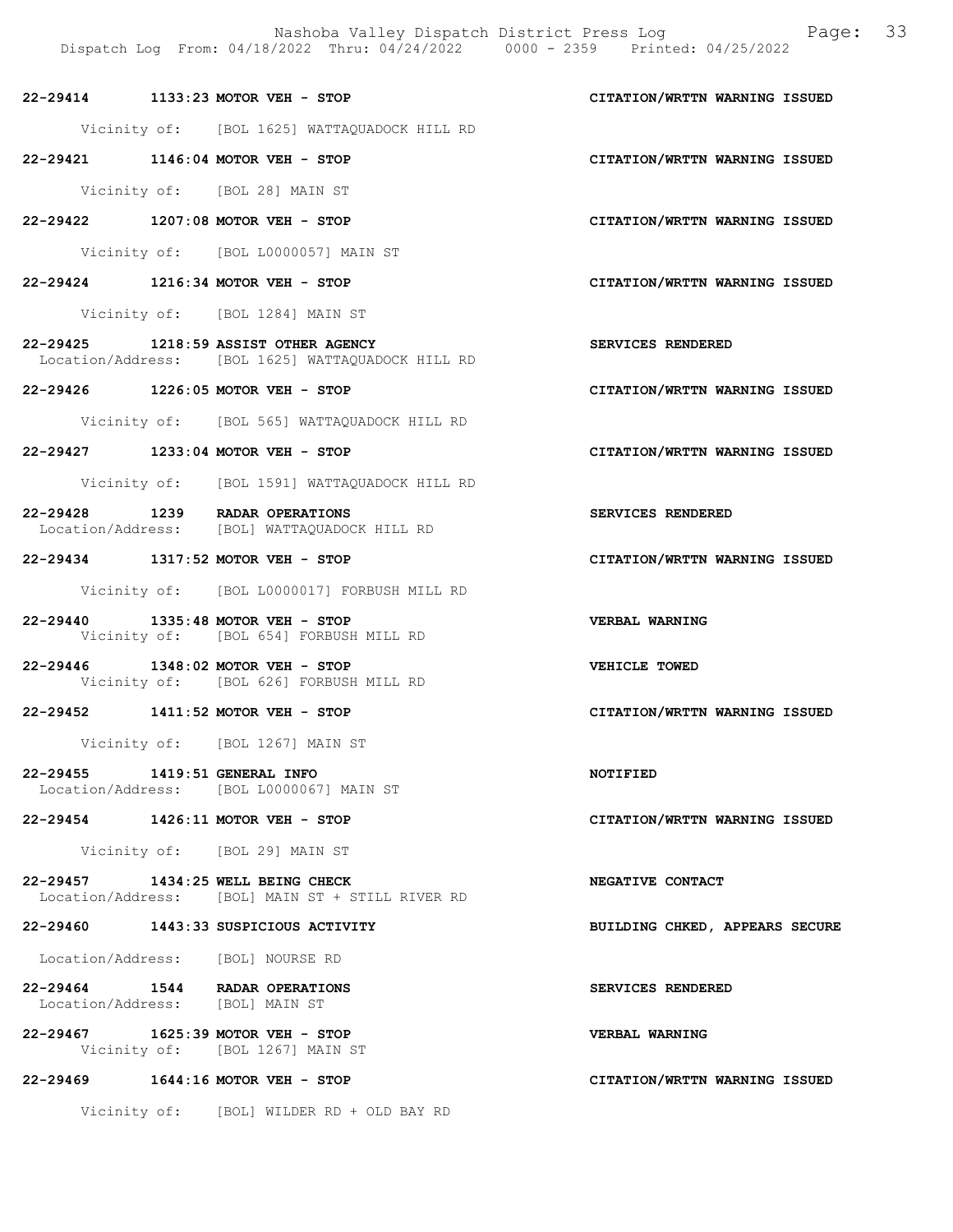Nashoba Valley Dispatch District Press Log Fage: 33

# Dispatch Log From: 04/18/2022 Thru: 04/24/2022 0000 - 2359 Printed: 04/25/2022 22-29414 1133:23 MOTOR VEH - STOP CITATION/WRTTN WARNING ISSUED Vicinity of: [BOL 1625] WATTAQUADOCK HILL RD 22-29421 1146:04 MOTOR VEH - STOP CITATION/WRTTN WARNING ISSUED Vicinity of: [BOL 28] MAIN ST 22-29422 1207:08 MOTOR VEH - STOP CITATION/WRTTN WARNING ISSUED Vicinity of: [BOL L0000057] MAIN ST 22-29424 1216:34 MOTOR VEH - STOP CITATION/WRTTN WARNING ISSUED Vicinity of: [BOL 1284] MAIN ST 22-29425 1218:59 ASSIST OTHER AGENCY SERVICES RENDERED Location/Address: [BOL 1625] WATTAQUADOCK HILL RD 22-29426 1226:05 MOTOR VEH - STOP CITATION/WRTTN WARNING ISSUED Vicinity of: [BOL 565] WATTAQUADOCK HILL RD 22-29427 1233:04 MOTOR VEH - STOP CITATION/WRTTN WARNING ISSUED Vicinity of: [BOL 1591] WATTAQUADOCK HILL RD 22-29428 1239 RADAR OPERATIONS<br>
Location/Address: [BOL] WATTAQUADOCK HILL RD Location/Address: [BOL] WATTAQUADOCK HILL RD 22-29434 1317:52 MOTOR VEH - STOP CITATION/WRTTN WARNING ISSUED Vicinity of: [BOL L0000017] FORBUSH MILL RD 22-29440 1335:48 MOTOR VEH - STOP VERBAL WARNING<br>Vicinity of: [BOL 654] FORBUSH MILL RD [BOL 654] FORBUSH MILL RD 22-29446 1348:02 MOTOR VEH - STOP<br>Vicinity of: [BOL 626] FORBUSH MILL RD<br>Vicinity of: [BOL 626] FORBUSH MILL RD Vicinity of: [BOL 626] FORBUSH MILL RD 22-29452 1411:52 MOTOR VEH - STOP CITATION/WRTTN WARNING ISSUED Vicinity of: [BOL 1267] MAIN ST 22-29455 1419:51 GENERAL INFO NOTIFIED Location/Address: [BOL L0000067] MAIN ST 22-29454 1426:11 MOTOR VEH - STOP CITATION/WRTTN WARNING ISSUED Vicinity of: [BOL 29] MAIN ST 22-29457 1434:25 WELL BEING CHECK NEGATIVE CONTACT Location/Address: [BOL] MAIN ST + STILL RIVER RD

22-29460 1443:33 SUSPICIOUS ACTIVITY BUILDING CHKED, APPEARS SECURE

Location/Address: [BOL] NOURSE RD

22-29464 1544 RADAR OPERATIONS SERVICES RENDERED<br>
Location/Address: [BOL] MAIN ST Location/Address:

22-29467 1625:39 MOTOR VEH - STOP VERBAL WARNING Vicinity of: [BOL 1267] MAIN ST

22-29469 1644:16 MOTOR VEH - STOP CITATION/WRTTN WARNING ISSUED

Vicinity of: [BOL] WILDER RD + OLD BAY RD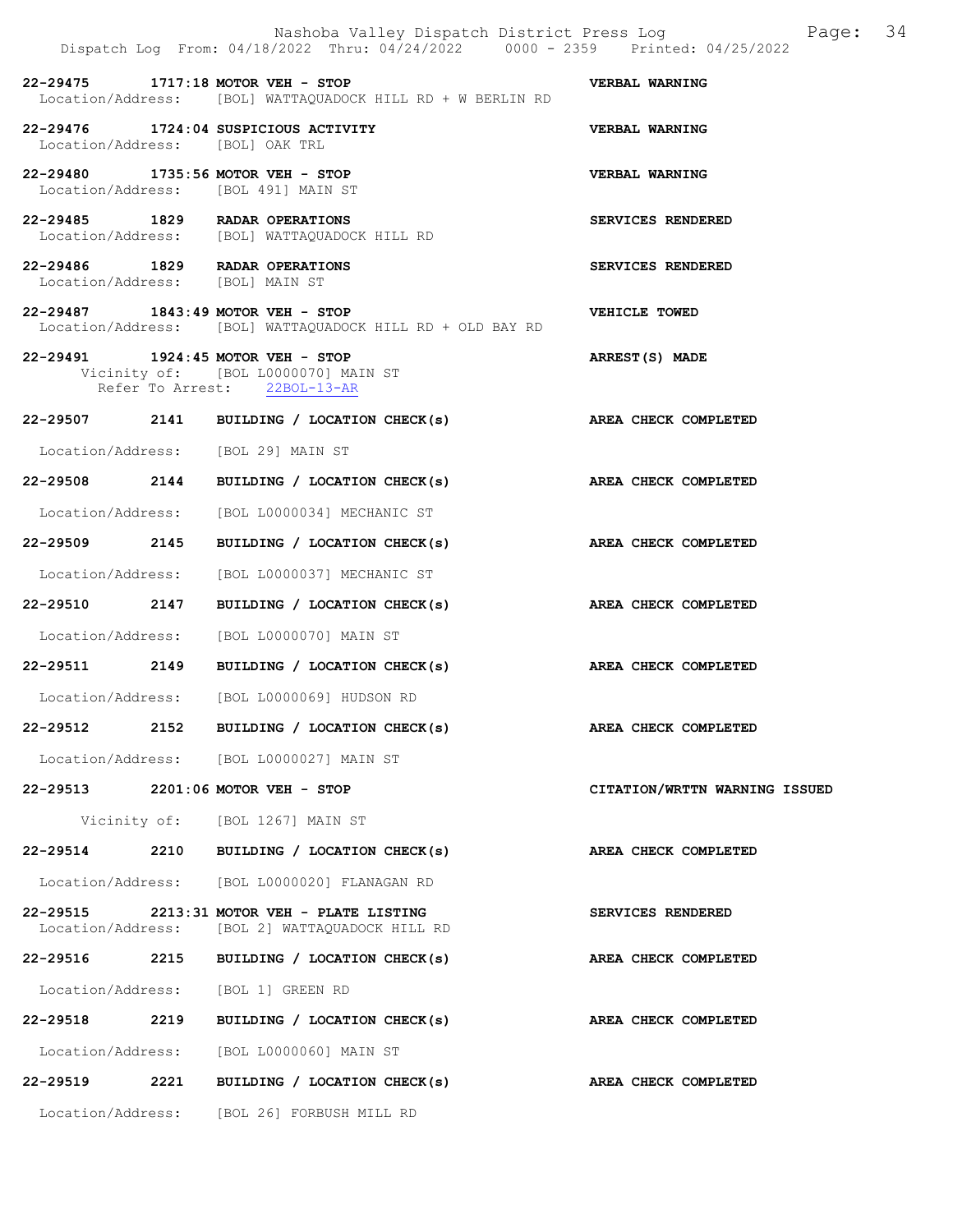|          | Nashoba Valley Dispatch District Press Log<br>Dispatch Log From: 04/18/2022 Thru: 04/24/2022 0000 - 2359 Printed: 04/25/2022 | Page: 34                      |  |
|----------|------------------------------------------------------------------------------------------------------------------------------|-------------------------------|--|
|          | 22-29475 1717:18 MOTOR VEH - STOP<br>Location/Address: [BOL] WATTAQUADOCK HILL RD + W BERLIN RD                              | <b>VERBAL WARNING</b>         |  |
|          | 22-29476 1724:04 SUSPICIOUS ACTIVITY<br>Location/Address: [BOL] OAK TRL                                                      | VERBAL WARNING                |  |
|          | 22-29480 1735:56 MOTOR VEH - STOP<br>Location/Address: [BOL 491] MAIN ST                                                     | <b>VERBAL WARNING</b>         |  |
|          | 22-29485 1829 RADAR OPERATIONS<br>Location/Address: [BOL] WATTAQUADOCK HILL RD                                               | SERVICES RENDERED             |  |
|          | 22-29486 1829 RADAR OPERATIONS<br>Location/Address: [BOL] MAIN ST                                                            | SERVICES RENDERED             |  |
|          | 22-29487 1843:49 MOTOR VEH - STOP<br>Location/Address: [BOL] WATTAQUADOCK HILL RD + OLD BAY RD                               | VEHICLE TOWED                 |  |
|          | 22-29491 1924:45 MOTOR VEH - STOP<br>Vicinity of: [BOL L0000070] MAIN ST<br>Refer To Arrest: 22BOL-13-AR                     | ARREST(S) MADE                |  |
|          | 22-29507 2141 BUILDING / LOCATION CHECK(s) AREA CHECK COMPLETED                                                              |                               |  |
|          | Location/Address: [BOL 29] MAIN ST                                                                                           |                               |  |
|          | 22-29508 2144 BUILDING / LOCATION CHECK(s)                                                                                   | AREA CHECK COMPLETED          |  |
|          | Location/Address: [BOL L0000034] MECHANIC ST                                                                                 |                               |  |
|          | 22-29509 2145 BUILDING / LOCATION CHECK(s)                                                                                   | AREA CHECK COMPLETED          |  |
|          | Location/Address: [BOL L0000037] MECHANIC ST                                                                                 |                               |  |
|          | 22-29510 2147 BUILDING / LOCATION CHECK(s) AREA CHECK COMPLETED                                                              |                               |  |
|          | Location/Address: [BOL L0000070] MAIN ST                                                                                     |                               |  |
|          | 22-29511 2149 BUILDING / LOCATION CHECK(s) AREA CHECK COMPLETED                                                              |                               |  |
|          | Location/Address: [BOL L0000069] HUDSON RD                                                                                   |                               |  |
|          | 22-29512 2152 BUILDING / LOCATION CHECK(s)                                                                                   | AREA CHECK COMPLETED          |  |
|          | Location/Address: [BOL L0000027] MAIN ST                                                                                     |                               |  |
|          | 22-29513 2201:06 MOTOR VEH - STOP                                                                                            | CITATION/WRTTN WARNING ISSUED |  |
|          | Vicinity of: [BOL 1267] MAIN ST                                                                                              |                               |  |
| 22-29514 | 2210 BUILDING / LOCATION CHECK(s)                                                                                            | AREA CHECK COMPLETED          |  |
|          | Location/Address: [BOL L0000020] FLANAGAN RD                                                                                 |                               |  |
|          | 22-29515 2213:31 MOTOR VEH - PLATE LISTING<br>Location/Address: [BOL 2] WATTAQUADOCK HILL RD                                 | <b>SERVICES RENDERED</b>      |  |
| 22-29516 | 2215 BUILDING / LOCATION CHECK(s)                                                                                            | AREA CHECK COMPLETED          |  |
|          | Location/Address: [BOL 1] GREEN RD                                                                                           |                               |  |
|          | 22-29518 2219 BUILDING / LOCATION CHECK(s)                                                                                   | AREA CHECK COMPLETED          |  |
|          | Location/Address: [BOL L0000060] MAIN ST                                                                                     |                               |  |
|          | 22-29519 2221 BUILDING / LOCATION CHECK(s)                                                                                   | AREA CHECK COMPLETED          |  |
|          | Location/Address: [BOL 26] FORBUSH MILL RD                                                                                   |                               |  |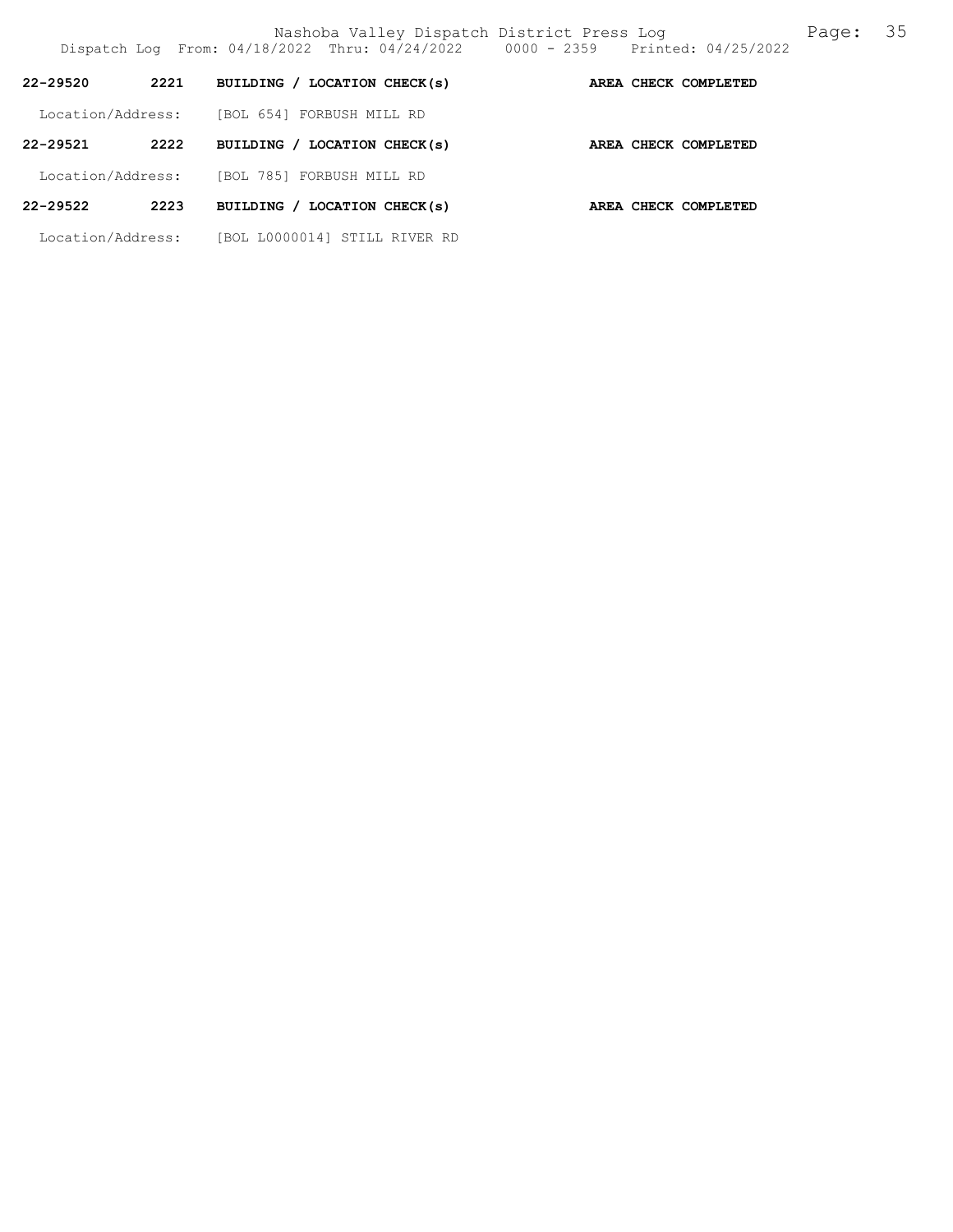Nashoba Valley Dispatch District Press Log Fage: 35

| $22 - 29520$      | 2221 | BUILDING / LOCATION CHECK(s)     |  | AREA CHECK COMPLETED |
|-------------------|------|----------------------------------|--|----------------------|
| Location/Address: |      | [BOL 654] FORBUSH MILL RD        |  |                      |
| $22 - 29521$      | 2222 | BUILDING / LOCATION CHECK(s)     |  | AREA CHECK COMPLETED |
| Location/Address: |      | [BOL 785] FORBUSH MILL RD        |  |                      |
| 22-29522          | 2223 | BUILDING / LOCATION CHECK(s)     |  | AREA CHECK COMPLETED |
| Location/Address: |      | [BOL L0000014]<br>STILL RIVER RD |  |                      |

Dispatch Log From: 04/18/2022 Thru: 04/24/2022 0000 - 2359 Printed: 04/25/2022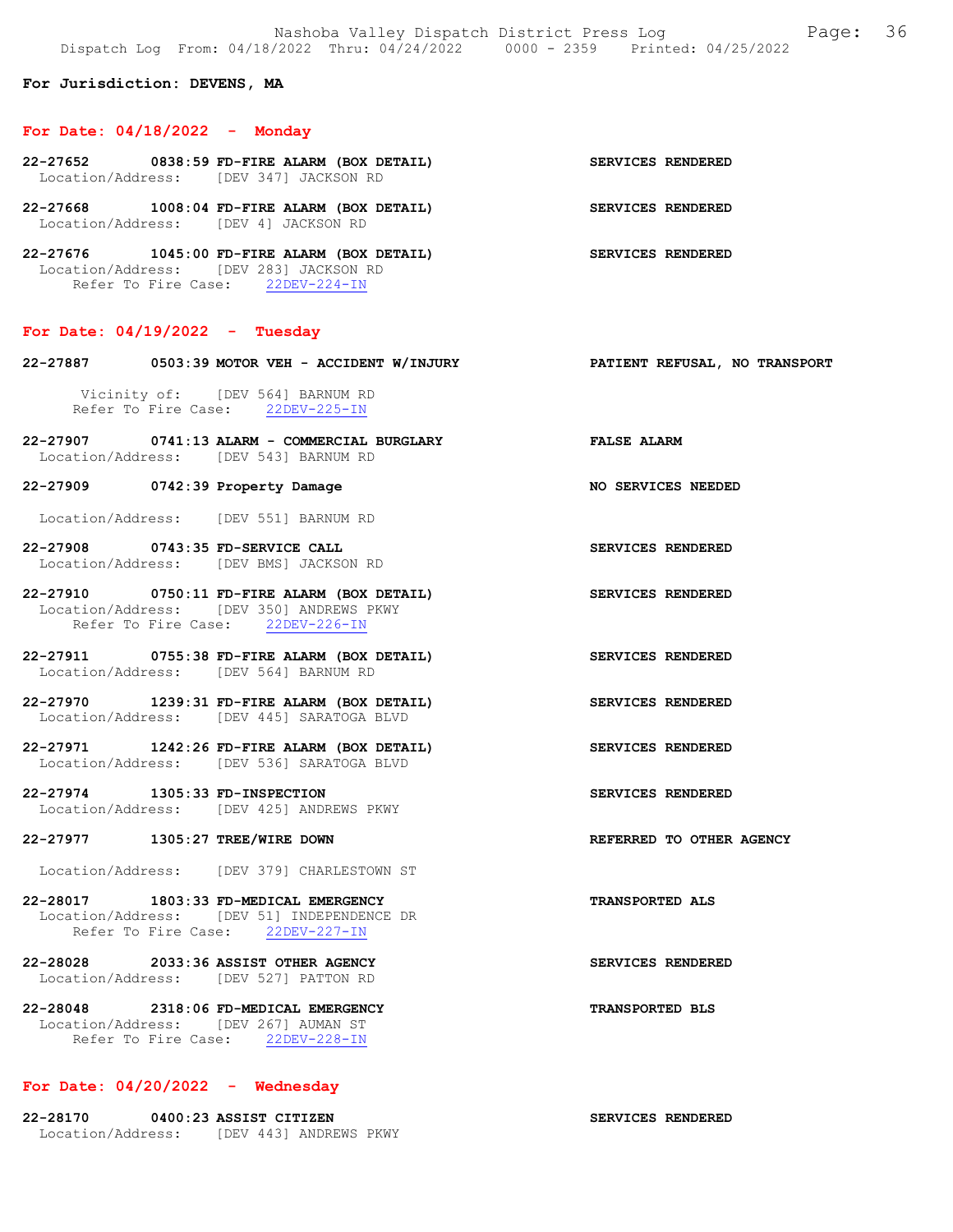Nashoba Valley Dispatch District Press Log Fage: 36 Dispatch Log From: 04/18/2022 Thru: 04/24/2022 0000 - 2359 Printed: 04/25/2022

For Jurisdiction: DEVENS, MA

#### For Date: 04/18/2022 - Monday

| $22-27652$ 0838:59 FD-FIRE ALARM (BOX DETAIL)<br>Location/Address: [DEV 347] JACKSON RD |                                    |                                    |  |  | SERVICES RENDERED |  |
|-----------------------------------------------------------------------------------------|------------------------------------|------------------------------------|--|--|-------------------|--|
| 22-27668<br>Location/Address: [DEV 4] JACKSON RD                                        | 1008:04 FD-FIRE ALARM (BOX DETAIL) |                                    |  |  | SERVICES RENDERED |  |
| 22-27676                                                                                |                                    | 1045:00 FD-FIRE ALARM (BOX DETAIL) |  |  | SERVICES RENDERED |  |

 Location/Address: [DEV 283] JACKSON RD Refer To Fire Case: 22DEV-224-IN

### For Date: 04/19/2022 - Tuesday

| 22-27887 0503:39 MOTOR VEH - ACCIDENT W/INJURY                                                                              | PATIENT REFUSAL, NO TRANSPORT |
|-----------------------------------------------------------------------------------------------------------------------------|-------------------------------|
| Vicinity of: [DEV 564] BARNUM RD<br>Refer To Fire Case: 22DEV-225-IN                                                        |                               |
| 22-27907 0741:13 ALARM - COMMERCIAL BURGLARY FALSE ALARM<br>Location/Address: [DEV 543] BARNUM RD                           |                               |
| 22-27909 0742:39 Property Damage                                                                                            | NO SERVICES NEEDED            |
| Location/Address: [DEV 551] BARNUM RD                                                                                       |                               |
| 22-27908 0743:35 FD-SERVICE CALL<br>Location/Address: [DEV BMS] JACKSON RD                                                  | SERVICES RENDERED             |
| 22-27910 0750:11 FD-FIRE ALARM (BOX DETAIL)<br>Location/Address: [DEV 350] ANDREWS PKWY<br>Refer To Fire Case: 22DEV-226-IN | SERVICES RENDERED             |
| 22-27911 0755:38 FD-FIRE ALARM (BOX DETAIL)<br>Location/Address: [DEV 564] BARNUM RD                                        | <b>SERVICES RENDERED</b>      |
| 22-27970 1239:31 FD-FIRE ALARM (BOX DETAIL)<br>Location/Address: [DEV 445] SARATOGA BLVD                                    | SERVICES RENDERED             |
| 22-27971 1242:26 FD-FIRE ALARM (BOX DETAIL)<br>Location/Address: [DEV 536] SARATOGA BLVD                                    | SERVICES RENDERED             |
| 22-27974 1305:33 FD-INSPECTION<br>Location/Address: [DEV 425] ANDREWS PKWY                                                  | SERVICES RENDERED             |
| 22-27977 1305:27 TREE/WIRE DOWN                                                                                             | REFERRED TO OTHER AGENCY      |
| Location/Address: [DEV 379] CHARLESTOWN ST                                                                                  |                               |
| 22-28017 1803:33 FD-MEDICAL EMERGENCY<br>Location/Address: [DEV 51] INDEPENDENCE DR<br>Refer To Fire Case: 22DEV-227-IN     | <b>TRANSPORTED ALS</b>        |
| 22-28028 2033:36 ASSIST OTHER AGENCY<br>Location/Address: [DEV 527] PATTON RD                                               | SERVICES RENDERED             |
| 22-28048 2318:06 FD-MEDICAL EMERGENCY<br>Location/Address: [DEV 267] AUMAN ST                                               | <b>TRANSPORTED BLS</b>        |

SERVICES RENDERED

# For Date: 04/20/2022 - Wednesday

Refer To Fire Case: 22DEV-228-IN

| 22-28170          | 0400:23 ASSIST CITIZEN |  |                        |  |
|-------------------|------------------------|--|------------------------|--|
| Location/Address: |                        |  | TDEV 4431 ANDREWS PKWY |  |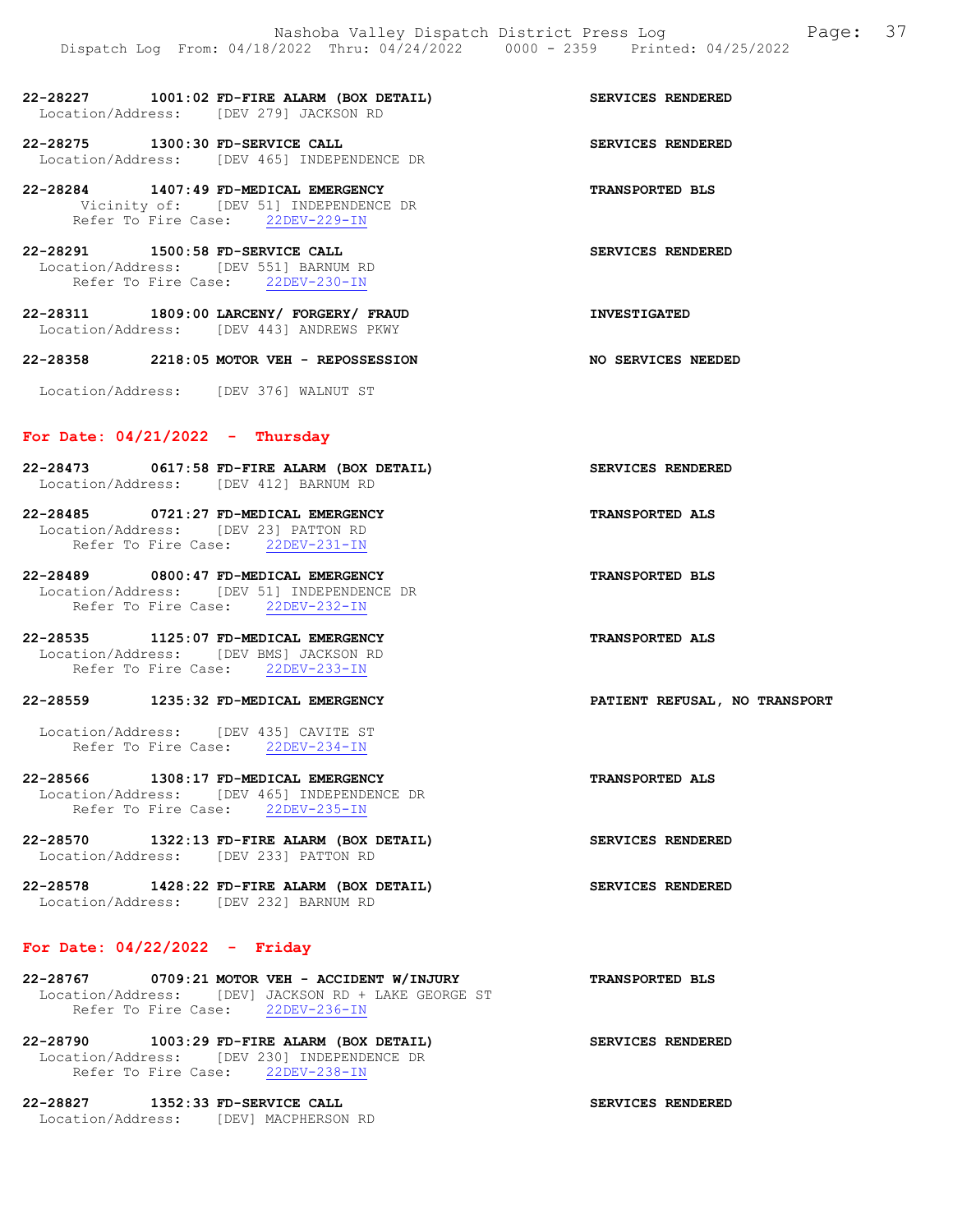| 22-28227          | 1001:02 FD-FIRE ALARM (BOX DETAIL) |                      |  |  |  | SERVICES RENDERED |
|-------------------|------------------------------------|----------------------|--|--|--|-------------------|
| Location/Address: |                                    | [DEV 279] JACKSON RD |  |  |  |                   |

22-28275 1300:30 FD-SERVICE CALL SERVICES RENDERED Location/Address: [DEV 465] INDEPENDENCE DR

22-28284 1407:49 FD-MEDICAL EMERGENCY TRANSPORTED BLS Vicinity of: [DEV 51] INDEPENDENCE DR Refer To Fire Case: 22DEV-229-IN

22-28291 1500:58 FD-SERVICE CALL SERVICES RENDERED Location/Address: [DEV 551] BARNUM RD Refer To Fire Case: 22DEV-230-IN

22-28311 1809:00 LARCENY/ FORGERY/ FRAUD INVESTIGATED Location/Address: [DEV 443] ANDREWS PKWY

22-28358 2218:05 MOTOR VEH - REPOSSESSION NO SERVICES NEEDED

Location/Address: [DEV 376] WALNUT ST

### For Date:  $04/21/2022 -$  Thursday

- 22-28473 0617:58 FD-FIRE ALARM (BOX DETAIL) SERVICES RENDERED Location/Address: [DEV 412] BARNUM RD
- 22-28485 0721:27 FD-MEDICAL EMERGENCY TRANSPORTED ALS Location/Address: [DEV 23] PATTON RD Refer To Fire Case: 22DEV-231-IN
- 22-28489 0800:47 FD-MEDICAL EMERGENCY TRANSPORTED BLS Location/Address: [DEV 51] INDEPENDENCE DR Refer To Fire Case: 22DEV-232-IN
- 22-28535 1125:07 FD-MEDICAL EMERGENCY TRANSPORTED ALS Location/Address: [DEV BMS] JACKSON RD Refer To Fire Case: 22DEV-233-IN

## 22-28559 1235:32 FD-MEDICAL EMERGENCY PATIENT REFUSAL, NO TRANSPORT

 Location/Address: [DEV 435] CAVITE ST Refer To Fire Case: 22DEV-234-IN

- 22-28566 1308:17 FD-MEDICAL EMERGENCY TRANSPORTED ALS Location/Address: [DEV 465] INDEPENDENCE DR Refer To Fire Case: 22DEV-235-IN
- 22-28570 1322:13 FD-FIRE ALARM (BOX DETAIL) SERVICES RENDERED Location/Address: [DEV 233] PATTON RD
- 22-28578 1428:22 FD-FIRE ALARM (BOX DETAIL) SERVICES RENDERED Location/Address: [DEV 232] BARNUM RD

## For Date: 04/22/2022 - Friday

- 22-28767 0709:21 MOTOR VEH ACCIDENT W/INJURY TRANSPORTED BLS Location/Address: [DEV] JACKSON RD + LAKE GEORGE ST Refer To Fire Case: 22DEV-236-IN
- 22-28790 1003:29 FD-FIRE ALARM (BOX DETAIL) SERVICES RENDERED Location/Address: [DEV 230] INDEPENDENCE DR Refer To Fire Case: 22DEV-238-IN
- 22-28827 1352:33 FD-SERVICE CALL SERVICES RENDERED Location/Address: [DEV] MACPHERSON RD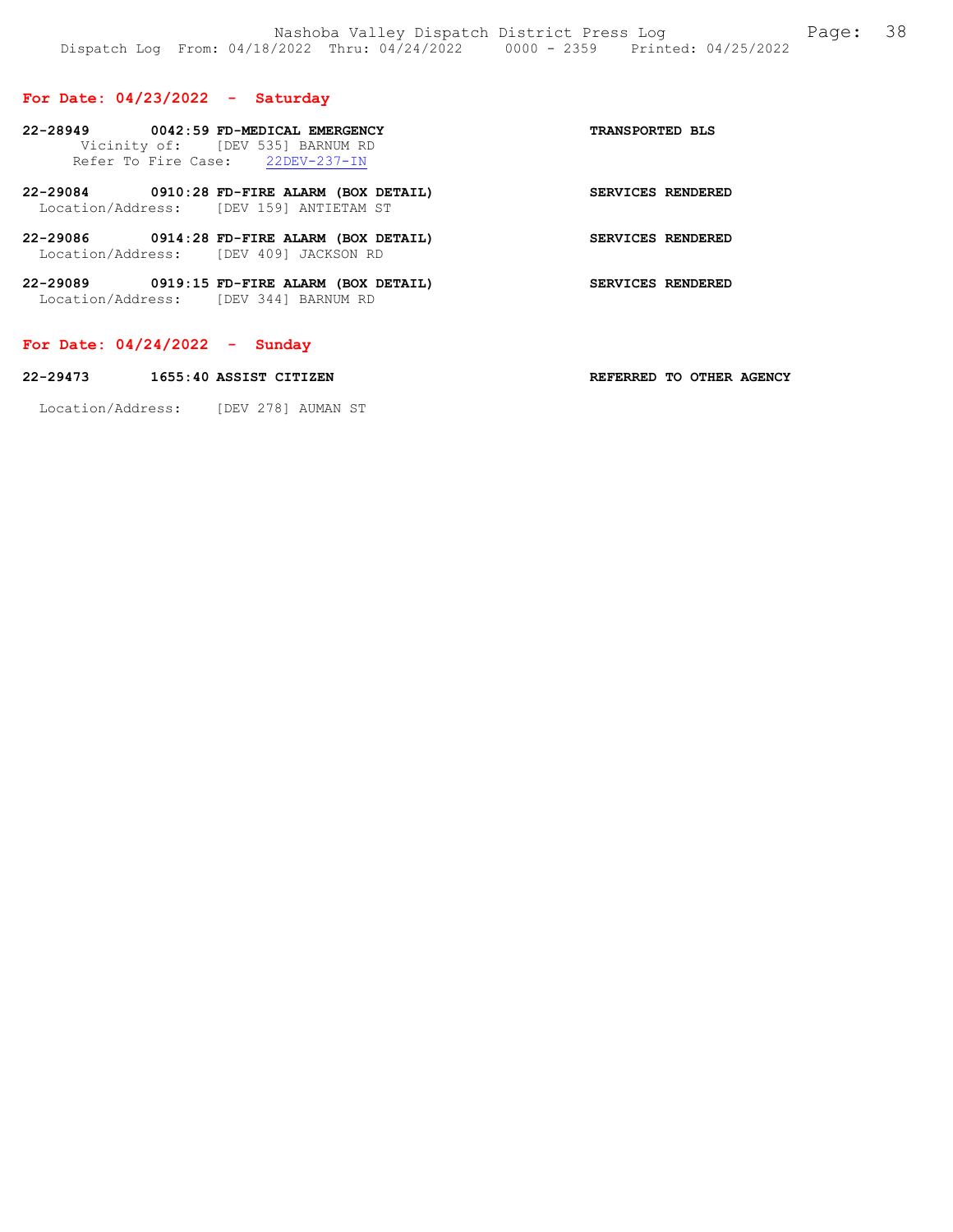## For Date: 04/23/2022 - Saturday

| 22-28949 0042:59 FD-MEDICAL EMERGENCY             | Vicinity of: [DEV 535] BARNUM RD<br>Refer To Fire Case: 22DEV-237-IN                   | <b>TRANSPORTED BLS</b> |
|---------------------------------------------------|----------------------------------------------------------------------------------------|------------------------|
|                                                   | 22-29084 0910:28 FD-FIRE ALARM (BOX DETAIL)<br>Location/Address: [DEV 159] ANTIETAM ST | SERVICES RENDERED      |
| Location/Address: [DEV 409] JACKSON RD            | 22-29086 0914:28 FD-FIRE ALARM (BOX DETAIL)                                            | SERVICES RENDERED      |
| 22-29089<br>Location/Address: [DEV 344] BARNUM RD | 0919:15 FD-FIRE ALARM (BOX DETAIL)                                                     | SERVICES RENDERED      |

## For Date: 04/24/2022 - Sunday

| 22-29473 | 1655:40 ASSIST CITIZEN | REFERRED TO OTHER AGENCY |  |  |
|----------|------------------------|--------------------------|--|--|
|          |                        |                          |  |  |

Location/Address: [DEV 278] AUMAN ST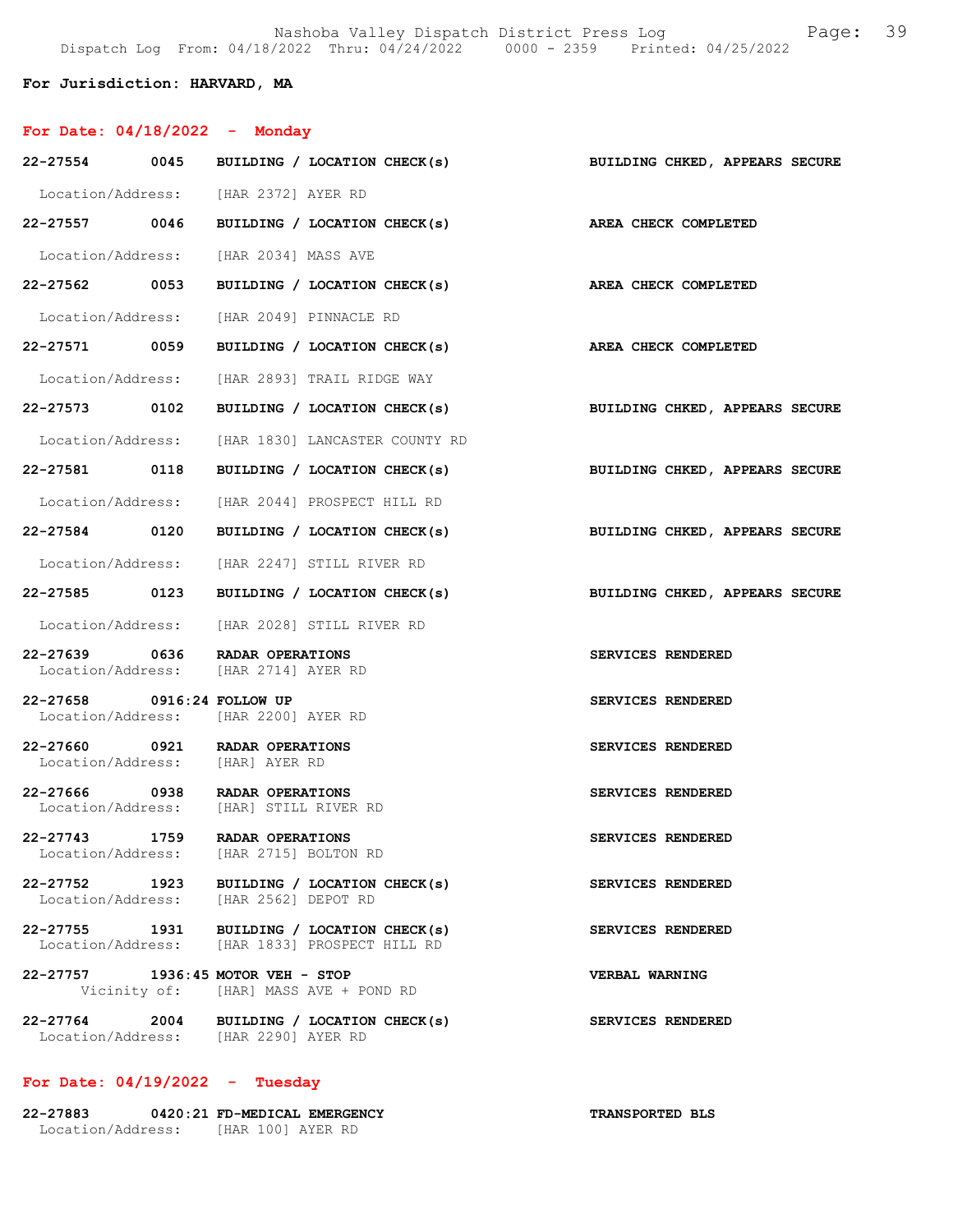## For Jurisdiction: HARVARD, MA

|                                    | For Date: $04/18/2022 -$ Monday                                                             |                                |
|------------------------------------|---------------------------------------------------------------------------------------------|--------------------------------|
|                                    | 22-27554 0045 BUILDING / LOCATION CHECK(s) BUILDING CHKED, APPEARS SECURE                   |                                |
|                                    | Location/Address: [HAR 2372] AYER RD                                                        |                                |
|                                    | 22-27557 0046 BUILDING / LOCATION CHECK(s) AREA CHECK COMPLETED                             |                                |
|                                    | Location/Address: [HAR 2034] MASS AVE                                                       |                                |
|                                    | 22-27562 0053 BUILDING / LOCATION CHECK(s)                                                  | <b>AREA CHECK COMPLETED</b>    |
|                                    | Location/Address: [HAR 2049] PINNACLE RD                                                    |                                |
|                                    | 22-27571 0059 BUILDING / LOCATION CHECK(s)                                                  | AREA CHECK COMPLETED           |
|                                    | Location/Address: [HAR 2893] TRAIL RIDGE WAY                                                |                                |
| 22-27573 0102                      | BUILDING / LOCATION CHECK(s)                                                                | BUILDING CHKED, APPEARS SECURE |
|                                    | Location/Address: [HAR 1830] LANCASTER COUNTY RD                                            |                                |
|                                    | 22-27581 0118 BUILDING / LOCATION CHECK(s)                                                  | BUILDING CHKED, APPEARS SECURE |
|                                    | Location/Address: [HAR 2044] PROSPECT HILL RD                                               |                                |
| 22-27584 0120                      | BUILDING / LOCATION CHECK(s)                                                                | BUILDING CHKED, APPEARS SECURE |
|                                    | Location/Address: [HAR 2247] STILL RIVER RD                                                 |                                |
|                                    | 22-27585 0123 BUILDING / LOCATION CHECK(s)                                                  | BUILDING CHKED, APPEARS SECURE |
|                                    | Location/Address: [HAR 2028] STILL RIVER RD                                                 |                                |
|                                    | 22-27639 0636 RADAR OPERATIONS<br>Location/Address: [HAR 2714] AYER RD                      | SERVICES RENDERED              |
| 22-27658 0916:24 FOLLOW UP         | Location/Address: [HAR 2200] AYER RD                                                        | SERVICES RENDERED              |
|                                    | 22-27660 0921 RADAR OPERATIONS<br>Location/Address: [HAR] AYER RD                           | SERVICES RENDERED              |
|                                    | 22-27666 0938 RADAR OPERATIONS<br>Location/Address: [HAR] STILL RIVER RD                    | SERVICES RENDERED              |
| Location/Address:                  | 22-27743 1759 RADAR OPERATIONS<br>[HAR 2715] BOLTON RD                                      | SERVICES RENDERED              |
| 22-27752 1923<br>Location/Address: | BUILDING / LOCATION CHECK(s)<br>[HAR 2562] DEPOT RD                                         | SERVICES RENDERED              |
|                                    | 22-27755 1931 BUILDING / LOCATION CHECK(s)<br>Location/Address: [HAR 1833] PROSPECT HILL RD | SERVICES RENDERED              |
|                                    | 22-27757 1936:45 MOTOR VEH - STOP<br>Vicinity of: [HAR] MASS AVE + POND RD                  | VERBAL WARNING                 |
|                                    | 22-27764 2004 BUILDING / LOCATION CHECK(s)<br>Location/Address: [HAR 2290] AYER RD          | SERVICES RENDERED              |

# For Date: 04/19/2022 - Tuesday

| 22-27883          | 0420:21 FD-MEDICAL EMERGENCY | <b>TRANSPORTED BLS</b> |
|-------------------|------------------------------|------------------------|
| Location/Address: | THAR 1001 AYER RD            |                        |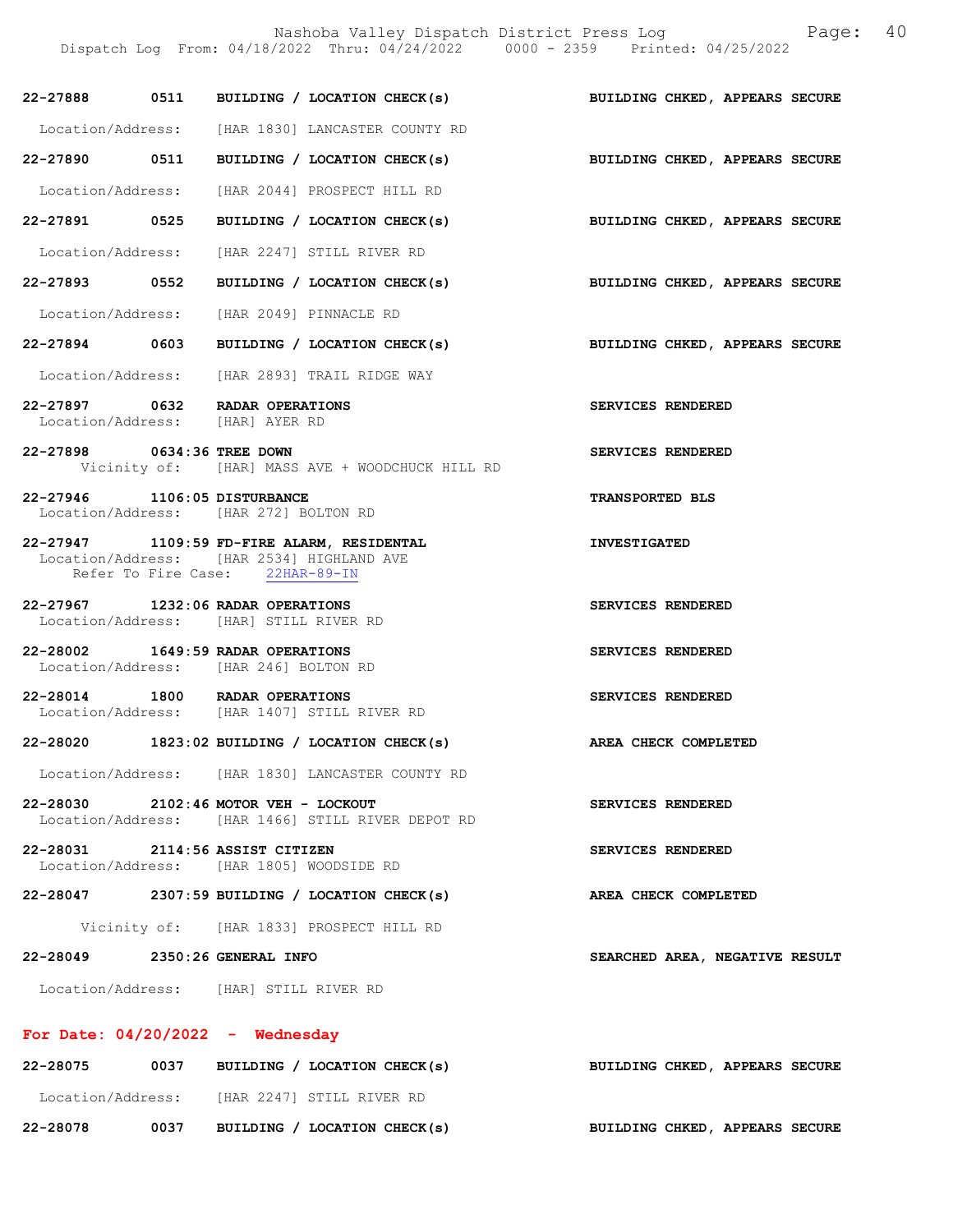Nashoba Valley Dispatch District Press Log Fage: 40

|                                    | Dispatch Log From: 04/18/2022 Thru: 04/24/2022 0000 - 2359 Printed: 04/25/2022                                             |                                |
|------------------------------------|----------------------------------------------------------------------------------------------------------------------------|--------------------------------|
|                                    | 22-27888 0511 BUILDING / LOCATION CHECK(s)                                                                                 | BUILDING CHKED, APPEARS SECURE |
|                                    | Location/Address: [HAR 1830] LANCASTER COUNTY RD                                                                           |                                |
| 22-27890 0511                      | BUILDING / LOCATION CHECK(s)                                                                                               | BUILDING CHKED, APPEARS SECURE |
|                                    | Location/Address: [HAR 2044] PROSPECT HILL RD                                                                              |                                |
| 22-27891 0525                      | BUILDING / LOCATION CHECK(s)                                                                                               | BUILDING CHKED, APPEARS SECURE |
|                                    | Location/Address: [HAR 2247] STILL RIVER RD                                                                                |                                |
| 22-27893 0552                      | BUILDING / LOCATION CHECK(s) BUILDING CHKED, APPEARS SECURE                                                                |                                |
|                                    | Location/Address: [HAR 2049] PINNACLE RD                                                                                   |                                |
| 22-27894 0603                      | BUILDING / LOCATION CHECK(s)                                                                                               | BUILDING CHKED, APPEARS SECURE |
|                                    | Location/Address: [HAR 2893] TRAIL RIDGE WAY                                                                               |                                |
|                                    | 22-27897 0632 RADAR OPERATIONS<br>Location/Address: [HAR] AYER RD                                                          | SERVICES RENDERED              |
| 22-27898 0634:36 TREE DOWN         | Vicinity of: [HAR] MASS AVE + WOODCHUCK HILL RD                                                                            | SERVICES RENDERED              |
| 22-27946 1106:05 DISTURBANCE       | Location/Address: [HAR 272] BOLTON RD                                                                                      | <b>TRANSPORTED BLS</b>         |
|                                    | 22-27947 1109:59 FD-FIRE ALARM, RESIDENTAL<br>Location/Address: [HAR 2534] HIGHLAND AVE<br>Refer To Fire Case: 22HAR-89-IN | <b>INVESTIGATED</b>            |
|                                    | 22-27967 1232:06 RADAR OPERATIONS<br>Location/Address: [HAR] STILL RIVER RD                                                | SERVICES RENDERED              |
|                                    | 22-28002 1649:59 RADAR OPERATIONS<br>Location/Address: [HAR 246] BOLTON RD                                                 | SERVICES RENDERED              |
|                                    | 22-28014 1800 RADAR OPERATIONS<br>Location/Address: [HAR 1407] STILL RIVER RD                                              | <b>SERVICES RENDERED</b>       |
|                                    | 22-28020 1823:02 BUILDING / LOCATION CHECK(s)                                                                              | AREA CHECK COMPLETED           |
|                                    | Location/Address: [HAR 1830] LANCASTER COUNTY RD                                                                           |                                |
|                                    | 22-28030 2102:46 MOTOR VEH - LOCKOUT<br>Location/Address: [HAR 1466] STILL RIVER DEPOT RD                                  | SERVICES RENDERED              |
| 22-28031 2114:56 ASSIST CITIZEN    | Location/Address: [HAR 1805] WOODSIDE RD                                                                                   | SERVICES RENDERED              |
|                                    | $22-28047$ 2307:59 BUILDING / LOCATION CHECK(s)                                                                            | AREA CHECK COMPLETED           |
|                                    | Vicinity of: [HAR 1833] PROSPECT HILL RD                                                                                   |                                |
| 22-28049 2350:26 GENERAL INFO      |                                                                                                                            | SEARCHED AREA, NEGATIVE RESULT |
|                                    | Location/Address: [HAR] STILL RIVER RD                                                                                     |                                |
| For Date: $04/20/2022 -$ Wednesday |                                                                                                                            |                                |
|                                    | 22-28075 0037 BUILDING / LOCATION CHECK(s)                                                                                 | BUILDING CHKED, APPEARS SECURE |
|                                    | Location/Address: [HAR 2247] STILL RIVER RD                                                                                |                                |

22-28078 0037 BUILDING / LOCATION CHECK(s) BUILDING CHKED, APPEARS SECURE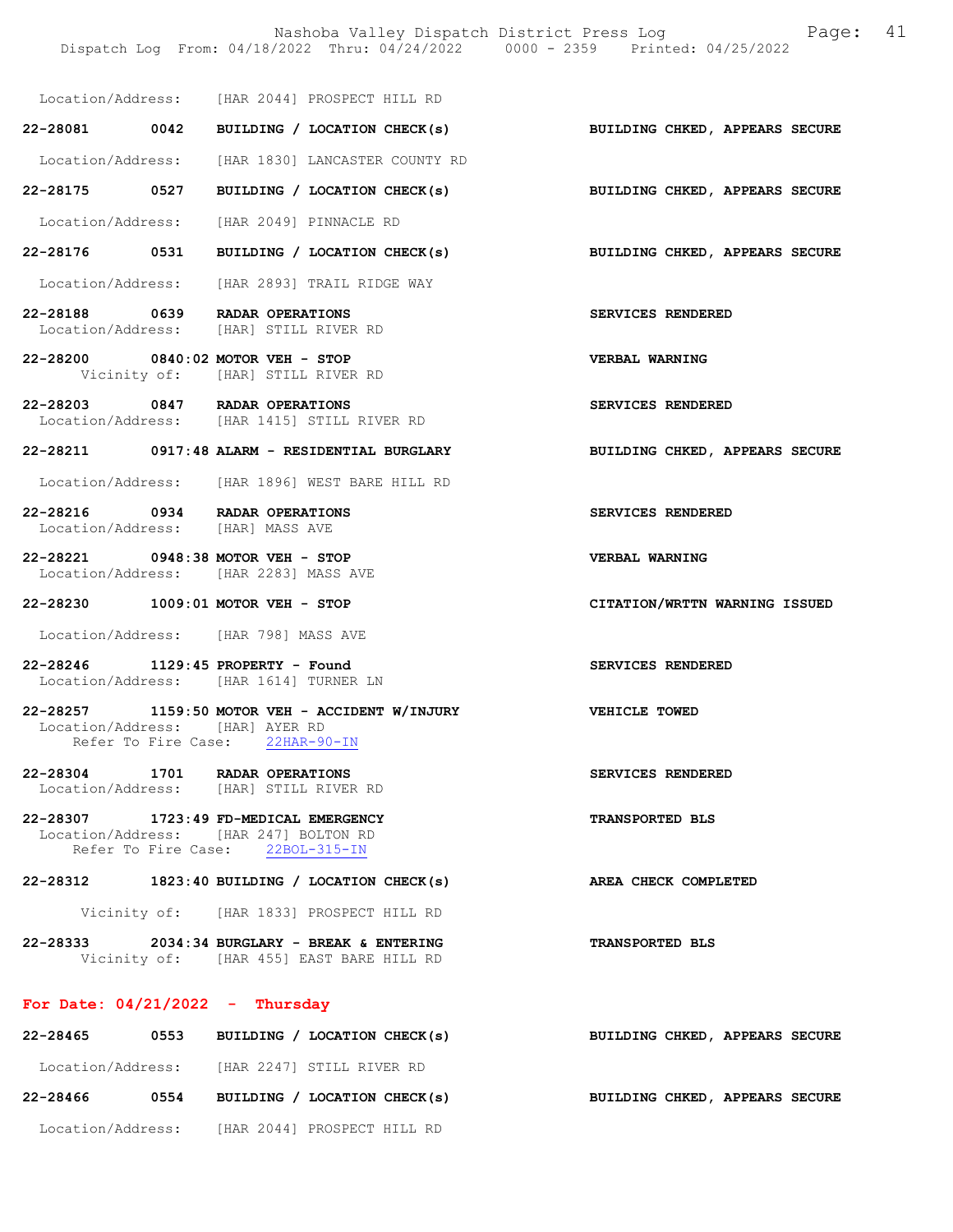Nashoba Valley Dispatch District Press Log Fage: 41 Dispatch Log From: 04/18/2022 Thru: 04/24/2022 0000 - 2359 Printed: 04/25/2022

Location/Address: [HAR 2044] PROSPECT HILL RD

22-28081 0042 BUILDING / LOCATION CHECK(s) BUILDING CHKED, APPEARS SECURE

Location/Address: [HAR 1830] LANCASTER COUNTY RD

22-28175 0527 BUILDING / LOCATION CHECK(s) BUILDING CHKED, APPEARS SECURE

Location/Address: [HAR 2049] PINNACLE RD

- 22-28176 0531 BUILDING / LOCATION CHECK(s) BUILDING CHKED, APPEARS SECURE
- Location/Address: [HAR 2893] TRAIL RIDGE WAY
- 22-28188 0639 RADAR OPERATIONS SERVICES RENDERED<br>Location/Address: [HAR] STILL RIVER RD [HAR] STILL RIVER RD
- 22-28200 0840:02 MOTOR VEH STOP VERBAL WARNING Vicinity of: [HAR] STILL RIVER RD
- 22-28203 0847 RADAR OPERATIONS SERVICES RENDERED Location/Address: [HAR 1415] STILL RIVER RD
- 22-28211 0917:48 ALARM RESIDENTIAL BURGLARY BUILDING CHKED, APPEARS SECURE
- Location/Address: [HAR 1896] WEST BARE HILL RD
- 22-28216 0934 RADAR OPERATIONS SERVICES RENDERED<br>Location/Address: [HAR] MASS AVE Location/Address:
- 22-28221 0948:38 MOTOR VEH STOP VERBAL WARNING Location/Address: [HAR 2283] MASS AVE
- 22-28230 1009:01 MOTOR VEH STOP CITATION/WRTTN WARNING ISSUED
- Location/Address: [HAR 798] MASS AVE
- 22-28246 1129:45 PROPERTY Found SERVICES RENDERED Location/Address: [HAR 1614] TURNER LN
- 22-28257 1159:50 MOTOR VEH ACCIDENT W/INJURY VEHICLE TOWED Location/Address: [HAR] AYER RD Refer To Fire Case: 22HAR-90-IN
- 22-28304 1701 RADAR OPERATIONS SERVICES RENDERED Location/Address: [HAR] STILL RIVER RD
- 22-28307 1723:49 FD-MEDICAL EMERGENCY TRANSPORTED BLS Location/Address: [HAR 247] BOLTON RD<br>Refer To Fire Case: 22BOL-315-IN Refer To Fire Case:
- 22-28312 1823:40 BUILDING / LOCATION CHECK(s) AREA CHECK COMPLETED
	- Vicinity of: [HAR 1833] PROSPECT HILL RD
- 22-28333 2034:34 BURGLARY BREAK & ENTERING TRANSPORTED BLS Vicinity of: [HAR 455] EAST BARE HILL RD

### For Date:  $04/21/2022 -$  Thursday

| 22-28465          | 0553 | BUILDING / LOCATION CHECK(s) | <b>BUILDING CHKED, APPEARS SECURE</b> |
|-------------------|------|------------------------------|---------------------------------------|
| Location/Address: |      | [HAR 2247] STILL RIVER RD    |                                       |
| 22-28466          | 0554 | BUILDING / LOCATION CHECK(s) | <b>BUILDING CHKED, APPEARS SECURE</b> |
| Location/Address: |      | [HAR 2044] PROSPECT HILL RD  |                                       |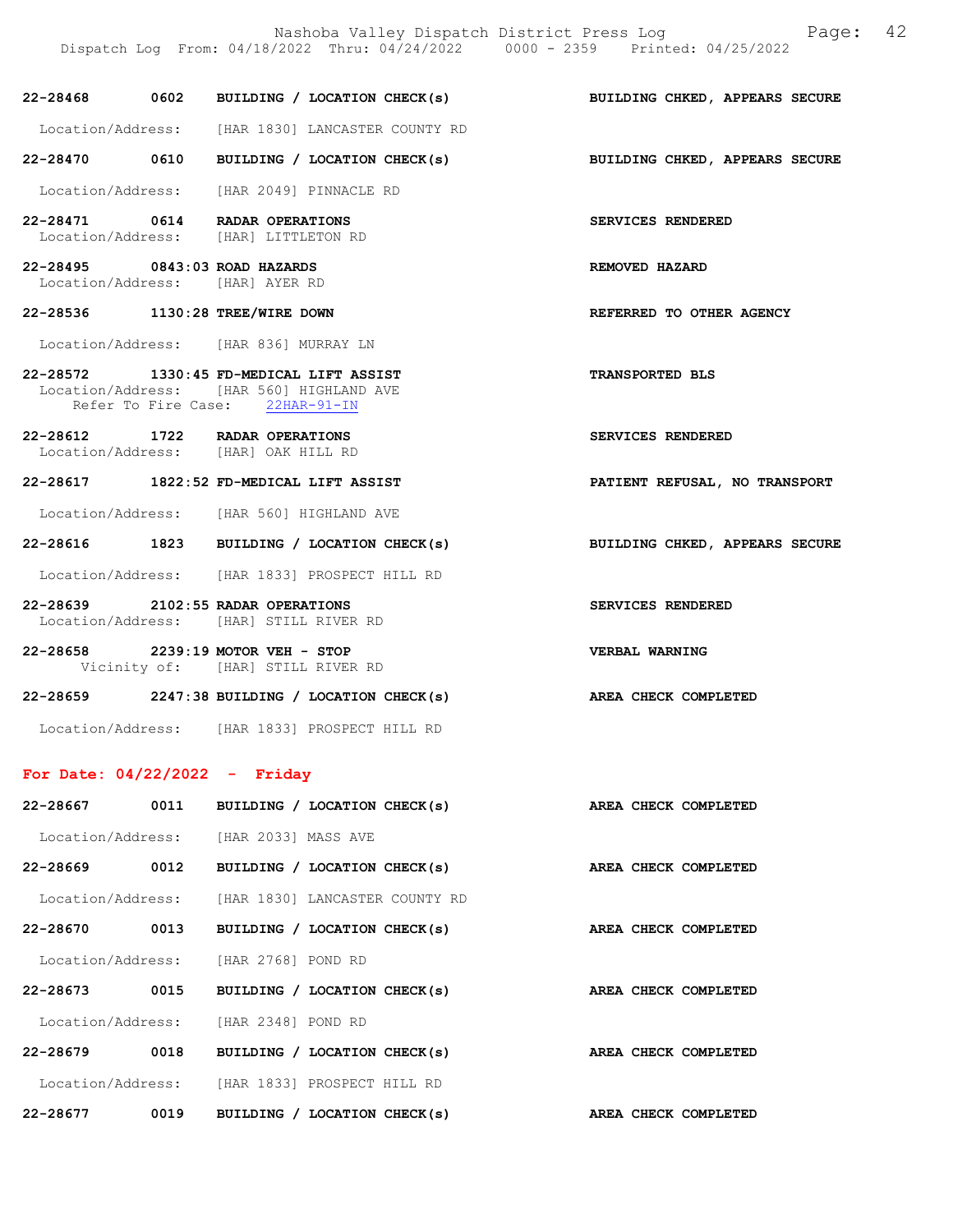22-28468 0602 BUILDING / LOCATION CHECK(s) BUILDING CHKED, APPEARS SECURE

Location/Address: [HAR 1830] LANCASTER COUNTY RD

22-28470 0610 BUILDING / LOCATION CHECK(s) BUILDING CHKED, APPEARS SECURE

Location/Address: [HAR 2049] PINNACLE RD

22-28471 0614 RADAR OPERATIONS SERVICES RENDERED Location/Address: [HAR] LITTLETON RD

22-28495 0843:03 ROAD HAZARDS REMOVED HAZARD Location/Address: [HAR] AYER RD

22-28536 1130:28 TREE/WIRE DOWN REFERRED TO OTHER AGENCY

Location/Address: [HAR 836] MURRAY LN

22-28572 1330:45 FD-MEDICAL LIFT ASSIST TRANSPORTED BLS Location/Address: [HAR 560] HIGHLAND AVE Refer To Fire Case: 22HAR-91-IN

22-28612 1722 RADAR OPERATIONS SERVICES RENDERED Location/Address: [HAR] OAK HILL RD

22-28617 1822:52 FD-MEDICAL LIFT ASSIST PATIENT REFUSAL, NO TRANSPORT

Location/Address: [HAR 560] HIGHLAND AVE

22-28616 1823 BUILDING / LOCATION CHECK(s) BUILDING CHKED, APPEARS SECURE

Location/Address: [HAR 1833] PROSPECT HILL RD

22-28639 2102:55 RADAR OPERATIONS SERVICES RENDERED Location/Address: [HAR] STILL RIVER RD

- 22-28658 2239:19 MOTOR VEH STOP VERBAL WARNING Vicinity of: [HAR] STILL RIVER RD
- 22-28659 2247:38 BUILDING / LOCATION CHECK(s) AREA CHECK COMPLETED

Location/Address: [HAR 1833] PROSPECT HILL RD

#### For Date: 04/22/2022 - Friday

| 22-28667          | 0011 | BUILDING /                     | LOCATION CHECK(s) |  | AREA CHECK COMPLETED |
|-------------------|------|--------------------------------|-------------------|--|----------------------|
| Location/Address: |      | [HAR 2033] MASS AVE            |                   |  |                      |
| $22 - 28669$      | 0012 | BUILDING / LOCATION CHECK(s)   |                   |  | AREA CHECK COMPLETED |
| Location/Address: |      | [HAR 1830] LANCASTER COUNTY RD |                   |  |                      |
| 22-28670          | 0013 | BUILDING / LOCATION CHECK(s)   |                   |  | AREA CHECK COMPLETED |
| Location/Address: |      | THAR 27681 POND RD             |                   |  |                      |
| 22-28673          | 0015 | BUILDING / LOCATION CHECK(s)   |                   |  | AREA CHECK COMPLETED |
| Location/Address: |      | THAR 23481 POND RD             |                   |  |                      |
| 22-28679          | 0018 | BUILDING /                     | LOCATION CHECK(s) |  | AREA CHECK COMPLETED |
| Location/Address: |      | [HAR 1833] PROSPECT HILL RD    |                   |  |                      |
| 22-28677          | 0019 | BUILDING                       | LOCATION CHECK(s) |  | AREA CHECK COMPLETED |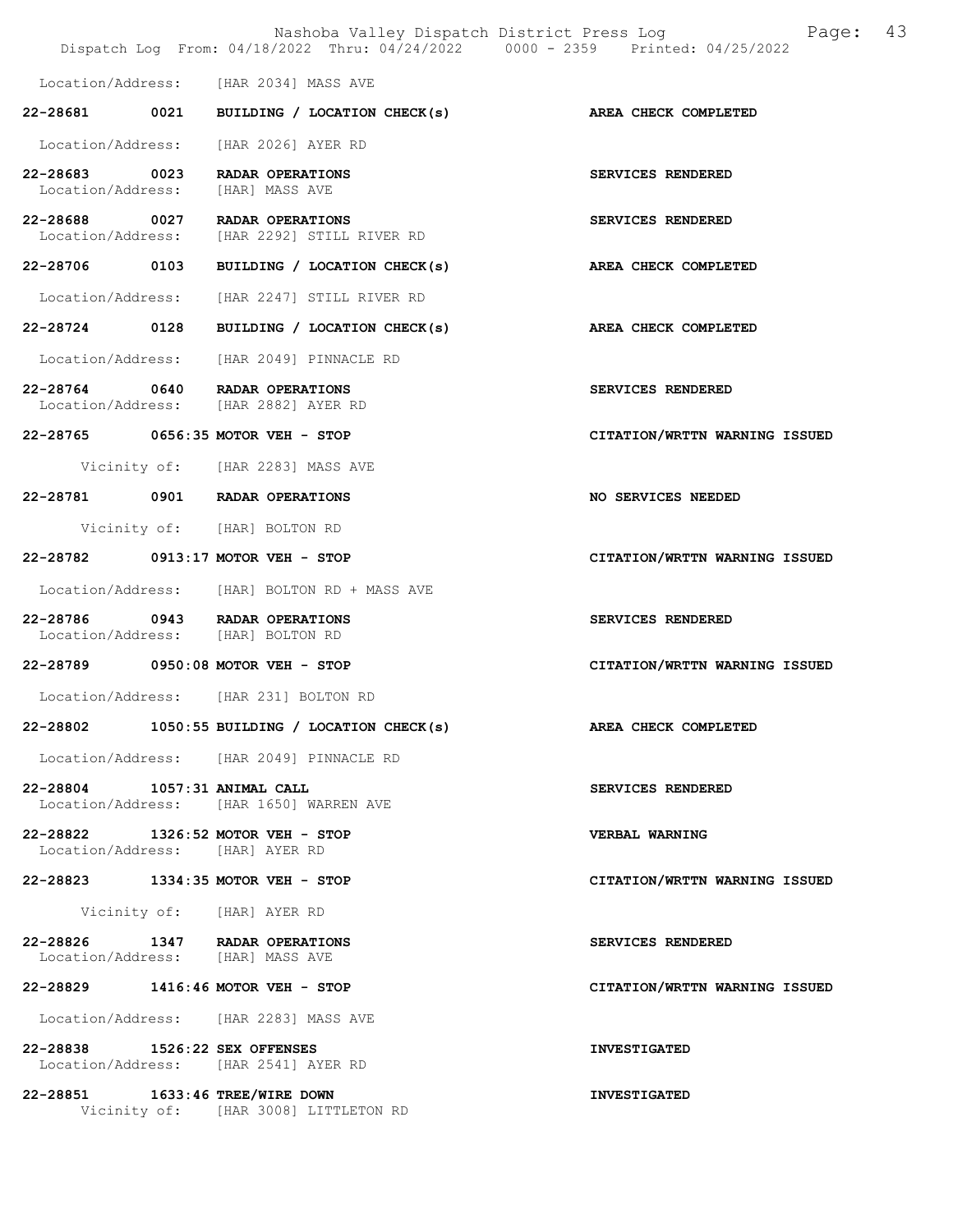|                                                                      | Nashoba Valley Dispatch District Press Log<br>Dispatch Log From: 04/18/2022 Thru: 04/24/2022 0000 - 2359 Printed: 04/25/2022 |                               | Page: | 43 |
|----------------------------------------------------------------------|------------------------------------------------------------------------------------------------------------------------------|-------------------------------|-------|----|
|                                                                      | Location/Address: [HAR 2034] MASS AVE                                                                                        |                               |       |    |
| 22-28681 0021                                                        | BUILDING / LOCATION CHECK(s)                                                                                                 | AREA CHECK COMPLETED          |       |    |
| Location/Address:                                                    | [HAR 2026] AYER RD                                                                                                           |                               |       |    |
| 22-28683 0023<br>Location/Address:                                   | RADAR OPERATIONS<br>[HAR] MASS AVE                                                                                           | SERVICES RENDERED             |       |    |
| 22-28688 0027<br>Location/Address:                                   | RADAR OPERATIONS<br>[HAR 2292] STILL RIVER RD                                                                                | SERVICES RENDERED             |       |    |
| 22-28706 0103                                                        | BUILDING / LOCATION CHECK(s)                                                                                                 | AREA CHECK COMPLETED          |       |    |
| Location/Address:                                                    | [HAR 2247] STILL RIVER RD                                                                                                    |                               |       |    |
| 22-28724 0128                                                        | BUILDING / LOCATION CHECK(s)                                                                                                 | AREA CHECK COMPLETED          |       |    |
|                                                                      | Location/Address: [HAR 2049] PINNACLE RD                                                                                     |                               |       |    |
|                                                                      | 22-28764 0640 RADAR OPERATIONS<br>Location/Address: [HAR 2882] AYER RD                                                       | SERVICES RENDERED             |       |    |
|                                                                      | 22-28765 0656:35 MOTOR VEH - STOP                                                                                            | CITATION/WRTTN WARNING ISSUED |       |    |
|                                                                      | Vicinity of: [HAR 2283] MASS AVE                                                                                             |                               |       |    |
|                                                                      | 22-28781 0901 RADAR OPERATIONS                                                                                               | NO SERVICES NEEDED            |       |    |
|                                                                      | Vicinity of: [HAR] BOLTON RD                                                                                                 |                               |       |    |
| 22-28782                                                             | $0913:17$ MOTOR VEH - STOP                                                                                                   | CITATION/WRTTN WARNING ISSUED |       |    |
|                                                                      | Location/Address: [HAR] BOLTON RD + MASS AVE                                                                                 |                               |       |    |
| 22-28786                                                             | 0943 RADAR OPERATIONS<br>Location/Address: [HAR] BOLTON RD                                                                   | SERVICES RENDERED             |       |    |
| 22-28789 0950:08 MOTOR VEH - STOP                                    |                                                                                                                              | CITATION/WRTTN WARNING ISSUED |       |    |
|                                                                      | Location/Address: [HAR 231] BOLTON RD                                                                                        |                               |       |    |
|                                                                      | 22-28802 1050:55 BUILDING / LOCATION CHECK(s)                                                                                | AREA CHECK COMPLETED          |       |    |
|                                                                      | Location/Address: [HAR 2049] PINNACLE RD                                                                                     |                               |       |    |
| 22-28804 1057:31 ANIMAL CALL                                         | Location/Address: [HAR 1650] WARREN AVE                                                                                      | SERVICES RENDERED             |       |    |
| 22-28822 1326:52 MOTOR VEH - STOP<br>Location/Address: [HAR] AYER RD |                                                                                                                              | VERBAL WARNING                |       |    |
| 22-28823 1334:35 MOTOR VEH - STOP                                    |                                                                                                                              | CITATION/WRTTN WARNING ISSUED |       |    |
|                                                                      | Vicinity of: [HAR] AYER RD                                                                                                   |                               |       |    |
| 22-28826 1347 RADAR OPERATIONS<br>Location/Address: [HAR] MASS AVE   |                                                                                                                              | SERVICES RENDERED             |       |    |
| 22-28829 1416:46 MOTOR VEH - STOP                                    |                                                                                                                              | CITATION/WRTTN WARNING ISSUED |       |    |
|                                                                      | Location/Address: [HAR 2283] MASS AVE                                                                                        |                               |       |    |
| 22-28838 1526:22 SEX OFFENSES                                        | Location/Address: [HAR 2541] AYER RD                                                                                         | <b>INVESTIGATED</b>           |       |    |
| 22-28851 1633:46 TREE/WIRE DOWN                                      | Vicinity of: [HAR 3008] LITTLETON RD                                                                                         | <b>INVESTIGATED</b>           |       |    |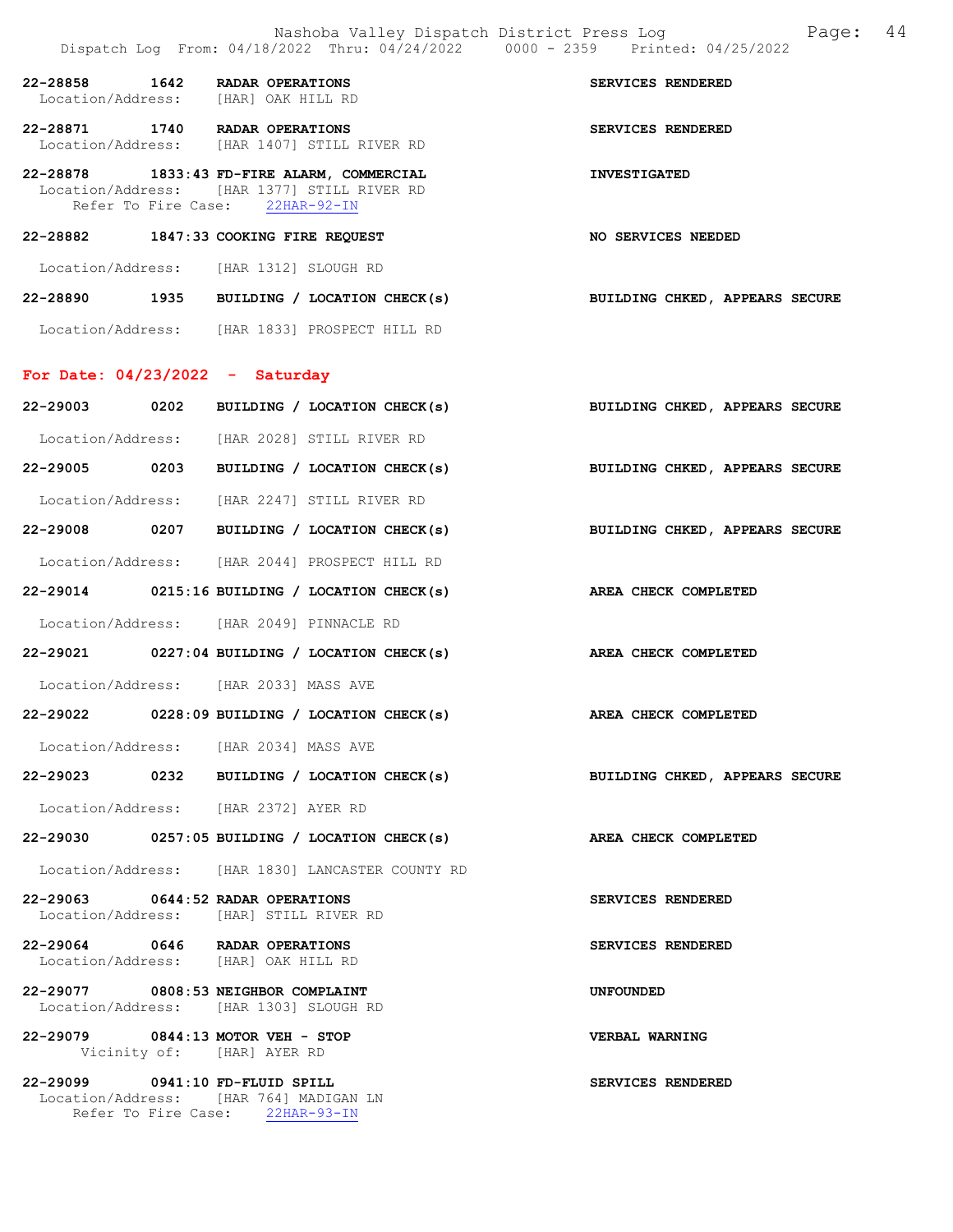|                                   | Nashoba Valley Dispatch District Press Log<br>Dispatch Log From: 04/18/2022 Thru: 04/24/2022 0000 - 2359 Printed: 04/25/2022 | 44<br>Page:                    |
|-----------------------------------|------------------------------------------------------------------------------------------------------------------------------|--------------------------------|
| 22-28858                          | 1642 RADAR OPERATIONS<br>Location/Address: [HAR] OAK HILL RD                                                                 | SERVICES RENDERED              |
|                                   | 22-28871 1740 RADAR OPERATIONS<br>Location/Address: [HAR 1407] STILL RIVER RD                                                | SERVICES RENDERED              |
|                                   | 22-28878 1833:43 FD-FIRE ALARM, COMMERCIAL<br>Location/Address: [HAR 1377] STILL RIVER RD<br>Refer To Fire Case: 22HAR-92-IN | <b>INVESTIGATED</b>            |
|                                   | 22-28882 1847:33 COOKING FIRE REQUEST                                                                                        | <b>NO SERVICES NEEDED</b>      |
|                                   | Location/Address: [HAR 1312] SLOUGH RD                                                                                       |                                |
|                                   | 22-28890 1935 BUILDING / LOCATION CHECK(s)                                                                                   | BUILDING CHKED, APPEARS SECURE |
|                                   | Location/Address: [HAR 1833] PROSPECT HILL RD                                                                                |                                |
| For Date: $04/23/2022 -$ Saturday |                                                                                                                              |                                |
|                                   | 22-29003 0202 BUILDING / LOCATION CHECK(s)                                                                                   | BUILDING CHKED, APPEARS SECURE |
|                                   | Location/Address: [HAR 2028] STILL RIVER RD                                                                                  |                                |
|                                   | 22-29005 0203 BUILDING / LOCATION CHECK(s)                                                                                   | BUILDING CHKED, APPEARS SECURE |
|                                   | Location/Address: [HAR 2247] STILL RIVER RD                                                                                  |                                |
|                                   | 22-29008 0207 BUILDING / LOCATION CHECK(s)                                                                                   | BUILDING CHKED, APPEARS SECURE |
|                                   | Location/Address: [HAR 2044] PROSPECT HILL RD                                                                                |                                |
|                                   | $22-29014$ 0215:16 BUILDING / LOCATION CHECK(s)                                                                              | <b>AREA CHECK COMPLETED</b>    |
|                                   | Location/Address: [HAR 2049] PINNACLE RD                                                                                     |                                |
|                                   | $22-29021$ 0227:04 BUILDING / LOCATION CHECK(s)                                                                              | AREA CHECK COMPLETED           |
|                                   | Location/Address: [HAR 2033] MASS AVE                                                                                        |                                |
| 22-29022                          | 0228:09 BUILDING / LOCATION CHECK(s)                                                                                         | AREA CHECK COMPLETED           |
|                                   | Location/Address: [HAR 2034] MASS AVE                                                                                        |                                |
|                                   | 22-29023 0232 BUILDING / LOCATION CHECK(s)                                                                                   | BUILDING CHKED, APPEARS SECURE |
|                                   | Location/Address: [HAR 2372] AYER RD                                                                                         |                                |
|                                   | 22-29030 0257:05 BUILDING / LOCATION CHECK(s)                                                                                | AREA CHECK COMPLETED           |
|                                   | Location/Address: [HAR 1830] LANCASTER COUNTY RD                                                                             |                                |
|                                   | 22-29063 0644:52 RADAR OPERATIONS<br>Location/Address: [HAR] STILL RIVER RD                                                  | SERVICES RENDERED              |
|                                   | 22-29064 0646 RADAR OPERATIONS<br>Location/Address: [HAR] OAK HILL RD                                                        | SERVICES RENDERED              |
|                                   | 22-29077 0808:53 NEIGHBOR COMPLAINT<br>Location/Address: [HAR 1303] SLOUGH RD                                                | <b>UNFOUNDED</b>               |
|                                   | 22-29079 0844:13 MOTOR VEH - STOP<br>Vicinity of: [HAR] AYER RD                                                              | VERBAL WARNING                 |
| 22-29099 0941:10 FD-FLUID SPILL   | Location/Address: [HAR 764] MADIGAN LN<br>Refer To Fire Case: 22HAR-93-IN                                                    | SERVICES RENDERED              |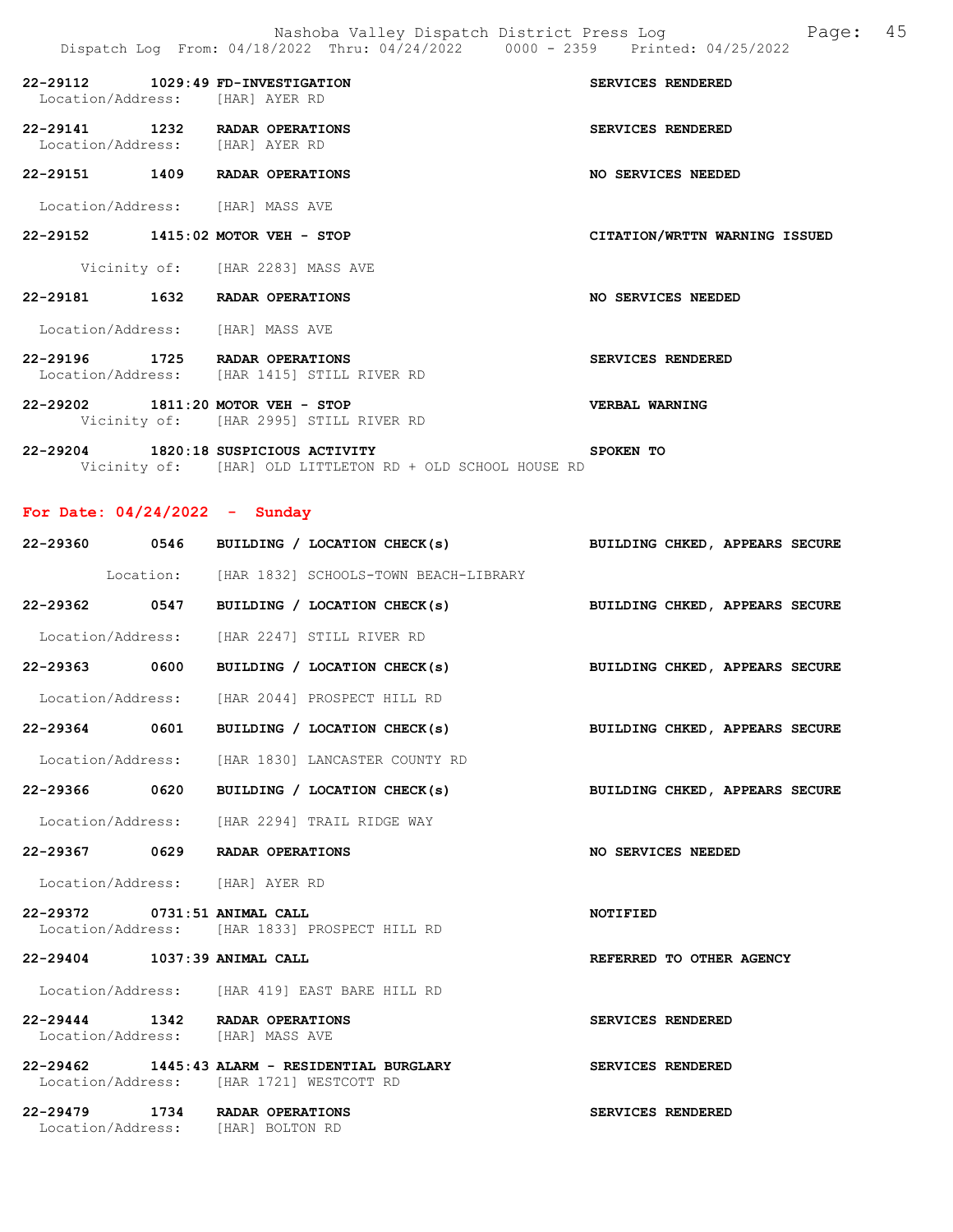|               | 22-29112 1029:49 FD-INVESTIGATION<br>Location/Address: [HAR] AYER RD          | SERVICES RENDERED             |
|---------------|-------------------------------------------------------------------------------|-------------------------------|
| 22-29141 1232 | RADAR OPERATIONS<br>Location/Address: [HAR] AYER RD                           | <b>SERVICES RENDERED</b>      |
|               | 22-29151 1409 RADAR OPERATIONS                                                | NO SERVICES NEEDED            |
|               | Location/Address: [HAR] MASS AVE                                              |                               |
|               | 22-29152 1415:02 MOTOR VEH - STOP                                             | CITATION/WRTTN WARNING ISSUED |
|               | Vicinity of: [HAR 2283] MASS AVE                                              |                               |
|               | 22-29181 1632 RADAR OPERATIONS                                                | NO SERVICES NEEDED            |
|               | Location/Address: [HAR] MASS AVE                                              |                               |
|               | 22-29196 1725 RADAR OPERATIONS<br>Location/Address: [HAR 1415] STILL RIVER RD | <b>SERVICES RENDERED</b>      |
|               | 22-29202 1811:20 MOTOR VEH - STOP<br>Vicinity of: [HAR 2995] STILL RIVER RD   | VERBAL WARNING                |

22-29204 1820:18 SUSPICIOUS ACTIVITY SPOKEN TO Vicinity of: [HAR] OLD LITTLETON RD + OLD SCHOOL HOUSE RD

For Date: 04/24/2022 - Sunday

|                              | 22-29360 0546 BUILDING / LOCATION CHECK(s) BUILDING CHKED, APPEARS SECURE                 |                                |
|------------------------------|-------------------------------------------------------------------------------------------|--------------------------------|
|                              | Location: [HAR 1832] SCHOOLS-TOWN BEACH-LIBRARY                                           |                                |
|                              | 22-29362 0547 BUILDING / LOCATION CHECK(s) BUILDING CHKED, APPEARS SECURE                 |                                |
|                              | Location/Address: [HAR 2247] STILL RIVER RD                                               |                                |
|                              | $22-29363$ 0600 BUILDING / LOCATION CHECK(s)                                              | BUILDING CHKED, APPEARS SECURE |
|                              | Location/Address: [HAR 2044] PROSPECT HILL RD                                             |                                |
|                              | 22-29364 0601 BUILDING / LOCATION CHECK(s)                                                | BUILDING CHKED, APPEARS SECURE |
|                              | Location/Address: [HAR 1830] LANCASTER COUNTY RD                                          |                                |
|                              | 22-29366 0620 BUILDING / LOCATION CHECK(s)                                                | BUILDING CHKED, APPEARS SECURE |
|                              | Location/Address: [HAR 2294] TRAIL RIDGE WAY                                              |                                |
|                              | 22-29367 0629 RADAR OPERATIONS                                                            | NO SERVICES NEEDED             |
|                              | Location/Address: [HAR] AYER RD                                                           |                                |
| 22-29372 0731:51 ANIMAL CALL | Location/Address: [HAR 1833] PROSPECT HILL RD                                             | NOTIFIED                       |
| 22-29404 1037:39 ANIMAL CALL |                                                                                           | REFERRED TO OTHER AGENCY       |
|                              | Location/Address: [HAR 419] EAST BARE HILL RD                                             |                                |
|                              | 22-29444 1342 RADAR OPERATIONS<br>Location/Address: [HAR] MASS AVE                        | SERVICES RENDERED              |
|                              |                                                                                           |                                |
|                              | 22-29462 1445:43 ALARM - RESIDENTIAL BURGLARY<br>Location/Address: [HAR 1721] WESTCOTT RD | SERVICES RENDERED              |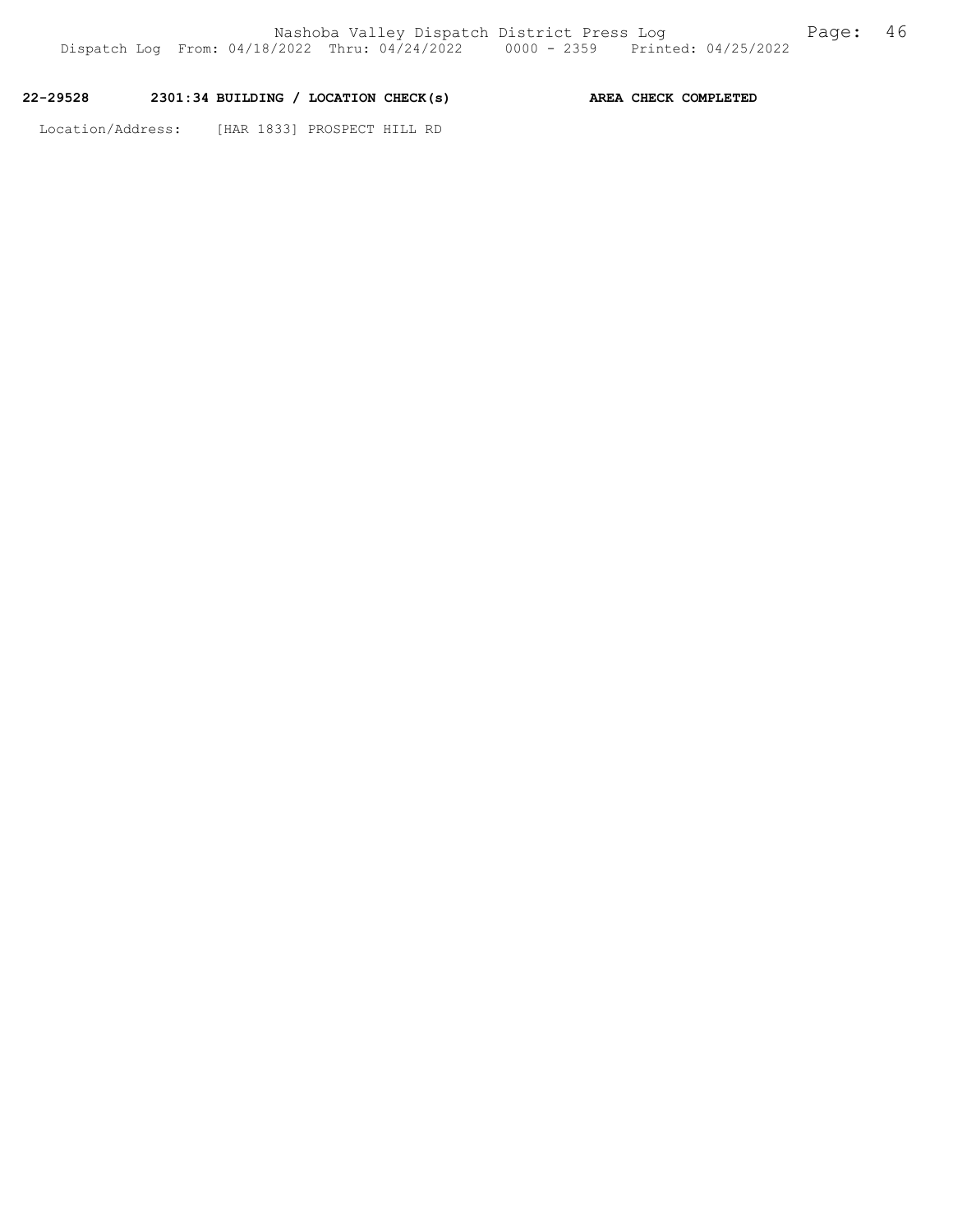## 22-29528 2301:34 BUILDING / LOCATION CHECK(s) AREA CHECK COMPLETED

Location/Address: [HAR 1833] PROSPECT HILL RD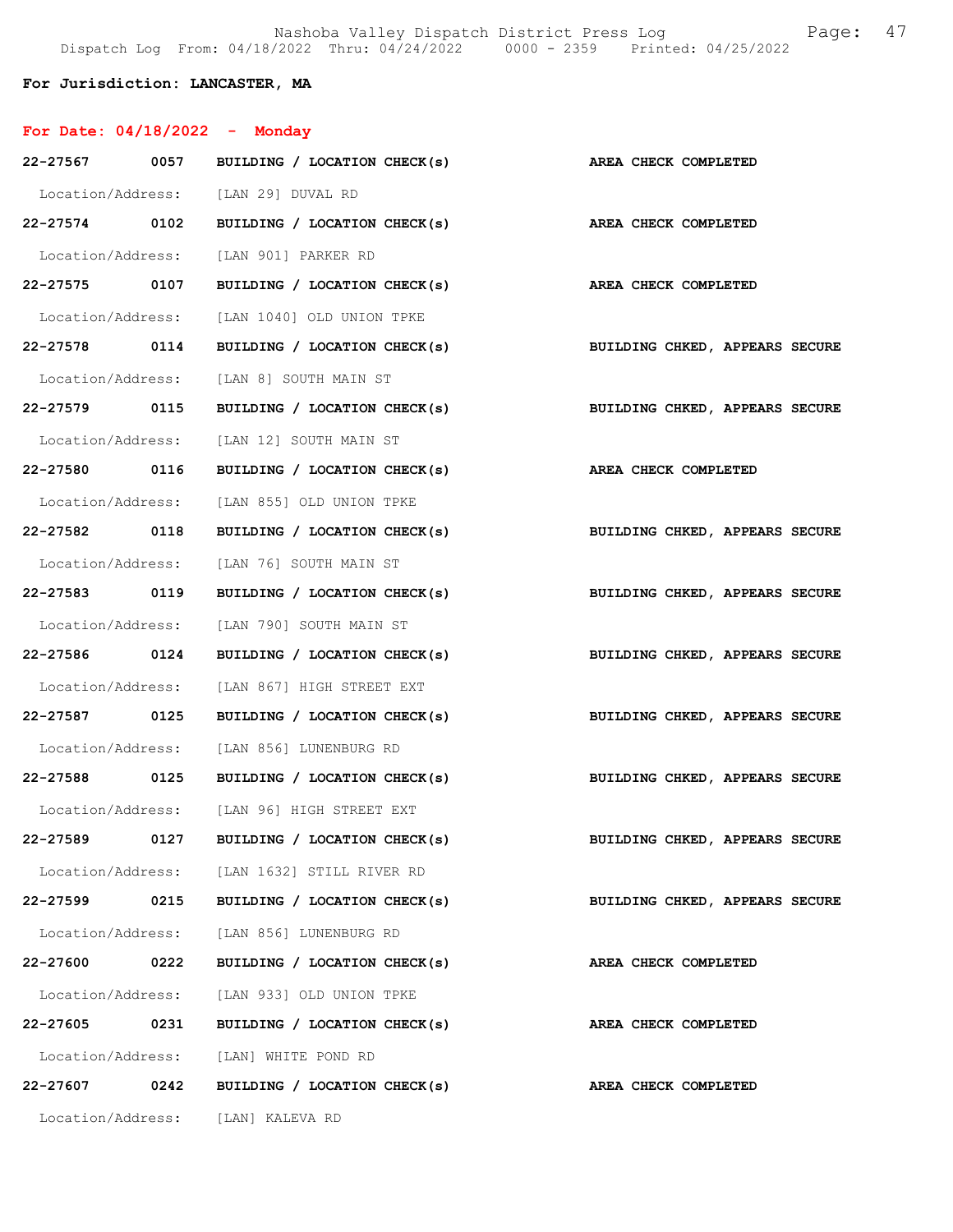Nashoba Valley Dispatch District Press Log Fage: 47 Dispatch Log From: 04/18/2022 Thru: 04/24/2022 0000 - 2359 Printed: 04/25/2022

## For Jurisdiction: LANCASTER, MA

| For Date: $04/18/2022 -$ Monday |      |                                                                           |                                |
|---------------------------------|------|---------------------------------------------------------------------------|--------------------------------|
|                                 |      | 22-27567 0057 BUILDING / LOCATION CHECK(s) AREA CHECK COMPLETED           |                                |
|                                 |      | Location/Address: [LAN 29] DUVAL RD                                       |                                |
|                                 |      | 22-27574 0102 BUILDING / LOCATION CHECK(s) AREA CHECK COMPLETED           |                                |
|                                 |      | Location/Address: [LAN 901] PARKER RD                                     |                                |
| 22-27575 0107                   |      | BUILDING / LOCATION CHECK(s) AREA CHECK COMPLETED                         |                                |
|                                 |      | Location/Address: [LAN 1040] OLD UNION TPKE                               |                                |
| 22-27578 0114                   |      | BUILDING / LOCATION CHECK(s)                                              | BUILDING CHKED, APPEARS SECURE |
|                                 |      | Location/Address: [LAN 8] SOUTH MAIN ST                                   |                                |
|                                 |      | 22-27579 0115 BUILDING / LOCATION CHECK(s) BUILDING CHKED, APPEARS SECURE |                                |
|                                 |      | Location/Address: [LAN 12] SOUTH MAIN ST                                  |                                |
| 22-27580 0116                   |      | BUILDING / LOCATION CHECK(s) AREA CHECK COMPLETED                         |                                |
|                                 |      | Location/Address: [LAN 855] OLD UNION TPKE                                |                                |
| 22-27582 0118                   |      | BUILDING / LOCATION CHECK(s)                                              | BUILDING CHKED, APPEARS SECURE |
|                                 |      | Location/Address: [LAN 76] SOUTH MAIN ST                                  |                                |
| 22-27583 0119                   |      | BUILDING / LOCATION CHECK(s) BUILDING CHKED, APPEARS SECURE               |                                |
|                                 |      | Location/Address: [LAN 790] SOUTH MAIN ST                                 |                                |
| 22-27586 0124                   |      | BUILDING / LOCATION CHECK(s)                                              | BUILDING CHKED, APPEARS SECURE |
|                                 |      | Location/Address: [LAN 867] HIGH STREET EXT                               |                                |
| 22-27587 0125                   |      | BUILDING / LOCATION CHECK(s)                                              | BUILDING CHKED, APPEARS SECURE |
|                                 |      | Location/Address: [LAN 856] LUNENBURG RD                                  |                                |
|                                 |      | 22-27588 0125 BUILDING / LOCATION CHECK(s) BUILDING CHKED, APPEARS SECURE |                                |
|                                 |      | Location/Address: [LAN 96] HIGH STREET EXT                                |                                |
|                                 |      | 22-27589 0127 BUILDING / LOCATION CHECK(s)                                | BUILDING CHKED, APPEARS SECURE |
|                                 |      | Location/Address: [LAN 1632] STILL RIVER RD                               |                                |
| 22-27599                        | 0215 | BUILDING / LOCATION CHECK(s)                                              | BUILDING CHKED, APPEARS SECURE |
|                                 |      | Location/Address: [LAN 856] LUNENBURG RD                                  |                                |
| 22-27600 0222                   |      | BUILDING / LOCATION CHECK(s)                                              | AREA CHECK COMPLETED           |
| Location/Address:               |      | [LAN 933] OLD UNION TPKE                                                  |                                |
| 22-27605                        | 0231 | BUILDING / LOCATION CHECK(s)                                              | AREA CHECK COMPLETED           |
|                                 |      | Location/Address: [LAN] WHITE POND RD                                     |                                |
| 22-27607                        | 0242 | BUILDING / LOCATION CHECK(s)                                              | AREA CHECK COMPLETED           |
|                                 |      | Location/Address: [LAN] KALEVA RD                                         |                                |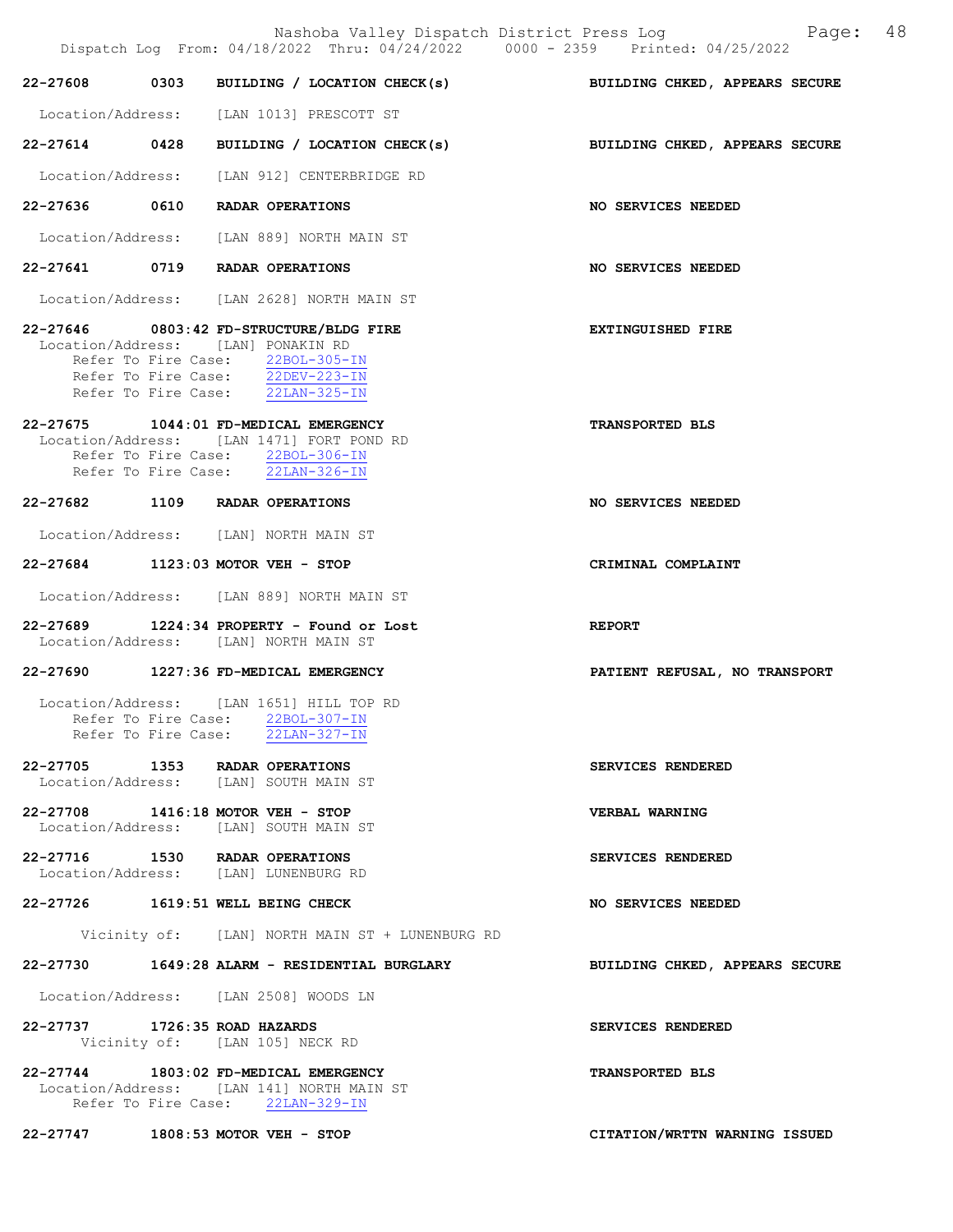|                               | Nashoba Valley Dispatch District Press Log<br>Dispatch Log From: 04/18/2022 Thru: 04/24/2022 0000 - 2359 Printed: 04/25/2022                                                                            | Page: 48                       |
|-------------------------------|---------------------------------------------------------------------------------------------------------------------------------------------------------------------------------------------------------|--------------------------------|
| 22-27608                      | 0303 BUILDING / LOCATION CHECK(s)                                                                                                                                                                       | BUILDING CHKED, APPEARS SECURE |
|                               | Location/Address: [LAN 1013] PRESCOTT ST                                                                                                                                                                |                                |
|                               | 22-27614 0428 BUILDING / LOCATION CHECK(s)                                                                                                                                                              | BUILDING CHKED, APPEARS SECURE |
|                               | Location/Address: [LAN 912] CENTERBRIDGE RD                                                                                                                                                             |                                |
|                               | 22-27636 0610 RADAR OPERATIONS                                                                                                                                                                          | NO SERVICES NEEDED             |
|                               | Location/Address: [LAN 889] NORTH MAIN ST                                                                                                                                                               |                                |
|                               | 22-27641 0719 RADAR OPERATIONS                                                                                                                                                                          | NO SERVICES NEEDED             |
|                               | Location/Address: [LAN 2628] NORTH MAIN ST                                                                                                                                                              |                                |
|                               | 22-27646 0803:42 FD-STRUCTURE/BLDG FIRE<br>Location/Address: [LAN] PONAKIN RD<br>Refer To Fire Case: 22BOL-305-IN<br>Refer To Fire Case: 22DEV-223-IN<br>Refer To Fire Case: $\overline{22LAN-325}$ -IN | <b>EXTINGUISHED FIRE</b>       |
|                               | 22-27675 1044:01 FD-MEDICAL EMERGENCY<br>Location/Address: [LAN 1471] FORT POND RD<br>Refer To Fire Case: 22BOL-306-IN<br>Refer To Fire Case: 22LAN-326-IN                                              | <b>TRANSPORTED BLS</b>         |
|                               | 22-27682 1109 RADAR OPERATIONS                                                                                                                                                                          | NO SERVICES NEEDED             |
|                               | Location/Address: [LAN] NORTH MAIN ST                                                                                                                                                                   |                                |
|                               | 22-27684 1123:03 MOTOR VEH - STOP                                                                                                                                                                       | CRIMINAL COMPLAINT             |
|                               | Location/Address: [LAN 889] NORTH MAIN ST                                                                                                                                                               |                                |
|                               | 22-27689 1224:34 PROPERTY - Found or Lost<br>Location/Address: [LAN] NORTH MAIN ST                                                                                                                      | <b>REPORT</b>                  |
|                               | 22-27690 1227:36 FD-MEDICAL EMERGENCY                                                                                                                                                                   | PATIENT REFUSAL, NO TRANSPORT  |
|                               | Location/Address: [LAN 1651] HILL TOP RD<br>Refer To Fire Case: 22BOL-307-IN<br>Refer To Fire Case: 22LAN-327-IN                                                                                        |                                |
|                               | 22-27705 1353 RADAR OPERATIONS<br>Location/Address: [LAN] SOUTH MAIN ST                                                                                                                                 | SERVICES RENDERED              |
|                               | 22-27708 1416:18 MOTOR VEH - STOP<br>Location/Address: [LAN] SOUTH MAIN ST                                                                                                                              | <b>VERBAL WARNING</b>          |
|                               | 22-27716 1530 RADAR OPERATIONS<br>Location/Address: [LAN] LUNENBURG RD                                                                                                                                  | SERVICES RENDERED              |
|                               | 22-27726 1619:51 WELL BEING CHECK                                                                                                                                                                       | <b>NO SERVICES NEEDED</b>      |
|                               | Vicinity of: [LAN] NORTH MAIN ST + LUNENBURG RD                                                                                                                                                         |                                |
|                               | 22-27730 1649:28 ALARM - RESIDENTIAL BURGLARY                                                                                                                                                           | BUILDING CHKED, APPEARS SECURE |
|                               | Location/Address: [LAN 2508] WOODS LN                                                                                                                                                                   |                                |
| 22-27737 1726:35 ROAD HAZARDS | Vicinity of: [LAN 105] NECK RD                                                                                                                                                                          | SERVICES RENDERED              |
|                               | 22-27744 1803:02 FD-MEDICAL EMERGENCY<br>Location/Address: [LAN 141] NORTH MAIN ST<br>Refer To Fire Case: 22LAN-329-IN                                                                                  | TRANSPORTED BLS                |
|                               | 22-27747 1808:53 MOTOR VEH - STOP                                                                                                                                                                       | CITATION/WRTTN WARNING ISSUED  |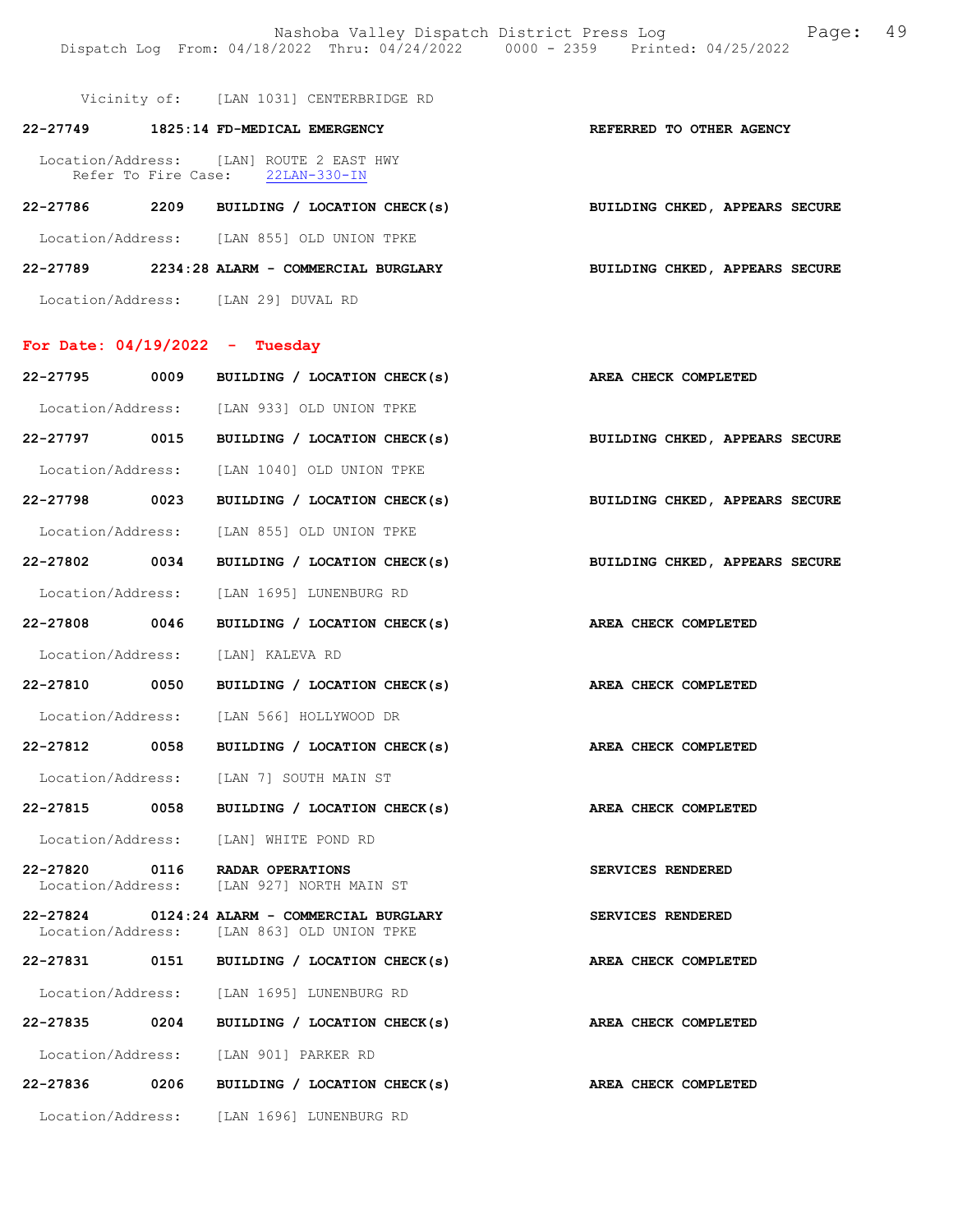Nashoba Valley Dispatch District Press Log Fage: 49 Dispatch Log From: 04/18/2022 Thru: 04/24/2022 0000 - 2359 Printed: 04/25/2022

Vicinity of: [LAN 1031] CENTERBRIDGE RD

| 22-27749          |      | 1825:14 FD-MEDICAL EMERGENCY                                                 | REFERRED TO OTHER AGENCY       |  |  |
|-------------------|------|------------------------------------------------------------------------------|--------------------------------|--|--|
|                   |      | Location/Address: [LAN] ROUTE 2 EAST HWY<br>Refer To Fire Case: 22LAN-330-IN |                                |  |  |
| 22-27786          | 2209 | BUILDING / LOCATION CHECK(s)                                                 | BUILDING CHKED, APPEARS SECURE |  |  |
| Location/Address: |      | [LAN 855] OLD UNION TPKE                                                     |                                |  |  |
| 22-27789          |      | 2234:28 ALARM - COMMERCIAL BURGLARY                                          | BUILDING CHKED, APPEARS SECURE |  |  |

Location/Address: [LAN 29] DUVAL RD

## For Date: 04/19/2022 - Tuesday

| 22-27795          | 0009 | BUILDING / LOCATION CHECK(s)                                                               | AREA CHECK COMPLETED           |
|-------------------|------|--------------------------------------------------------------------------------------------|--------------------------------|
|                   |      | Location/Address: [LAN 933] OLD UNION TPKE                                                 |                                |
| 22-27797 0015     |      | BUILDING / LOCATION CHECK(s)                                                               | BUILDING CHKED, APPEARS SECURE |
|                   |      | Location/Address: [LAN 1040] OLD UNION TPKE                                                |                                |
| 22-27798 0023     |      | BUILDING / LOCATION CHECK(s)                                                               | BUILDING CHKED, APPEARS SECURE |
|                   |      | Location/Address: [LAN 855] OLD UNION TPKE                                                 |                                |
| 22-27802 0034     |      | BUILDING / LOCATION CHECK(s)                                                               | BUILDING CHKED, APPEARS SECURE |
|                   |      | Location/Address: [LAN 1695] LUNENBURG RD                                                  |                                |
| 22-27808 0046     |      | BUILDING / LOCATION CHECK(s)                                                               | AREA CHECK COMPLETED           |
|                   |      | Location/Address: [LAN] KALEVA RD                                                          |                                |
| 22-27810 0050     |      | BUILDING / LOCATION CHECK(s)                                                               | AREA CHECK COMPLETED           |
|                   |      | Location/Address: [LAN 566] HOLLYWOOD DR                                                   |                                |
| 22-27812 0058     |      | BUILDING / LOCATION CHECK(s)                                                               | AREA CHECK COMPLETED           |
|                   |      | Location/Address: [LAN 7] SOUTH MAIN ST                                                    |                                |
|                   |      | 22-27815 0058 BUILDING / LOCATION CHECK(s)                                                 | AREA CHECK COMPLETED           |
|                   |      | Location/Address: [LAN] WHITE POND RD                                                      |                                |
| 22-27820          | 0116 | RADAR OPERATIONS<br>Location/Address: [LAN 927] NORTH MAIN ST                              | SERVICES RENDERED              |
|                   |      | 22-27824 0124:24 ALARM - COMMERCIAL BURGLARY<br>Location/Address: [LAN 863] OLD UNION TPKE | SERVICES RENDERED              |
|                   |      | 22-27831 0151 BUILDING / LOCATION CHECK(s)                                                 | AREA CHECK COMPLETED           |
|                   |      | Location/Address: [LAN 1695] LUNENBURG RD                                                  |                                |
| 22-27835 0204     |      | BUILDING / LOCATION CHECK(s)                                                               | AREA CHECK COMPLETED           |
|                   |      | Location/Address: [LAN 901] PARKER RD                                                      |                                |
| 22-27836 0206     |      | BUILDING / LOCATION CHECK(s)                                                               | AREA CHECK COMPLETED           |
| Location/Address: |      | [LAN 1696] LUNENBURG RD                                                                    |                                |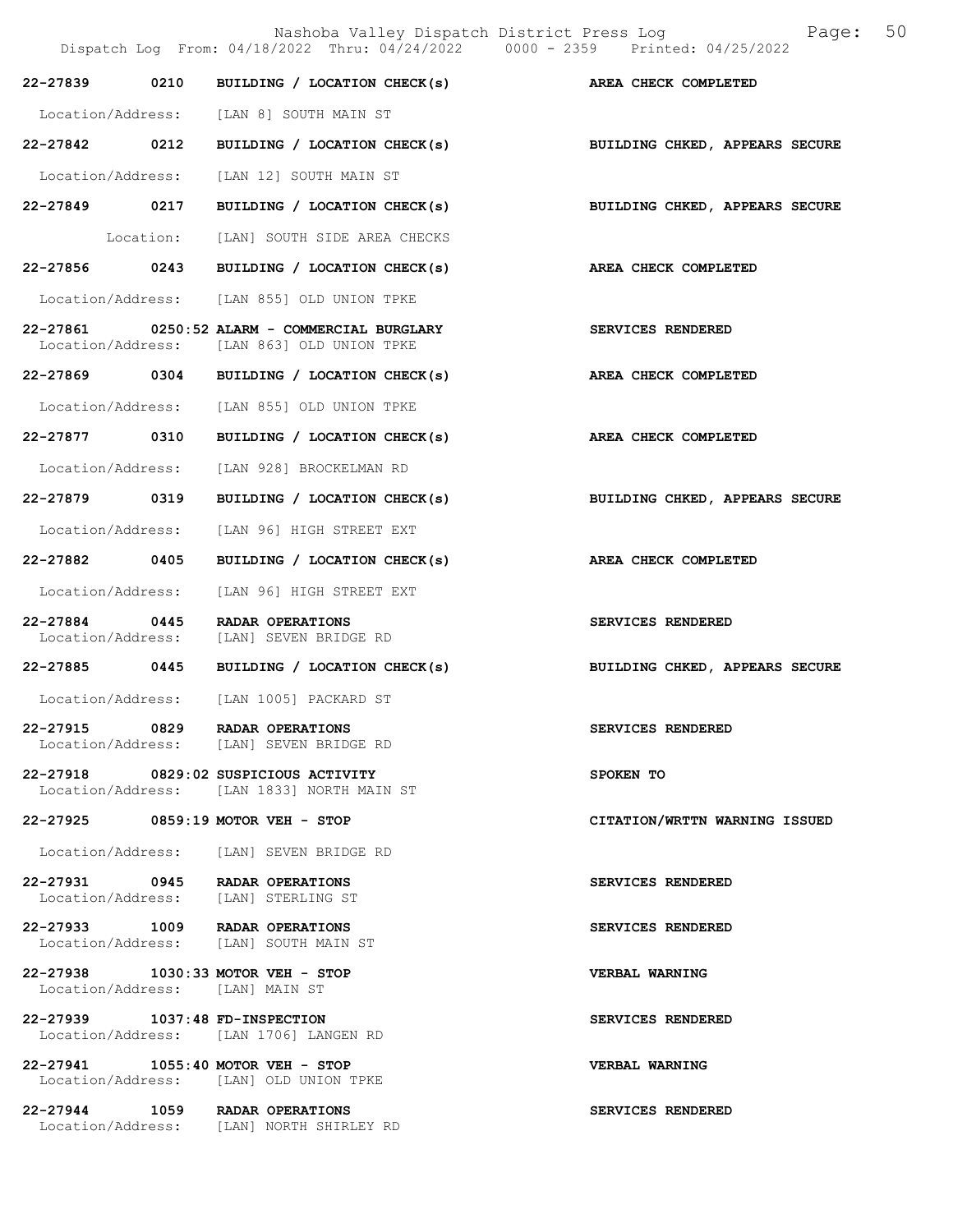Nashoba Valley Dispatch District Press Log Fage: 50 Dispatch Log From: 04/18/2022 Thru: 04/24/2022 0000 - 2359 Printed: 04/25/2022 22-27839 0210 BUILDING / LOCATION CHECK(s) AREA CHECK COMPLETED Location/Address: [LAN 8] SOUTH MAIN ST 22-27842 0212 BUILDING / LOCATION CHECK(s) BUILDING CHKED, APPEARS SECURE Location/Address: [LAN 12] SOUTH MAIN ST 22-27849 0217 BUILDING / LOCATION CHECK(s) BUILDING CHKED, APPEARS SECURE Location: [LAN] SOUTH SIDE AREA CHECKS 22-27856 0243 BUILDING / LOCATION CHECK(s) AREA CHECK COMPLETED Location/Address: [LAN 855] OLD UNION TPKE 22-27861 0250:52 ALARM - COMMERCIAL BURGLARY SERVICES RENDERED Location/Address: [LAN 863] OLD UNION TPKE 22-27869 0304 BUILDING / LOCATION CHECK(s) AREA CHECK COMPLETED Location/Address: [LAN 855] OLD UNION TPKE 22-27877 0310 BUILDING / LOCATION CHECK(s) AREA CHECK COMPLETED Location/Address: [LAN 928] BROCKELMAN RD 22-27879 0319 BUILDING / LOCATION CHECK(s) BUILDING CHKED, APPEARS SECURE Location/Address: [LAN 96] HIGH STREET EXT 22-27882 0405 BUILDING / LOCATION CHECK(s) AREA CHECK COMPLETED Location/Address: [LAN 96] HIGH STREET EXT 22-27884 0445 RADAR OPERATIONS SERVICES RENDERED Location/Address: [LAN] SEVEN BRIDGE RD 22-27885 0445 BUILDING / LOCATION CHECK(s) BUILDING CHKED, APPEARS SECURE Location/Address: [LAN 1005] PACKARD ST 22-27915 0829 RADAR OPERATIONS SERVICES RENDERED Location/Address: [LAN] SEVEN BRIDGE RD 22-27918 0829:02 SUSPICIOUS ACTIVITY SPOKEN TO Location/Address: [LAN 1833] NORTH MAIN ST 22-27925 0859:19 MOTOR VEH - STOP CITATION/WRTTN WARNING ISSUED Location/Address: [LAN] SEVEN BRIDGE RD 22-27931 0945 RADAR OPERATIONS SERVICES RENDERED<br>Location/Address: [LAN] STERLING ST Location/Address: 22-27933 1009 RADAR OPERATIONS<br>
Location/Address: [LAN] SOUTH MAIN ST [LAN] SOUTH MAIN ST 22-27938 1030:33 MOTOR VEH - STOP VERBAL WARNING Location/Address: [LAN] MAIN ST 22-27939 1037:48 FD-INSPECTION SERVICES RENDERED Location/Address: [LAN 1706] LANGEN RD 22-27941 1055:40 MOTOR VEH - STOP VERBAL WARNING Location/Address: [LAN] OLD UNION TPKE 22-27944 1059 RADAR OPERATIONS SERVICES RENDERED Location/Address: [LAN] NORTH SHIRLEY RD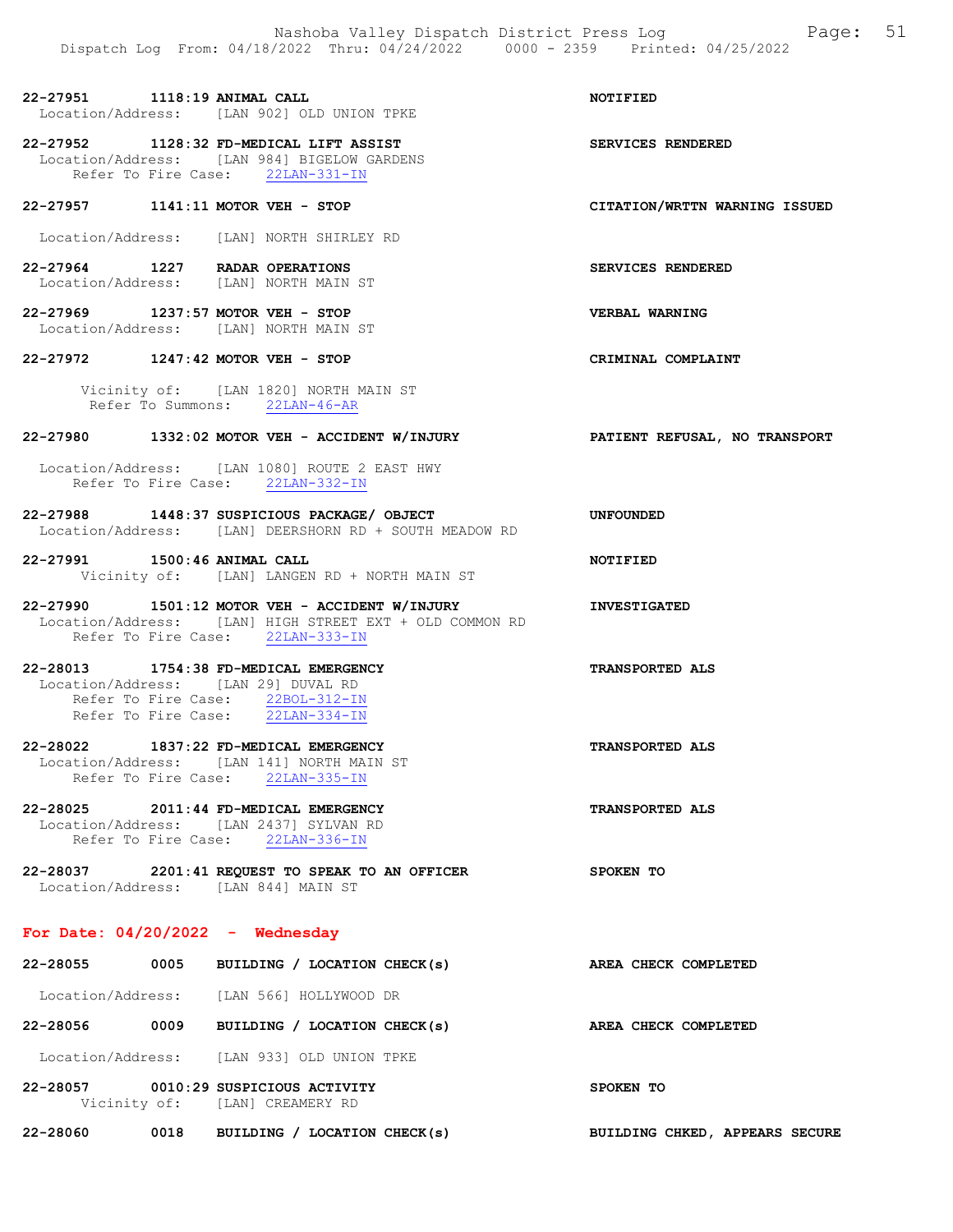22-27951 1118:19 ANIMAL CALL NOTIFIED Location/Address: [LAN 902] OLD UNION TPKE

22-27952 1128:32 FD-MEDICAL LIFT ASSIST SERVICES RENDERED Location/Address: [LAN 984] BIGELOW GARDENS Refer To Fire Case: 22LAN-331-IN

#### 22-27957 1141:11 MOTOR VEH - STOP CITATION/WRTTN WARNING ISSUED

Location/Address: [LAN] NORTH SHIRLEY RD

22-27964 1227 RADAR OPERATIONS SERVICES RENDERED Location/Address: [LAN] NORTH MAIN ST

22-27969 1237:57 MOTOR VEH - STOP VERBAL WARNING Location/Address: [LAN] NORTH MAIN ST

#### 22-27972 1247:42 MOTOR VEH - STOP CRIMINAL COMPLAINT

 Vicinity of: [LAN 1820] NORTH MAIN ST Refer To Summons: 22LAN-46-AR

### 22-27980 1332:02 MOTOR VEH - ACCIDENT W/INJURY PATIENT REFUSAL, NO TRANSPORT

Location/Address: [LAN 1080] ROUTE 2 EAST HWY Refer To Fire Case: 22LAN-332-IN

22-27988 1448:37 SUSPICIOUS PACKAGE/ OBJECT UNFOUNDED Location/Address: [LAN] DEERSHORN RD + SOUTH MEADOW RD

22-27991 1500:46 ANIMAL CALL NOTIFIED Vicinity of: [LAN] LANGEN RD + NORTH MAIN ST

22-27990 1501:12 MOTOR VEH - ACCIDENT W/INJURY INVESTIGATED Location/Address: [LAN] HIGH STREET EXT + OLD COMMON RD Refer To Fire Case: 22LAN-333-IN

22-28013 1754:38 FD-MEDICAL EMERGENCY TRANSPORTED ALS Location/Address: [LAN 29] DUVAL RD Refer To Fire Case:  $\frac{22BOL-312-IN}{22LAN-334-IN}$ Refer To Fire Case:

22-28022 1837:22 FD-MEDICAL EMERGENCY TRANSPORTED ALS Location/Address: [LAN 141] NORTH MAIN ST Refer To Fire Case: 22LAN-335-IN

22-28025 2011:44 FD-MEDICAL EMERGENCY TRANSPORTED ALS Location/Address: [LAN 2437] SYLVAN RD Refer To Fire Case: 22LAN-336-IN

22-28037 2201:41 REQUEST TO SPEAK TO AN OFFICER SPOKEN TO Location/Address: [LAN 844] MAIN ST

#### For Date: 04/20/2022 - Wednesday

| 22-28055          | 0005         | BUILDING / LOCATION CHECK(s)                     | AREA CHECK COMPLETED           |  |
|-------------------|--------------|--------------------------------------------------|--------------------------------|--|
| Location/Address: |              | [LAN 566] HOLLYWOOD DR                           |                                |  |
| 22-28056          | 0009         | BUILDING / LOCATION CHECK(s)                     | AREA CHECK COMPLETED           |  |
| Location/Address: |              | [LAN 933] OLD UNION TPKE                         |                                |  |
| 22-28057          | Vicinity of: | 0010:29 SUSPICIOUS ACTIVITY<br>[LAN] CREAMERY RD | SPOKEN TO                      |  |
| 22-28060          | 0018         | LOCATION CHECK(s)<br>BUILDING /                  | BUILDING CHKED, APPEARS SECURE |  |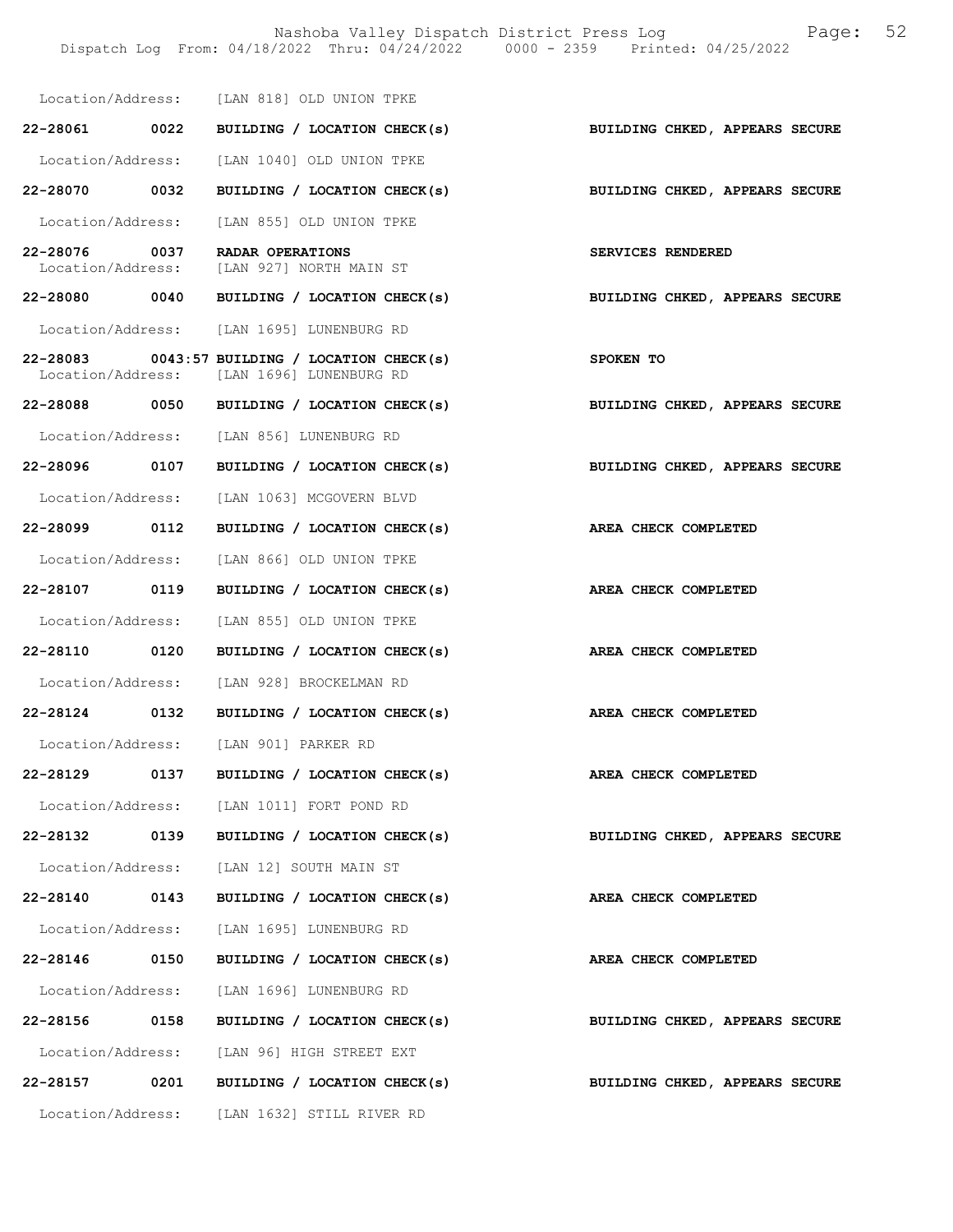Nashoba Valley Dispatch District Press Log Fage: 52 Dispatch Log From: 04/18/2022 Thru: 04/24/2022 0000 - 2359 Printed: 04/25/2022

|                                    |      | Location/Address: [LAN 818] OLD UNION TPKE                                                   |                                |
|------------------------------------|------|----------------------------------------------------------------------------------------------|--------------------------------|
| 22-28061 0022                      |      | BUILDING / LOCATION CHECK(s)                                                                 | BUILDING CHKED, APPEARS SECURE |
|                                    |      | Location/Address: [LAN 1040] OLD UNION TPKE                                                  |                                |
| 22-28070 0032                      |      | BUILDING / LOCATION CHECK(s) BUILDING CHKED, APPEARS SECURE                                  |                                |
|                                    |      | Location/Address: [LAN 855] OLD UNION TPKE                                                   |                                |
| 22-28076 0037<br>Location/Address: |      | <b>RADAR OPERATIONS</b><br>[LAN 927] NORTH MAIN ST                                           | SERVICES RENDERED              |
|                                    |      | 22-28080 0040 BUILDING / LOCATION CHECK(s)                                                   | BUILDING CHKED, APPEARS SECURE |
|                                    |      | Location/Address: [LAN 1695] LUNENBURG RD                                                    |                                |
|                                    |      | $22-28083$ 0043:57 BUILDING / LOCATION CHECK(s)<br>Location/Address: [LAN 1696] LUNENBURG RD | SPOKEN TO                      |
|                                    |      | 22-28088 0050 BUILDING / LOCATION CHECK(s)                                                   | BUILDING CHKED, APPEARS SECURE |
|                                    |      | Location/Address: [LAN 856] LUNENBURG RD                                                     |                                |
| 22-28096 0107                      |      | BUILDING / LOCATION CHECK(s) BUILDING CHKED, APPEARS SECURE                                  |                                |
|                                    |      | Location/Address: [LAN 1063] MCGOVERN BLVD                                                   |                                |
| 22-28099 0112                      |      | BUILDING / LOCATION CHECK(s)                                                                 | AREA CHECK COMPLETED           |
|                                    |      | Location/Address: [LAN 866] OLD UNION TPKE                                                   |                                |
| 22-28107 0119                      |      | BUILDING / LOCATION CHECK(s)                                                                 | AREA CHECK COMPLETED           |
| Location/Address:                  |      | [LAN 855] OLD UNION TPKE                                                                     |                                |
| 22-28110 0120                      |      | BUILDING / LOCATION CHECK(s)                                                                 | AREA CHECK COMPLETED           |
|                                    |      | Location/Address: [LAN 928] BROCKELMAN RD                                                    |                                |
|                                    |      | 22-28124 0132 BUILDING / LOCATION CHECK(s)                                                   | AREA CHECK COMPLETED           |
|                                    |      | Location/Address: [LAN 901] PARKER RD                                                        |                                |
| 22-28129                           | 0137 | BUILDING / LOCATION CHECK(s)                                                                 | AREA CHECK COMPLETED           |
|                                    |      | Location/Address: [LAN 1011] FORT POND RD                                                    |                                |
| 22-28132 0139                      |      | BUILDING / LOCATION CHECK(s)                                                                 | BUILDING CHKED, APPEARS SECURE |
|                                    |      | Location/Address: [LAN 12] SOUTH MAIN ST                                                     |                                |
| 22-28140                           | 0143 | BUILDING / LOCATION CHECK(s)                                                                 | AREA CHECK COMPLETED           |
|                                    |      | Location/Address: [LAN 1695] LUNENBURG RD                                                    |                                |
| 22-28146                           | 0150 | BUILDING / LOCATION CHECK(s)                                                                 | AREA CHECK COMPLETED           |
|                                    |      | Location/Address: [LAN 1696] LUNENBURG RD                                                    |                                |
| 22-28156 0158                      |      | BUILDING / LOCATION CHECK(s)                                                                 | BUILDING CHKED, APPEARS SECURE |
|                                    |      | Location/Address: [LAN 96] HIGH STREET EXT                                                   |                                |
| 22-28157                           | 0201 | BUILDING / LOCATION CHECK(s)                                                                 | BUILDING CHKED, APPEARS SECURE |
|                                    |      | Location/Address: [LAN 1632] STILL RIVER RD                                                  |                                |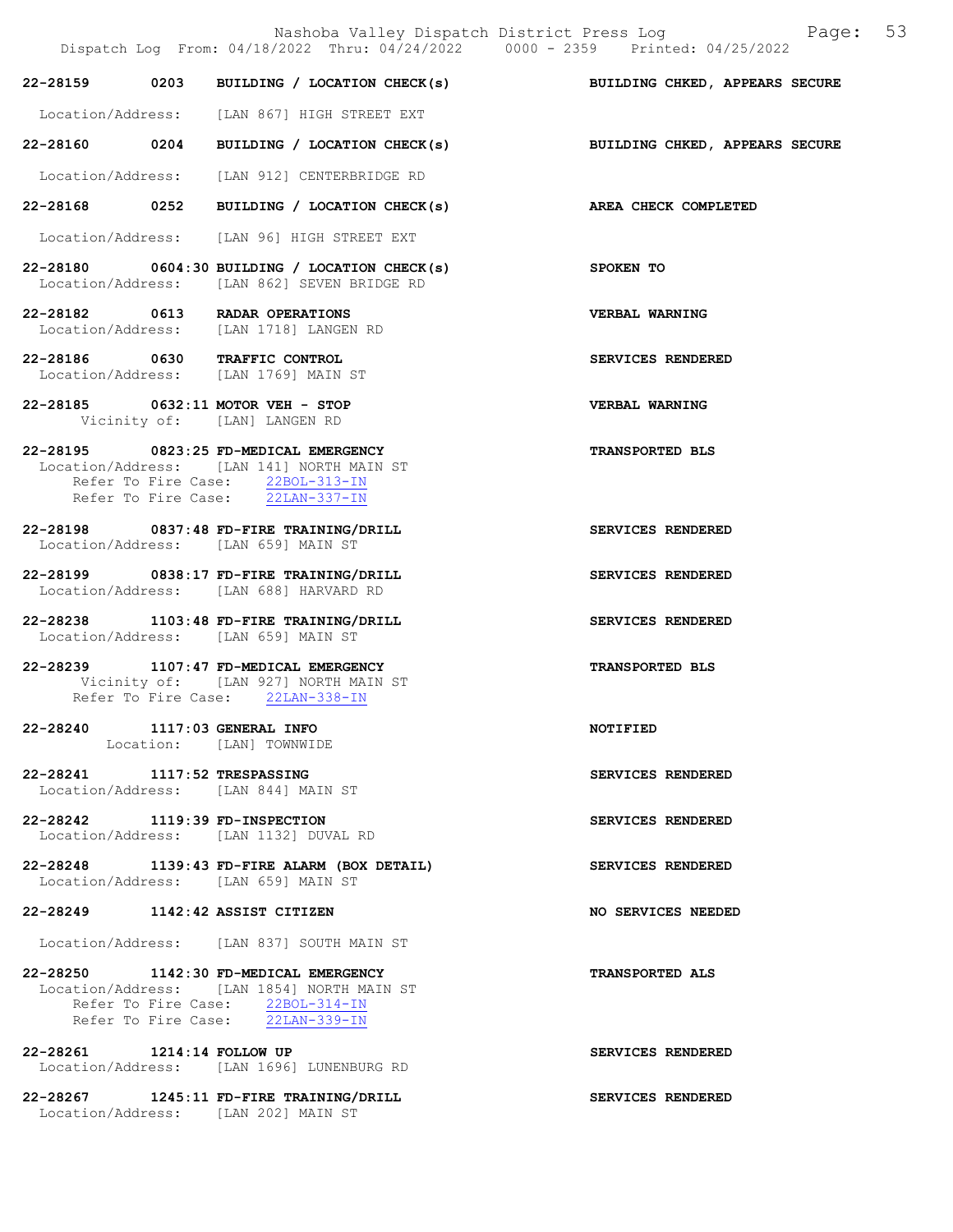|                            |                                                                                                                                                             | Nashoba Valley Dispatch District Press Log Mashoba Valley Dispatch District Press Log<br>Dispatch Log From: 04/18/2022 Thru: 04/24/2022 0000 - 2359 Printed: 04/25/2022 |
|----------------------------|-------------------------------------------------------------------------------------------------------------------------------------------------------------|-------------------------------------------------------------------------------------------------------------------------------------------------------------------------|
|                            |                                                                                                                                                             | 22-28159 0203 BUILDING / LOCATION CHECK(s) BUILDING CHKED, APPEARS SECURE                                                                                               |
|                            | Location/Address: [LAN 867] HIGH STREET EXT                                                                                                                 |                                                                                                                                                                         |
|                            | 22-28160 0204 BUILDING / LOCATION CHECK(s)                                                                                                                  | BUILDING CHKED, APPEARS SECURE                                                                                                                                          |
|                            | Location/Address: [LAN 912] CENTERBRIDGE RD                                                                                                                 |                                                                                                                                                                         |
|                            | 22-28168 0252 BUILDING / LOCATION CHECK(s)                                                                                                                  | AREA CHECK COMPLETED                                                                                                                                                    |
|                            | Location/Address: [LAN 96] HIGH STREET EXT                                                                                                                  |                                                                                                                                                                         |
|                            | 22-28180 0604:30 BUILDING / LOCATION CHECK(s) SPOKEN TO<br>Location/Address: [LAN 862] SEVEN BRIDGE RD                                                      |                                                                                                                                                                         |
|                            | 22-28182 0613 RADAR OPERATIONS<br>Location/Address: [LAN 1718] LANGEN RD                                                                                    | <b>VERBAL WARNING</b>                                                                                                                                                   |
|                            | 22-28186 0630 TRAFFIC CONTROL<br>Location/Address: [LAN 1769] MAIN ST                                                                                       | SERVICES RENDERED                                                                                                                                                       |
|                            | 22-28185 0632:11 MOTOR VEH - STOP<br>Vicinity of: [LAN] LANGEN RD                                                                                           | <b>VERBAL WARNING</b>                                                                                                                                                   |
|                            | 22-28195 0823:25 FD-MEDICAL EMERGENCY<br>Location/Address: [LAN 141] NORTH MAIN ST<br>Refer To Fire Case: 22BOL-313-IN<br>Refer To Fire Case: 22LAN-337-IN  | <b>TRANSPORTED BLS</b>                                                                                                                                                  |
|                            | 22-28198 0837:48 FD-FIRE TRAINING/DRILL<br>Location/Address: [LAN 659] MAIN ST                                                                              | SERVICES RENDERED                                                                                                                                                       |
|                            | 22-28199 0838:17 FD-FIRE TRAINING/DRILL<br>Location/Address: [LAN 688] HARVARD RD                                                                           | SERVICES RENDERED                                                                                                                                                       |
|                            | 22-28238 1103:48 FD-FIRE TRAINING/DRILL<br>Location/Address: [LAN 659] MAIN ST                                                                              | SERVICES RENDERED                                                                                                                                                       |
|                            | 22-28239 1107:47 FD-MEDICAL EMERGENCY<br>Vicinity of: [LAN 927] NORTH MAIN ST<br>Refer To Fire Case: 22LAN-338-IN                                           | <b>TRANSPORTED BLS</b>                                                                                                                                                  |
|                            | 22-28240 1117:03 GENERAL INFO<br>Location: [LAN] TOWNWIDE                                                                                                   | <b>NOTIFIED</b>                                                                                                                                                         |
|                            | 22-28241 1117:52 TRESPASSING<br>Location/Address: [LAN 844] MAIN ST                                                                                         | SERVICES RENDERED                                                                                                                                                       |
|                            | 22-28242 1119:39 FD-INSPECTION<br>Location/Address: [LAN 1132] DUVAL RD                                                                                     | SERVICES RENDERED                                                                                                                                                       |
|                            | 22-28248 1139:43 FD-FIRE ALARM (BOX DETAIL)<br>Location/Address: [LAN 659] MAIN ST                                                                          | SERVICES RENDERED                                                                                                                                                       |
|                            | 22-28249 1142:42 ASSIST CITIZEN                                                                                                                             | NO SERVICES NEEDED                                                                                                                                                      |
|                            | Location/Address: [LAN 837] SOUTH MAIN ST                                                                                                                   |                                                                                                                                                                         |
|                            | 22-28250 1142:30 FD-MEDICAL EMERGENCY<br>Location/Address: [LAN 1854] NORTH MAIN ST<br>Refer To Fire Case: 22BOL-314-IN<br>Refer To Fire Case: 22LAN-339-IN | TRANSPORTED ALS                                                                                                                                                         |
| 22-28261 1214:14 FOLLOW UP | Location/Address: [LAN 1696] LUNENBURG RD                                                                                                                   | SERVICES RENDERED                                                                                                                                                       |
|                            | 22-28267 1245:11 FD-FIRE TRAINING/DRILL                                                                                                                     | SERVICES RENDERED                                                                                                                                                       |

Location/Address: [LAN 202] MAIN ST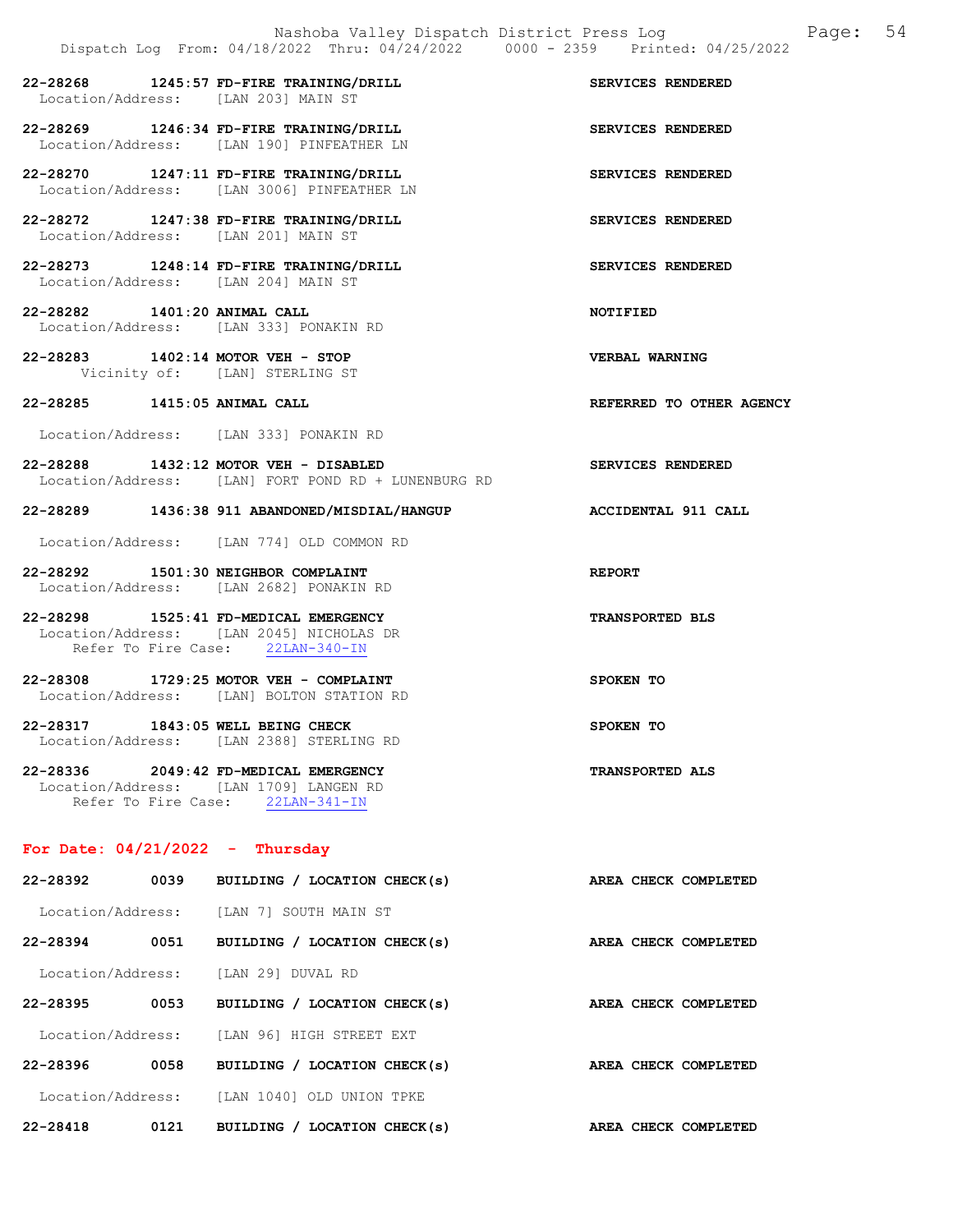22-28268 1245:57 FD-FIRE TRAINING/DRILL SERVICES RENDERED Location/Address: [LAN 203] MAIN ST 22-28269 1246:34 FD-FIRE TRAINING/DRILL SERVICES RENDERED Location/Address: [LAN 190] PINFEATHER LN 22-28270 1247:11 FD-FIRE TRAINING/DRILL SERVICES RENDERED Location/Address: [LAN 3006] PINFEATHER LN 22-28272 1247:38 FD-FIRE TRAINING/DRILL SERVICES RENDERED Location/Address: [LAN 201] MAIN ST 22-28273 1248:14 FD-FIRE TRAINING/DRILL SERVICES RENDERED Location/Address: [LAN 204] MAIN ST 22-28282 1401:20 ANIMAL CALL NOTIFIED Location/Address: [LAN 333] PONAKIN RD 22-28283 1402:14 MOTOR VEH - STOP VERBAL WARNING Vicinity of: [LAN] STERLING ST 22-28285 1415:05 ANIMAL CALL REFERRED TO OTHER AGENCY Location/Address: [LAN 333] PONAKIN RD 22-28288 1432:12 MOTOR VEH - DISABLED SERVICES RENDERED Location/Address: [LAN] FORT POND RD + LUNENBURG RD 22-28289 1436:38 911 ABANDONED/MISDIAL/HANGUP ACCIDENTAL 911 CALL Location/Address: [LAN 774] OLD COMMON RD 22-28292 1501:30 NEIGHBOR COMPLAINT REPORT Location/Address: [LAN 2682] PONAKIN RD 22-28298 1525:41 FD-MEDICAL EMERGENCY TRANSPORTED BLS Location/Address: [LAN 2045] NICHOLAS DR Refer To Fire Case: 22LAN-340-IN 22-28308 1729:25 MOTOR VEH - COMPLAINT SPOKEN TO Location/Address: [LAN] BOLTON STATION RD 22-28317 1843:05 WELL BEING CHECK SPOKEN TO Location/Address: [LAN 2388] STERLING RD 22-28336 2049:42 FD-MEDICAL EMERGENCY TRANSPORTED ALS Location/Address: [LAN 1709] LANGEN RD Refer To Fire Case: 22LAN-341-IN

## For Date:  $04/21/2022 -$  Thursday

| 22-28392          | 0039 | BUILDING / LOCATION CHECK(s)         | AREA CHECK COMPLETED |
|-------------------|------|--------------------------------------|----------------------|
| Location/Address: |      | SOUTH MAIN ST<br>TLAN 71             |                      |
| 22-28394          | 0051 | BUILDING / LOCATION CHECK(s)         | AREA CHECK COMPLETED |
| Location/Address: |      | [LAN 29] DUVAL RD                    |                      |
| 22-28395          | 0053 | BUILDING / LOCATION CHECK(s)         | AREA CHECK COMPLETED |
| Location/Address: |      | [LAN 96] HIGH STREET EXT             |                      |
| 22-28396          | 0058 | BUILDING / LOCATION CHECK(s)         | AREA CHECK COMPLETED |
| Location/Address: |      | [LAN 1040] OLD UNION TPKE            |                      |
| 22-28418          | 0121 | <b>BUILDING</b><br>LOCATION CHECK(s) | AREA CHECK COMPLETED |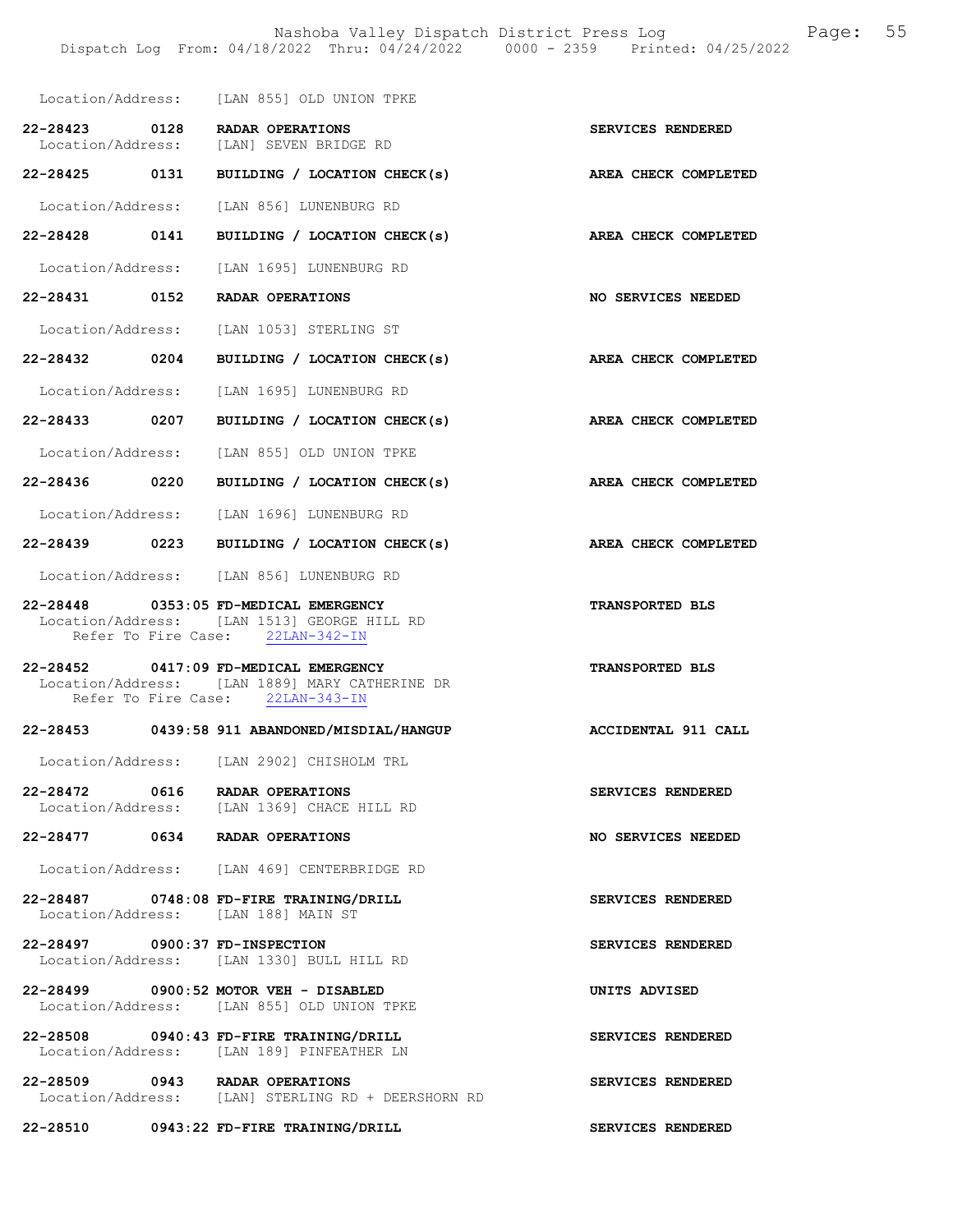Location/Address: [LAN 855] OLD UNION TPKE 22-28423 0128 RADAR OPERATIONS SERVICES RENDERED<br>Location/Address: [LAN] SEVEN BRIDGE RD [LAN] SEVEN BRIDGE RD 22-28425 0131 BUILDING / LOCATION CHECK(s) AREA CHECK COMPLETED Location/Address: [LAN 856] LUNENBURG RD 22-28428 0141 BUILDING / LOCATION CHECK(s) AREA CHECK COMPLETED Location/Address: [LAN 1695] LUNENBURG RD 22-28431 0152 RADAR OPERATIONS NO SERVICES NEEDED Location/Address: [LAN 1053] STERLING ST 22-28432 0204 BUILDING / LOCATION CHECK(s) AREA CHECK COMPLETED Location/Address: [LAN 1695] LUNENBURG RD 22-28433 0207 BUILDING / LOCATION CHECK(s) AREA CHECK COMPLETED Location/Address: [LAN 855] OLD UNION TPKE 22-28436 0220 BUILDING / LOCATION CHECK(s) AREA CHECK COMPLETED Location/Address: [LAN 1696] LUNENBURG RD 22-28439 0223 BUILDING / LOCATION CHECK(s) AREA CHECK COMPLETED Location/Address: [LAN 856] LUNENBURG RD 22-28448 0353:05 FD-MEDICAL EMERGENCY TRANSPORTED BLS Location/Address: [LAN 1513] GEORGE HILL RD<br>Refer To Fire Case: 22LAN-342-IN Refer To Fire Case: 22-28452 0417:09 FD-MEDICAL EMERGENCY TRANSPORTED BLS Location/Address: [LAN 1889] MARY CATHERINE DR Refer To Fire Case: 22LAN-343-IN 22-28453 0439:58 911 ABANDONED/MISDIAL/HANGUP ACCIDENTAL 911 CALL Location/Address: [LAN 2902] CHISHOLM TRL 22-28472 0616 RADAR OPERATIONS SERVICES RENDERED Location/Address: [LAN 1369] CHACE HILL RD 22-28477 0634 RADAR OPERATIONS NO SERVICES NEEDED Location/Address: [LAN 469] CENTERBRIDGE RD 22-28487 0748:08 FD-FIRE TRAINING/DRILL SERVICES RENDERED Location/Address: [LAN 188] MAIN ST 22-28497 0900:37 FD-INSPECTION SERVICES RENDERED Location/Address: [LAN 1330] BULL HILL RD 22-28499 0900:52 MOTOR VEH - DISABLED UNITS ADVISED Location/Address: [LAN 855] OLD UNION TPKE 22-28508 0940:43 FD-FIRE TRAINING/DRILL SERVICES RENDERED Location/Address: [LAN 189] PINFEATHER LN 22-28509 0943 RADAR OPERATIONS SERVICES RENDERED<br>Location/Address: [LAN] STERLING RD + DEERSHORN RD [LAN] STERLING RD + DEERSHORN RD 22-28510 0943:22 FD-FIRE TRAINING/DRILL SERVICES RENDERED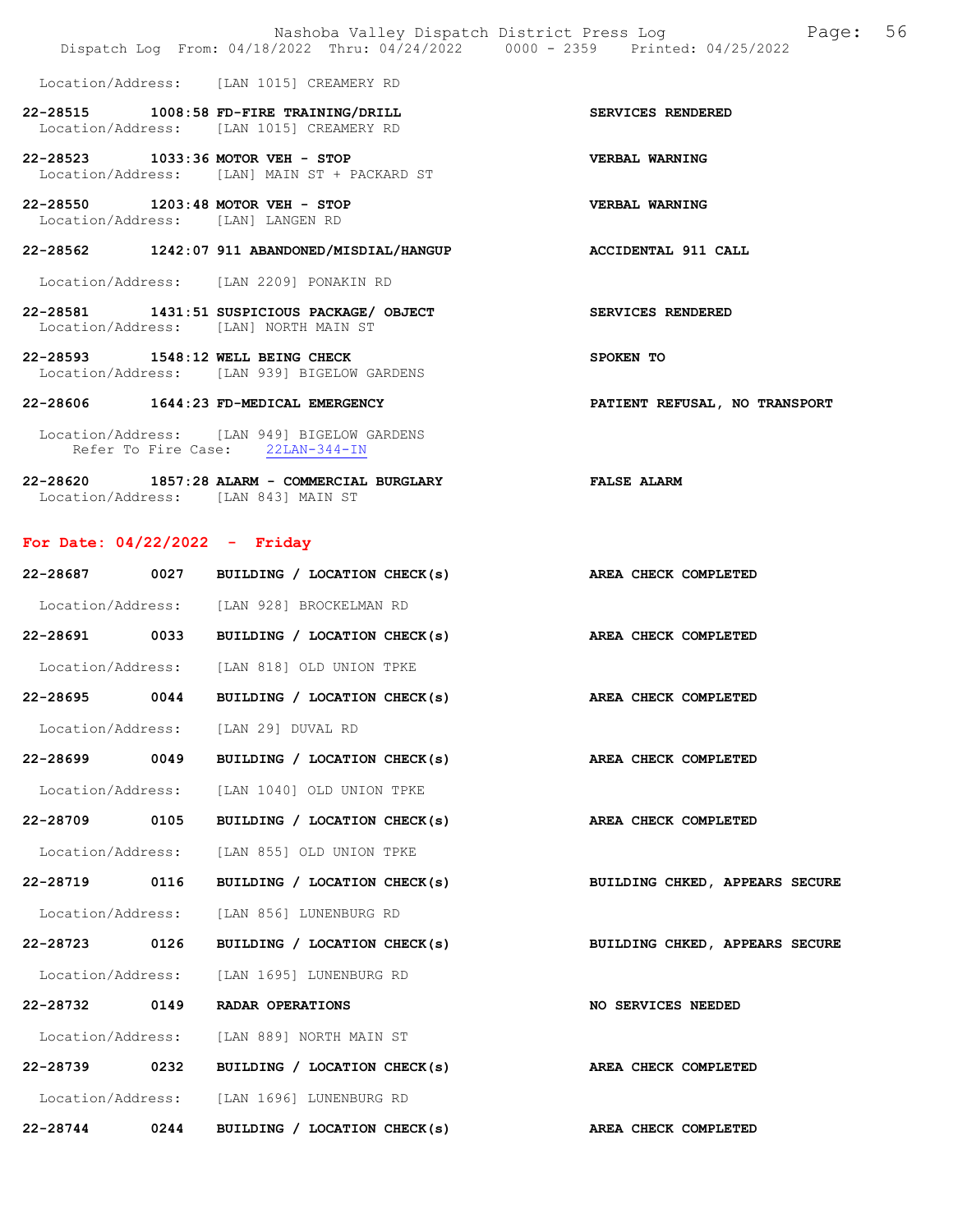|                                                                                     | Dispatch Log From: 04/18/2022 Thru: 04/24/2022 0000 - 2359 Printed: 04/25/2022  | Nashoba Valley Dispatch District Press Log Mashoba Valley Dispatch District Press Log |
|-------------------------------------------------------------------------------------|---------------------------------------------------------------------------------|---------------------------------------------------------------------------------------|
|                                                                                     | Location/Address: [LAN 1015] CREAMERY RD                                        |                                                                                       |
| 22-28515 1008:58 FD-FIRE TRAINING/DRILL<br>Location/Address: [LAN 1015] CREAMERY RD |                                                                                 | SERVICES RENDERED                                                                     |
| 22-28523 1033:36 MOTOR VEH - STOP                                                   | Location/Address: [LAN] MAIN ST + PACKARD ST                                    | VERBAL WARNING                                                                        |
| 22-28550 1203:48 MOTOR VEH - STOP<br>Location/Address: [LAN] LANGEN RD              |                                                                                 | VERBAL WARNING                                                                        |
|                                                                                     | 22-28562 1242:07 911 ABANDONED/MISDIAL/HANGUP                                   | <b>ACCIDENTAL 911 CALL</b>                                                            |
| Location/Address: [LAN 2209] PONAKIN RD                                             |                                                                                 |                                                                                       |
| Location/Address: [LAN] NORTH MAIN ST                                               | 22-28581 1431:51 SUSPICIOUS PACKAGE/ OBJECT                                     | SERVICES RENDERED                                                                     |
| 22-28593 1548:12 WELL BEING CHECK                                                   | Location/Address: [LAN 939] BIGELOW GARDENS                                     | SPOKEN TO                                                                             |
| 22-28606 1644:23 FD-MEDICAL EMERGENCY                                               |                                                                                 | PATIENT REFUSAL, NO TRANSPORT                                                         |
|                                                                                     | Location/Address: [LAN 949] BIGELOW GARDENS<br>Refer To Fire Case: 22LAN-344-IN |                                                                                       |
| Location/Address: [LAN 843] MAIN ST                                                 | 22-28620 1857:28 ALARM - COMMERCIAL BURGLARY<br><b>EXALSE ALARM</b>             |                                                                                       |

# For Date: 04/22/2022 - Friday

| 22-28687      | 0027 | BUILDING / LOCATION CHECK(s)                      | AREA CHECK COMPLETED           |
|---------------|------|---------------------------------------------------|--------------------------------|
|               |      | Location/Address: [LAN 928] BROCKELMAN RD         |                                |
| 22-28691 0033 |      | BUILDING / LOCATION CHECK(s) AREA CHECK COMPLETED |                                |
|               |      | Location/Address: [LAN 818] OLD UNION TPKE        |                                |
| 22-28695 0044 |      | BUILDING / LOCATION CHECK(s) AREA CHECK COMPLETED |                                |
|               |      | Location/Address: [LAN 29] DUVAL RD               |                                |
| 22-28699 0049 |      | BUILDING / LOCATION CHECK(s) AREA CHECK COMPLETED |                                |
|               |      | Location/Address: [LAN 1040] OLD UNION TPKE       |                                |
| 22-28709 0105 |      | BUILDING / LOCATION CHECK(s) AREA CHECK COMPLETED |                                |
|               |      | Location/Address: [LAN 855] OLD UNION TPKE        |                                |
|               |      | 22-28719 0116 BUILDING / LOCATION CHECK(s)        | BUILDING CHKED, APPEARS SECURE |
|               |      | Location/Address: [LAN 856] LUNENBURG RD          |                                |
| 22-28723 0126 |      | BUILDING / LOCATION CHECK(s)                      | BUILDING CHKED, APPEARS SECURE |
|               |      | Location/Address: [LAN 1695] LUNENBURG RD         |                                |
| 22-28732 0149 |      | RADAR OPERATIONS                                  | NO SERVICES NEEDED             |
|               |      | Location/Address: [LAN 889] NORTH MAIN ST         |                                |
| 22-28739 0232 |      | BUILDING / LOCATION CHECK(s) AREA CHECK COMPLETED |                                |
|               |      | Location/Address: [LAN 1696] LUNENBURG RD         |                                |
| 22-28744 0244 |      | BUILDING / LOCATION CHECK(s) AREA CHECK COMPLETED |                                |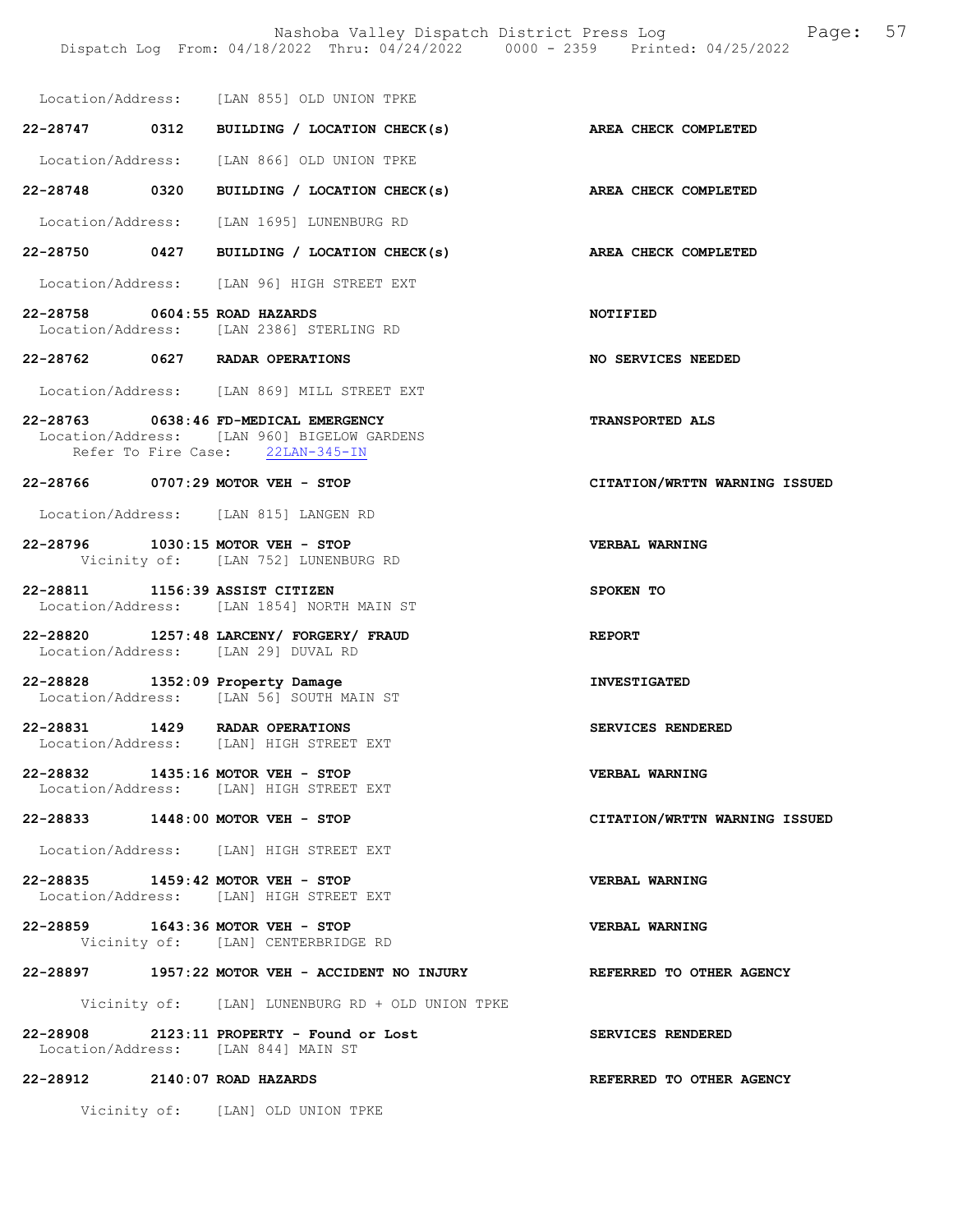|                                 | Location/Address: [LAN 855] OLD UNION TPKE                                                                               |                                 |
|---------------------------------|--------------------------------------------------------------------------------------------------------------------------|---------------------------------|
|                                 | 22-28747 0312 BUILDING / LOCATION CHECK(s) AREA CHECK COMPLETED                                                          |                                 |
|                                 | Location/Address: [LAN 866] OLD UNION TPKE                                                                               |                                 |
|                                 | 22-28748 0320 BUILDING / LOCATION CHECK(s)                                                                               | <b>AREA CHECK COMPLETED</b>     |
|                                 | Location/Address: [LAN 1695] LUNENBURG RD                                                                                |                                 |
|                                 | 22-28750 0427 BUILDING / LOCATION CHECK(s) AREA CHECK COMPLETED                                                          |                                 |
|                                 | Location/Address: [LAN 96] HIGH STREET EXT                                                                               |                                 |
| 22-28758 0604:55 ROAD HAZARDS   | Location/Address: [LAN 2386] STERLING RD                                                                                 | <b>NOTIFIED</b>                 |
|                                 | 22-28762 0627 RADAR OPERATIONS                                                                                           | NO SERVICES NEEDED              |
|                                 | Location/Address: [LAN 869] MILL STREET EXT                                                                              |                                 |
|                                 | 22-28763 0638:46 FD-MEDICAL EMERGENCY<br>Location/Address: [LAN 960] BIGELOW GARDENS<br>Refer To Fire Case: 22LAN-345-IN | <b>TRANSPORTED ALS</b>          |
|                                 | 22-28766 0707:29 MOTOR VEH - STOP                                                                                        | CITATION/WRTTN WARNING ISSUED   |
|                                 | Location/Address: [LAN 815] LANGEN RD                                                                                    |                                 |
|                                 | 22-28796 1030:15 MOTOR VEH - STOP<br>Vicinity of: [LAN 752] LUNENBURG RD                                                 | VERBAL WARNING                  |
| 22-28811 1156:39 ASSIST CITIZEN | Location/Address: [LAN 1854] NORTH MAIN ST                                                                               | SPOKEN TO                       |
|                                 | 22-28820 1257:48 LARCENY/ FORGERY/ FRAUD<br>Location/Address: [LAN 29] DUVAL RD                                          | REPORT                          |
|                                 | 22-28828 1352:09 Property Damage<br>Location/Address: [LAN 56] SOUTH MAIN ST                                             | <b>INVESTIGATED</b>             |
|                                 | 22-28831 1429 RADAR OPERATIONS<br>Location/Address: [LAN] HIGH STREET EXT                                                | SERVICES RENDERED               |
|                                 | 22-28832 1435:16 MOTOR VEH - STOP<br>Location/Address: [LAN] HIGH STREET EXT                                             | <b>VERBAL WARNING</b>           |
|                                 | 22-28833 1448:00 MOTOR VEH - STOP                                                                                        | CITATION/WRTTN WARNING ISSUED   |
|                                 | Location/Address: [LAN] HIGH STREET EXT                                                                                  |                                 |
|                                 | 22-28835 1459:42 MOTOR VEH - STOP<br>Location/Address: [LAN] HIGH STREET EXT                                             | VERBAL WARNING                  |
|                                 | 22-28859 1643:36 MOTOR VEH - STOP<br>Vicinity of: [LAN] CENTERBRIDGE RD                                                  | VERBAL WARNING                  |
|                                 | 22-28897 1957:22 MOTOR VEH - ACCIDENT NO INJURY                                                                          | <b>REFERRED TO OTHER AGENCY</b> |
|                                 | Vicinity of: [LAN] LUNENBURG RD + OLD UNION TPKE                                                                         |                                 |
|                                 | 22-28908 2123:11 PROPERTY - Found or Lost<br>Location/Address: [LAN 844] MAIN ST                                         | SERVICES RENDERED               |
| 22-28912 2140:07 ROAD HAZARDS   |                                                                                                                          | REFERRED TO OTHER AGENCY        |
|                                 | Vicinity of: [LAN] OLD UNION TPKE                                                                                        |                                 |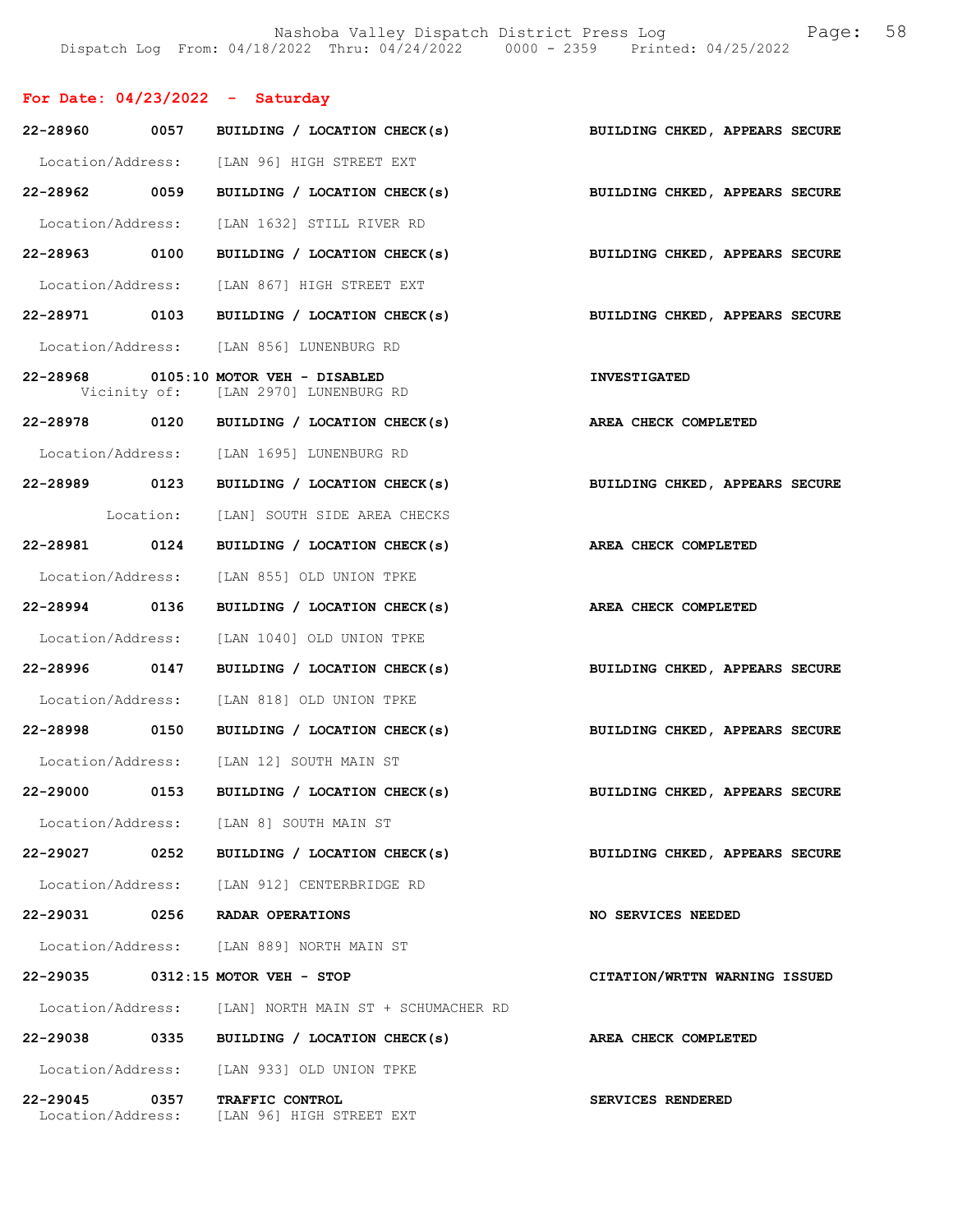## For Date: 04/23/2022 - Saturday

| 22-28960 0057 |      | BUILDING / LOCATION CHECK(s)                                                  | BUILDING CHKED, APPEARS SECURE |
|---------------|------|-------------------------------------------------------------------------------|--------------------------------|
|               |      | Location/Address: [LAN 96] HIGH STREET EXT                                    |                                |
| 22-28962 0059 |      | BUILDING / LOCATION CHECK(s) BUILDING CHKED, APPEARS SECURE                   |                                |
|               |      | Location/Address: [LAN 1632] STILL RIVER RD                                   |                                |
| 22-28963 0100 |      | BUILDING / LOCATION CHECK(s) BUILDING CHKED, APPEARS SECURE                   |                                |
|               |      | Location/Address: [LAN 867] HIGH STREET EXT                                   |                                |
|               |      | 22-28971 0103 BUILDING / LOCATION CHECK(s) BUILDING CHKED, APPEARS SECURE     |                                |
|               |      | Location/Address: [LAN 856] LUNENBURG RD                                      |                                |
|               |      | 22-28968 0105:10 MOTOR VEH - DISABLED<br>Vicinity of: [LAN 2970] LUNENBURG RD | <b>INVESTIGATED</b>            |
|               |      | 22-28978 0120 BUILDING / LOCATION CHECK(s)                                    | AREA CHECK COMPLETED           |
|               |      | Location/Address: [LAN 1695] LUNENBURG RD                                     |                                |
| 22-28989 0123 |      | BUILDING / LOCATION CHECK(s)                                                  | BUILDING CHKED, APPEARS SECURE |
|               |      | Location: [LAN] SOUTH SIDE AREA CHECKS                                        |                                |
| 22-28981 0124 |      | BUILDING / LOCATION CHECK(s) AREA CHECK COMPLETED                             |                                |
|               |      | Location/Address: [LAN 855] OLD UNION TPKE                                    |                                |
| 22-28994 0136 |      | BUILDING / LOCATION CHECK(s)                                                  | AREA CHECK COMPLETED           |
|               |      | Location/Address: [LAN 1040] OLD UNION TPKE                                   |                                |
| 22-28996 0147 |      | BUILDING / LOCATION CHECK(s)                                                  | BUILDING CHKED, APPEARS SECURE |
|               |      | Location/Address: [LAN 818] OLD UNION TPKE                                    |                                |
| 22-28998 0150 |      | BUILDING / LOCATION CHECK(s) BUILDING CHKED, APPEARS SECURE                   |                                |
|               |      | Location/Address: [LAN 12] SOUTH MAIN ST                                      |                                |
|               |      | 22-29000 0153 BUILDING / LOCATION CHECK(s)                                    | BUILDING CHKED, APPEARS SECURE |
|               |      | Location/Address: [LAN 8] SOUTH MAIN ST                                       |                                |
| 22-29027      | 0252 | BUILDING / LOCATION CHECK(s)                                                  | BUILDING CHKED, APPEARS SECURE |
|               |      | Location/Address: [LAN 912] CENTERBRIDGE RD                                   |                                |
|               |      | 22-29031 0256 RADAR OPERATIONS                                                | NO SERVICES NEEDED             |
|               |      | Location/Address: [LAN 889] NORTH MAIN ST                                     |                                |
|               |      | 22-29035 0312:15 MOTOR VEH - STOP                                             | CITATION/WRTTN WARNING ISSUED  |
|               |      | Location/Address: [LAN] NORTH MAIN ST + SCHUMACHER RD                         |                                |
| 22-29038      | 0335 | BUILDING / LOCATION CHECK(s)                                                  | AREA CHECK COMPLETED           |
|               |      | Location/Address: [LAN 933] OLD UNION TPKE                                    |                                |
| 22-29045      | 0357 | TRAFFIC CONTROL<br>Location/Address: [LAN 96] HIGH STREET EXT                 | SERVICES RENDERED              |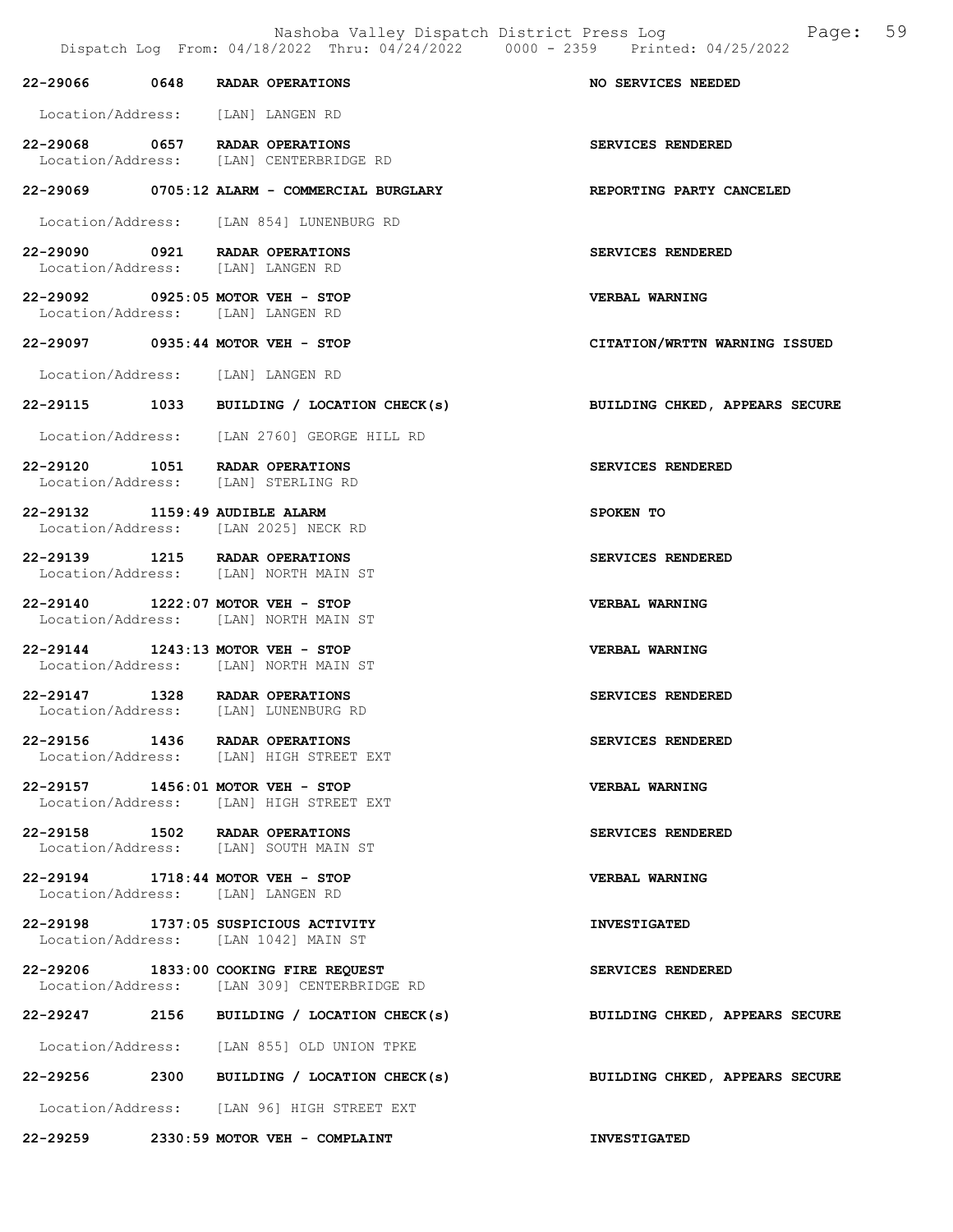|                                   | Dispatch Log From: 04/18/2022 Thru: 04/24/2022 0000 - 2359 Printed: 04/25/2022       |                                |
|-----------------------------------|--------------------------------------------------------------------------------------|--------------------------------|
| 22-29066 0648 RADAR OPERATIONS    |                                                                                      | NO SERVICES NEEDED             |
|                                   | Location/Address: [LAN] LANGEN RD                                                    |                                |
|                                   | 22-29068 0657 RADAR OPERATIONS<br>Location/Address: [LAN] CENTERBRIDGE RD            | SERVICES RENDERED              |
|                                   | 22-29069 0705:12 ALARM - COMMERCIAL BURGLARY                                         | REPORTING PARTY CANCELED       |
|                                   | Location/Address: [LAN 854] LUNENBURG RD                                             |                                |
| 22-29090 0921 RADAR OPERATIONS    | Location/Address: [LAN] LANGEN RD                                                    | SERVICES RENDERED              |
| 22-29092 0925:05 MOTOR VEH - STOP | Location/Address: [LAN] LANGEN RD                                                    | <b>VERBAL WARNING</b>          |
| 22-29097 0935:44 MOTOR VEH - STOP |                                                                                      | CITATION/WRTTN WARNING ISSUED  |
|                                   | Location/Address: [LAN] LANGEN RD                                                    |                                |
|                                   | 22-29115 1033 BUILDING / LOCATION CHECK(s)                                           | BUILDING CHKED, APPEARS SECURE |
|                                   | Location/Address: [LAN 2760] GEORGE HILL RD                                          |                                |
| 22-29120 1051 RADAR OPERATIONS    | Location/Address: [LAN] STERLING RD                                                  | SERVICES RENDERED              |
|                                   | 22-29132 1159:49 AUDIBLE ALARM<br>Location/Address: [LAN 2025] NECK RD               | SPOKEN TO                      |
| 22-29139 1215 RADAR OPERATIONS    | Location/Address: [LAN] NORTH MAIN ST                                                | SERVICES RENDERED              |
|                                   | 22-29140 1222:07 MOTOR VEH - STOP<br>Location/Address: [LAN] NORTH MAIN ST           | <b>VERBAL WARNING</b>          |
| 22-29144 1243:13 MOTOR VEH - STOP | Location/Address: [LAN] NORTH MAIN ST                                                | VERBAL WARNING                 |
| 22-29147 1328 RADAR OPERATIONS    | Location/Address: [LAN] LUNENBURG RD                                                 | SERVICES RENDERED              |
| 22-29156 1436 RADAR OPERATIONS    | Location/Address: [LAN] HIGH STREET EXT                                              | SERVICES RENDERED              |
| 22-29157 1456:01 MOTOR VEH - STOP | Location/Address: [LAN] HIGH STREET EXT                                              | <b>VERBAL WARNING</b>          |
| 22-29158 1502 RADAR OPERATIONS    | Location/Address: [LAN] SOUTH MAIN ST                                                | SERVICES RENDERED              |
| 22-29194 1718:44 MOTOR VEH - STOP | Location/Address: [LAN] LANGEN RD                                                    | <b>VERBAL WARNING</b>          |
|                                   | 22-29198 1737:05 SUSPICIOUS ACTIVITY<br>Location/Address: [LAN 1042] MAIN ST         | <b>INVESTIGATED</b>            |
|                                   | 22-29206 1833:00 COOKING FIRE REQUEST<br>Location/Address: [LAN 309] CENTERBRIDGE RD | SERVICES RENDERED              |
|                                   | 22-29247 2156 BUILDING / LOCATION CHECK(s)                                           | BUILDING CHKED, APPEARS SECURE |
|                                   | Location/Address: [LAN 855] OLD UNION TPKE                                           |                                |
|                                   | $22-29256$ 2300 BUILDING / LOCATION CHECK(s)                                         | BUILDING CHKED, APPEARS SECURE |

Location/Address: [LAN 96] HIGH STREET EXT

22-29259 2330:59 MOTOR VEH - COMPLAINT INVESTIGATED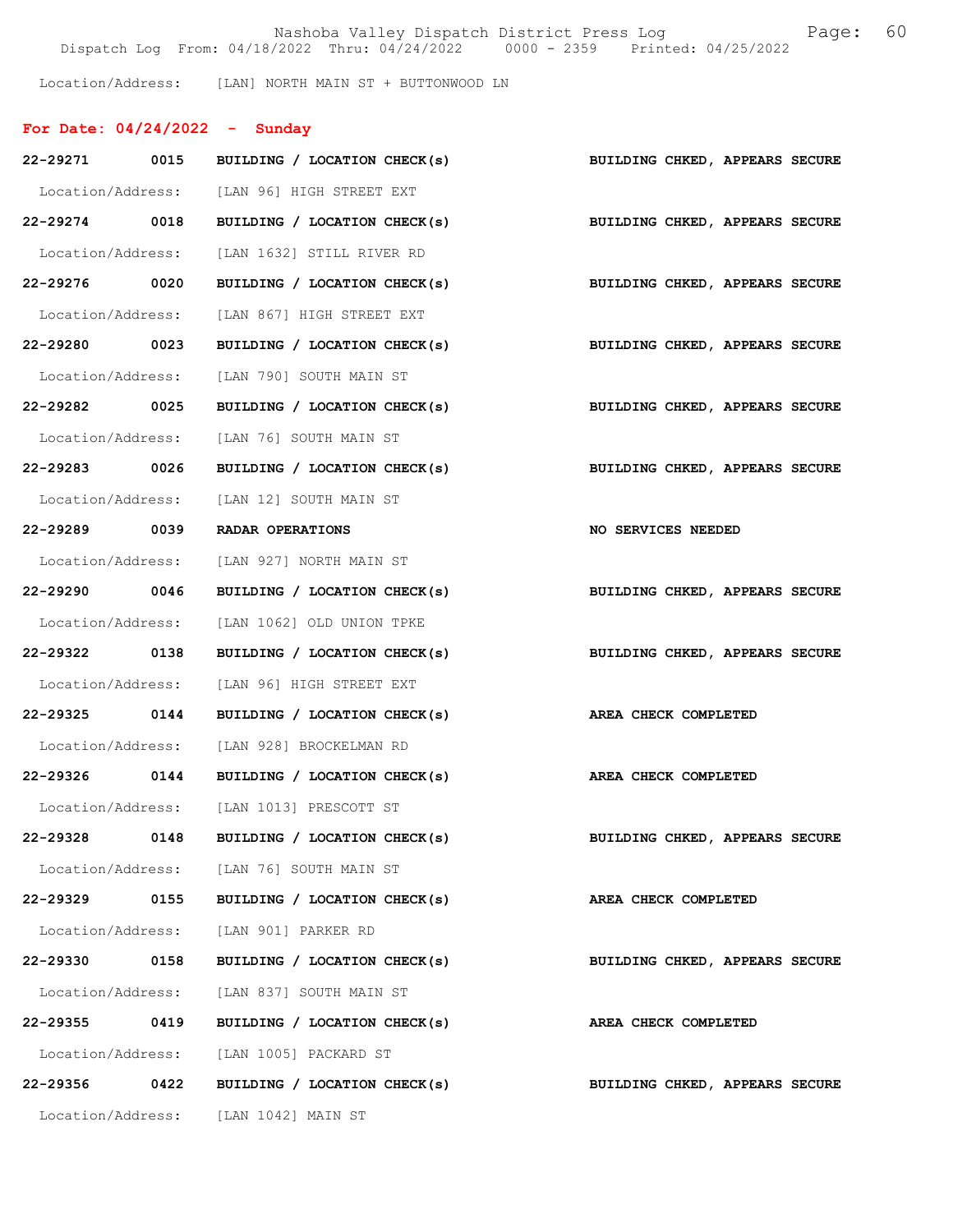Nashoba Valley Dispatch District Press Log Fage: 60 Dispatch Log From: 04/18/2022 Thru: 04/24/2022 0000 - 2359 Printed: 04/25/2022

Location/Address: [LAN] NORTH MAIN ST + BUTTONWOOD LN

| For Date: $04/24/2022 -$ Sunday |                                             |                                                                           |
|---------------------------------|---------------------------------------------|---------------------------------------------------------------------------|
|                                 |                                             | 22-29271 0015 BUILDING / LOCATION CHECK(s) BUILDING CHKED, APPEARS SECURE |
|                                 | Location/Address: [LAN 96] HIGH STREET EXT  |                                                                           |
| 22-29274 0018                   | BUILDING / LOCATION CHECK(s)                | BUILDING CHKED, APPEARS SECURE                                            |
|                                 | Location/Address: [LAN 1632] STILL RIVER RD |                                                                           |
| 22-29276 0020                   | BUILDING / LOCATION CHECK(s)                | BUILDING CHKED, APPEARS SECURE                                            |
|                                 | Location/Address: [LAN 867] HIGH STREET EXT |                                                                           |
| 22-29280 0023                   |                                             | BUILDING / LOCATION CHECK(s) BUILDING CHKED, APPEARS SECURE               |
|                                 | Location/Address: [LAN 790] SOUTH MAIN ST   |                                                                           |
| 22-29282 0025                   | BUILDING / LOCATION CHECK(s)                | BUILDING CHKED, APPEARS SECURE                                            |
|                                 | Location/Address: [LAN 76] SOUTH MAIN ST    |                                                                           |
| 22-29283 0026                   | BUILDING / LOCATION CHECK(s)                | BUILDING CHKED, APPEARS SECURE                                            |
|                                 | Location/Address: [LAN 12] SOUTH MAIN ST    |                                                                           |
| 22-29289 0039                   | RADAR OPERATIONS                            | NO SERVICES NEEDED                                                        |
|                                 | Location/Address: [LAN 927] NORTH MAIN ST   |                                                                           |
| 22-29290 0046                   | BUILDING / LOCATION CHECK(s)                | BUILDING CHKED, APPEARS SECURE                                            |
|                                 | Location/Address: [LAN 1062] OLD UNION TPKE |                                                                           |
| 22-29322 0138                   | BUILDING / LOCATION CHECK(s)                | BUILDING CHKED, APPEARS SECURE                                            |
|                                 | Location/Address: [LAN 96] HIGH STREET EXT  |                                                                           |
| 22-29325 0144                   | BUILDING / LOCATION CHECK(s)                | AREA CHECK COMPLETED                                                      |
|                                 | Location/Address: [LAN 928] BROCKELMAN RD   |                                                                           |
|                                 | 22-29326 0144 BUILDING / LOCATION CHECK(s)  | AREA CHECK COMPLETED                                                      |
| Location/Address:               | [LAN 1013] PRESCOTT ST                      |                                                                           |
| 22-29328                        | 0148<br>BUILDING / LOCATION CHECK(s)        | BUILDING CHKED, APPEARS SECURE                                            |
|                                 | Location/Address: [LAN 76] SOUTH MAIN ST    |                                                                           |
| 22-29329 0155                   | BUILDING / LOCATION CHECK(s)                | AREA CHECK COMPLETED                                                      |
|                                 | Location/Address: [LAN 901] PARKER RD       |                                                                           |
| 22-29330                        | 0158<br>BUILDING / LOCATION CHECK(s)        | BUILDING CHKED, APPEARS SECURE                                            |
|                                 | Location/Address: [LAN 837] SOUTH MAIN ST   |                                                                           |
| 22-29355                        | 0419<br>BUILDING / LOCATION CHECK(s)        | AREA CHECK COMPLETED                                                      |
|                                 | Location/Address: [LAN 1005] PACKARD ST     |                                                                           |
| 22-29356 0422                   | BUILDING / LOCATION CHECK(s)                | BUILDING CHKED, APPEARS SECURE                                            |
| Location/Address:               | [LAN 1042] MAIN ST                          |                                                                           |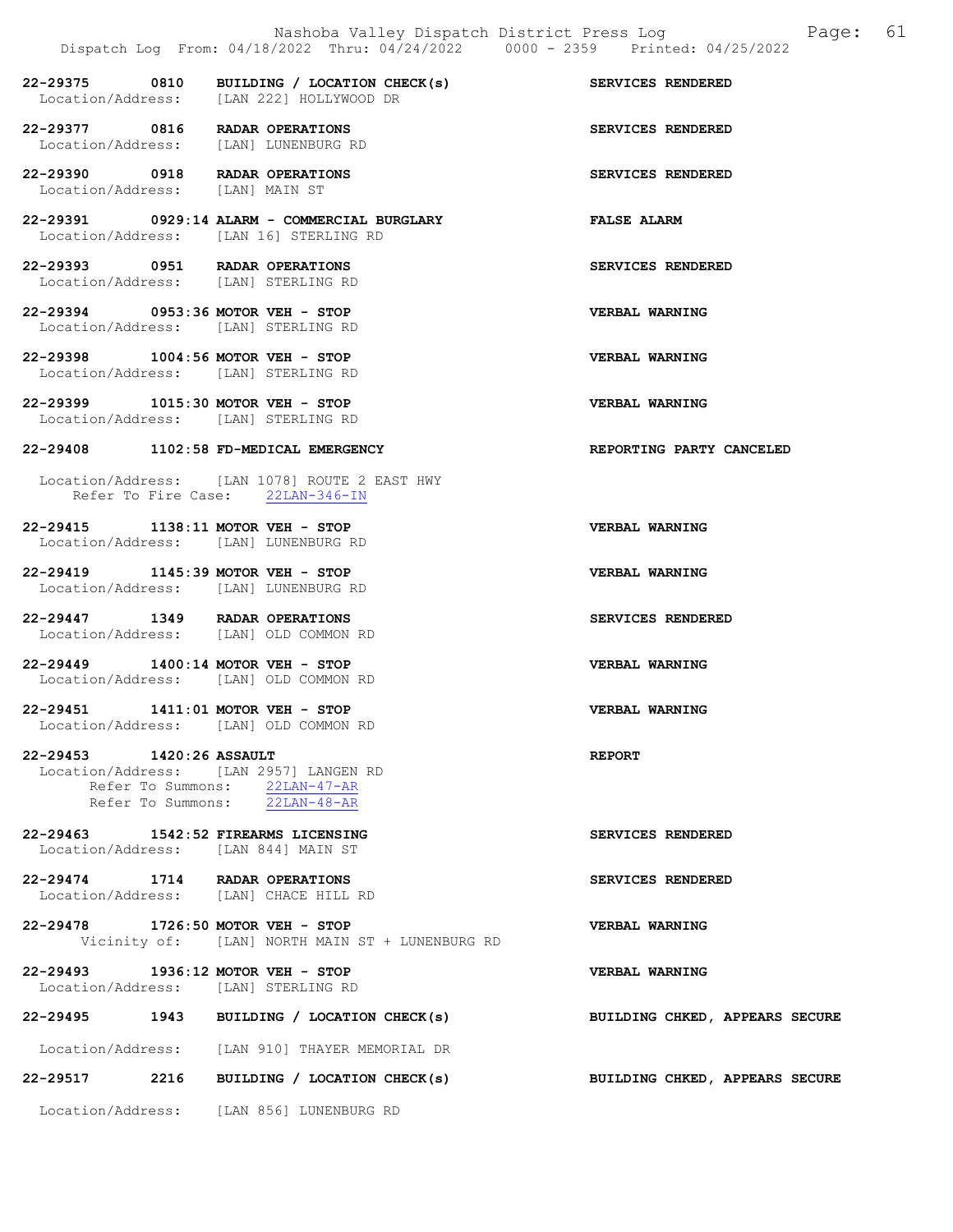|                                                                            | Dispatch Log From: 04/18/2022 Thru: 04/24/2022 0000 - 2359 Printed: 04/25/2022         |                                |
|----------------------------------------------------------------------------|----------------------------------------------------------------------------------------|--------------------------------|
|                                                                            | 22-29375 0810 BUILDING / LOCATION CHECK(s)<br>Location/Address: [LAN 222] HOLLYWOOD DR | SERVICES RENDERED              |
| 22-29377 0816 RADAR OPERATIONS<br>Location/Address: [LAN] LUNENBURG RD     |                                                                                        | SERVICES RENDERED              |
| 22-29390 0918 RADAR OPERATIONS<br>Location/Address: [LAN] MAIN ST          |                                                                                        | SERVICES RENDERED              |
|                                                                            | 22-29391 0929:14 ALARM - COMMERCIAL BURGLARY<br>Location/Address: [LAN 16] STERLING RD | <b>FALSE ALARM</b>             |
| 22-29393 0951 RADAR OPERATIONS<br>Location/Address: [LAN] STERLING RD      |                                                                                        | SERVICES RENDERED              |
| 22-29394 0953:36 MOTOR VEH - STOP<br>Location/Address: [LAN] STERLING RD   |                                                                                        | <b>VERBAL WARNING</b>          |
| 22-29398 1004:56 MOTOR VEH - STOP<br>Location/Address: [LAN] STERLING RD   |                                                                                        | <b>VERBAL WARNING</b>          |
| 22-29399 1015:30 MOTOR VEH - STOP<br>Location/Address: [LAN] STERLING RD   |                                                                                        | VERBAL WARNING                 |
|                                                                            | 22-29408 1102:58 FD-MEDICAL EMERGENCY                                                  | REPORTING PARTY CANCELED       |
|                                                                            | Location/Address: [LAN 1078] ROUTE 2 EAST HWY<br>Refer To Fire Case: 22LAN-346-IN      |                                |
| 22-29415 1138:11 MOTOR VEH - STOP<br>Location/Address: [LAN] LUNENBURG RD  |                                                                                        | VERBAL WARNING                 |
| 22-29419 1145:39 MOTOR VEH - STOP<br>Location/Address: [LAN] LUNENBURG RD  |                                                                                        | VERBAL WARNING                 |
| 22-29447 1349 RADAR OPERATIONS<br>Location/Address: [LAN] OLD COMMON RD    |                                                                                        | SERVICES RENDERED              |
| 22-29449 1400:14 MOTOR VEH - STOP<br>Location/Address: [LAN] OLD COMMON RD |                                                                                        | VERBAL WARNING                 |
| 22-29451 1411:01 MOTOR VEH - STOP                                          | Location/Address: [LAN] OLD COMMON RD                                                  | <b>VERBAL WARNING</b>          |
| 22-29453 1420:26 ASSAULT                                                   | Location/Address: [LAN 2957] LANGEN RD                                                 | <b>REPORT</b>                  |
|                                                                            | Refer To Summons: 22LAN-47-AR<br>Refer To Summons: 22LAN-48-AR                         |                                |
| 22-29463 1542:52 FIREARMS LICENSING<br>Location/Address: [LAN 844] MAIN ST |                                                                                        | SERVICES RENDERED              |
| 22-29474 1714 RADAR OPERATIONS<br>Location/Address: [LAN] CHACE HILL RD    |                                                                                        | SERVICES RENDERED              |
| 22-29478 1726:50 MOTOR VEH - STOP                                          | Vicinity of: [LAN] NORTH MAIN ST + LUNENBURG RD                                        | VERBAL WARNING                 |
| 22-29493 1936:12 MOTOR VEH - STOP<br>Location/Address: [LAN] STERLING RD   |                                                                                        | <b>VERBAL WARNING</b>          |
|                                                                            | 22-29495 1943 BUILDING / LOCATION CHECK(s)                                             | BUILDING CHKED, APPEARS SECURE |
|                                                                            | Location/Address: [LAN 910] THAYER MEMORIAL DR                                         |                                |
| 22-29517                                                                   | 2216 BUILDING / LOCATION CHECK(s)                                                      | BUILDING CHKED, APPEARS SECURE |
|                                                                            | Location/Address: [LAN 856] LUNENBURG RD                                               |                                |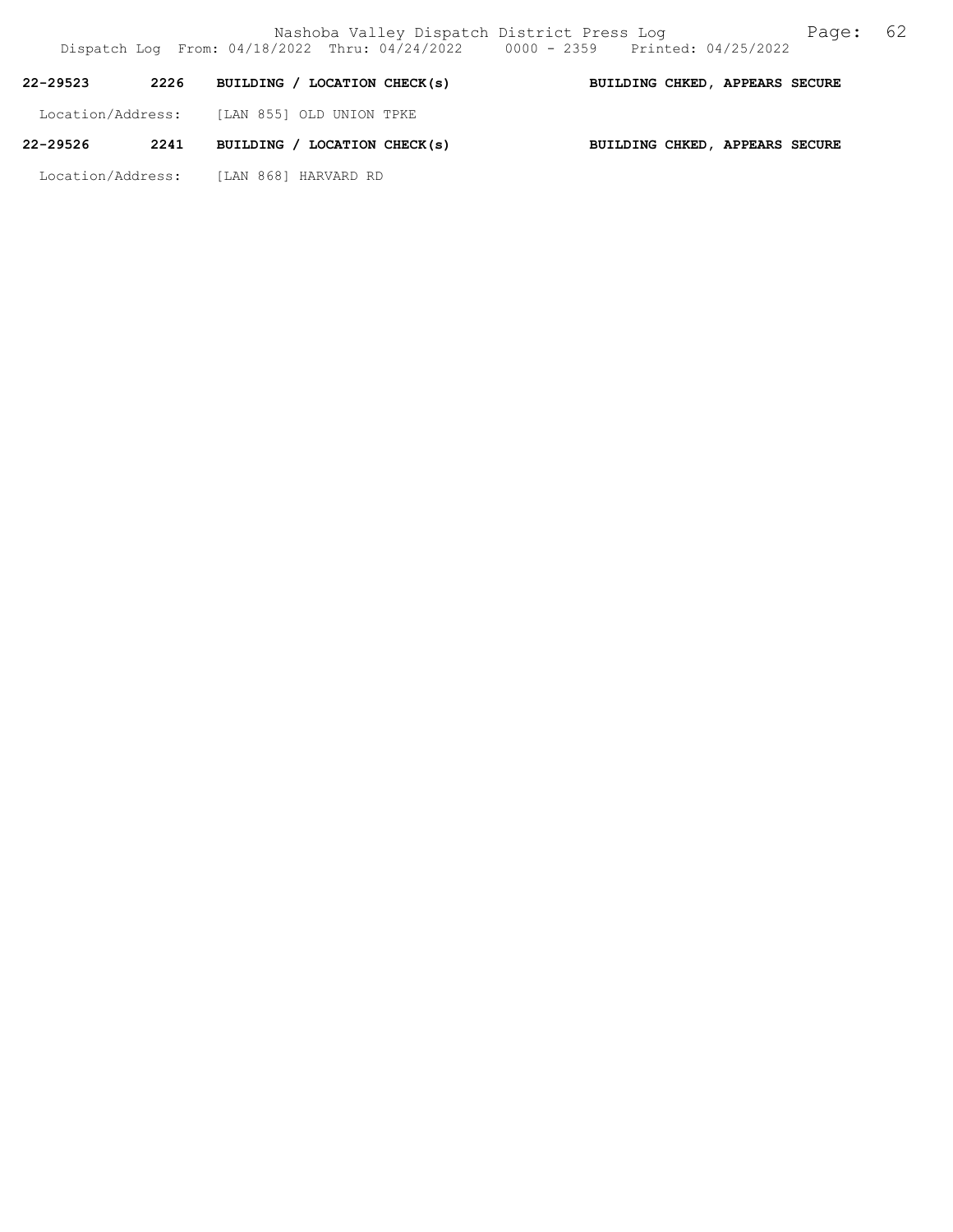| 22-29523          | 2226 | BUILDING / LOCATION CHECK(s) | BUILDING CHKED, APPEARS SECURE |  |
|-------------------|------|------------------------------|--------------------------------|--|
| Location/Address: |      | [LAN 855] OLD UNION TPKE     |                                |  |
| 22-29526          | 2241 | BUILDING / LOCATION CHECK(s) | BUILDING CHKED, APPEARS SECURE |  |

Location/Address: [LAN 868] HARVARD RD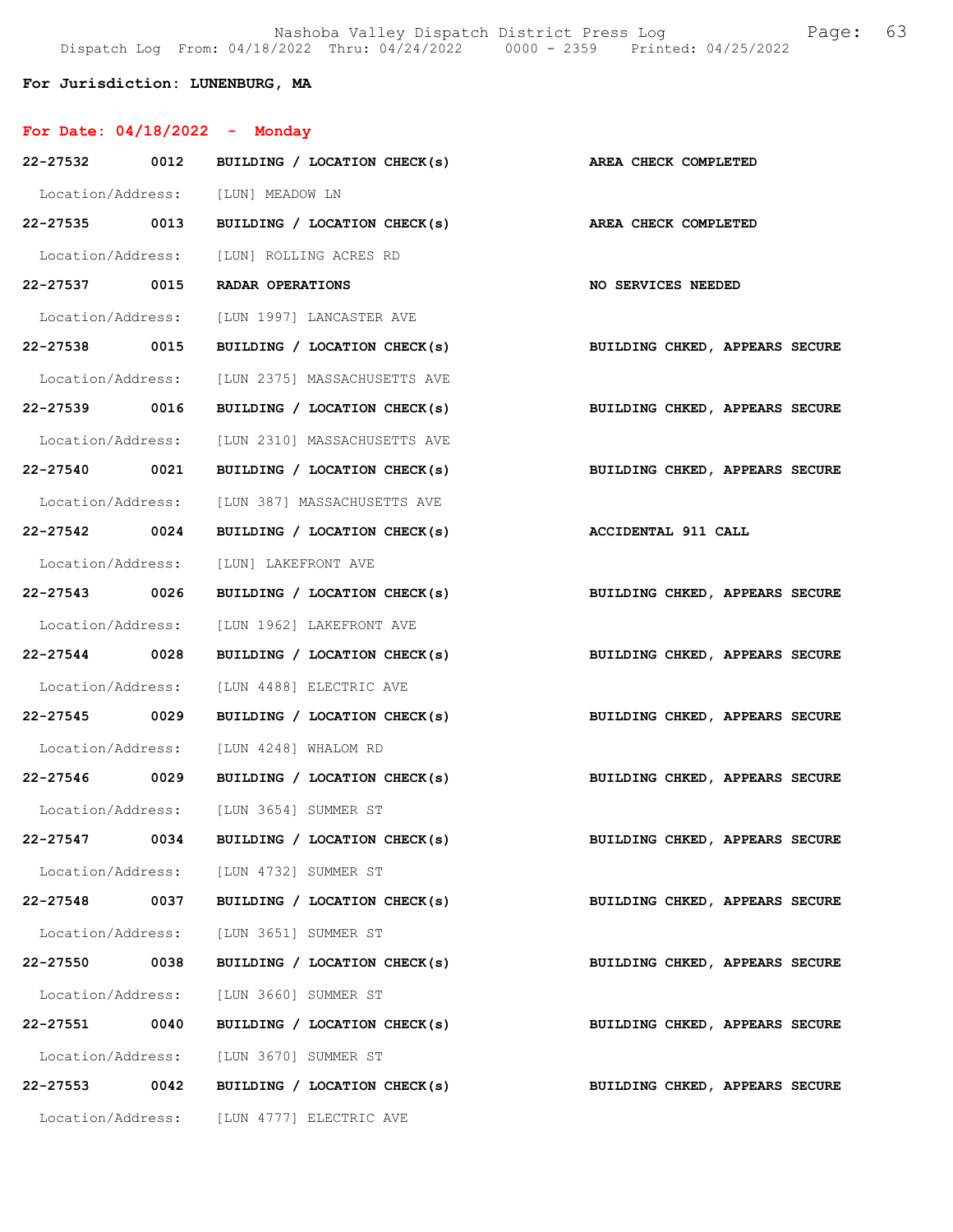Nashoba Valley Dispatch District Press Log Fage: 63 Dispatch Log From: 04/18/2022 Thru: 04/24/2022 0000 - 2359 Printed: 04/25/2022

## For Jurisdiction: LUNENBURG, MA

|  | For Date: $04/18/2022$ |  | Monday |
|--|------------------------|--|--------|
|--|------------------------|--|--------|

| 22-27532 0012     |      | BUILDING / LOCATION CHECK(s)                                    | AREA CHECK COMPLETED           |
|-------------------|------|-----------------------------------------------------------------|--------------------------------|
|                   |      | Location/Address: [LUN] MEADOW LN                               |                                |
|                   |      | 22-27535 0013 BUILDING / LOCATION CHECK(s) AREA CHECK COMPLETED |                                |
|                   |      | Location/Address: [LUN] ROLLING ACRES RD                        |                                |
|                   |      | 22-27537 0015 RADAR OPERATIONS                                  | NO SERVICES NEEDED             |
|                   |      | Location/Address: [LUN 1997] LANCASTER AVE                      |                                |
| 22-27538 0015     |      | BUILDING / LOCATION CHECK(s)                                    | BUILDING CHKED, APPEARS SECURE |
|                   |      | Location/Address: [LUN 2375] MASSACHUSETTS AVE                  |                                |
| 22-27539 0016     |      | BUILDING / LOCATION CHECK(s)                                    | BUILDING CHKED, APPEARS SECURE |
|                   |      | Location/Address: [LUN 2310] MASSACHUSETTS AVE                  |                                |
| 22-27540 0021     |      | BUILDING / LOCATION CHECK(s)                                    | BUILDING CHKED, APPEARS SECURE |
|                   |      | Location/Address: [LUN 387] MASSACHUSETTS AVE                   |                                |
| 22-27542 0024     |      | BUILDING / LOCATION CHECK(s)                                    | <b>ACCIDENTAL 911 CALL</b>     |
|                   |      | Location/Address: [LUN] LAKEFRONT AVE                           |                                |
| 22-27543 0026     |      | BUILDING / LOCATION CHECK(s)                                    | BUILDING CHKED, APPEARS SECURE |
|                   |      | Location/Address: [LUN 1962] LAKEFRONT AVE                      |                                |
| 22-27544 0028     |      | BUILDING / LOCATION CHECK(s)                                    | BUILDING CHKED, APPEARS SECURE |
|                   |      | Location/Address: [LUN 4488] ELECTRIC AVE                       |                                |
| 22-27545 0029     |      | BUILDING / LOCATION CHECK(s)                                    | BUILDING CHKED, APPEARS SECURE |
|                   |      | Location/Address: [LUN 4248] WHALOM RD                          |                                |
| 22-27546 0029     |      | BUILDING / LOCATION CHECK(s)                                    | BUILDING CHKED, APPEARS SECURE |
|                   |      | Location/Address: [LUN 3654] SUMMER ST                          |                                |
| 22-27547 0034     |      | BUILDING / LOCATION CHECK(s) BUILDING CHKED, APPEARS SECURE     |                                |
|                   |      | Location/Address: [LUN 4732] SUMMER ST                          |                                |
| 22-27548          | 0037 | BUILDING / LOCATION CHECK(s)                                    | BUILDING CHKED, APPEARS SECURE |
| Location/Address: |      | [LUN 3651] SUMMER ST                                            |                                |
| 22-27550          | 0038 | BUILDING / LOCATION CHECK(s)                                    | BUILDING CHKED, APPEARS SECURE |
| Location/Address: |      | [LUN 3660] SUMMER ST                                            |                                |
| 22-27551          | 0040 | BUILDING / LOCATION CHECK(s)                                    | BUILDING CHKED, APPEARS SECURE |
| Location/Address: |      | [LUN 3670] SUMMER ST                                            |                                |
| 22-27553 0042     |      | BUILDING / LOCATION CHECK(s)                                    | BUILDING CHKED, APPEARS SECURE |
| Location/Address: |      | [LUN 4777] ELECTRIC AVE                                         |                                |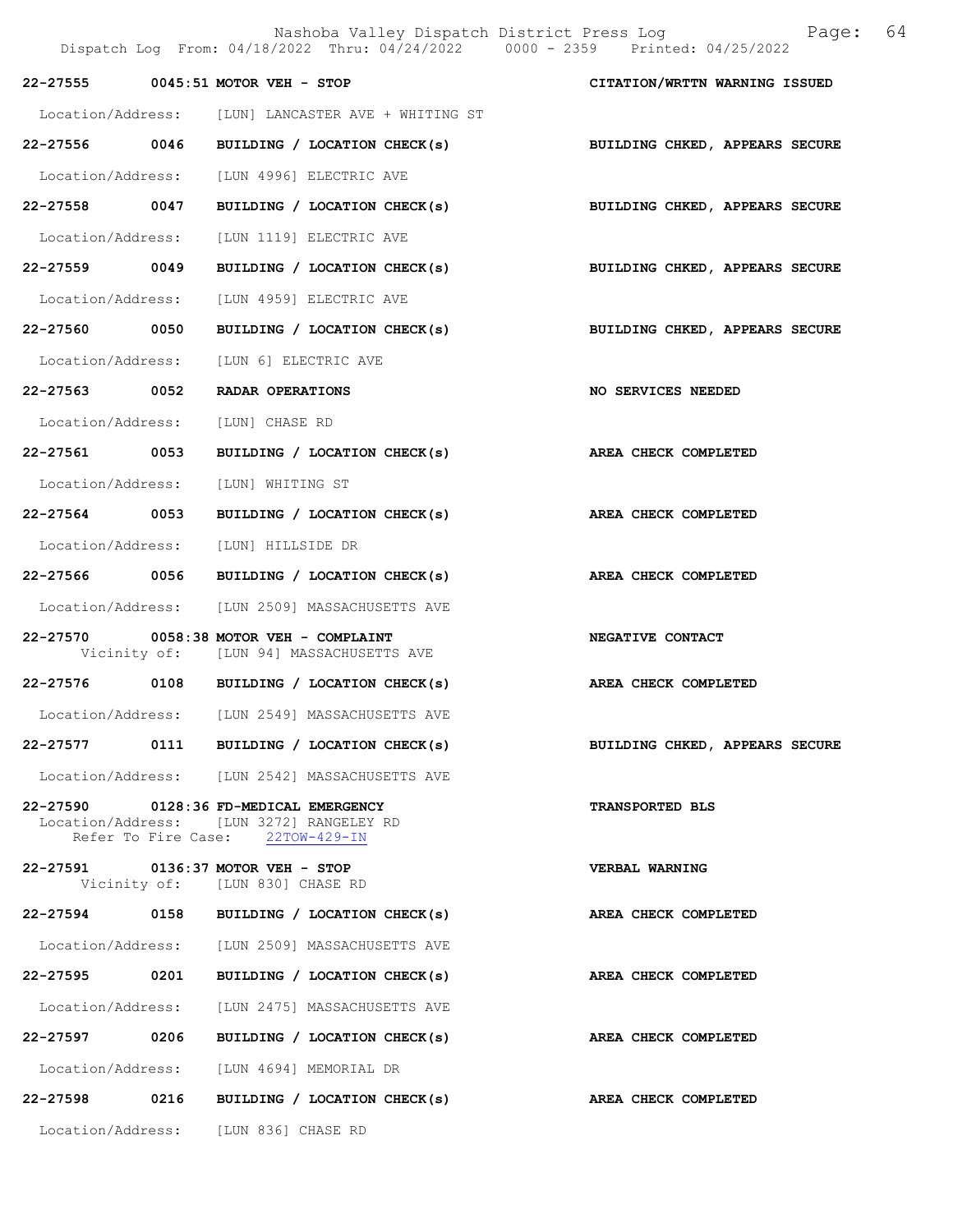|                   | Dispatch Log From: 04/18/2022 Thru: 04/24/2022 0000 - 2359 Printed: 04/25/2022                                        | Nashoba Valley Dispatch District Press Log Mashoba Valley Dispatch District Press Log |  |
|-------------------|-----------------------------------------------------------------------------------------------------------------------|---------------------------------------------------------------------------------------|--|
|                   | 22-27555 0045:51 MOTOR VEH - STOP                                                                                     | CITATION/WRTTN WARNING ISSUED                                                         |  |
|                   | Location/Address: [LUN] LANCASTER AVE + WHITING ST                                                                    |                                                                                       |  |
| 22-27556 0046     | BUILDING / LOCATION CHECK(s)                                                                                          | BUILDING CHKED, APPEARS SECURE                                                        |  |
|                   | Location/Address: [LUN 4996] ELECTRIC AVE                                                                             |                                                                                       |  |
|                   | 22-27558 0047 BUILDING / LOCATION CHECK(s) BUILDING CHKED, APPEARS SECURE                                             |                                                                                       |  |
| Location/Address: | [LUN 1119] ELECTRIC AVE                                                                                               |                                                                                       |  |
| 22-27559 0049     | BUILDING / LOCATION CHECK(s)                                                                                          | BUILDING CHKED, APPEARS SECURE                                                        |  |
| Location/Address: | [LUN 4959] ELECTRIC AVE                                                                                               |                                                                                       |  |
| 22-27560 0050     | BUILDING / LOCATION CHECK(s)                                                                                          | BUILDING CHKED, APPEARS SECURE                                                        |  |
|                   | Location/Address: [LUN 6] ELECTRIC AVE                                                                                |                                                                                       |  |
| 22-27563 0052     | RADAR OPERATIONS                                                                                                      | <b>NO SERVICES NEEDED</b>                                                             |  |
|                   | Location/Address: [LUN] CHASE RD                                                                                      |                                                                                       |  |
| 22-27561 0053     | BUILDING / LOCATION CHECK(s)                                                                                          | AREA CHECK COMPLETED                                                                  |  |
| Location/Address: | [LUN] WHITING ST                                                                                                      |                                                                                       |  |
| 22-27564 0053     | BUILDING / LOCATION CHECK(s) AREA CHECK COMPLETED                                                                     |                                                                                       |  |
| Location/Address: | [LUN] HILLSIDE DR                                                                                                     |                                                                                       |  |
| 22-27566 0056     | BUILDING / LOCATION CHECK(s)                                                                                          | AREA CHECK COMPLETED                                                                  |  |
|                   | Location/Address: [LUN 2509] MASSACHUSETTS AVE                                                                        |                                                                                       |  |
|                   | 22-27570 0058:38 MOTOR VEH - COMPLAINT<br>Vicinity of: [LUN 94] MASSACHUSETTS AVE                                     | NEGATIVE CONTACT                                                                      |  |
|                   | 22-27576 0108 BUILDING / LOCATION CHECK(s)                                                                            | AREA CHECK COMPLETED                                                                  |  |
|                   | Location/Address: [LUN 2549] MASSACHUSETTS AVE                                                                        |                                                                                       |  |
|                   | 22-27577 0111 BUILDING / LOCATION CHECK(s)                                                                            | BUILDING CHKED, APPEARS SECURE                                                        |  |
|                   | Location/Address: [LUN 2542] MASSACHUSETTS AVE                                                                        |                                                                                       |  |
|                   | 22-27590 0128:36 FD-MEDICAL EMERGENCY<br>Location/Address: [LUN 3272] RANGELEY RD<br>Refer To Fire Case: 22TOW-429-IN | TRANSPORTED BLS                                                                       |  |
|                   | 22-27591 0136:37 MOTOR VEH - STOP<br>Vicinity of: [LUN 830] CHASE RD                                                  | VERBAL WARNING                                                                        |  |
|                   | 22-27594 0158 BUILDING / LOCATION CHECK(s)                                                                            | AREA CHECK COMPLETED                                                                  |  |
|                   | Location/Address: [LUN 2509] MASSACHUSETTS AVE                                                                        |                                                                                       |  |
| 22-27595 0201     | BUILDING / LOCATION CHECK(s)                                                                                          | AREA CHECK COMPLETED                                                                  |  |
|                   | Location/Address: [LUN 2475] MASSACHUSETTS AVE                                                                        |                                                                                       |  |
|                   | 22-27597 0206 BUILDING / LOCATION CHECK(s)                                                                            | AREA CHECK COMPLETED                                                                  |  |
|                   | Location/Address: [LUN 4694] MEMORIAL DR                                                                              |                                                                                       |  |
|                   | 22-27598 0216 BUILDING / LOCATION CHECK(s)                                                                            | AREA CHECK COMPLETED                                                                  |  |
|                   | Location/Address: [LUN 836] CHASE RD                                                                                  |                                                                                       |  |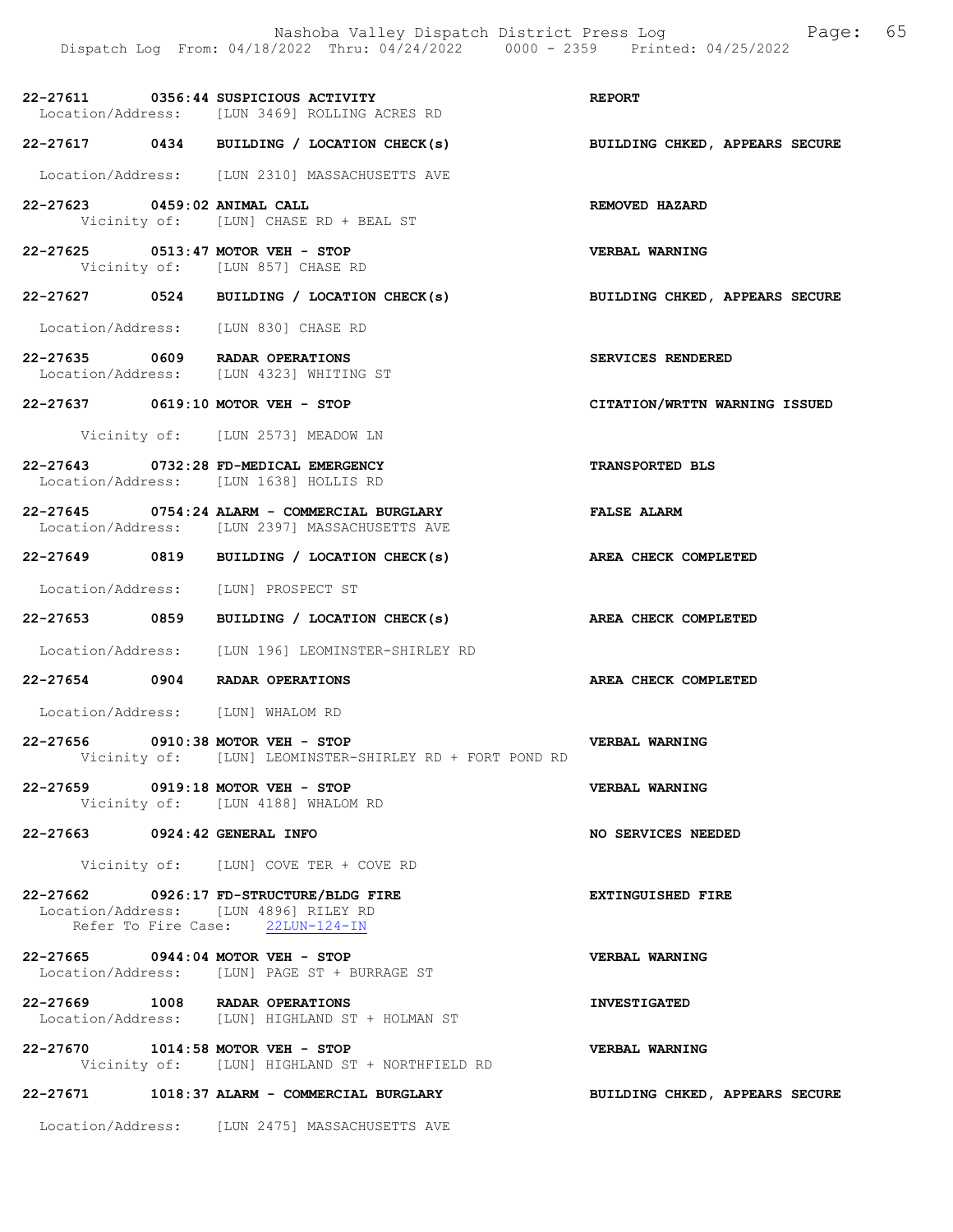22-27611 0356:44 SUSPICIOUS ACTIVITY REPORT Location/Address: [LUN 3469] ROLLING ACRES RD 22-27617 0434 BUILDING / LOCATION CHECK(s) BUILDING CHKED, APPEARS SECURE Location/Address: [LUN 2310] MASSACHUSETTS AVE 22-27623 0459:02 ANIMAL CALL REMOVED HAZARD Vicinity of: [LUN] CHASE RD + BEAL ST [LUN] CHASE RD + BEAL ST 22-27625 0513:47 MOTOR VEH - STOP VERBAL WARNING<br>Vicinity of: [LUN 857] CHASE RD [LUN 857] CHASE RD 22-27627 0524 BUILDING / LOCATION CHECK(s) BUILDING CHKED, APPEARS SECURE Location/Address: [LUN 830] CHASE RD 22-27635 0609 RADAR OPERATIONS SERVICES RENDERED Location/Address: [LUN 4323] WHITING ST 22-27637 0619:10 MOTOR VEH - STOP CITATION/WRTTN WARNING ISSUED Vicinity of: [LUN 2573] MEADOW LN 22-27643 0732:28 FD-MEDICAL EMERGENCY TRANSPORTED BLS Location/Address: [LUN 1638] HOLLIS RD 22-27645 0754:24 ALARM - COMMERCIAL BURGLARY FALSE ALARM Location/Address: [LUN 2397] MASSACHUSETTS AVE 22-27649 0819 BUILDING / LOCATION CHECK(s) AREA CHECK COMPLETED Location/Address: [LUN] PROSPECT ST 22-27653 0859 BUILDING / LOCATION CHECK(s) AREA CHECK COMPLETED Location/Address: [LUN 196] LEOMINSTER-SHIRLEY RD 22-27654 0904 RADAR OPERATIONS AREA CHECK COMPLETED Location/Address: [LUN] WHALOM RD 22-27656 0910:38 MOTOR VEH - STOP VERBAL WARNING Vicinity of: [LUN] LEOMINSTER-SHIRLEY RD + FORT POND RD 22-27659 0919:18 MOTOR VEH - STOP VERBAL WARNING Vicinity of: [LUN 4188] WHALOM RD 22-27663 0924:42 GENERAL INFO NO SERVICES NEEDED Vicinity of: [LUN] COVE TER + COVE RD 22-27662 0926:17 FD-STRUCTURE/BLDG FIRE **EXTINGUISHED** FIRE Location/Address: [LUN 4896] RILEY RD Refer To Fire Case: 22LUN-124-IN 22-27665 0944:04 MOTOR VEH - STOP<br>
Location/Address: [LUN] PAGE ST + BURRAGE ST Location/Address: [LUN] PAGE ST + BURRAGE ST 22-27669 1008 RADAR OPERATIONS INVESTIGATED Location/Address: [LUN] HIGHLAND ST + HOLMAN ST 22-27670 1014:58 MOTOR VEH - STOP VERBAL WARNING Vicinity of: [LUN] HIGHLAND ST + NORTHFIELD RD 22-27671 1018:37 ALARM - COMMERCIAL BURGLARY BUILDING CHKED, APPEARS SECURE

Location/Address: [LUN 2475] MASSACHUSETTS AVE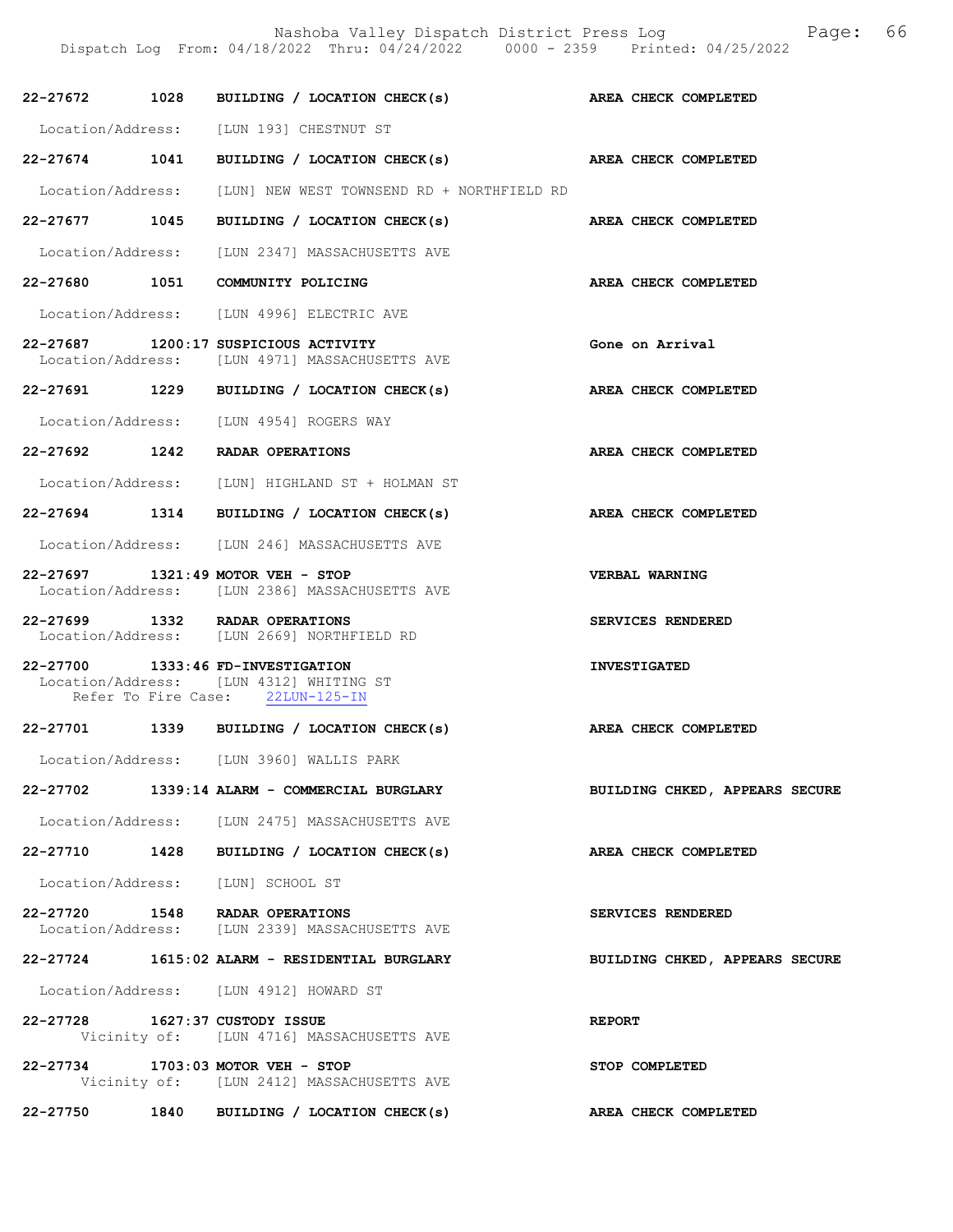Nashoba Valley Dispatch District Press Log Fage: 66

Dispatch Log From: 04/18/2022 Thru: 04/24/2022 0000 - 2359 Printed: 04/25/2022

|                                | 22-27672 1028 BUILDING / LOCATION CHECK(s) AREA CHECK COMPLETED                                                  |                                |
|--------------------------------|------------------------------------------------------------------------------------------------------------------|--------------------------------|
|                                | Location/Address: [LUN 193] CHESTNUT ST                                                                          |                                |
|                                | 22-27674 1041 BUILDING / LOCATION CHECK(s) AREA CHECK COMPLETED                                                  |                                |
|                                | Location/Address: [LUN] NEW WEST TOWNSEND RD + NORTHFIELD RD                                                     |                                |
| 22-27677 1045                  | BUILDING / LOCATION CHECK(s)                                                                                     | AREA CHECK COMPLETED           |
|                                | Location/Address: [LUN 2347] MASSACHUSETTS AVE                                                                   |                                |
|                                | 22-27680 1051 COMMUNITY POLICING                                                                                 | AREA CHECK COMPLETED           |
|                                | Location/Address: [LUN 4996] ELECTRIC AVE                                                                        |                                |
|                                | 22-27687 1200:17 SUSPICIOUS ACTIVITY<br>Location/Address: [LUN 4971] MASSACHUSETTS AVE                           | Gone on Arrival                |
|                                | 22-27691 1229 BUILDING / LOCATION CHECK(s)                                                                       | AREA CHECK COMPLETED           |
|                                | Location/Address: [LUN 4954] ROGERS WAY                                                                          |                                |
|                                | 22-27692 1242 RADAR OPERATIONS                                                                                   | AREA CHECK COMPLETED           |
|                                | Location/Address: [LUN] HIGHLAND ST + HOLMAN ST                                                                  |                                |
|                                | 22-27694 1314 BUILDING / LOCATION CHECK(s)                                                                       | AREA CHECK COMPLETED           |
|                                | Location/Address: [LUN 246] MASSACHUSETTS AVE                                                                    |                                |
|                                | 22-27697 1321:49 MOTOR VEH - STOP<br>Location/Address: [LUN 2386] MASSACHUSETTS AVE                              | VERBAL WARNING                 |
|                                | 22-27699 1332 RADAR OPERATIONS<br>Location/Address: [LUN 2669] NORTHFIELD RD                                     | SERVICES RENDERED              |
|                                | 22-27700 1333:46 FD-INVESTIGATION<br>Location/Address: [LUN 4312] WHITING ST<br>Refer To Fire Case: 22LUN-125-IN | <b>INVESTIGATED</b>            |
|                                | 22-27701 1339 BUILDING / LOCATION CHECK(s)                                                                       | AREA CHECK COMPLETED           |
|                                | Location/Address: [LUN 3960] WALLIS PARK                                                                         |                                |
|                                | 22-27702 1339:14 ALARM - COMMERCIAL BURGLARY                                                                     | BUILDING CHKED, APPEARS SECURE |
|                                | Location/Address: [LUN 2475] MASSACHUSETTS AVE                                                                   |                                |
|                                | 22-27710 1428 BUILDING / LOCATION CHECK(s)                                                                       | AREA CHECK COMPLETED           |
|                                | Location/Address: [LUN] SCHOOL ST                                                                                |                                |
|                                | 22-27720 1548 RADAR OPERATIONS<br>Location/Address: [LUN 2339] MASSACHUSETTS AVE                                 | SERVICES RENDERED              |
|                                | 22-27724 1615:02 ALARM - RESIDENTIAL BURGLARY                                                                    | BUILDING CHKED, APPEARS SECURE |
|                                | Location/Address: [LUN 4912] HOWARD ST                                                                           |                                |
| 22-27728 1627:37 CUSTODY ISSUE | Vicinity of: [LUN 4716] MASSACHUSETTS AVE                                                                        | <b>REPORT</b>                  |
|                                | 22-27734 1703:03 MOTOR VEH - STOP<br>Vicinity of: [LUN 2412] MASSACHUSETTS AVE                                   | STOP COMPLETED                 |
|                                | 22-27750 1840 BUILDING / LOCATION CHECK(s)                                                                       | AREA CHECK COMPLETED           |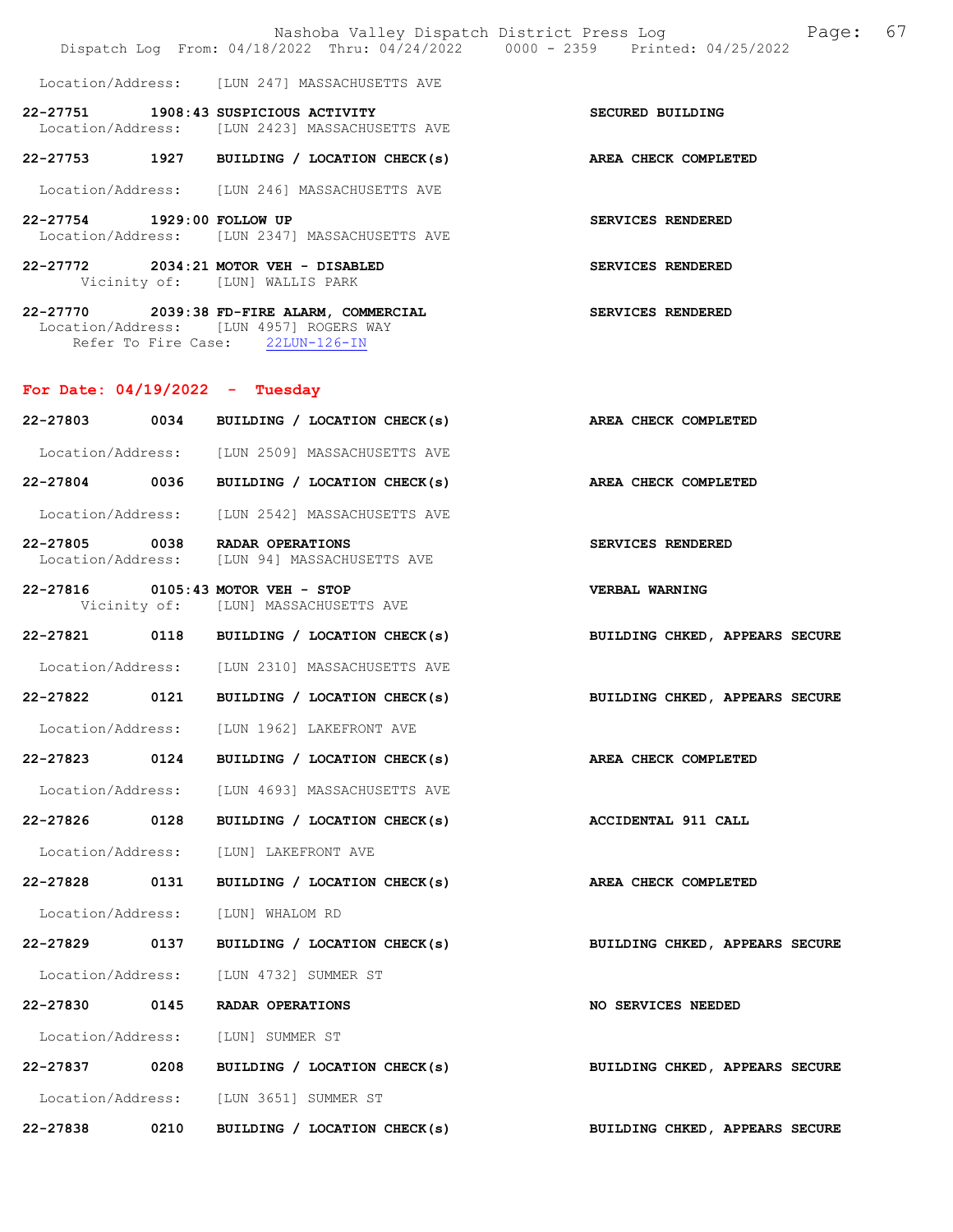|                                  |      | Dispatch Log From: 04/18/2022 Thru: 04/24/2022 0000 - 2359 Printed: 04/25/2022                                                              |                                |
|----------------------------------|------|---------------------------------------------------------------------------------------------------------------------------------------------|--------------------------------|
|                                  |      | Location/Address: [LUN 247] MASSACHUSETTS AVE                                                                                               |                                |
|                                  |      | 22-27751 1908:43 SUSPICIOUS ACTIVITY<br>Location/Address: [LUN 2423] MASSACHUSETTS AVE                                                      | SECURED BUILDING               |
|                                  |      | 22-27753 1927 BUILDING / LOCATION CHECK(s)                                                                                                  | AREA CHECK COMPLETED           |
|                                  |      | Location/Address: [LUN 246] MASSACHUSETTS AVE                                                                                               |                                |
| 22-27754 1929:00 FOLLOW UP       |      | Location/Address: [LUN 2347] MASSACHUSETTS AVE                                                                                              | SERVICES RENDERED              |
|                                  |      | 22-27772 2034:21 MOTOR VEH - DISABLED<br>Vicinity of: [LUN] WALLIS PARK                                                                     | <b>SERVICES RENDERED</b>       |
|                                  |      | 22-27770 2039:38 FD-FIRE ALARM, COMMERCIAL SERVICES RENDERED<br>Location/Address: [LUN 4957] ROGERS WAY<br>Refer To Fire Case: 22LUN-126-IN |                                |
| For Date: $04/19/2022 - Tuesday$ |      |                                                                                                                                             |                                |
|                                  |      | 22-27803 0034 BUILDING / LOCATION CHECK(s)                                                                                                  | AREA CHECK COMPLETED           |
|                                  |      | Location/Address: [LUN 2509] MASSACHUSETTS AVE                                                                                              |                                |
|                                  |      | 22-27804 0036 BUILDING / LOCATION CHECK(s)                                                                                                  | AREA CHECK COMPLETED           |
|                                  |      | Location/Address: [LUN 2542] MASSACHUSETTS AVE                                                                                              |                                |
|                                  |      | 22-27805 0038 RADAR OPERATIONS<br>Location/Address: [LUN 94] MASSACHUSETTS AVE                                                              | SERVICES RENDERED              |
|                                  |      | 22-27816 0105:43 MOTOR VEH - STOP<br>Vicinity of: [LUN] MASSACHUSETTS AVE                                                                   | <b>VERBAL WARNING</b>          |
|                                  |      | 22-27821 0118 BUILDING / LOCATION CHECK(s)                                                                                                  | BUILDING CHKED, APPEARS SECURE |
|                                  |      | Location/Address: [LUN 2310] MASSACHUSETTS AVE                                                                                              |                                |
| 22-27822                         |      | 0121 BUILDING / LOCATION CHECK(s)                                                                                                           | BUILDING CHKED, APPEARS SECURE |
|                                  |      | Location/Address: [LUN 1962] LAKEFRONT AVE                                                                                                  |                                |
|                                  |      | 22-27823 0124 BUILDING / LOCATION CHECK(s)                                                                                                  | AREA CHECK COMPLETED           |
|                                  |      | Location/Address: [LUN 4693] MASSACHUSETTS AVE                                                                                              |                                |
| 22-27826                         | 0128 | BUILDING / LOCATION CHECK(s)                                                                                                                | ACCIDENTAL 911 CALL            |
|                                  |      | Location/Address: [LUN] LAKEFRONT AVE                                                                                                       |                                |
| 22-27828 0131                    |      | BUILDING / LOCATION CHECK(s)                                                                                                                | AREA CHECK COMPLETED           |
| Location/Address:                |      | [LUN] WHALOM RD                                                                                                                             |                                |
| 22-27829 0137                    |      | BUILDING / LOCATION CHECK(s)                                                                                                                | BUILDING CHKED, APPEARS SECURE |
|                                  |      | Location/Address: [LUN 4732] SUMMER ST                                                                                                      |                                |
| 22-27830                         | 0145 | RADAR OPERATIONS                                                                                                                            | <b>NO SERVICES NEEDED</b>      |
| Location/Address:                |      | [LUN] SUMMER ST                                                                                                                             |                                |
| 22-27837 0208                    |      | BUILDING / LOCATION CHECK(s)                                                                                                                | BUILDING CHKED, APPEARS SECURE |
|                                  |      | Location/Address: [LUN 3651] SUMMER ST                                                                                                      |                                |
| 22-27838                         | 0210 | BUILDING / LOCATION CHECK(s)                                                                                                                | BUILDING CHKED, APPEARS SECURE |

Nashoba Valley Dispatch District Press Log Fage: 67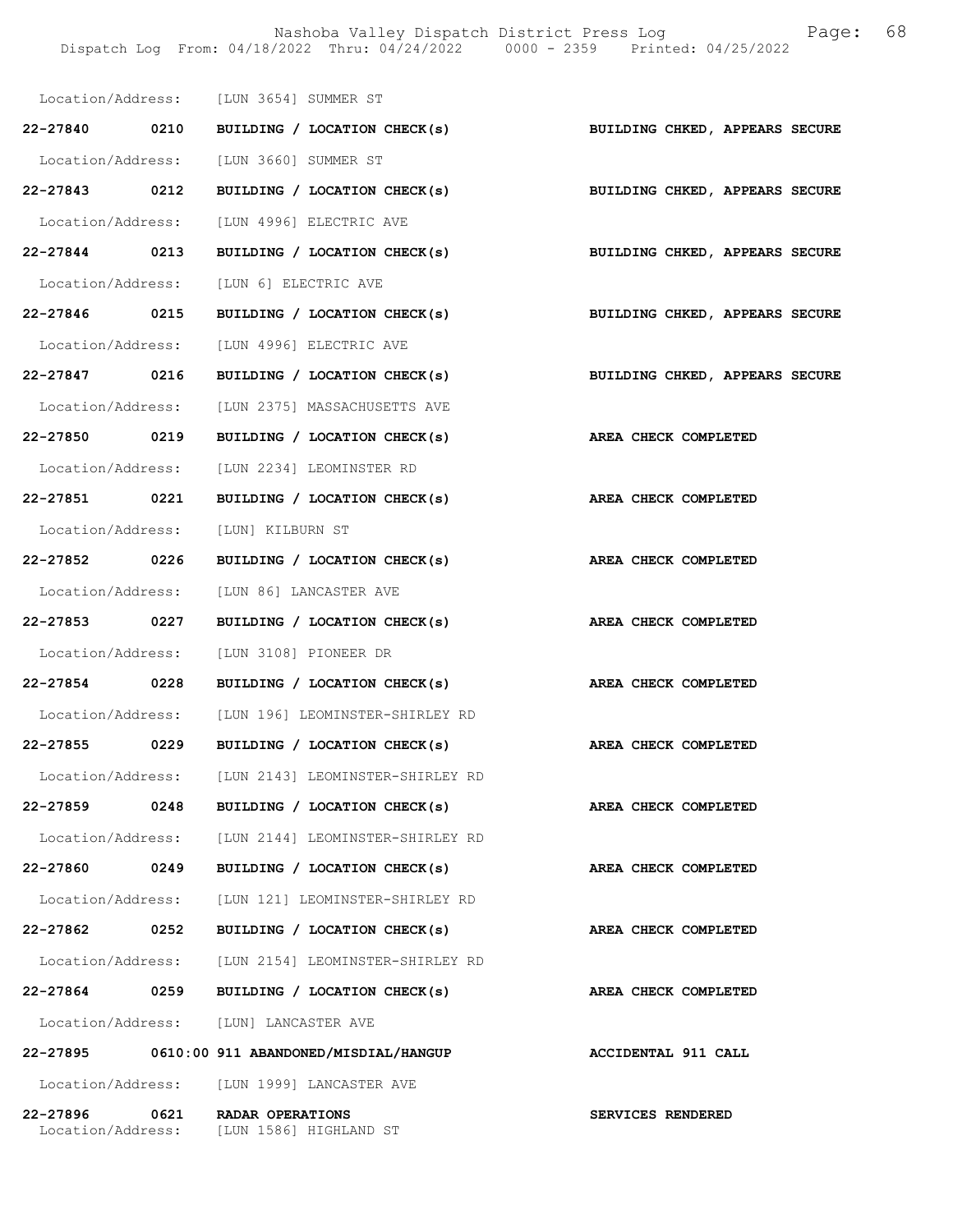Nashoba Valley Dispatch District Press Log Fage: 68 Dispatch Log From: 04/18/2022 Thru: 04/24/2022 0000 - 2359 Printed: 04/25/2022

|               |      | Location/Address: [LUN 3654] SUMMER ST                                    |                                |
|---------------|------|---------------------------------------------------------------------------|--------------------------------|
|               |      | 22-27840 0210 BUILDING / LOCATION CHECK(s) BUILDING CHKED, APPEARS SECURE |                                |
|               |      | Location/Address: [LUN 3660] SUMMER ST                                    |                                |
|               |      | 22-27843 0212 BUILDING / LOCATION CHECK(s) BUILDING CHKED, APPEARS SECURE |                                |
|               |      | Location/Address: [LUN 4996] ELECTRIC AVE                                 |                                |
|               |      | 22-27844 0213 BUILDING / LOCATION CHECK(s) BUILDING CHKED, APPEARS SECURE |                                |
|               |      | Location/Address: [LUN 6] ELECTRIC AVE                                    |                                |
| 22-27846 0215 |      | BUILDING / LOCATION CHECK(s)                                              | BUILDING CHKED, APPEARS SECURE |
|               |      | Location/Address: [LUN 4996] ELECTRIC AVE                                 |                                |
|               |      | 22-27847 0216 BUILDING / LOCATION CHECK(s)                                | BUILDING CHKED, APPEARS SECURE |
|               |      | Location/Address: [LUN 2375] MASSACHUSETTS AVE                            |                                |
|               |      | 22-27850 0219 BUILDING / LOCATION CHECK(s)                                | AREA CHECK COMPLETED           |
|               |      | Location/Address: [LUN 2234] LEOMINSTER RD                                |                                |
|               |      | 22-27851 0221 BUILDING / LOCATION CHECK(s)                                | AREA CHECK COMPLETED           |
|               |      | Location/Address: [LUN] KILBURN ST                                        |                                |
| 22-27852 0226 |      | BUILDING / LOCATION CHECK(s)                                              | AREA CHECK COMPLETED           |
|               |      | Location/Address: [LUN 86] LANCASTER AVE                                  |                                |
| 22-27853 0227 |      | BUILDING / LOCATION CHECK(s)                                              | AREA CHECK COMPLETED           |
|               |      | Location/Address: [LUN 3108] PIONEER DR                                   |                                |
|               |      | 22-27854 0228 BUILDING / LOCATION CHECK(s)                                | AREA CHECK COMPLETED           |
|               |      | Location/Address: [LUN 196] LEOMINSTER-SHIRLEY RD                         |                                |
|               |      | 22-27855 0229 BUILDING / LOCATION CHECK(s)                                | AREA CHECK COMPLETED           |
|               |      | Location/Address: [LUN 2143] LEOMINSTER-SHIRLEY RD                        |                                |
| 22-27859      | 0248 | BUILDING / LOCATION CHECK(s)                                              | AREA CHECK COMPLETED           |
|               |      | Location/Address: [LUN 2144] LEOMINSTER-SHIRLEY RD                        |                                |
| 22-27860      | 0249 | BUILDING / LOCATION CHECK(s)                                              | AREA CHECK COMPLETED           |
|               |      | Location/Address: [LUN 121] LEOMINSTER-SHIRLEY RD                         |                                |
| 22-27862      | 0252 | BUILDING / LOCATION CHECK(s)                                              | AREA CHECK COMPLETED           |
|               |      | Location/Address: [LUN 2154] LEOMINSTER-SHIRLEY RD                        |                                |
| 22-27864 0259 |      | BUILDING / LOCATION CHECK(s)                                              | AREA CHECK COMPLETED           |
|               |      | Location/Address: [LUN] LANCASTER AVE                                     |                                |
|               |      | 22-27895 0610:00 911 ABANDONED/MISDIAL/HANGUP                             | ACCIDENTAL 911 CALL            |
|               |      | Location/Address: [LUN 1999] LANCASTER AVE                                |                                |
| 22-27896      | 0621 | RADAR OPERATIONS<br>Location/Address: [LUN 1586] HIGHLAND ST              | SERVICES RENDERED              |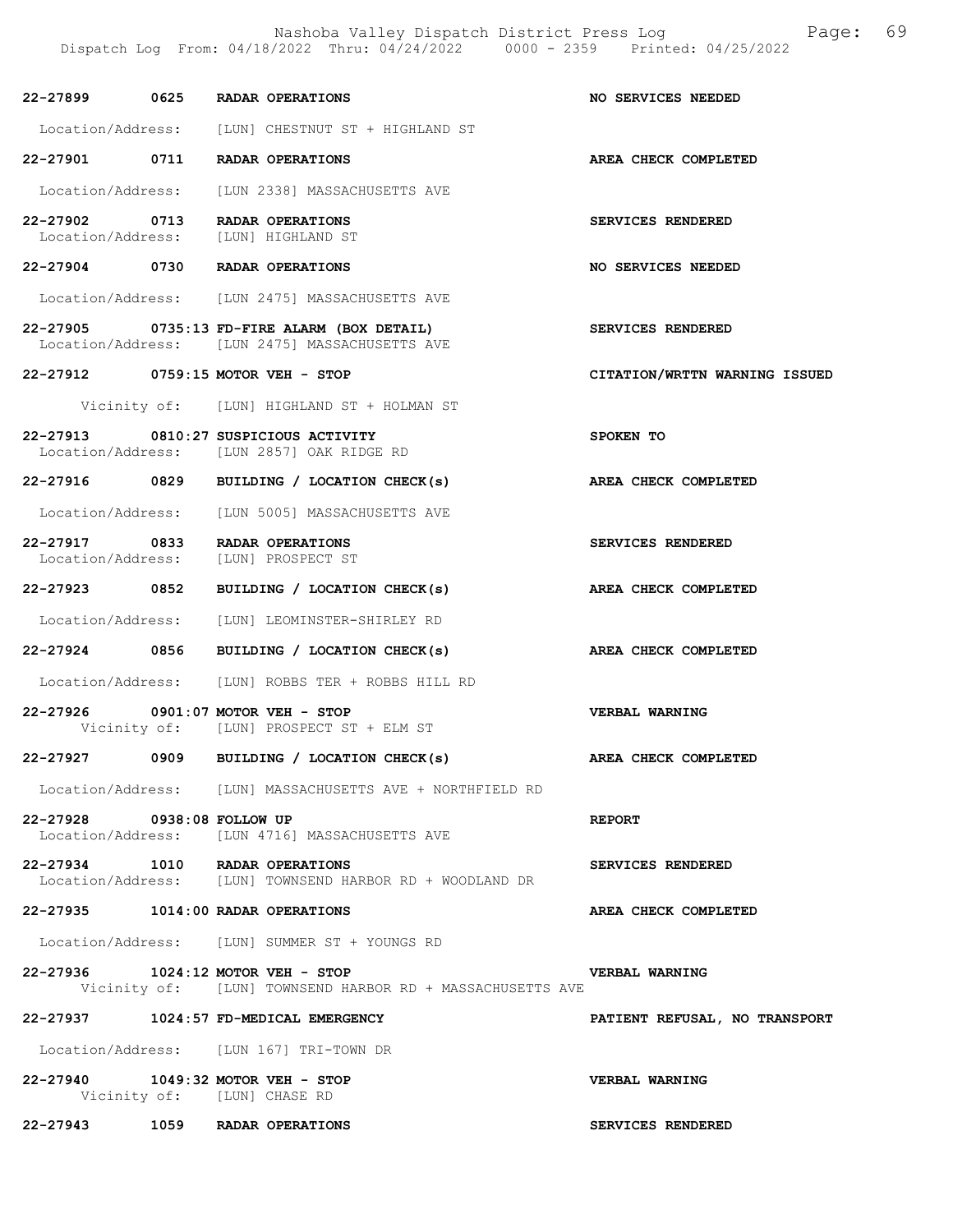|                            | 22-27899 0625 RADAR OPERATIONS                                                                 | NO SERVICES NEEDED            |
|----------------------------|------------------------------------------------------------------------------------------------|-------------------------------|
|                            | Location/Address: [LUN] CHESTNUT ST + HIGHLAND ST                                              |                               |
|                            | 22-27901 0711 RADAR OPERATIONS                                                                 | AREA CHECK COMPLETED          |
|                            | Location/Address: [LUN 2338] MASSACHUSETTS AVE                                                 |                               |
|                            | 22-27902 0713 RADAR OPERATIONS<br>Location/Address: [LUN] HIGHLAND ST                          | SERVICES RENDERED             |
|                            | 22-27904 0730 RADAR OPERATIONS                                                                 | NO SERVICES NEEDED            |
|                            | Location/Address: [LUN 2475] MASSACHUSETTS AVE                                                 |                               |
|                            | 22-27905 0735:13 FD-FIRE ALARM (BOX DETAIL)<br>Location/Address: [LUN 2475] MASSACHUSETTS AVE  | SERVICES RENDERED             |
|                            | 22-27912 0759:15 MOTOR VEH - STOP                                                              | CITATION/WRTTN WARNING ISSUED |
|                            | Vicinity of: [LUN] HIGHLAND ST + HOLMAN ST                                                     |                               |
|                            | 22-27913 0810:27 SUSPICIOUS ACTIVITY<br>Location/Address: [LUN 2857] OAK RIDGE RD              | SPOKEN TO                     |
|                            | 22-27916 0829 BUILDING / LOCATION CHECK(s)                                                     | AREA CHECK COMPLETED          |
|                            | Location/Address: [LUN 5005] MASSACHUSETTS AVE                                                 |                               |
|                            | 22-27917 0833 RADAR OPERATIONS<br>Location/Address: [LUN] PROSPECT ST                          | SERVICES RENDERED             |
|                            | 22-27923 0852 BUILDING / LOCATION CHECK(s)                                                     | AREA CHECK COMPLETED          |
|                            | Location/Address: [LUN] LEOMINSTER-SHIRLEY RD                                                  |                               |
|                            | 22-27924 0856 BUILDING / LOCATION CHECK(s)                                                     | AREA CHECK COMPLETED          |
|                            | Location/Address: [LUN] ROBBS TER + ROBBS HILL RD                                              |                               |
|                            | 22-27926 0901:07 MOTOR VEH - STOP<br>Vicinity of: [LUN] PROSPECT ST + ELM ST                   | VERBAL WARNING                |
|                            | 22-27927 0909 BUILDING / LOCATION CHECK(s)                                                     | AREA CHECK COMPLETED          |
|                            | Location/Address: [LUN] MASSACHUSETTS AVE + NORTHFIELD RD                                      |                               |
| 22-27928 0938:08 FOLLOW UP | Location/Address: [LUN 4716] MASSACHUSETTS AVE                                                 | <b>REPORT</b>                 |
|                            | 22-27934 1010 RADAR OPERATIONS<br>Location/Address: [LUN] TOWNSEND HARBOR RD + WOODLAND DR     | SERVICES RENDERED             |
|                            | 22-27935 1014:00 RADAR OPERATIONS                                                              | AREA CHECK COMPLETED          |
|                            | Location/Address: [LUN] SUMMER ST + YOUNGS RD                                                  |                               |
|                            | 22-27936 1024:12 MOTOR VEH - STOP<br>Vicinity of: [LUN] TOWNSEND HARBOR RD + MASSACHUSETTS AVE | VERBAL WARNING                |
|                            | 22-27937 1024:57 FD-MEDICAL EMERGENCY                                                          | PATIENT REFUSAL, NO TRANSPORT |
|                            | Location/Address: [LUN 167] TRI-TOWN DR                                                        |                               |
|                            | 22-27940 1049:32 MOTOR VEH - STOP<br>Vicinity of: [LUN] CHASE RD                               | VERBAL WARNING                |
|                            | 22-27943 1059 RADAR OPERATIONS                                                                 | SERVICES RENDERED             |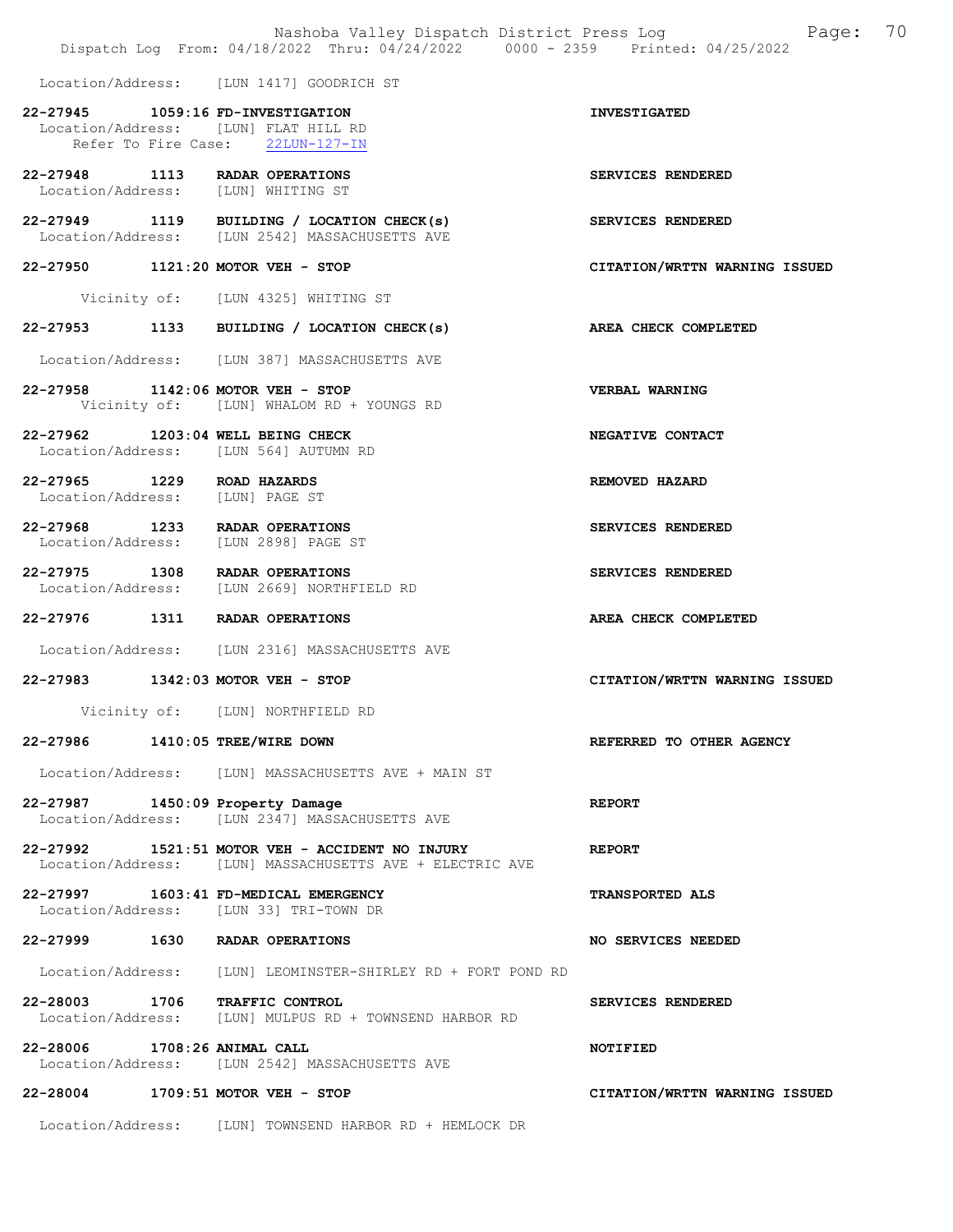|                                                               | Dispatch Log From: 04/18/2022 Thru: 04/24/2022 0000 - 2359 Printed: 04/25/2022                                   | Nashoba Valley Dispatch District Press Log Mashoba Valley Dispatch District Press Log |
|---------------------------------------------------------------|------------------------------------------------------------------------------------------------------------------|---------------------------------------------------------------------------------------|
|                                                               | Location/Address: [LUN 1417] GOODRICH ST                                                                         |                                                                                       |
|                                                               | 22-27945    1059:16 FD-INVESTIGATION<br>Location/Address: [LUN] FLAT HILL RD<br>Refer To Fire Case: 22LUN-127-IN | <b>INVESTIGATED</b>                                                                   |
|                                                               | 22-27948 1113 RADAR OPERATIONS<br>Location/Address: [LUN] WHITING ST                                             | SERVICES RENDERED                                                                     |
|                                                               | 22-27949 1119 BUILDING / LOCATION CHECK(s)<br>Location/Address: [LUN 2542] MASSACHUSETTS AVE                     | SERVICES RENDERED                                                                     |
|                                                               | 22-27950 1121:20 MOTOR VEH - STOP                                                                                | CITATION/WRTTN WARNING ISSUED                                                         |
|                                                               | Vicinity of: [LUN 4325] WHITING ST                                                                               |                                                                                       |
|                                                               | 22-27953 1133 BUILDING / LOCATION CHECK(s)                                                                       | AREA CHECK COMPLETED                                                                  |
|                                                               | Location/Address: [LUN 387] MASSACHUSETTS AVE                                                                    |                                                                                       |
|                                                               | 22-27958 1142:06 MOTOR VEH - STOP<br>Vicinity of: [LUN] WHALOM RD + YOUNGS RD                                    | <b>VERBAL WARNING</b>                                                                 |
|                                                               | 22-27962 1203:04 WELL BEING CHECK<br>Location/Address: [LUN 564] AUTUMN RD                                       | NEGATIVE CONTACT                                                                      |
| 22-27965 1229 ROAD HAZARDS<br>Location/Address: [LUN] PAGE ST |                                                                                                                  | REMOVED HAZARD                                                                        |
|                                                               | 22-27968 1233 RADAR OPERATIONS<br>Location/Address: [LUN 2898] PAGE ST                                           | SERVICES RENDERED                                                                     |
|                                                               | 22-27975 1308 RADAR OPERATIONS<br>Location/Address: [LUN 2669] NORTHFIELD RD                                     | SERVICES RENDERED                                                                     |
|                                                               | 22-27976 1311 RADAR OPERATIONS                                                                                   | AREA CHECK COMPLETED                                                                  |
|                                                               | Location/Address: [LUN 2316] MASSACHUSETTS AVE                                                                   |                                                                                       |
|                                                               | 22-27983 1342:03 MOTOR VEH - STOP                                                                                | CITATION/WRTTN WARNING ISSUED                                                         |
|                                                               | Vicinity of: [LUN] NORTHFIELD RD                                                                                 |                                                                                       |
| 22-27986 1410:05 TREE/WIRE DOWN                               |                                                                                                                  | REFERRED TO OTHER AGENCY                                                              |
|                                                               | Location/Address: [LUN] MASSACHUSETTS AVE + MAIN ST                                                              |                                                                                       |
|                                                               | 22-27987 1450:09 Property Damage<br>Location/Address: [LUN 2347] MASSACHUSETTS AVE                               | <b>REPORT</b>                                                                         |
|                                                               | 22-27992   1521:51 MOTOR VEH - ACCIDENT NO INJURY<br>Location/Address: [LUN] MASSACHUSETTS AVE + ELECTRIC AVE    | <b>REPORT</b>                                                                         |
|                                                               | 22-27997 1603:41 FD-MEDICAL EMERGENCY<br>Location/Address: [LUN 33] TRI-TOWN DR                                  | <b>TRANSPORTED ALS</b>                                                                |
|                                                               | 22-27999 1630 RADAR OPERATIONS                                                                                   | NO SERVICES NEEDED                                                                    |
|                                                               | Location/Address: [LUN] LEOMINSTER-SHIRLEY RD + FORT POND RD                                                     |                                                                                       |
|                                                               | 22-28003 1706 TRAFFIC CONTROL<br>Location/Address: [LUN] MULPUS RD + TOWNSEND HARBOR RD                          | SERVICES RENDERED                                                                     |
| 22-28006 1708:26 ANIMAL CALL                                  | Location/Address: [LUN 2542] MASSACHUSETTS AVE                                                                   | NOTIFIED                                                                              |
|                                                               | 22-28004 1709:51 MOTOR VEH - STOP                                                                                | CITATION/WRTTN WARNING ISSUED                                                         |
|                                                               |                                                                                                                  |                                                                                       |

Location/Address: [LUN] TOWNSEND HARBOR RD + HEMLOCK DR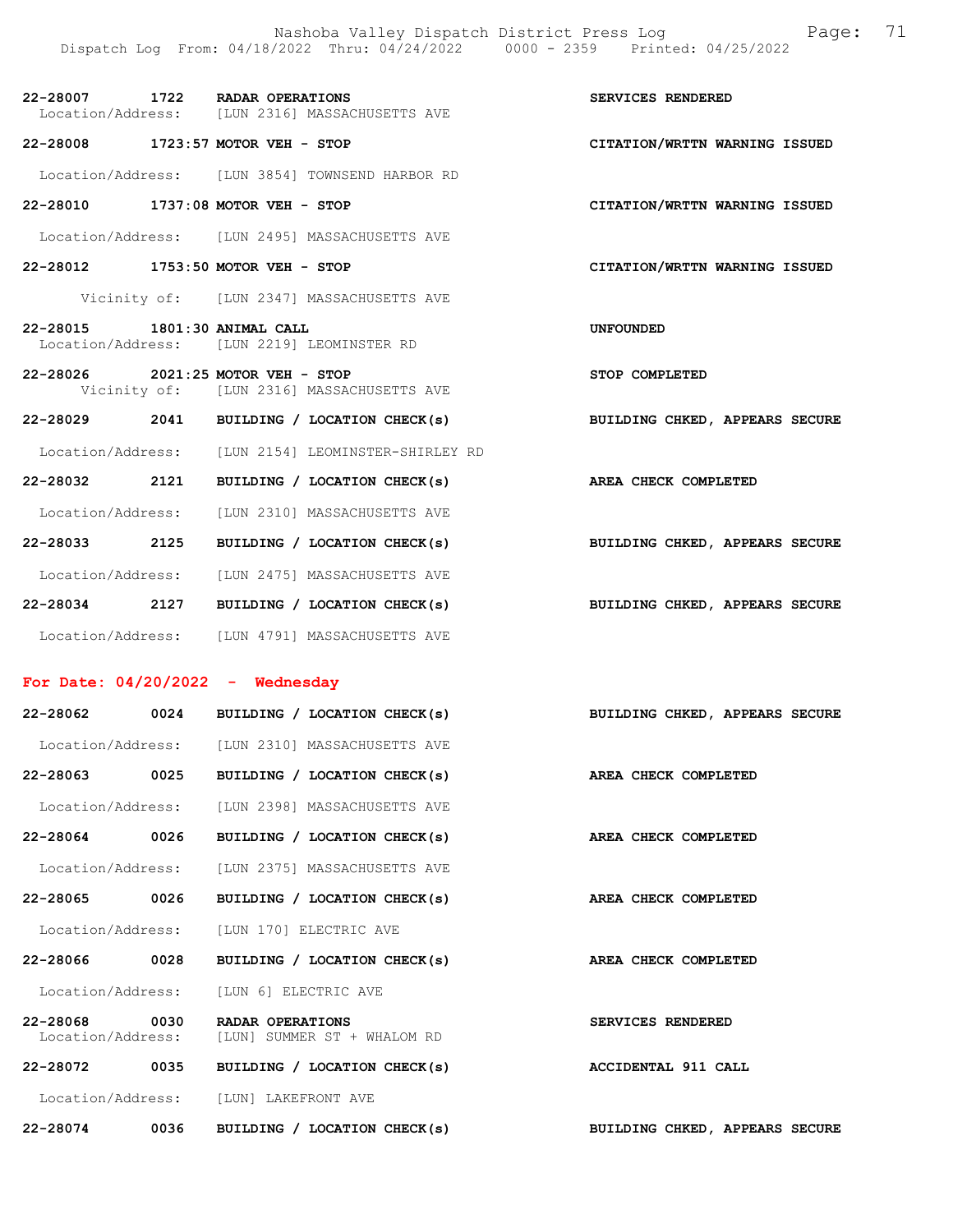| 22-28007          | 1722 | <b>RADAR OPERATIONS</b> |                              |  | SERVICES RENDERED |  |
|-------------------|------|-------------------------|------------------------------|--|-------------------|--|
| Location/Address: |      |                         | [LUN 2316] MASSACHUSETTS AVE |  |                   |  |

22-28008 1723:57 MOTOR VEH - STOP CITATION/WRTTN WARNING ISSUED

Location/Address: [LUN 3854] TOWNSEND HARBOR RD

- 22-28010 1737:08 MOTOR VEH STOP CITATION/WRTTN WARNING ISSUED
- Location/Address: [LUN 2495] MASSACHUSETTS AVE
- 22-28012 1753:50 MOTOR VEH STOP CITATION/WRTTN WARNING ISSUED
	- Vicinity of: [LUN 2347] MASSACHUSETTS AVE
- 22-28015 1801:30 ANIMAL CALL UNFOUNDED Location/Address: [LUN 2219] LEOMINSTER RD
- 22-28026 2021:25 MOTOR VEH STOP STOP COMPLETED Vicinity of: [LUN 2316] MASSACHUSETTS AVE
- 22-28029 2041 BUILDING / LOCATION CHECK(s) BUILDING CHKED, APPEARS SECURE
- Location/Address: [LUN 2154] LEOMINSTER-SHIRLEY RD 22-28032 2121 BUILDING / LOCATION CHECK(s) AREA CHECK COMPLETED Location/Address: [LUN 2310] MASSACHUSETTS AVE 22-28033 2125 BUILDING / LOCATION CHECK(s) BUILDING CHKED, APPEARS SECURE Location/Address: [LUN 2475] MASSACHUSETTS AVE 22-28034 2127 BUILDING / LOCATION CHECK(s) BUILDING CHKED, APPEARS SECURE

Location/Address: [LUN 4791] MASSACHUSETTS AVE

#### For Date: 04/20/2022 - Wednesday

| 22-28062      |      | 0024 BUILDING / LOCATION CHECK(s)                                               | BUILDING CHKED, APPEARS SECURE |
|---------------|------|---------------------------------------------------------------------------------|--------------------------------|
|               |      | Location/Address: [LUN 2310] MASSACHUSETTS AVE                                  |                                |
| 22-28063 0025 |      | BUILDING / LOCATION CHECK(s)                                                    | AREA CHECK COMPLETED           |
|               |      | Location/Address: [LUN 2398] MASSACHUSETTS AVE                                  |                                |
| 22-28064 0026 |      | BUILDING / LOCATION CHECK(s)                                                    | AREA CHECK COMPLETED           |
|               |      | Location/Address: [LUN 2375] MASSACHUSETTS AVE                                  |                                |
| 22-28065 0026 |      | BUILDING / LOCATION CHECK(s)                                                    | AREA CHECK COMPLETED           |
|               |      | Location/Address: [LUN 170] ELECTRIC AVE                                        |                                |
| 22-28066 0028 |      | BUILDING / LOCATION CHECK(s)                                                    | AREA CHECK COMPLETED           |
|               |      | Location/Address: [LUN 6] ELECTRIC AVE                                          |                                |
|               |      | 22-28068 0030 RADAR OPERATIONS<br>Location/Address: [LUN] SUMMER ST + WHALOM RD | SERVICES RENDERED              |
| 22-28072 0035 |      | BUILDING / LOCATION CHECK(s) ACCIDENTAL 911 CALL                                |                                |
|               |      | Location/Address: [LUN] LAKEFRONT AVE                                           |                                |
| 22-28074      | 0036 | BUILDING / LOCATION CHECK(s)                                                    | BUILDING CHKED, APPEARS SECURE |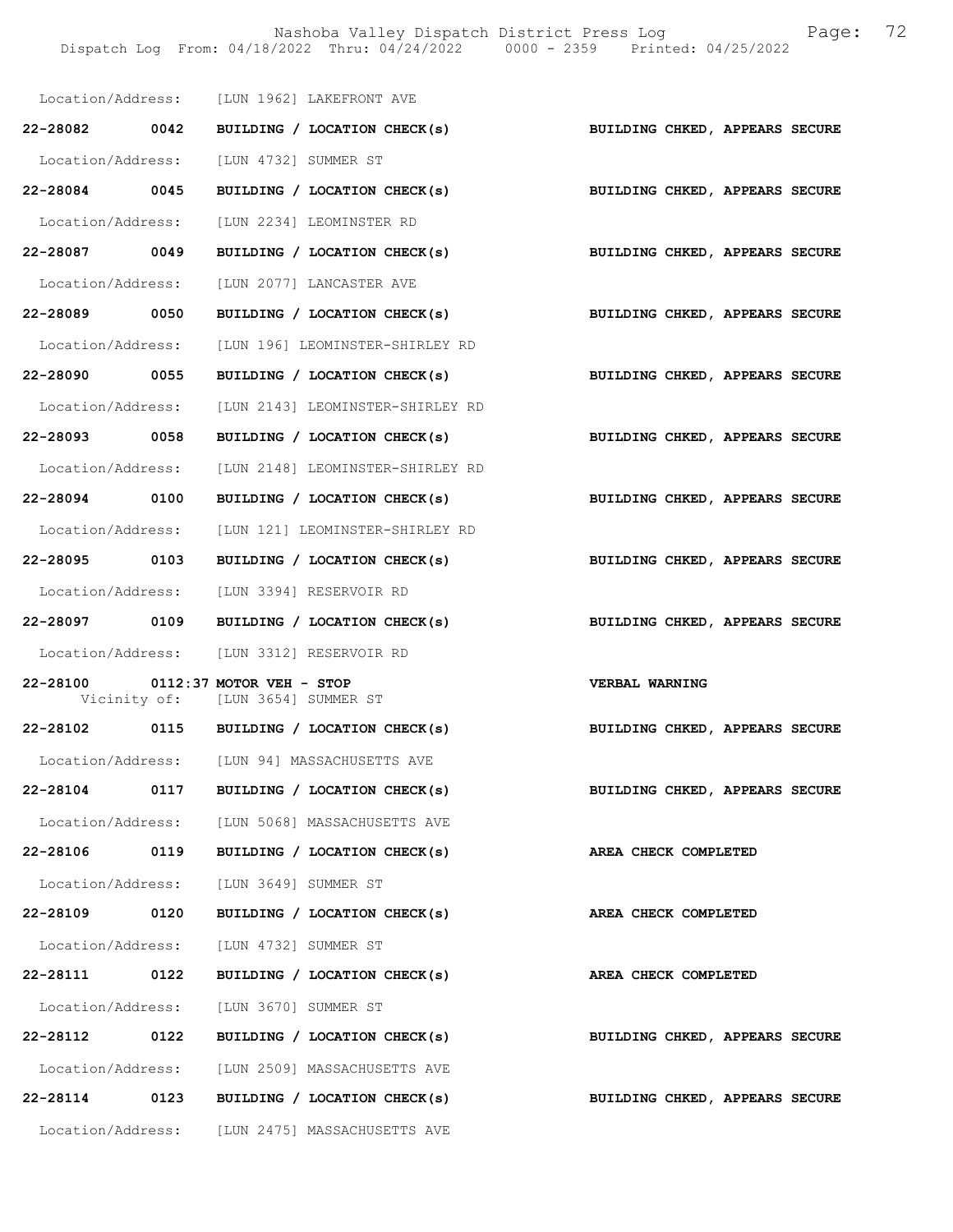Nashoba Valley Dispatch District Press Log Fage: 72 Dispatch Log From: 04/18/2022 Thru: 04/24/2022 0000 - 2359 Printed: 04/25/2022

|                                            |      |                                                                 | Location/Address: [LUN 1962] LAKEFRONT AVE                  |                                |  |
|--------------------------------------------|------|-----------------------------------------------------------------|-------------------------------------------------------------|--------------------------------|--|
|                                            |      |                                                                 | 22-28082 0042 BUILDING / LOCATION CHECK(s)                  | BUILDING CHKED, APPEARS SECURE |  |
| Location/Address: [LUN 4732] SUMMER ST     |      |                                                                 |                                                             |                                |  |
| 22-28084 0045                              |      |                                                                 | BUILDING / LOCATION CHECK(s) BUILDING CHKED, APPEARS SECURE |                                |  |
|                                            |      |                                                                 | Location/Address: [LUN 2234] LEOMINSTER RD                  |                                |  |
| 22-28087 0049                              |      |                                                                 | BUILDING / LOCATION CHECK(s)                                | BUILDING CHKED, APPEARS SECURE |  |
| Location/Address: [LUN 2077] LANCASTER AVE |      |                                                                 |                                                             |                                |  |
| 22-28089 0050                              |      |                                                                 | BUILDING / LOCATION CHECK(s)                                | BUILDING CHKED, APPEARS SECURE |  |
|                                            |      |                                                                 | Location/Address: [LUN 196] LEOMINSTER-SHIRLEY RD           |                                |  |
| 22-28090 0055                              |      |                                                                 | BUILDING / LOCATION CHECK(s) BUILDING CHKED, APPEARS SECURE |                                |  |
|                                            |      |                                                                 | Location/Address: [LUN 2143] LEOMINSTER-SHIRLEY RD          |                                |  |
| 22-28093 0058                              |      |                                                                 | BUILDING / LOCATION CHECK(s)                                | BUILDING CHKED, APPEARS SECURE |  |
|                                            |      |                                                                 | Location/Address: [LUN 2148] LEOMINSTER-SHIRLEY RD          |                                |  |
| 22-28094 0100                              |      |                                                                 | BUILDING / LOCATION CHECK(s)                                | BUILDING CHKED, APPEARS SECURE |  |
|                                            |      |                                                                 | Location/Address: [LUN 121] LEOMINSTER-SHIRLEY RD           |                                |  |
| 22-28095 0103                              |      |                                                                 | BUILDING / LOCATION CHECK(s)                                | BUILDING CHKED, APPEARS SECURE |  |
| Location/Address: [LUN 3394] RESERVOIR RD  |      |                                                                 |                                                             |                                |  |
|                                            |      |                                                                 | 22-28097 0109 BUILDING / LOCATION CHECK(s)                  | BUILDING CHKED, APPEARS SECURE |  |
| Location/Address: [LUN 3312] RESERVOIR RD  |      |                                                                 |                                                             |                                |  |
| 22-28100                                   |      | $0112:37$ MOTOR VEH - STOP<br>Vicinity of: [LUN 3654] SUMMER ST |                                                             | <b>VERBAL WARNING</b>          |  |
|                                            |      |                                                                 | 22-28102 0115 BUILDING / LOCATION CHECK(s)                  | BUILDING CHKED, APPEARS SECURE |  |
|                                            |      |                                                                 | Location/Address: [LUN 94] MASSACHUSETTS AVE                |                                |  |
| 22-28104                                   | 0117 |                                                                 | BUILDING / LOCATION CHECK(s)                                | BUILDING CHKED, APPEARS SECURE |  |
|                                            |      |                                                                 | Location/Address: [LUN 5068] MASSACHUSETTS AVE              |                                |  |
| 22-28106                                   | 0119 |                                                                 | BUILDING / LOCATION CHECK(s)                                | AREA CHECK COMPLETED           |  |
| Location/Address: [LUN 3649] SUMMER ST     |      |                                                                 |                                                             |                                |  |
| 22-28109 0120                              |      |                                                                 | BUILDING / LOCATION CHECK(s)                                | AREA CHECK COMPLETED           |  |
| Location/Address:                          |      | [LUN 4732] SUMMER ST                                            |                                                             |                                |  |
| 22-28111                                   | 0122 |                                                                 | BUILDING / LOCATION CHECK(s)                                | AREA CHECK COMPLETED           |  |
| Location/Address:                          |      | [LUN 3670] SUMMER ST                                            |                                                             |                                |  |
| 22-28112                                   | 0122 |                                                                 | BUILDING / LOCATION CHECK(s)                                | BUILDING CHKED, APPEARS SECURE |  |
|                                            |      |                                                                 | Location/Address: [LUN 2509] MASSACHUSETTS AVE              |                                |  |
| 22-28114 0123                              |      |                                                                 | BUILDING / LOCATION CHECK(s)                                | BUILDING CHKED, APPEARS SECURE |  |
| Location/Address:                          |      |                                                                 | [LUN 2475] MASSACHUSETTS AVE                                |                                |  |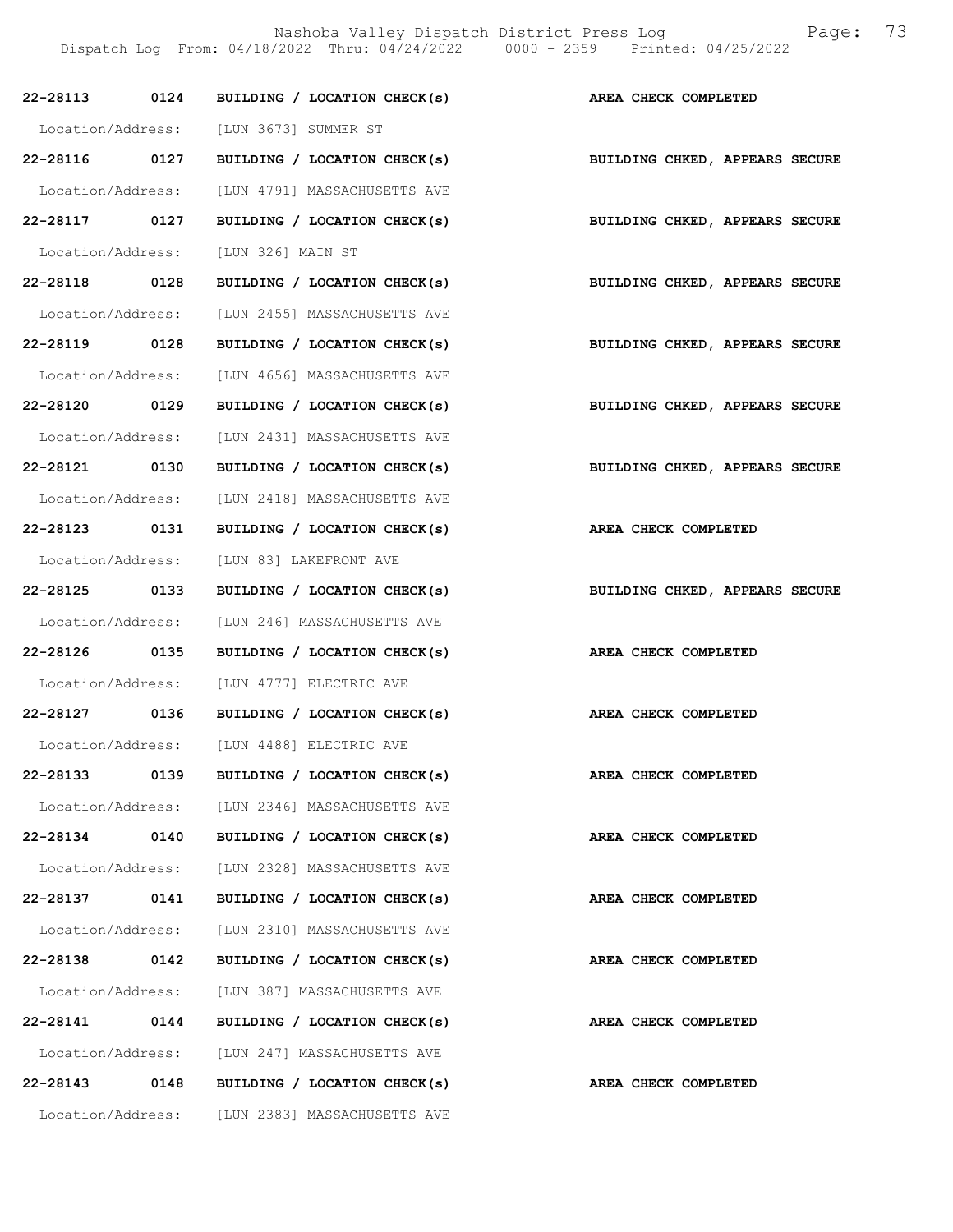|                   |      | 22-28113 0124 BUILDING / LOCATION CHECK(s)     |                                |
|-------------------|------|------------------------------------------------|--------------------------------|
|                   |      |                                                | AREA CHECK COMPLETED           |
|                   |      | Location/Address: [LUN 3673] SUMMER ST         |                                |
| 22-28116 0127     |      | BUILDING / LOCATION CHECK(s)                   | BUILDING CHKED, APPEARS SECURE |
| Location/Address: |      | [LUN 4791] MASSACHUSETTS AVE                   |                                |
|                   |      | 22-28117 0127 BUILDING / LOCATION CHECK(s)     | BUILDING CHKED, APPEARS SECURE |
| Location/Address: |      | [LUN 326] MAIN ST                              |                                |
| 22-28118 0128     |      | BUILDING / LOCATION CHECK(s)                   | BUILDING CHKED, APPEARS SECURE |
|                   |      | Location/Address: [LUN 2455] MASSACHUSETTS AVE |                                |
| 22-28119 0128     |      | BUILDING / LOCATION CHECK(s)                   | BUILDING CHKED, APPEARS SECURE |
|                   |      | Location/Address: [LUN 4656] MASSACHUSETTS AVE |                                |
| 22-28120 0129     |      | BUILDING / LOCATION CHECK(s)                   | BUILDING CHKED, APPEARS SECURE |
|                   |      | Location/Address: [LUN 2431] MASSACHUSETTS AVE |                                |
| 22-28121 0130     |      | BUILDING / LOCATION CHECK(s)                   | BUILDING CHKED, APPEARS SECURE |
|                   |      | Location/Address: [LUN 2418] MASSACHUSETTS AVE |                                |
| 22-28123 0131     |      | BUILDING / LOCATION CHECK(s)                   | AREA CHECK COMPLETED           |
| Location/Address: |      | [LUN 83] LAKEFRONT AVE                         |                                |
| 22-28125 0133     |      | BUILDING / LOCATION CHECK(s)                   | BUILDING CHKED, APPEARS SECURE |
|                   |      | Location/Address: [LUN 246] MASSACHUSETTS AVE  |                                |
|                   |      | 22-28126 0135 BUILDING / LOCATION CHECK(s)     | AREA CHECK COMPLETED           |
|                   |      | Location/Address: [LUN 4777] ELECTRIC AVE      |                                |
|                   |      | 22-28127 0136 BUILDING / LOCATION CHECK(s)     | AREA CHECK COMPLETED           |
|                   |      | Location/Address: [LUN 4488] ELECTRIC AVE      |                                |
| 22-28133          | 0139 | BUILDING / LOCATION CHECK(s)                   | AREA CHECK COMPLETED           |
|                   |      | Location/Address: [LUN 2346] MASSACHUSETTS AVE |                                |
| 22-28134          | 0140 | BUILDING / LOCATION CHECK(s)                   | AREA CHECK COMPLETED           |
| Location/Address: |      | [LUN 2328] MASSACHUSETTS AVE                   |                                |
| 22-28137          | 0141 | BUILDING / LOCATION CHECK(s)                   | AREA CHECK COMPLETED           |
| Location/Address: |      | [LUN 2310] MASSACHUSETTS AVE                   |                                |
| 22-28138          | 0142 | BUILDING / LOCATION CHECK(s)                   | AREA CHECK COMPLETED           |
| Location/Address: |      | [LUN 387] MASSACHUSETTS AVE                    |                                |
| 22-28141          | 0144 | BUILDING / LOCATION CHECK(s)                   | AREA CHECK COMPLETED           |
|                   |      | Location/Address: [LUN 247] MASSACHUSETTS AVE  |                                |
| 22-28143          | 0148 | BUILDING / LOCATION CHECK(s)                   | AREA CHECK COMPLETED           |
|                   |      | Location/Address: [LUN 2383] MASSACHUSETTS AVE |                                |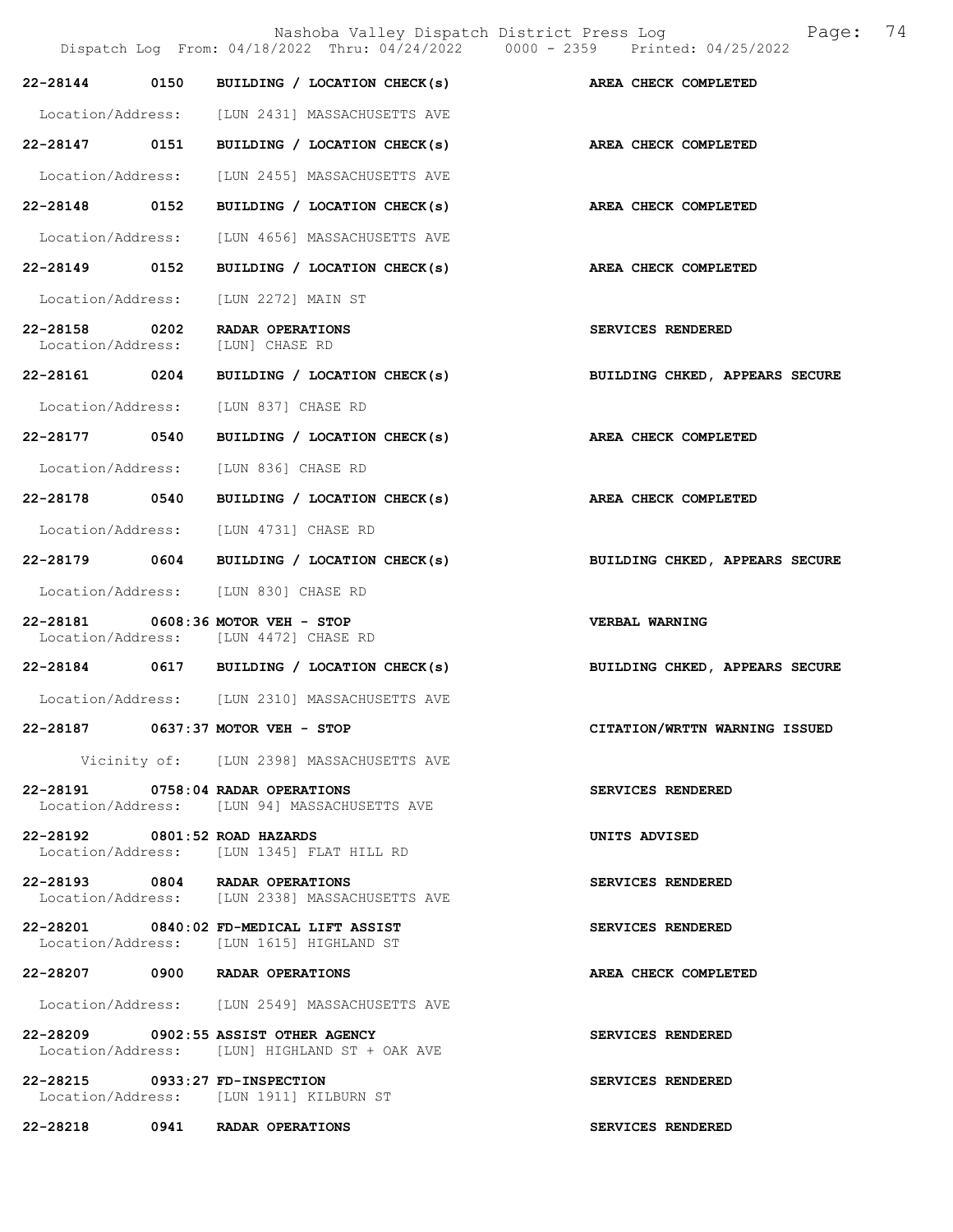|                                    |      | Nashoba Valley Dispatch District Press Log<br>Dispatch Log From: 04/18/2022 Thru: 04/24/2022 0000 - 2359 Printed: 04/25/2022 | 74<br>Page:                    |
|------------------------------------|------|------------------------------------------------------------------------------------------------------------------------------|--------------------------------|
| 22-28144                           | 0150 | BUILDING / LOCATION CHECK(s)                                                                                                 | AREA CHECK COMPLETED           |
|                                    |      | Location/Address: [LUN 2431] MASSACHUSETTS AVE                                                                               |                                |
| 22-28147 0151                      |      | BUILDING / LOCATION CHECK(s)                                                                                                 | AREA CHECK COMPLETED           |
| Location/Address:                  |      | [LUN 2455] MASSACHUSETTS AVE                                                                                                 |                                |
| 22-28148 0152                      |      | BUILDING / LOCATION CHECK(s)                                                                                                 | AREA CHECK COMPLETED           |
| Location/Address:                  |      | [LUN 4656] MASSACHUSETTS AVE                                                                                                 |                                |
| 22-28149                           | 0152 | BUILDING / LOCATION CHECK(s)                                                                                                 | AREA CHECK COMPLETED           |
| Location/Address:                  |      | [LUN 2272] MAIN ST                                                                                                           |                                |
| 22-28158 0202<br>Location/Address: |      | RADAR OPERATIONS<br>[LUN] CHASE RD                                                                                           | SERVICES RENDERED              |
| 22-28161 0204                      |      | BUILDING / LOCATION CHECK(s)                                                                                                 | BUILDING CHKED, APPEARS SECURE |
| Location/Address:                  |      | [LUN 837] CHASE RD                                                                                                           |                                |
| 22-28177                           | 0540 | BUILDING / LOCATION CHECK(s)                                                                                                 | AREA CHECK COMPLETED           |
| Location/Address:                  |      | [LUN 836] CHASE RD                                                                                                           |                                |
| 22-28178 0540                      |      | BUILDING / LOCATION CHECK(s)                                                                                                 | AREA CHECK COMPLETED           |
| Location/Address:                  |      | [LUN 4731] CHASE RD                                                                                                          |                                |
| 22-28179 0604                      |      | BUILDING / LOCATION CHECK(s)                                                                                                 | BUILDING CHKED, APPEARS SECURE |
|                                    |      | Location/Address: [LUN 830] CHASE RD                                                                                         |                                |
|                                    |      | 22-28181 0608:36 MOTOR VEH - STOP<br>Location/Address: [LUN 4472] CHASE RD                                                   | VERBAL WARNING                 |
|                                    |      | 22-28184 0617 BUILDING / LOCATION CHECK(s)                                                                                   | BUILDING CHKED, APPEARS SECURE |
|                                    |      | Location/Address: [LUN 2310] MASSACHUSETTS AVE                                                                               |                                |
|                                    |      | 22-28187 0637:37 MOTOR VEH - STOP                                                                                            | CITATION/WRTTN WARNING ISSUED  |
|                                    |      | Vicinity of: [LUN 2398] MASSACHUSETTS AVE                                                                                    |                                |
|                                    |      | 22-28191 0758:04 RADAR OPERATIONS<br>Location/Address: [LUN 94] MASSACHUSETTS AVE                                            | SERVICES RENDERED              |
| 22-28192 0801:52 ROAD HAZARDS      |      | Location/Address: [LUN 1345] FLAT HILL RD                                                                                    | UNITS ADVISED                  |
|                                    |      | 22-28193 0804 RADAR OPERATIONS<br>Location/Address: [LUN 2338] MASSACHUSETTS AVE                                             | SERVICES RENDERED              |
|                                    |      | 22-28201 0840:02 FD-MEDICAL LIFT ASSIST<br>Location/Address: [LUN 1615] HIGHLAND ST                                          | SERVICES RENDERED              |
|                                    |      | 22-28207 0900 RADAR OPERATIONS                                                                                               | AREA CHECK COMPLETED           |
|                                    |      | Location/Address: [LUN 2549] MASSACHUSETTS AVE                                                                               |                                |
|                                    |      | 22-28209 0902:55 ASSIST OTHER AGENCY<br>Location/Address: [LUN] HIGHLAND ST + OAK AVE                                        | SERVICES RENDERED              |
| 22-28215 0933:27 FD-INSPECTION     |      | Location/Address: [LUN 1911] KILBURN ST                                                                                      | SERVICES RENDERED              |
|                                    |      | 22-28218 0941 RADAR OPERATIONS                                                                                               | SERVICES RENDERED              |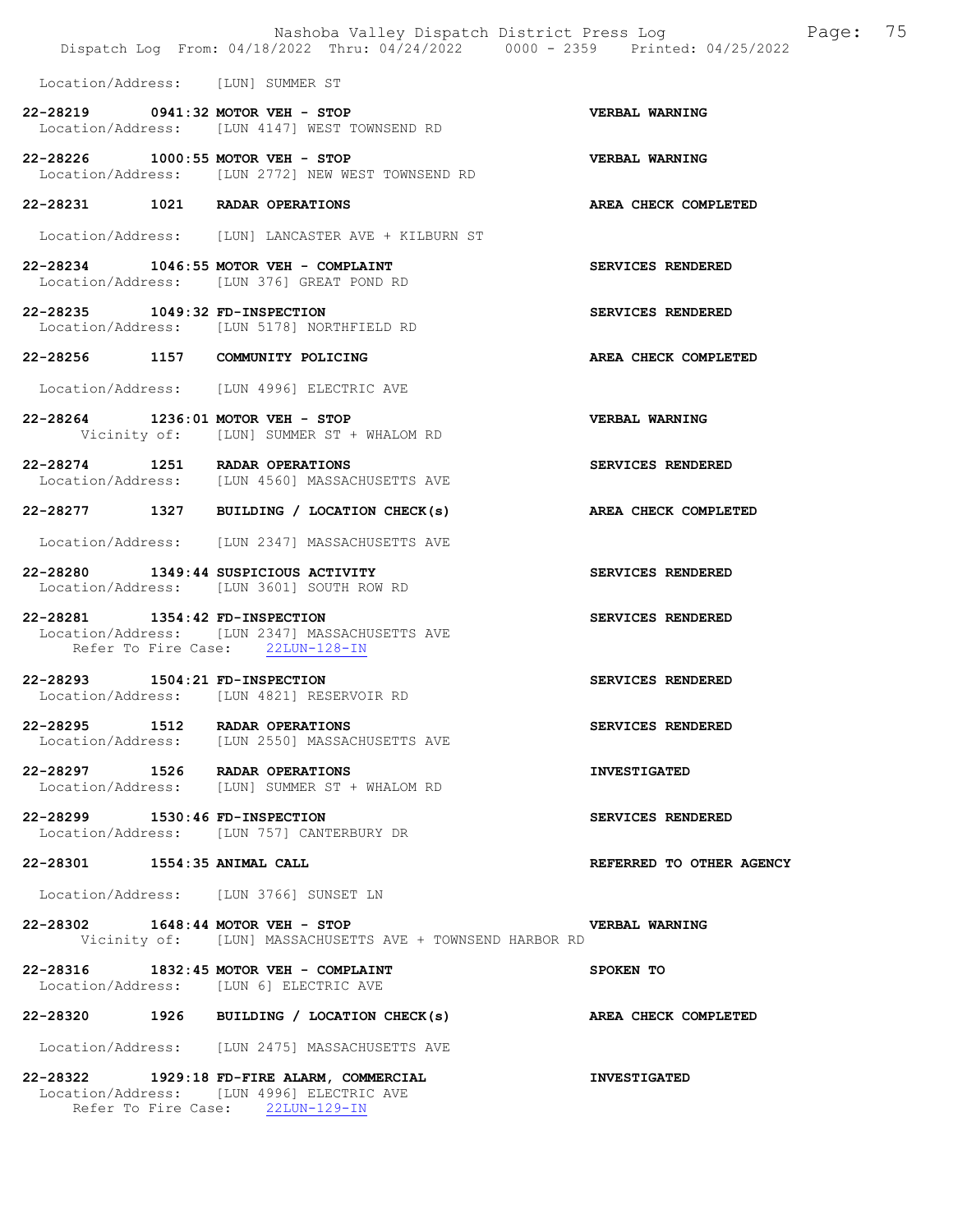|                                   | Nashoba Valley Dispatch District Press Log<br>Dispatch Log From: 04/18/2022 Thru: 04/24/2022 0000 - 2359 Printed: 04/25/2022 | Page: 75                 |
|-----------------------------------|------------------------------------------------------------------------------------------------------------------------------|--------------------------|
| Location/Address: [LUN] SUMMER ST |                                                                                                                              |                          |
| 22-28219 0941:32 MOTOR VEH - STOP | Location/Address: [LUN 4147] WEST TOWNSEND RD                                                                                | VERBAL WARNING           |
| 22-28226 1000:55 MOTOR VEH - STOP | Location/Address: [LUN 2772] NEW WEST TOWNSEND RD                                                                            | <b>VERBAL WARNING</b>    |
| 22-28231 1021 RADAR OPERATIONS    |                                                                                                                              | AREA CHECK COMPLETED     |
|                                   | Location/Address: [LUN] LANCASTER AVE + KILBURN ST                                                                           |                          |
|                                   | 22-28234 1046:55 MOTOR VEH - COMPLAINT<br>Location/Address: [LUN 376] GREAT POND RD                                          | SERVICES RENDERED        |
| 22-28235 1049:32 FD-INSPECTION    | Location/Address: [LUN 5178] NORTHFIELD RD                                                                                   | SERVICES RENDERED        |
|                                   | 22-28256 1157 COMMUNITY POLICING                                                                                             | AREA CHECK COMPLETED     |
|                                   | Location/Address: [LUN 4996] ELECTRIC AVE                                                                                    |                          |
| 22-28264 1236:01 MOTOR VEH - STOP | Vicinity of: [LUN] SUMMER ST + WHALOM RD                                                                                     | VERBAL WARNING           |
| 22-28274 1251 RADAR OPERATIONS    | Location/Address: [LUN 4560] MASSACHUSETTS AVE                                                                               | SERVICES RENDERED        |
|                                   | 22-28277 1327 BUILDING / LOCATION CHECK(s)                                                                                   | AREA CHECK COMPLETED     |
|                                   | Location/Address: [LUN 2347] MASSACHUSETTS AVE                                                                               |                          |
|                                   | 22-28280 1349:44 SUSPICIOUS ACTIVITY<br>Location/Address: [LUN 3601] SOUTH ROW RD                                            | SERVICES RENDERED        |
| 22-28281 1354:42 FD-INSPECTION    | Location/Address: [LUN 2347] MASSACHUSETTS AVE<br>Refer To Fire Case: 22LUN-128-IN                                           | SERVICES RENDERED        |
| 22-28293 1504:21 FD-INSPECTION    | Location/Address: [LUN 4821] RESERVOIR RD                                                                                    | SERVICES RENDERED        |
| 22-28295 1512 RADAR OPERATIONS    | Location/Address: [LUN 2550] MASSACHUSETTS AVE                                                                               | SERVICES RENDERED        |
| 22-28297 1526 RADAR OPERATIONS    | Location/Address: [LUN] SUMMER ST + WHALOM RD                                                                                | <b>INVESTIGATED</b>      |
| 22-28299 1530:46 FD-INSPECTION    | Location/Address: [LUN 757] CANTERBURY DR                                                                                    | SERVICES RENDERED        |
| 22-28301 1554:35 ANIMAL CALL      |                                                                                                                              | REFERRED TO OTHER AGENCY |
|                                   | Location/Address: [LUN 3766] SUNSET LN                                                                                       |                          |
| 22-28302 1648:44 MOTOR VEH - STOP | Vicinity of: [LUN] MASSACHUSETTS AVE + TOWNSEND HARBOR RD                                                                    | VERBAL WARNING           |
|                                   | 22-28316 1832:45 MOTOR VEH - COMPLAINT<br>Location/Address: [LUN 6] ELECTRIC AVE                                             | SPOKEN TO                |
|                                   | 22-28320 1926 BUILDING / LOCATION CHECK(s)                                                                                   | AREA CHECK COMPLETED     |
|                                   | Location/Address: [LUN 2475] MASSACHUSETTS AVE                                                                               |                          |
|                                   | 22-28322 1929:18 FD-FIRE ALARM, COMMERCIAL<br>Location/Address: [LUN 4996] ELECTRIC AVE                                      | <b>INVESTIGATED</b>      |

Refer To Fire Case: 22LUN-129-IN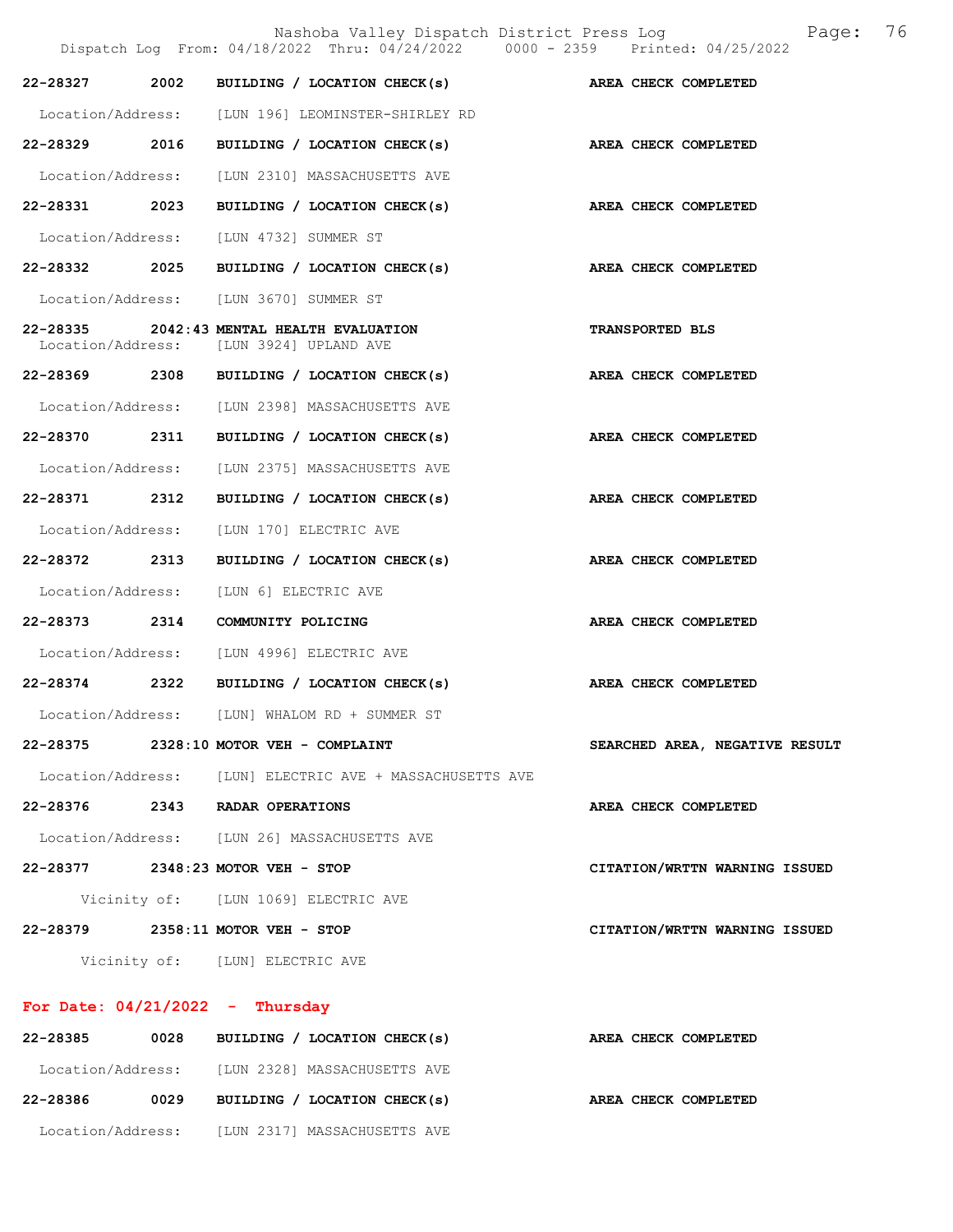Nashoba Valley Dispatch District Press Log Fage: 76 Dispatch Log From: 04/18/2022 Thru: 04/24/2022 0000 - 2359 Printed: 04/25/2022 22-28327 2002 BUILDING / LOCATION CHECK(s) AREA CHECK COMPLETED Location/Address: [LUN 196] LEOMINSTER-SHIRLEY RD 22-28329 2016 BUILDING / LOCATION CHECK(s) AREA CHECK COMPLETED Location/Address: [LUN 2310] MASSACHUSETTS AVE 22-28331 2023 BUILDING / LOCATION CHECK(s) AREA CHECK COMPLETED Location/Address: [LUN 4732] SUMMER ST 22-28332 2025 BUILDING / LOCATION CHECK(s) AREA CHECK COMPLETED Location/Address: [LUN 3670] SUMMER ST 22-28335 2042:43 MENTAL HEALTH EVALUATION TRANSPORTED BLS Location/Address: [LUN 3924] UPLAND AVE 22-28369 2308 BUILDING / LOCATION CHECK(s) AREA CHECK COMPLETED Location/Address: [LUN 2398] MASSACHUSETTS AVE 22-28370 2311 BUILDING / LOCATION CHECK(s) AREA CHECK COMPLETED Location/Address: [LUN 2375] MASSACHUSETTS AVE 22-28371 2312 BUILDING / LOCATION CHECK(s) AREA CHECK COMPLETED Location/Address: [LUN 170] ELECTRIC AVE 22-28372 2313 BUILDING / LOCATION CHECK(s) AREA CHECK COMPLETED Location/Address: [LUN 6] ELECTRIC AVE 22-28373 2314 COMMUNITY POLICING AREA CHECK COMPLETED Location/Address: [LUN 4996] ELECTRIC AVE 22-28374 2322 BUILDING / LOCATION CHECK(s) AREA CHECK COMPLETED Location/Address: [LUN] WHALOM RD + SUMMER ST 22-28375 2328:10 MOTOR VEH - COMPLAINT SEARCHED AREA, NEGATIVE RESULT Location/Address: [LUN] ELECTRIC AVE + MASSACHUSETTS AVE 22-28376 2343 RADAR OPERATIONS AREA CHECK COMPLETED Location/Address: [LUN 26] MASSACHUSETTS AVE 22-28377 2348:23 MOTOR VEH - STOP CITATION/WRTTN WARNING ISSUED Vicinity of: [LUN 1069] ELECTRIC AVE 22-28379 2358:11 MOTOR VEH - STOP CITATION/WRTTN WARNING ISSUED Vicinity of: [LUN] ELECTRIC AVE

#### For Date:  $04/21/2022 -$  Thursday

| 22-28385          | 0028 | BUILDING / LOCATION CHECK(s) | AREA CHECK COMPLETED |
|-------------------|------|------------------------------|----------------------|
| Location/Address: |      | [LUN 2328] MASSACHUSETTS AVE |                      |
| 22-28386          | 0029 | BUILDING / LOCATION CHECK(s) | AREA CHECK COMPLETED |
| Location/Address: |      | [LUN 2317] MASSACHUSETTS AVE |                      |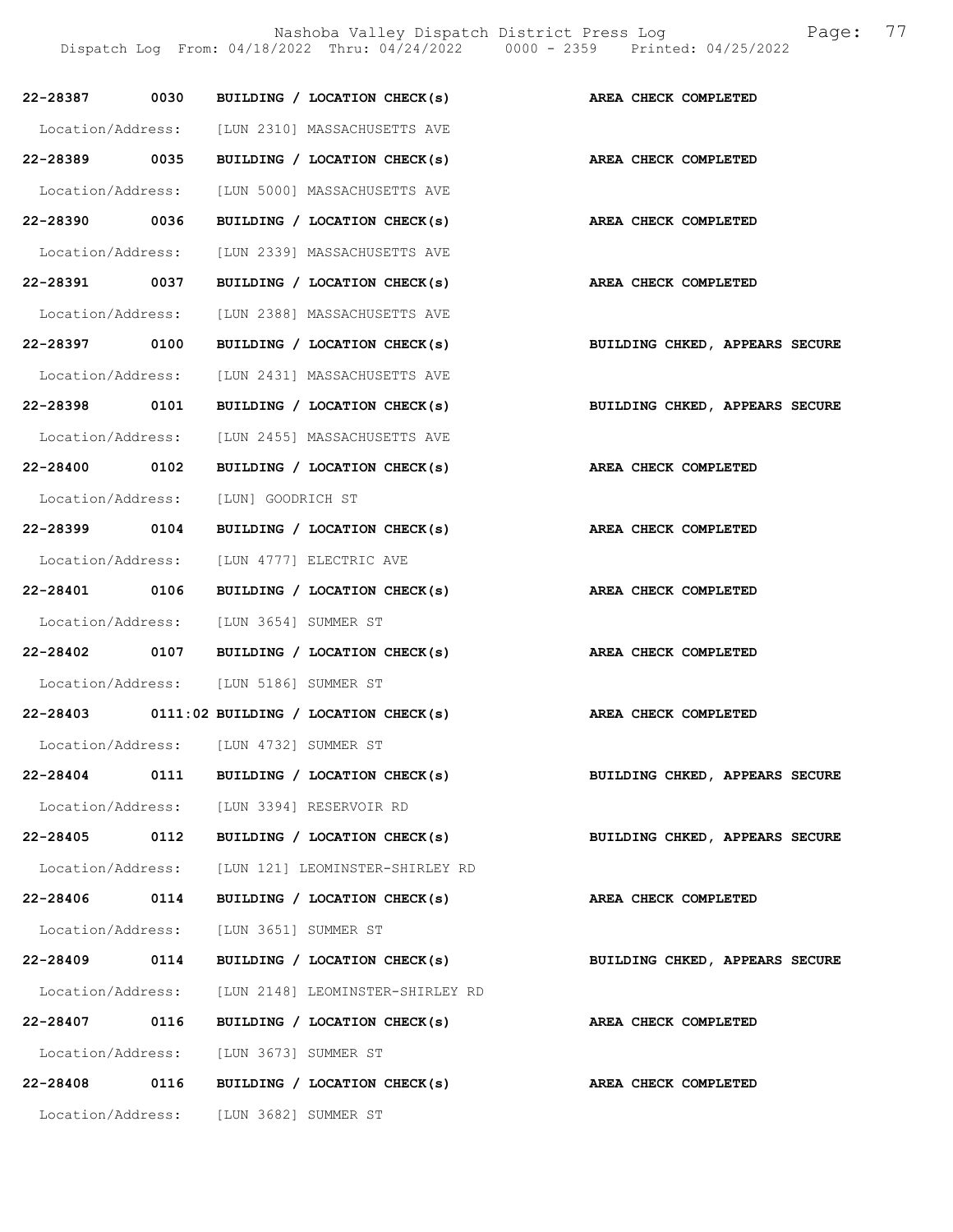|               |      | BUILDING / LOCATION CHECK(s)                       |                                |
|---------------|------|----------------------------------------------------|--------------------------------|
| 22-28387 0030 |      |                                                    | AREA CHECK COMPLETED           |
|               |      | Location/Address: [LUN 2310] MASSACHUSETTS AVE     |                                |
| 22-28389 0035 |      | BUILDING / LOCATION CHECK(s)                       | AREA CHECK COMPLETED           |
|               |      | Location/Address: [LUN 5000] MASSACHUSETTS AVE     |                                |
| 22-28390 0036 |      | BUILDING / LOCATION CHECK(s)                       | AREA CHECK COMPLETED           |
|               |      | Location/Address: [LUN 2339] MASSACHUSETTS AVE     |                                |
| 22-28391 0037 |      | BUILDING / LOCATION CHECK(s)                       | AREA CHECK COMPLETED           |
|               |      | Location/Address: [LUN 2388] MASSACHUSETTS AVE     |                                |
| 22-28397 0100 |      | BUILDING / LOCATION CHECK(s)                       | BUILDING CHKED, APPEARS SECURE |
|               |      | Location/Address: [LUN 2431] MASSACHUSETTS AVE     |                                |
| 22-28398 0101 |      | BUILDING / LOCATION CHECK(s)                       | BUILDING CHKED, APPEARS SECURE |
|               |      | Location/Address: [LUN 2455] MASSACHUSETTS AVE     |                                |
| 22-28400 0102 |      | BUILDING / LOCATION CHECK(s)                       | AREA CHECK COMPLETED           |
|               |      | Location/Address: [LUN] GOODRICH ST                |                                |
| 22-28399 0104 |      | BUILDING / LOCATION CHECK(s)                       | AREA CHECK COMPLETED           |
|               |      | Location/Address: [LUN 4777] ELECTRIC AVE          |                                |
| 22-28401 0106 |      | BUILDING / LOCATION CHECK(s)                       | AREA CHECK COMPLETED           |
|               |      | Location/Address: [LUN 3654] SUMMER ST             |                                |
| 22-28402 0107 |      | BUILDING / LOCATION CHECK(s)                       | AREA CHECK COMPLETED           |
|               |      | Location/Address: [LUN 5186] SUMMER ST             |                                |
|               |      | $22-28403$ 0111:02 BUILDING / LOCATION CHECK(s)    | AREA CHECK COMPLETED           |
|               |      | Location/Address: [LUN 4732] SUMMER ST             |                                |
| 22-28404      | 0111 | BUILDING / LOCATION CHECK(s)                       | BUILDING CHKED, APPEARS SECURE |
|               |      | Location/Address: [LUN 3394] RESERVOIR RD          |                                |
| 22-28405 0112 |      | BUILDING / LOCATION CHECK(s)                       | BUILDING CHKED, APPEARS SECURE |
|               |      | Location/Address: [LUN 121] LEOMINSTER-SHIRLEY RD  |                                |
| 22-28406      | 0114 | BUILDING / LOCATION CHECK(s)                       | AREA CHECK COMPLETED           |
|               |      | Location/Address: [LUN 3651] SUMMER ST             |                                |
| 22-28409      | 0114 | BUILDING / LOCATION CHECK(s)                       | BUILDING CHKED, APPEARS SECURE |
|               |      | Location/Address: [LUN 2148] LEOMINSTER-SHIRLEY RD |                                |
| 22-28407 0116 |      | BUILDING / LOCATION CHECK(s)                       | AREA CHECK COMPLETED           |
|               |      | Location/Address: [LUN 3673] SUMMER ST             |                                |
|               |      | 22-28408 0116 BUILDING / LOCATION CHECK(s)         | AREA CHECK COMPLETED           |
|               |      | Location/Address: [LUN 3682] SUMMER ST             |                                |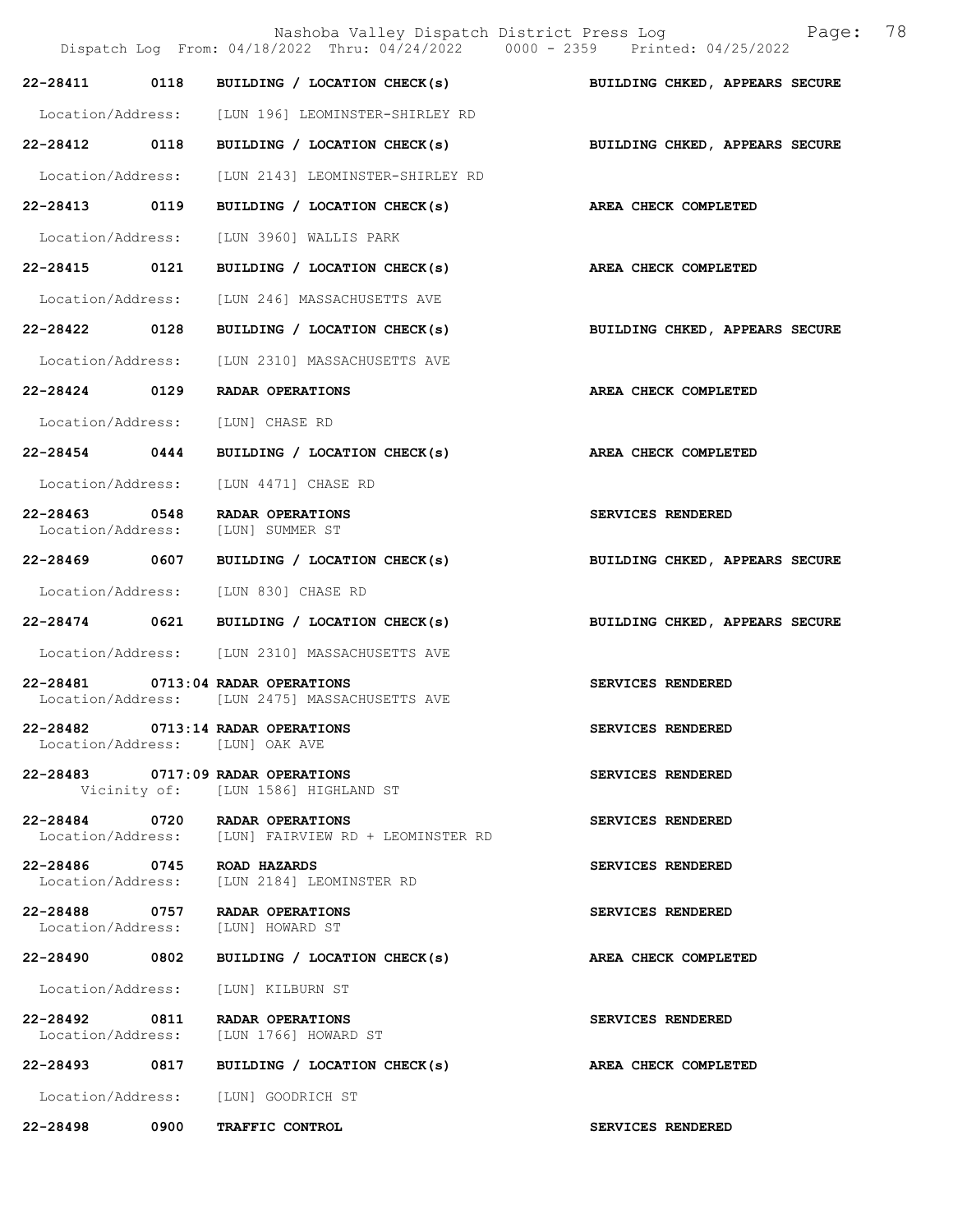|                                    |             | Nashoba Valley Dispatch District Press Log<br>Dispatch Log From: 04/18/2022 Thru: 04/24/2022 0000 - 2359 Printed: 04/25/2022 | 78<br>Page:                    |
|------------------------------------|-------------|------------------------------------------------------------------------------------------------------------------------------|--------------------------------|
|                                    |             | 22-28411 0118 BUILDING / LOCATION CHECK(s) BUILDING CHKED, APPEARS SECURE                                                    |                                |
|                                    |             | Location/Address: [LUN 196] LEOMINSTER-SHIRLEY RD                                                                            |                                |
| 22-28412 0118                      |             | BUILDING / LOCATION CHECK(s)                                                                                                 | BUILDING CHKED, APPEARS SECURE |
| Location/Address:                  |             | [LUN 2143] LEOMINSTER-SHIRLEY RD                                                                                             |                                |
| 22-28413 0119                      |             | BUILDING / LOCATION CHECK(s)                                                                                                 | AREA CHECK COMPLETED           |
| Location/Address:                  |             | [LUN 3960] WALLIS PARK                                                                                                       |                                |
| 22-28415 0121                      |             | BUILDING / LOCATION CHECK(s)                                                                                                 | AREA CHECK COMPLETED           |
| Location/Address:                  |             | [LUN 246] MASSACHUSETTS AVE                                                                                                  |                                |
| 22-28422 0128                      |             | BUILDING / LOCATION CHECK(s)                                                                                                 | BUILDING CHKED, APPEARS SECURE |
| Location/Address:                  |             | [LUN 2310] MASSACHUSETTS AVE                                                                                                 |                                |
| 22-28424 0129                      |             | RADAR OPERATIONS                                                                                                             | AREA CHECK COMPLETED           |
| Location/Address:                  |             | [LUN] CHASE RD                                                                                                               |                                |
| 22-28454 0444                      |             | BUILDING / LOCATION CHECK(s)                                                                                                 | AREA CHECK COMPLETED           |
| Location/Address:                  |             | [LUN 4471] CHASE RD                                                                                                          |                                |
| 22-28463 0548<br>Location/Address: |             | RADAR OPERATIONS<br>[LUN] SUMMER ST                                                                                          | SERVICES RENDERED              |
|                                    |             | 22-28469 0607 BUILDING / LOCATION CHECK(s)                                                                                   | BUILDING CHKED, APPEARS SECURE |
| Location/Address:                  |             | [LUN 830] CHASE RD                                                                                                           |                                |
| 22-28474 0621                      |             | BUILDING / LOCATION CHECK(s)                                                                                                 | BUILDING CHKED, APPEARS SECURE |
|                                    |             | Location/Address: [LUN 2310] MASSACHUSETTS AVE                                                                               |                                |
|                                    |             | 22-28481 0713:04 RADAR OPERATIONS<br>Location/Address: [LUN 2475] MASSACHUSETTS AVE                                          | SERVICES RENDERED              |
|                                    |             | 22-28482 0713:14 RADAR OPERATIONS<br>Location/Address: [LUN] OAK AVE                                                         | SERVICES RENDERED              |
|                                    |             | 22-28483 0717:09 RADAR OPERATIONS<br>Vicinity of: [LUN 1586] HIGHLAND ST                                                     | SERVICES RENDERED              |
|                                    |             | 22-28484 0720 RADAR OPERATIONS<br>Location/Address: [LUN] FAIRVIEW RD + LEOMINSTER RD                                        | SERVICES RENDERED              |
|                                    |             | 22-28486 0745 ROAD HAZARDS<br>Location/Address: [LUN 2184] LEOMINSTER RD                                                     | SERVICES RENDERED              |
|                                    |             | 22-28488 0757 RADAR OPERATIONS<br>Location/Address: [LUN] HOWARD ST                                                          | SERVICES RENDERED              |
| 22-28490 0802                      |             | BUILDING / LOCATION CHECK(s)                                                                                                 | AREA CHECK COMPLETED           |
|                                    |             | Location/Address: [LUN] KILBURN ST                                                                                           |                                |
|                                    |             | 22-28492 0811 RADAR OPERATIONS<br>Location/Address: [LUN 1766] HOWARD ST                                                     | SERVICES RENDERED              |
|                                    |             | 22-28493 0817 BUILDING / LOCATION CHECK(s)                                                                                   | AREA CHECK COMPLETED           |
|                                    |             | Location/Address: [LUN] GOODRICH ST                                                                                          |                                |
| 22-28498                           | $\sim$ 0900 | TRAFFIC CONTROL                                                                                                              | SERVICES RENDERED              |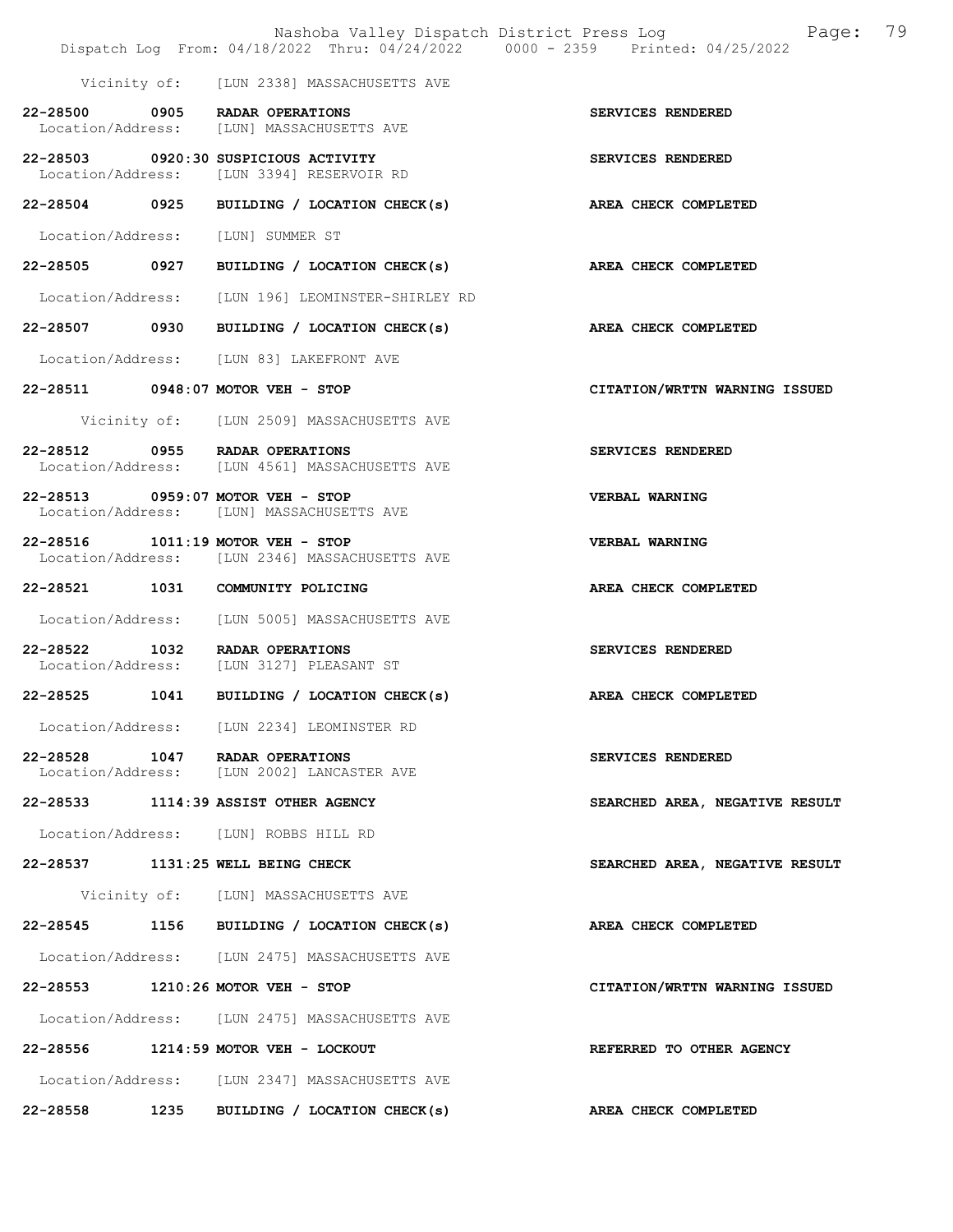|                   |      | Nashoba Valley Dispatch District Press Log<br>Dispatch Log From: 04/18/2022 Thru: 04/24/2022 0000 - 2359 Printed: 04/25/2022 | Page:                          | 79 |
|-------------------|------|------------------------------------------------------------------------------------------------------------------------------|--------------------------------|----|
|                   |      | Vicinity of: [LUN 2338] MASSACHUSETTS AVE                                                                                    |                                |    |
|                   |      | 22-28500 0905 RADAR OPERATIONS<br>Location/Address: [LUN] MASSACHUSETTS AVE                                                  | SERVICES RENDERED              |    |
|                   |      | 22-28503 0920:30 SUSPICIOUS ACTIVITY<br>Location/Address: [LUN 3394] RESERVOIR RD                                            | SERVICES RENDERED              |    |
|                   |      | 22-28504 0925 BUILDING / LOCATION CHECK(s) AREA CHECK COMPLETED                                                              |                                |    |
| Location/Address: |      | [LUN] SUMMER ST                                                                                                              |                                |    |
| 22-28505 0927     |      | BUILDING / LOCATION CHECK(s) AREA CHECK COMPLETED                                                                            |                                |    |
|                   |      | Location/Address: [LUN 196] LEOMINSTER-SHIRLEY RD                                                                            |                                |    |
|                   |      | 22-28507 0930 BUILDING / LOCATION CHECK(s)                                                                                   | AREA CHECK COMPLETED           |    |
|                   |      | Location/Address: [LUN 83] LAKEFRONT AVE                                                                                     |                                |    |
|                   |      | 22-28511 0948:07 MOTOR VEH - STOP                                                                                            | CITATION/WRTTN WARNING ISSUED  |    |
|                   |      | Vicinity of: [LUN 2509] MASSACHUSETTS AVE                                                                                    |                                |    |
|                   |      | 22-28512 0955 RADAR OPERATIONS<br>Location/Address: [LUN 4561] MASSACHUSETTS AVE                                             | SERVICES RENDERED              |    |
|                   |      | 22-28513 0959:07 MOTOR VEH - STOP<br>Location/Address: [LUN] MASSACHUSETTS AVE                                               | VERBAL WARNING                 |    |
|                   |      | 22-28516 1011:19 MOTOR VEH - STOP<br>Location/Address: [LUN 2346] MASSACHUSETTS AVE                                          | <b>VERBAL WARNING</b>          |    |
|                   |      | 22-28521 1031 COMMUNITY POLICING                                                                                             | AREA CHECK COMPLETED           |    |
|                   |      | Location/Address: [LUN 5005] MASSACHUSETTS AVE                                                                               |                                |    |
| 22-28522 1032     |      | RADAR OPERATIONS<br>Location/Address: [LUN 3127] PLEASANT ST                                                                 | SERVICES RENDERED              |    |
| 22-28525 1041     |      | BUILDING / LOCATION CHECK(s)                                                                                                 | AREA CHECK COMPLETED           |    |
|                   |      | Location/Address: [LUN 2234] LEOMINSTER RD                                                                                   |                                |    |
|                   |      | 22-28528 1047 RADAR OPERATIONS<br>Location/Address: [LUN 2002] LANCASTER AVE                                                 | SERVICES RENDERED              |    |
|                   |      | 22-28533 1114:39 ASSIST OTHER AGENCY                                                                                         | SEARCHED AREA, NEGATIVE RESULT |    |
|                   |      | Location/Address: [LUN] ROBBS HILL RD                                                                                        |                                |    |
|                   |      | 22-28537 1131:25 WELL BEING CHECK                                                                                            | SEARCHED AREA, NEGATIVE RESULT |    |
|                   |      | Vicinity of: [LUN] MASSACHUSETTS AVE                                                                                         |                                |    |
|                   |      | 22-28545 1156 BUILDING / LOCATION CHECK(s)                                                                                   | AREA CHECK COMPLETED           |    |
|                   |      | Location/Address: [LUN 2475] MASSACHUSETTS AVE                                                                               |                                |    |
|                   |      | 22-28553 1210:26 MOTOR VEH - STOP                                                                                            | CITATION/WRTTN WARNING ISSUED  |    |
|                   |      | Location/Address: [LUN 2475] MASSACHUSETTS AVE                                                                               |                                |    |
|                   |      | 22-28556 1214:59 MOTOR VEH - LOCKOUT                                                                                         | REFERRED TO OTHER AGENCY       |    |
|                   |      | Location/Address: [LUN 2347] MASSACHUSETTS AVE                                                                               |                                |    |
| 22-28558          | 1235 | BUILDING / LOCATION CHECK(s)                                                                                                 | AREA CHECK COMPLETED           |    |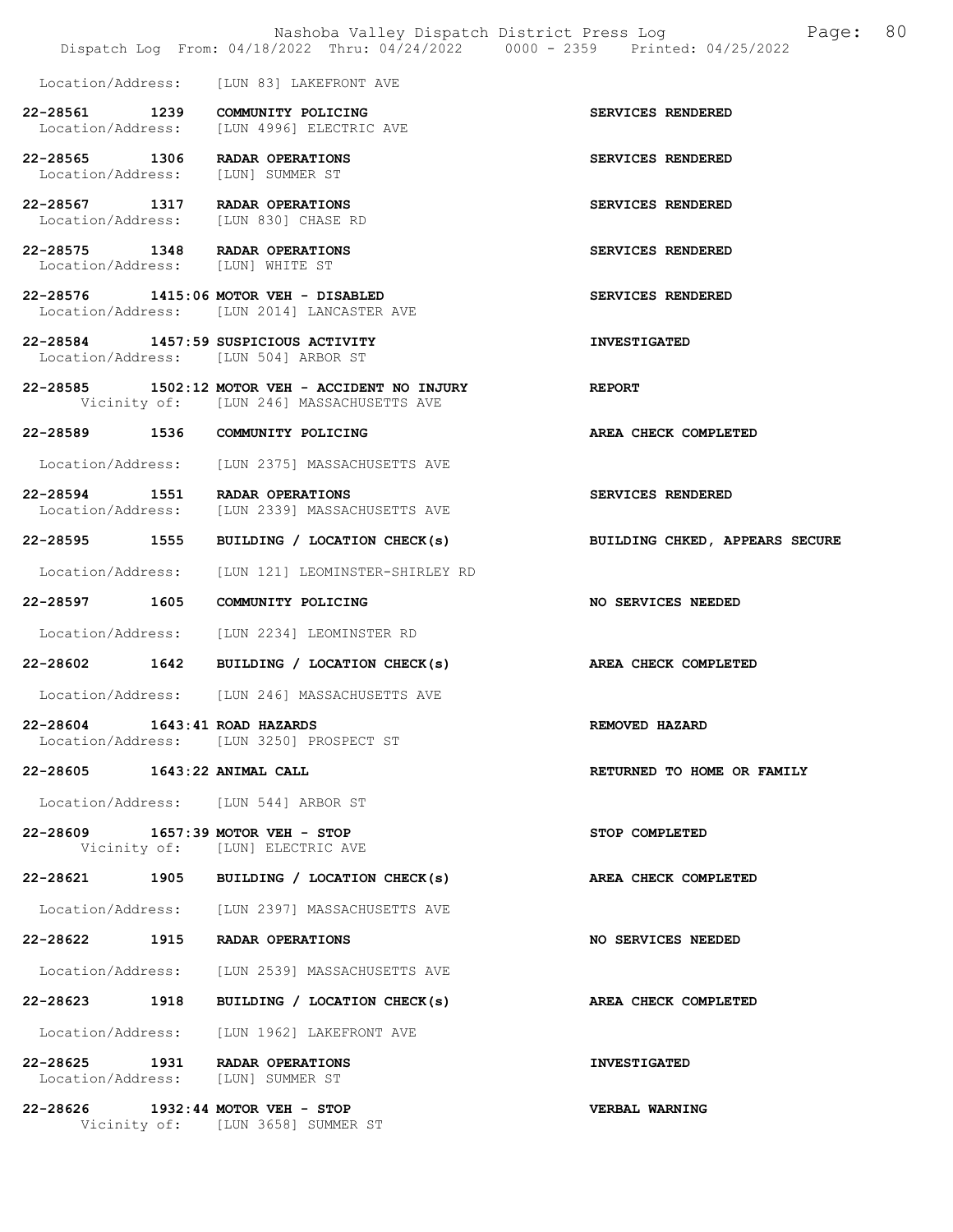|                               | Dispatch Log From: 04/18/2022 Thru: 04/24/2022 0000 - 2359 Printed: 04/25/2022                | Nashoba Valley Dispatch District Press Log Mashoba Valley Dispatch District Press Log |  |
|-------------------------------|-----------------------------------------------------------------------------------------------|---------------------------------------------------------------------------------------|--|
|                               | Location/Address: [LUN 83] LAKEFRONT AVE                                                      |                                                                                       |  |
|                               | 22-28561 1239 COMMUNITY POLICING<br>Location/Address: [LUN 4996] ELECTRIC AVE                 | SERVICES RENDERED                                                                     |  |
|                               | 22-28565 1306 RADAR OPERATIONS<br>Location/Address: [LUN] SUMMER ST                           | SERVICES RENDERED                                                                     |  |
|                               | 22-28567 1317 RADAR OPERATIONS<br>Location/Address: [LUN 830] CHASE RD                        | SERVICES RENDERED                                                                     |  |
|                               | 22-28575 1348 RADAR OPERATIONS<br>Location/Address: [LUN] WHITE ST                            | SERVICES RENDERED                                                                     |  |
|                               | 22-28576 1415:06 MOTOR VEH - DISABLED<br>Location/Address: [LUN 2014] LANCASTER AVE           | SERVICES RENDERED                                                                     |  |
|                               | 22-28584 1457:59 SUSPICIOUS ACTIVITY<br>Location/Address: [LUN 504] ARBOR ST                  | <b>INVESTIGATED</b>                                                                   |  |
|                               | $22-28585$ 1502:12 MOTOR VEH - ACCIDENT NO INJURY<br>Vicinity of: [LUN 246] MASSACHUSETTS AVE | REPORT                                                                                |  |
|                               | 22-28589 1536 COMMUNITY POLICING                                                              | AREA CHECK COMPLETED                                                                  |  |
|                               | Location/Address: [LUN 2375] MASSACHUSETTS AVE                                                |                                                                                       |  |
|                               | 22-28594 1551 RADAR OPERATIONS<br>Location/Address: [LUN 2339] MASSACHUSETTS AVE              | SERVICES RENDERED                                                                     |  |
|                               | 22-28595 1555 BUILDING / LOCATION CHECK(s)                                                    | BUILDING CHKED, APPEARS SECURE                                                        |  |
|                               | Location/Address: [LUN 121] LEOMINSTER-SHIRLEY RD                                             |                                                                                       |  |
|                               | 22-28597 1605 COMMUNITY POLICING                                                              | <b>NO SERVICES NEEDED</b>                                                             |  |
|                               | Location/Address: [LUN 2234] LEOMINSTER RD                                                    |                                                                                       |  |
|                               | 22-28602 1642 BUILDING / LOCATION CHECK(s)                                                    | AREA CHECK COMPLETED                                                                  |  |
|                               | Location/Address: [LUN 246] MASSACHUSETTS AVE                                                 |                                                                                       |  |
| 22-28604 1643:41 ROAD HAZARDS | Location/Address: [LUN 3250] PROSPECT ST                                                      | REMOVED HAZARD                                                                        |  |
| 22-28605 1643:22 ANIMAL CALL  |                                                                                               | RETURNED TO HOME OR FAMILY                                                            |  |
|                               | Location/Address: [LUN 544] ARBOR ST                                                          |                                                                                       |  |
|                               | 22-28609 1657:39 MOTOR VEH - STOP<br>Vicinity of: [LUN] ELECTRIC AVE                          | STOP COMPLETED                                                                        |  |
|                               | 22-28621 1905 BUILDING / LOCATION CHECK(s)                                                    | <b>AREA CHECK COMPLETED</b>                                                           |  |
|                               | Location/Address: [LUN 2397] MASSACHUSETTS AVE                                                |                                                                                       |  |
|                               | 22-28622 1915 RADAR OPERATIONS                                                                | NO SERVICES NEEDED                                                                    |  |
|                               | Location/Address: [LUN 2539] MASSACHUSETTS AVE                                                |                                                                                       |  |
|                               | 22-28623 1918 BUILDING / LOCATION CHECK(s)                                                    | AREA CHECK COMPLETED                                                                  |  |
|                               | Location/Address: [LUN 1962] LAKEFRONT AVE                                                    |                                                                                       |  |
|                               | 22-28625 1931 RADAR OPERATIONS<br>Location/Address: [LUN] SUMMER ST                           | <b>INVESTIGATED</b>                                                                   |  |
|                               |                                                                                               | <b>VERBAL WARNING</b>                                                                 |  |

Vicinity of: [LUN 3658] SUMMER ST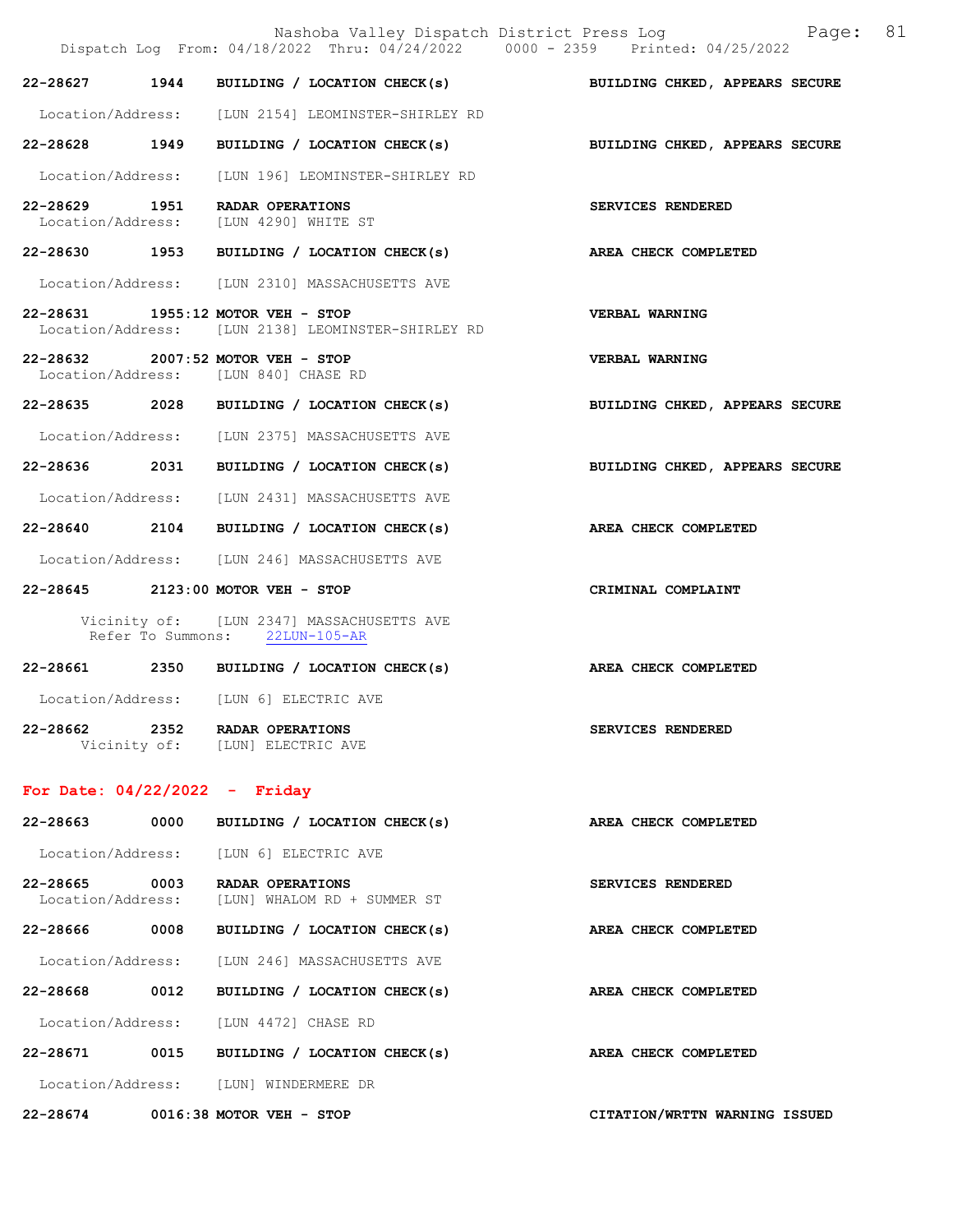|                                    |      | Nashoba Valley Dispatch District Press Log Nashoba Valley Dispatch District Press Log<br>Dispatch Log From: 04/18/2022 Thru: 04/24/2022 0000 - 2359 Printed: 04/25/2022 | 81                             |
|------------------------------------|------|-------------------------------------------------------------------------------------------------------------------------------------------------------------------------|--------------------------------|
| 22-28627                           | 1944 | BUILDING / LOCATION CHECK(s) BUILDING CHKED, APPEARS SECURE                                                                                                             |                                |
|                                    |      | Location/Address: [LUN 2154] LEOMINSTER-SHIRLEY RD                                                                                                                      |                                |
|                                    |      | 22-28628 1949 BUILDING / LOCATION CHECK(s)                                                                                                                              | BUILDING CHKED, APPEARS SECURE |
| Location/Address:                  |      | [LUN 196] LEOMINSTER-SHIRLEY RD                                                                                                                                         |                                |
|                                    |      | 22-28629 1951 RADAR OPERATIONS<br>Location/Address: [LUN 4290] WHITE ST                                                                                                 | SERVICES RENDERED              |
|                                    |      | 22-28630 1953 BUILDING / LOCATION CHECK(s)                                                                                                                              | AREA CHECK COMPLETED           |
|                                    |      | Location/Address: [LUN 2310] MASSACHUSETTS AVE                                                                                                                          |                                |
|                                    |      | 22-28631 1955:12 MOTOR VEH - STOP<br>Location/Address: [LUN 2138] LEOMINSTER-SHIRLEY RD                                                                                 | <b>VERBAL WARNING</b>          |
|                                    |      | 22-28632 2007:52 MOTOR VEH - STOP<br>Location/Address: [LUN 840] CHASE RD                                                                                               | <b>VERBAL WARNING</b>          |
|                                    |      | 22-28635 2028 BUILDING / LOCATION CHECK(s)                                                                                                                              | BUILDING CHKED, APPEARS SECURE |
|                                    |      | Location/Address: [LUN 2375] MASSACHUSETTS AVE                                                                                                                          |                                |
|                                    |      | 22-28636 2031 BUILDING / LOCATION CHECK(s)                                                                                                                              | BUILDING CHKED, APPEARS SECURE |
|                                    |      | Location/Address: [LUN 2431] MASSACHUSETTS AVE                                                                                                                          |                                |
| 22-28640 2104                      |      | BUILDING / LOCATION CHECK(s)                                                                                                                                            | AREA CHECK COMPLETED           |
|                                    |      | Location/Address: [LUN 246] MASSACHUSETTS AVE                                                                                                                           |                                |
|                                    |      | 22-28645 2123:00 MOTOR VEH - STOP                                                                                                                                       | CRIMINAL COMPLAINT             |
|                                    |      | Vicinity of: [LUN 2347] MASSACHUSETTS AVE<br>Refer To Summons: 22LUN-105-AR                                                                                             |                                |
|                                    |      | 22-28661 2350 BUILDING / LOCATION CHECK(s)                                                                                                                              | AREA CHECK COMPLETED           |
|                                    |      | Location/Address: [LUN 6] ELECTRIC AVE                                                                                                                                  |                                |
|                                    |      | 22-28662 2352 RADAR OPERATIONS<br>Vicinity of: [LUN] ELECTRIC AVE                                                                                                       | SERVICES RENDERED              |
| For Date: $04/22/2022 -$ Friday    |      |                                                                                                                                                                         |                                |
| 22-28663 0000                      |      | BUILDING / LOCATION CHECK(s)                                                                                                                                            | AREA CHECK COMPLETED           |
|                                    |      | Location/Address: [LUN 6] ELECTRIC AVE                                                                                                                                  |                                |
| 22-28665 0003<br>Location/Address: |      | RADAR OPERATIONS<br>[LUN] WHALOM RD + SUMMER ST                                                                                                                         | SERVICES RENDERED              |
| 22-28666 0008                      |      | BUILDING / LOCATION CHECK(s)                                                                                                                                            | AREA CHECK COMPLETED           |
|                                    |      | Location/Address: [LUN 246] MASSACHUSETTS AVE                                                                                                                           |                                |
| 22-28668 0012                      |      | BUILDING / LOCATION CHECK(s)                                                                                                                                            | AREA CHECK COMPLETED           |
|                                    |      | Location/Address: [LUN 4472] CHASE RD                                                                                                                                   |                                |
|                                    |      | 22-28671 0015 BUILDING / LOCATION CHECK(s)                                                                                                                              | AREA CHECK COMPLETED           |
|                                    |      | Location/Address: [LUN] WINDERMERE DR                                                                                                                                   |                                |

22-28674 0016:38 MOTOR VEH - STOP CITATION/WRTTN WARNING ISSUED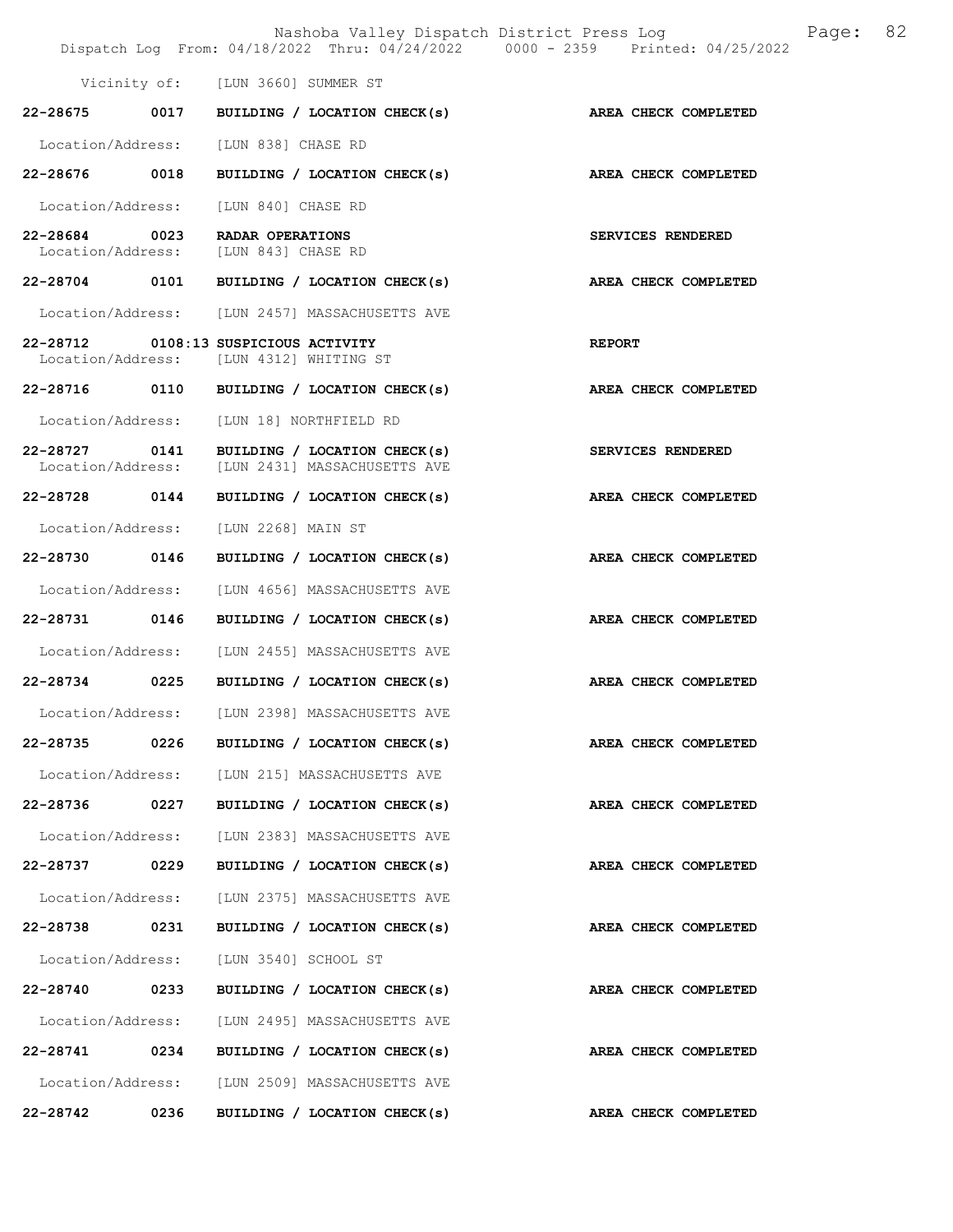|                                    |      |                                                                                 | Nashoba Valley Dispatch District Press Log Mashoba Valley Dispatch District Press Log<br>Dispatch Log From: 04/18/2022 Thru: 04/24/2022 0000 - 2359 Printed: 04/25/2022 |  |
|------------------------------------|------|---------------------------------------------------------------------------------|-------------------------------------------------------------------------------------------------------------------------------------------------------------------------|--|
|                                    |      | Vicinity of: [LUN 3660] SUMMER ST                                               |                                                                                                                                                                         |  |
|                                    |      | 22-28675 0017 BUILDING / LOCATION CHECK(s) AREA CHECK COMPLETED                 |                                                                                                                                                                         |  |
| Location/Address:                  |      | [LUN 838] CHASE RD                                                              |                                                                                                                                                                         |  |
| 22-28676 0018                      |      | BUILDING / LOCATION CHECK(s) AREA CHECK COMPLETED                               |                                                                                                                                                                         |  |
|                                    |      | Location/Address: [LUN 840] CHASE RD                                            |                                                                                                                                                                         |  |
| 22-28684 0023<br>Location/Address: |      | <b>RADAR OPERATIONS</b><br>[LUN 843] CHASE RD                                   | SERVICES RENDERED                                                                                                                                                       |  |
|                                    |      | 22-28704 0101 BUILDING / LOCATION CHECK(s)                                      | AREA CHECK COMPLETED                                                                                                                                                    |  |
|                                    |      | Location/Address: [LUN 2457] MASSACHUSETTS AVE                                  |                                                                                                                                                                         |  |
|                                    |      | 22-28712 0108:13 SUSPICIOUS ACTIVITY<br>Location/Address: [LUN 4312] WHITING ST | <b>REPORT</b>                                                                                                                                                           |  |
|                                    |      | 22-28716 0110 BUILDING / LOCATION CHECK(s)                                      | AREA CHECK COMPLETED                                                                                                                                                    |  |
|                                    |      | Location/Address: [LUN 18] NORTHFIELD RD                                        |                                                                                                                                                                         |  |
| Location/Address:                  |      | 22-28727 0141 BUILDING / LOCATION CHECK(s)<br>[LUN 2431] MASSACHUSETTS AVE      | <b>SERVICES RENDERED</b>                                                                                                                                                |  |
| 22-28728 0144                      |      | BUILDING / LOCATION CHECK(s)                                                    | AREA CHECK COMPLETED                                                                                                                                                    |  |
| Location/Address:                  |      | [LUN 2268] MAIN ST                                                              |                                                                                                                                                                         |  |
| 22-28730 0146                      |      | BUILDING / LOCATION CHECK(s) AREA CHECK COMPLETED                               |                                                                                                                                                                         |  |
|                                    |      | Location/Address: [LUN 4656] MASSACHUSETTS AVE                                  |                                                                                                                                                                         |  |
| 22-28731 0146                      |      | BUILDING / LOCATION CHECK(s)                                                    | AREA CHECK COMPLETED                                                                                                                                                    |  |
|                                    |      | Location/Address: [LUN 2455] MASSACHUSETTS AVE                                  |                                                                                                                                                                         |  |
|                                    |      | $22-28734$ 0225 BUILDING / LOCATION CHECK(s)                                    | AREA CHECK COMPLETED                                                                                                                                                    |  |
|                                    |      | Location/Address: [LUN 2398] MASSACHUSETTS AVE                                  |                                                                                                                                                                         |  |
| 22-28735                           | 0226 | BUILDING / LOCATION CHECK(s)                                                    | AREA CHECK COMPLETED                                                                                                                                                    |  |
|                                    |      | Location/Address: [LUN 215] MASSACHUSETTS AVE                                   |                                                                                                                                                                         |  |
| 22-28736                           | 0227 | BUILDING / LOCATION CHECK(s)                                                    | AREA CHECK COMPLETED                                                                                                                                                    |  |
| Location/Address:                  |      | [LUN 2383] MASSACHUSETTS AVE                                                    |                                                                                                                                                                         |  |
| 22-28737                           | 0229 | BUILDING / LOCATION CHECK(s)                                                    | AREA CHECK COMPLETED                                                                                                                                                    |  |
| Location/Address:                  |      | [LUN 2375] MASSACHUSETTS AVE                                                    |                                                                                                                                                                         |  |
| 22-28738                           | 0231 | BUILDING / LOCATION CHECK(s)                                                    | AREA CHECK COMPLETED                                                                                                                                                    |  |
| Location/Address:                  |      | [LUN 3540] SCHOOL ST                                                            |                                                                                                                                                                         |  |
| 22-28740                           | 0233 | BUILDING / LOCATION CHECK(s)                                                    | AREA CHECK COMPLETED                                                                                                                                                    |  |
| Location/Address:                  |      | [LUN 2495] MASSACHUSETTS AVE                                                    |                                                                                                                                                                         |  |
| 22-28741                           | 0234 | BUILDING / LOCATION CHECK(s)                                                    | AREA CHECK COMPLETED                                                                                                                                                    |  |
|                                    |      | Location/Address: [LUN 2509] MASSACHUSETTS AVE                                  |                                                                                                                                                                         |  |
| 22-28742                           | 0236 | BUILDING / LOCATION CHECK(s)                                                    | AREA CHECK COMPLETED                                                                                                                                                    |  |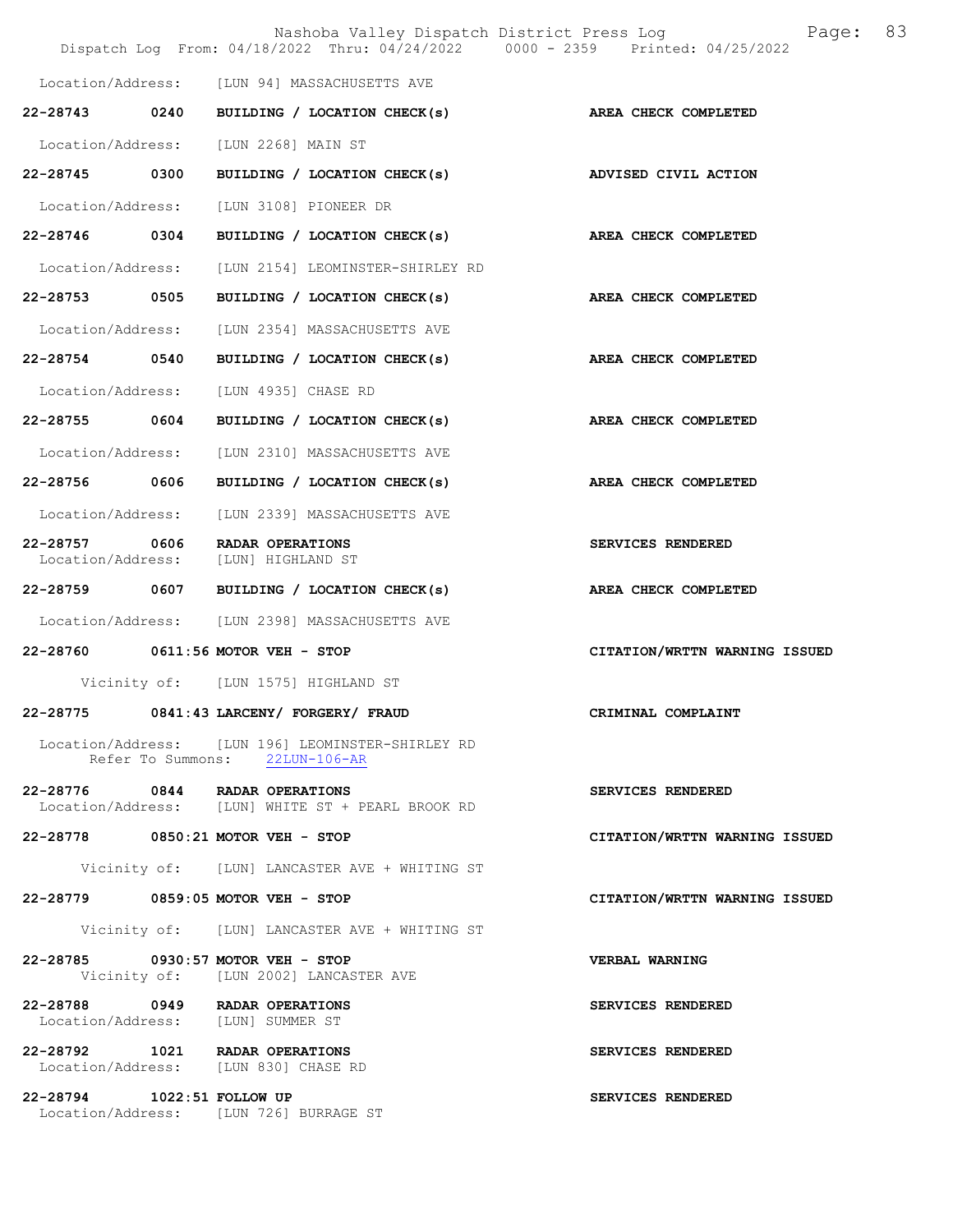|                                    |      | Nashoba Valley Dispatch District Press Log<br>Dispatch Log From: 04/18/2022 Thru: 04/24/2022 0000 - 2359 Printed: 04/25/2022 | 83<br>Page:                   |
|------------------------------------|------|------------------------------------------------------------------------------------------------------------------------------|-------------------------------|
|                                    |      | Location/Address: [LUN 94] MASSACHUSETTS AVE                                                                                 |                               |
| $22 - 28743$                       | 0240 | BUILDING / LOCATION CHECK(s)                                                                                                 | AREA CHECK COMPLETED          |
| Location/Address:                  |      | [LUN 2268] MAIN ST                                                                                                           |                               |
| 22-28745 0300                      |      | BUILDING / LOCATION CHECK(s) ADVISED CIVIL ACTION                                                                            |                               |
| Location/Address:                  |      | [LUN 3108] PIONEER DR                                                                                                        |                               |
| 22-28746 0304                      |      | BUILDING / LOCATION CHECK(s)                                                                                                 | AREA CHECK COMPLETED          |
| Location/Address:                  |      | [LUN 2154] LEOMINSTER-SHIRLEY RD                                                                                             |                               |
| 22-28753 0505                      |      | BUILDING / LOCATION CHECK(s)                                                                                                 | AREA CHECK COMPLETED          |
| Location/Address:                  |      | [LUN 2354] MASSACHUSETTS AVE                                                                                                 |                               |
| 22-28754 0540                      |      | BUILDING / LOCATION CHECK(s)                                                                                                 | AREA CHECK COMPLETED          |
| Location/Address:                  |      | [LUN 4935] CHASE RD                                                                                                          |                               |
| 22-28755 0604                      |      | BUILDING / LOCATION CHECK(s)                                                                                                 | AREA CHECK COMPLETED          |
| Location/Address:                  |      | [LUN 2310] MASSACHUSETTS AVE                                                                                                 |                               |
| 22-28756 0606                      |      | BUILDING / LOCATION CHECK(s)                                                                                                 | AREA CHECK COMPLETED          |
| Location/Address:                  |      | [LUN 2339] MASSACHUSETTS AVE                                                                                                 |                               |
| 22-28757 0606<br>Location/Address: |      | RADAR OPERATIONS<br>[LUN] HIGHLAND ST                                                                                        | SERVICES RENDERED             |
| 22-28759 0607                      |      | BUILDING / LOCATION CHECK(s)                                                                                                 | AREA CHECK COMPLETED          |
|                                    |      | Location/Address: [LUN 2398] MASSACHUSETTS AVE                                                                               |                               |
|                                    |      | 22-28760 0611:56 MOTOR VEH - STOP                                                                                            | CITATION/WRTTN WARNING ISSUED |
|                                    |      | Vicinity of: [LUN 1575] HIGHLAND ST                                                                                          |                               |
| 22-28775                           |      | 0841:43 LARCENY/ FORGERY/ FRAUD                                                                                              | CRIMINAL COMPLAINT            |
|                                    |      | Location/Address: [LUN 196] LEOMINSTER-SHIRLEY RD<br>Refer To Summons: 22LUN-106-AR                                          |                               |
|                                    |      | 22-28776 0844 RADAR OPERATIONS<br>Location/Address: [LUN] WHITE ST + PEARL BROOK RD                                          | SERVICES RENDERED             |
|                                    |      | 22-28778 0850:21 MOTOR VEH - STOP                                                                                            | CITATION/WRTTN WARNING ISSUED |
|                                    |      | Vicinity of: [LUN] LANCASTER AVE + WHITING ST                                                                                |                               |
|                                    |      | 22-28779 0859:05 MOTOR VEH - STOP                                                                                            | CITATION/WRTTN WARNING ISSUED |
|                                    |      | Vicinity of: [LUN] LANCASTER AVE + WHITING ST                                                                                |                               |
|                                    |      | 22-28785 0930:57 MOTOR VEH - STOP<br>Vicinity of: [LUN 2002] LANCASTER AVE                                                   | VERBAL WARNING                |
|                                    |      | 22-28788 0949 RADAR OPERATIONS<br>Location/Address: [LUN] SUMMER ST                                                          | SERVICES RENDERED             |
|                                    |      | 22-28792 1021 RADAR OPERATIONS<br>Location/Address: [LUN 830] CHASE RD                                                       | SERVICES RENDERED             |
| 22-28794 1022:51 FOLLOW UP         |      | Location/Address: [LUN 726] BURRAGE ST                                                                                       | SERVICES RENDERED             |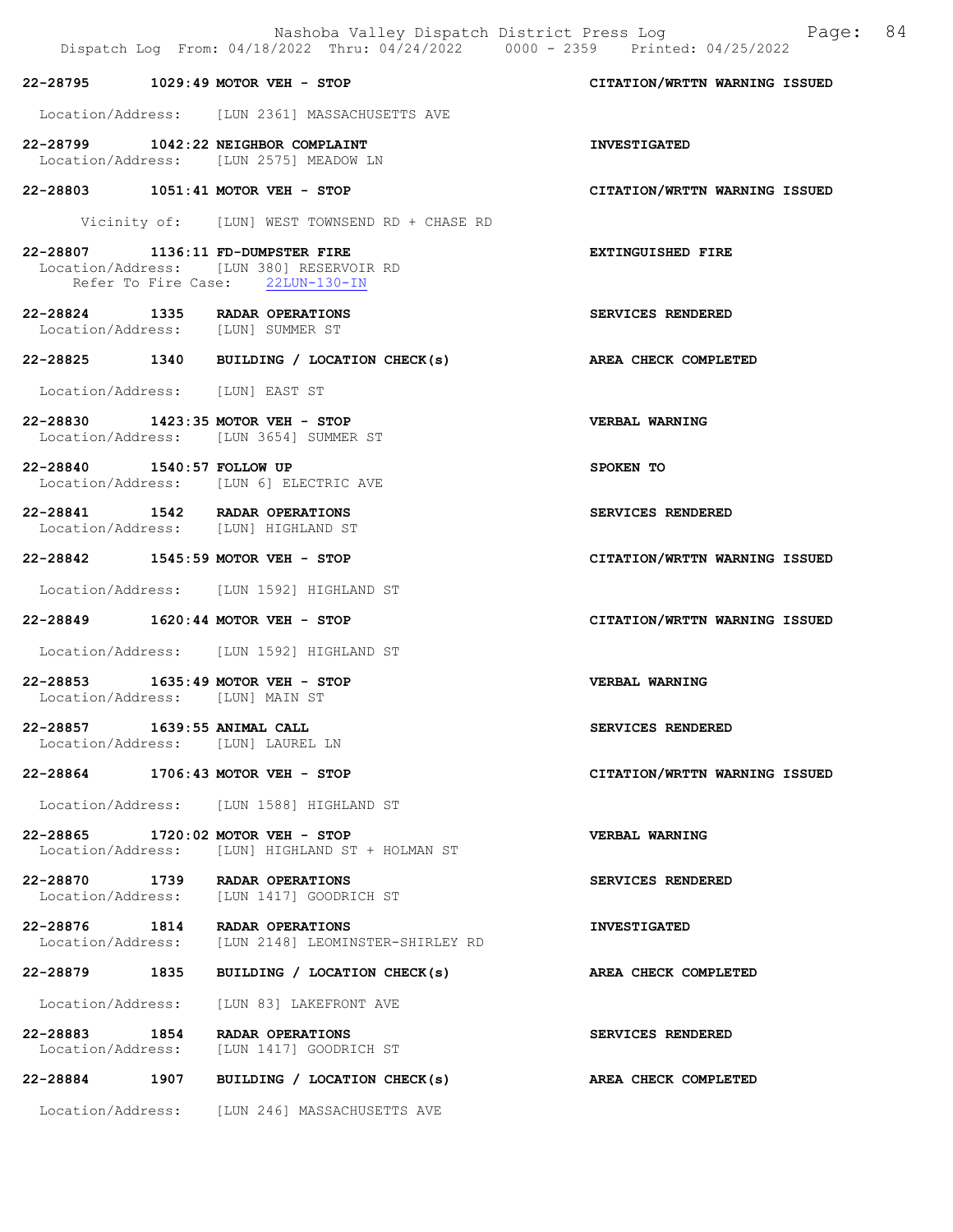|                                                                       | Dispatch Log From: 04/18/2022 Thru: 04/24/2022 0000 - 2359 Printed: 04/25/2022 | Nashoba Valley Dispatch District Press Log Fage: 84 |
|-----------------------------------------------------------------------|--------------------------------------------------------------------------------|-----------------------------------------------------|
| 22-28795 1029:49 MOTOR VEH - STOP                                     |                                                                                | CITATION/WRTTN WARNING ISSUED                       |
|                                                                       | Location/Address: [LUN 2361] MASSACHUSETTS AVE                                 |                                                     |
|                                                                       | 22-28799 1042:22 NEIGHBOR COMPLAINT<br>Location/Address: [LUN 2575] MEADOW LN  | <b>INVESTIGATED</b>                                 |
| 22-28803 1051:41 MOTOR VEH - STOP                                     |                                                                                | CITATION/WRTTN WARNING ISSUED                       |
|                                                                       | Vicinity of: [LUN] WEST TOWNSEND RD + CHASE RD                                 |                                                     |
| 22-28807 1136:11 FD-DUMPSTER FIRE                                     | Location/Address: [LUN 380] RESERVOIR RD<br>Refer To Fire Case: 22LUN-130-IN   | <b>EXTINGUISHED FIRE</b>                            |
| 22-28824 1335 RADAR OPERATIONS<br>Location/Address: [LUN] SUMMER ST   |                                                                                | SERVICES RENDERED                                   |
|                                                                       | 22-28825 1340 BUILDING / LOCATION CHECK(s)                                     | AREA CHECK COMPLETED                                |
| Location/Address: [LUN] EAST ST                                       |                                                                                |                                                     |
| 22-28830 1423:35 MOTOR VEH - STOP                                     | Location/Address: [LUN 3654] SUMMER ST                                         | <b>VERBAL WARNING</b>                               |
| 22-28840 1540:57 FOLLOW UP                                            | Location/Address: [LUN 6] ELECTRIC AVE                                         | SPOKEN TO                                           |
| 22-28841 1542 RADAR OPERATIONS<br>Location/Address: [LUN] HIGHLAND ST |                                                                                | SERVICES RENDERED                                   |
| 22-28842 1545:59 MOTOR VEH - STOP                                     |                                                                                | CITATION/WRTTN WARNING ISSUED                       |
|                                                                       | Location/Address: [LUN 1592] HIGHLAND ST                                       |                                                     |
| 22-28849 1620:44 MOTOR VEH - STOP                                     |                                                                                | CITATION/WRTTN WARNING ISSUED                       |
|                                                                       | Location/Address: [LUN 1592] HIGHLAND ST                                       |                                                     |
| 22-28853 1635:49 MOTOR VEH - STOP<br>Location/Address: [LUN] MAIN ST  |                                                                                | VERBAL WARNING                                      |
| 22-28857 1639:55 ANIMAL CALL<br>Location/Address: [LUN] LAUREL LN     |                                                                                | SERVICES RENDERED                                   |
| 22-28864 1706:43 MOTOR VEH - STOP                                     |                                                                                | CITATION/WRTTN WARNING ISSUED                       |
|                                                                       | Location/Address: [LUN 1588] HIGHLAND ST                                       |                                                     |
| 22-28865 1720:02 MOTOR VEH - STOP                                     | Location/Address: [LUN] HIGHLAND ST + HOLMAN ST                                | <b>VERBAL WARNING</b>                               |
| 22-28870 1739 RADAR OPERATIONS                                        | Location/Address: [LUN 1417] GOODRICH ST                                       | SERVICES RENDERED                                   |
| 22-28876 1814 RADAR OPERATIONS                                        | Location/Address: [LUN 2148] LEOMINSTER-SHIRLEY RD                             | <b>INVESTIGATED</b>                                 |
| 22-28879 1835                                                         | BUILDING / LOCATION CHECK(s)                                                   | AREA CHECK COMPLETED                                |
| Location/Address:                                                     | [LUN 83] LAKEFRONT AVE                                                         |                                                     |
| 22-28883 1854                                                         | RADAR OPERATIONS<br>Location/Address: [LUN 1417] GOODRICH ST                   | SERVICES RENDERED                                   |
|                                                                       | 22-28884 1907 BUILDING / LOCATION CHECK(s)                                     | AREA CHECK COMPLETED                                |
|                                                                       | Location/Address: [LUN 246] MASSACHUSETTS AVE                                  |                                                     |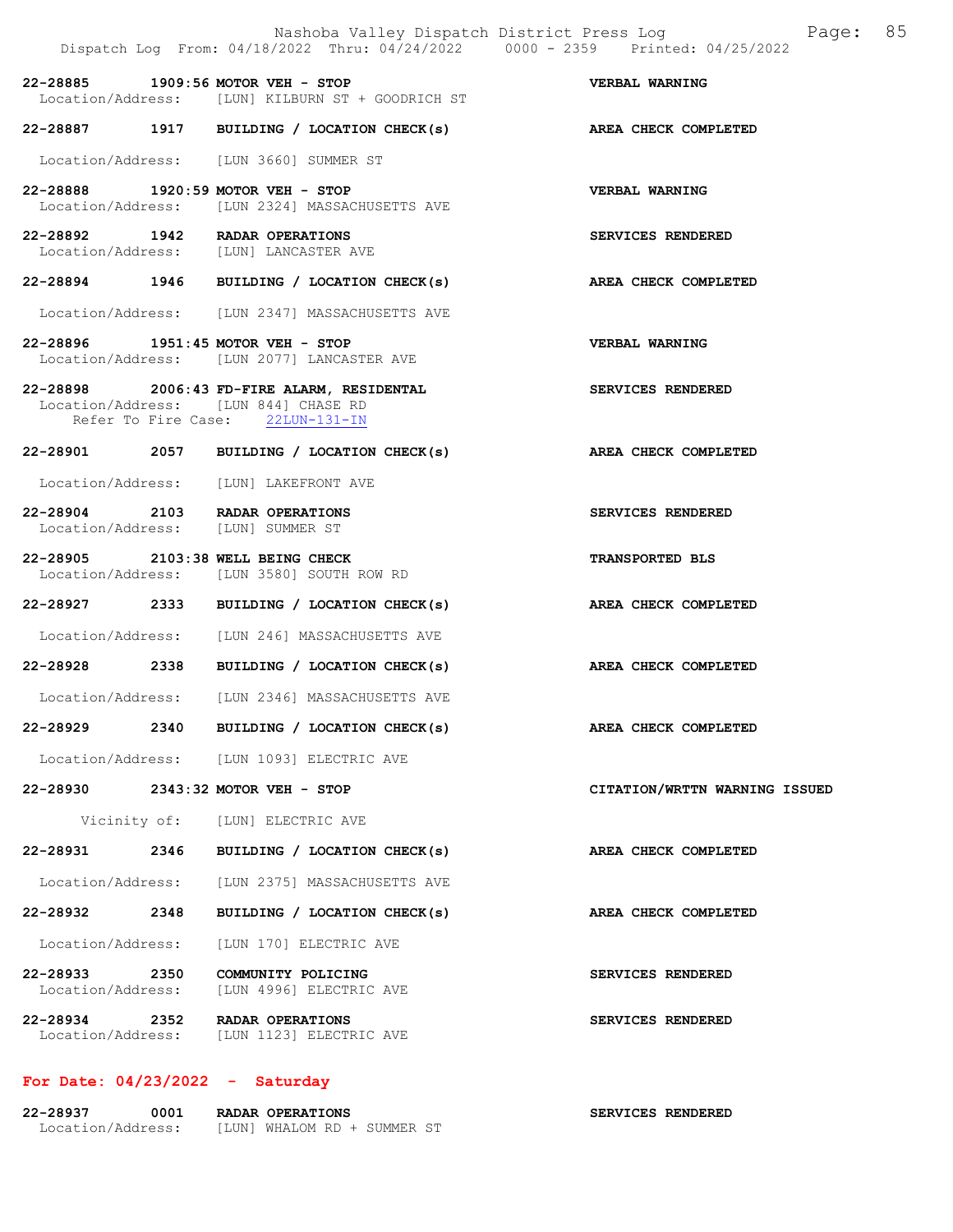|                               |      | Nashoba Valley Dispatch District Press Log<br>Dispatch Log From: 04/18/2022 Thru: 04/24/2022 0000 - 2359 Printed: 04/25/2022 | Page: 85                      |
|-------------------------------|------|------------------------------------------------------------------------------------------------------------------------------|-------------------------------|
|                               |      | 22-28885 1909:56 MOTOR VEH - STOP<br>Location/Address: [LUN] KILBURN ST + GOODRICH ST                                        | VERBAL WARNING                |
|                               |      | 22-28887 1917 BUILDING / LOCATION CHECK(s)                                                                                   | AREA CHECK COMPLETED          |
|                               |      | Location/Address: [LUN 3660] SUMMER ST                                                                                       |                               |
|                               |      | 22-28888 1920:59 MOTOR VEH - STOP<br>Location/Address: [LUN 2324] MASSACHUSETTS AVE                                          | <b>VERBAL WARNING</b>         |
|                               |      | 22-28892 1942 RADAR OPERATIONS<br>Location/Address: [LUN] LANCASTER AVE                                                      | SERVICES RENDERED             |
|                               |      | 22-28894 1946 BUILDING / LOCATION CHECK(s) AREA CHECK COMPLETED                                                              |                               |
|                               |      | Location/Address: [LUN 2347] MASSACHUSETTS AVE                                                                               |                               |
|                               |      | 22-28896 1951:45 MOTOR VEH - STOP<br>Location/Address: [LUN 2077] LANCASTER AVE                                              | VERBAL WARNING                |
|                               |      | 22-28898 2006:43 FD-FIRE ALARM, RESIDENTAL<br>Location/Address: [LUN 844] CHASE RD<br>Refer To Fire Case: 22LUN-131-IN       | <b>SERVICES RENDERED</b>      |
|                               |      | 22-28901 2057 BUILDING / LOCATION CHECK(s) AREA CHECK COMPLETED                                                              |                               |
|                               |      | Location/Address: [LUN] LAKEFRONT AVE                                                                                        |                               |
|                               |      | 22-28904 2103 RADAR OPERATIONS<br>Location/Address: [LUN] SUMMER ST                                                          | SERVICES RENDERED             |
|                               |      | 22-28905 2103:38 WELL BEING CHECK<br>Location/Address: [LUN 3580] SOUTH ROW RD                                               | <b>TRANSPORTED BLS</b>        |
|                               |      | 22-28927 2333 BUILDING / LOCATION CHECK(s)                                                                                   | <b>AREA CHECK COMPLETED</b>   |
|                               |      | Location/Address: [LUN 246] MASSACHUSETTS AVE                                                                                |                               |
|                               |      | 22-28928 2338 BUILDING / LOCATION CHECK(s)                                                                                   | AREA CHECK COMPLETED          |
|                               |      | Location/Address: [LUN 2346] MASSACHUSETTS AVE                                                                               |                               |
| 22-28929                      | 2340 | BUILDING / LOCATION CHECK(s)                                                                                                 | AREA CHECK COMPLETED          |
|                               |      | Location/Address: [LUN 1093] ELECTRIC AVE                                                                                    |                               |
|                               |      | 22-28930 2343:32 MOTOR VEH - STOP                                                                                            | CITATION/WRTTN WARNING ISSUED |
|                               |      | Vicinity of: [LUN] ELECTRIC AVE                                                                                              |                               |
| 22-28931                      | 2346 | BUILDING / LOCATION CHECK(s)                                                                                                 | AREA CHECK COMPLETED          |
| Location/Address:             |      | [LUN 2375] MASSACHUSETTS AVE                                                                                                 |                               |
| 22-28932 2348                 |      | BUILDING / LOCATION CHECK(s)                                                                                                 | AREA CHECK COMPLETED          |
| Location/Address:             |      | [LUN 170] ELECTRIC AVE                                                                                                       |                               |
| 22-28933<br>Location/Address: | 2350 | COMMUNITY POLICING<br>[LUN 4996] ELECTRIC AVE                                                                                | SERVICES RENDERED             |
| 22-28934                      | 2352 | RADAR OPERATIONS<br>Location/Address: [LUN 1123] ELECTRIC AVE                                                                | <b>SERVICES RENDERED</b>      |

# For Date: 04/23/2022 - Saturday

| 22-28937          | 0001 | <b>RADAR OPERATIONS</b>     | <b>SERVICES RENDERED</b> |
|-------------------|------|-----------------------------|--------------------------|
| Location/Address: |      | [LUN] WHALOM RD + SUMMER ST |                          |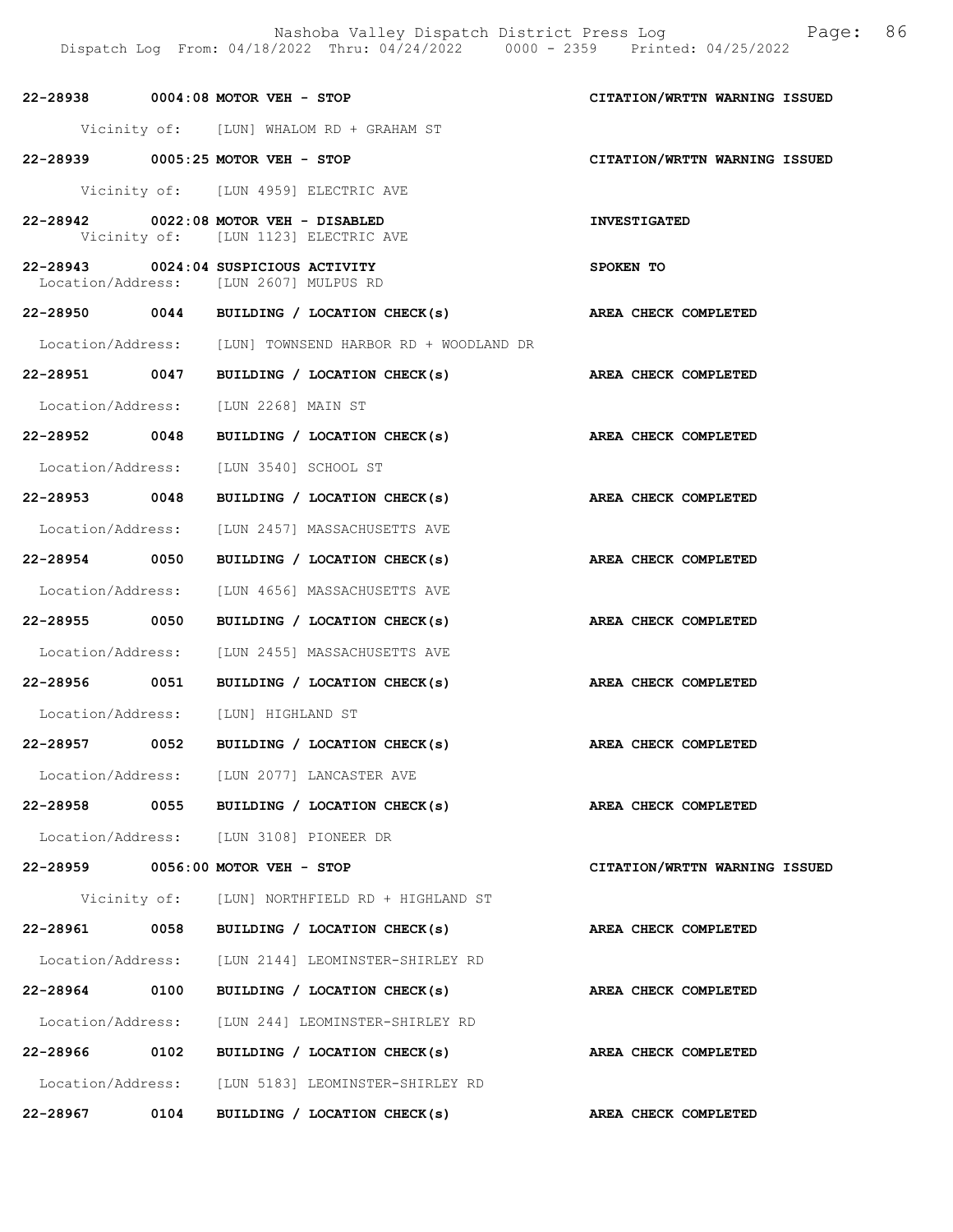| 22-28938 0004:08 MOTOR VEH - STOP       |      |                                                                    |           | CITATION/WRTTN WARNING ISSUED |  |
|-----------------------------------------|------|--------------------------------------------------------------------|-----------|-------------------------------|--|
|                                         |      | Vicinity of: [LUN] WHALOM RD + GRAHAM ST                           |           |                               |  |
| 22-28939 0005:25 MOTOR VEH - STOP       |      |                                                                    |           | CITATION/WRTTN WARNING ISSUED |  |
|                                         |      | Vicinity of: [LUN 4959] ELECTRIC AVE                               |           |                               |  |
| 22-28942 0022:08 MOTOR VEH - DISABLED   |      | Vicinity of: [LUN 1123] ELECTRIC AVE                               |           | <b>INVESTIGATED</b>           |  |
| Location/Address: [LUN 2607] MULPUS RD  |      |                                                                    | SPOKEN TO |                               |  |
|                                         |      | 22-28950 0044 BUILDING / LOCATION CHECK(s) AREA CHECK COMPLETED    |           |                               |  |
|                                         |      | Location/Address: [LUN] TOWNSEND HARBOR RD + WOODLAND DR           |           |                               |  |
|                                         |      | 22-28951 0047 BUILDING / LOCATION CHECK(s) AREA CHECK COMPLETED    |           |                               |  |
| Location/Address: [LUN 2268] MAIN ST    |      |                                                                    |           |                               |  |
|                                         |      | 22-28952 0048 BUILDING / LOCATION CHECK(s) AREA CHECK COMPLETED    |           |                               |  |
| Location/Address: [LUN 3540] SCHOOL ST  |      |                                                                    |           |                               |  |
|                                         |      | 22-28953 0048 BUILDING / LOCATION CHECK(s) AREA CHECK COMPLETED    |           |                               |  |
|                                         |      | Location/Address: [LUN 2457] MASSACHUSETTS AVE                     |           |                               |  |
|                                         |      | 22-28954 0050 BUILDING / LOCATION CHECK(s)<br>AREA CHECK COMPLETED |           |                               |  |
|                                         |      | Location/Address: [LUN 4656] MASSACHUSETTS AVE                     |           |                               |  |
|                                         |      | 22-28955 0050 BUILDING / LOCATION CHECK(s)<br>AREA CHECK COMPLETED |           |                               |  |
|                                         |      | Location/Address: [LUN 2455] MASSACHUSETTS AVE                     |           |                               |  |
|                                         |      | 22-28956 0051 BUILDING / LOCATION CHECK(s)<br>AREA CHECK COMPLETED |           |                               |  |
| Location/Address: [LUN] HIGHLAND ST     |      |                                                                    |           |                               |  |
|                                         |      | 22-28957 0052 BUILDING / LOCATION CHECK(s)<br>AREA CHECK COMPLETED |           |                               |  |
|                                         |      | Location/Address: [LUN 2077] LANCASTER AVE                         |           |                               |  |
| 22-28958                                |      | 0055 BUILDING / LOCATION CHECK(s)                                  |           | AREA CHECK COMPLETED          |  |
| Location/Address: [LUN 3108] PIONEER DR |      |                                                                    |           |                               |  |
| 22-28959 0056:00 MOTOR VEH - STOP       |      |                                                                    |           | CITATION/WRTTN WARNING ISSUED |  |
|                                         |      | Vicinity of: [LUN] NORTHFIELD RD + HIGHLAND ST                     |           |                               |  |
|                                         |      | 22-28961 0058 BUILDING / LOCATION CHECK(s)                         |           | <b>AREA CHECK COMPLETED</b>   |  |
|                                         |      | Location/Address: [LUN 2144] LEOMINSTER-SHIRLEY RD                 |           |                               |  |
| 22-28964 0100                           |      | BUILDING / LOCATION CHECK(s)                                       |           | AREA CHECK COMPLETED          |  |
|                                         |      | Location/Address: [LUN 244] LEOMINSTER-SHIRLEY RD                  |           |                               |  |
|                                         |      |                                                                    |           | AREA CHECK COMPLETED          |  |
|                                         |      | Location/Address: [LUN 5183] LEOMINSTER-SHIRLEY RD                 |           |                               |  |
| 22-28967                                | 0104 | BUILDING / LOCATION CHECK(s)                                       |           | AREA CHECK COMPLETED          |  |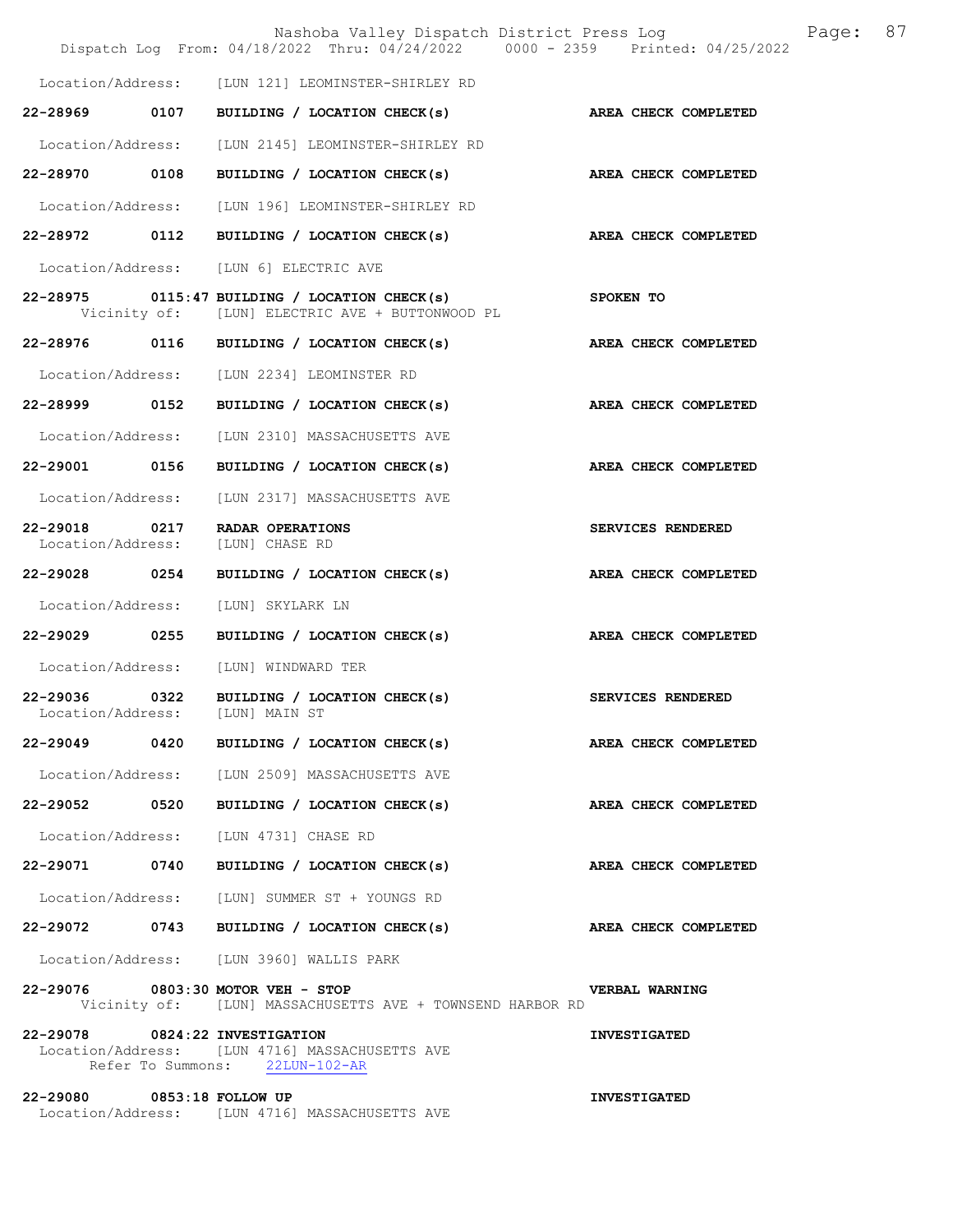|                                    |      | Nashoba Valley Dispatch District Press Log<br>Dispatch Log From: 04/18/2022 Thru: 04/24/2022 0000 - 2359 Printed: 04/25/2022 |                      | Page: | 87 |
|------------------------------------|------|------------------------------------------------------------------------------------------------------------------------------|----------------------|-------|----|
|                                    |      | Location/Address: [LUN 121] LEOMINSTER-SHIRLEY RD                                                                            |                      |       |    |
| 22-28969 0107                      |      | BUILDING / LOCATION CHECK(s)                                                                                                 | AREA CHECK COMPLETED |       |    |
| Location/Address:                  |      | [LUN 2145] LEOMINSTER-SHIRLEY RD                                                                                             |                      |       |    |
| 22-28970 0108                      |      | BUILDING / LOCATION CHECK(s)                                                                                                 | AREA CHECK COMPLETED |       |    |
|                                    |      | Location/Address: [LUN 196] LEOMINSTER-SHIRLEY RD                                                                            |                      |       |    |
|                                    |      | 22-28972 0112 BUILDING / LOCATION CHECK(s)                                                                                   | AREA CHECK COMPLETED |       |    |
|                                    |      | Location/Address: [LUN 6] ELECTRIC AVE                                                                                       |                      |       |    |
|                                    |      | $22-28975$ 0115:47 BUILDING / LOCATION CHECK(s)<br>Vicinity of: [LUN] ELECTRIC AVE + BUTTONWOOD PL                           | SPOKEN TO            |       |    |
|                                    |      | 22-28976 0116 BUILDING / LOCATION CHECK(s)                                                                                   | AREA CHECK COMPLETED |       |    |
|                                    |      | Location/Address: [LUN 2234] LEOMINSTER RD                                                                                   |                      |       |    |
| 22-28999 0152                      |      | BUILDING / LOCATION CHECK(s)                                                                                                 | AREA CHECK COMPLETED |       |    |
| Location/Address:                  |      | [LUN 2310] MASSACHUSETTS AVE                                                                                                 |                      |       |    |
| 22-29001 0156                      |      | BUILDING / LOCATION CHECK(s)                                                                                                 | AREA CHECK COMPLETED |       |    |
| Location/Address:                  |      | [LUN 2317] MASSACHUSETTS AVE                                                                                                 |                      |       |    |
| 22-29018 0217<br>Location/Address: |      | RADAR OPERATIONS<br>[LUN] CHASE RD                                                                                           | SERVICES RENDERED    |       |    |
| 22-29028 0254                      |      | BUILDING / LOCATION CHECK(s)                                                                                                 | AREA CHECK COMPLETED |       |    |
| Location/Address:                  |      | [LUN] SKYLARK LN                                                                                                             |                      |       |    |
| $22 - 29029$                       | 0255 | BUILDING / LOCATION CHECK(s)                                                                                                 | AREA CHECK COMPLETED |       |    |
| Location/Address:                  |      | [LUN] WINDWARD TER                                                                                                           |                      |       |    |
| 22-29036<br>Location/Address:      | 0322 | BUILDING / LOCATION CHECK(s)<br>[LUN] MAIN ST                                                                                | SERVICES RENDERED    |       |    |
|                                    |      | 22-29049 0420 BUILDING / LOCATION CHECK(s)                                                                                   | AREA CHECK COMPLETED |       |    |
|                                    |      | Location/Address: [LUN 2509] MASSACHUSETTS AVE                                                                               |                      |       |    |
| 22-29052 0520                      |      | BUILDING / LOCATION CHECK(s) AREA CHECK COMPLETED                                                                            |                      |       |    |
|                                    |      | Location/Address: [LUN 4731] CHASE RD                                                                                        |                      |       |    |
|                                    |      | 22-29071 0740 BUILDING / LOCATION CHECK(s) AREA CHECK COMPLETED                                                              |                      |       |    |
|                                    |      | Location/Address: [LUN] SUMMER ST + YOUNGS RD                                                                                |                      |       |    |
|                                    |      | 22-29072 0743 BUILDING / LOCATION CHECK(s)                                                                                   | AREA CHECK COMPLETED |       |    |
|                                    |      | Location/Address: [LUN 3960] WALLIS PARK                                                                                     |                      |       |    |
|                                    |      | 22-29076 0803:30 MOTOR VEH - STOP<br>Vicinity of: [LUN] MASSACHUSETTS AVE + TOWNSEND HARBOR RD                               | VERBAL WARNING       |       |    |
| 22-29078 0824:22 INVESTIGATION     |      | Location/Address: [LUN 4716] MASSACHUSETTS AVE<br>Refer To Summons: 22LUN-102-AR                                             | <b>INVESTIGATED</b>  |       |    |
| 22-29080 0853:18 FOLLOW UP         |      | Location/Address: [LUN 4716] MASSACHUSETTS AVE                                                                               | <b>INVESTIGATED</b>  |       |    |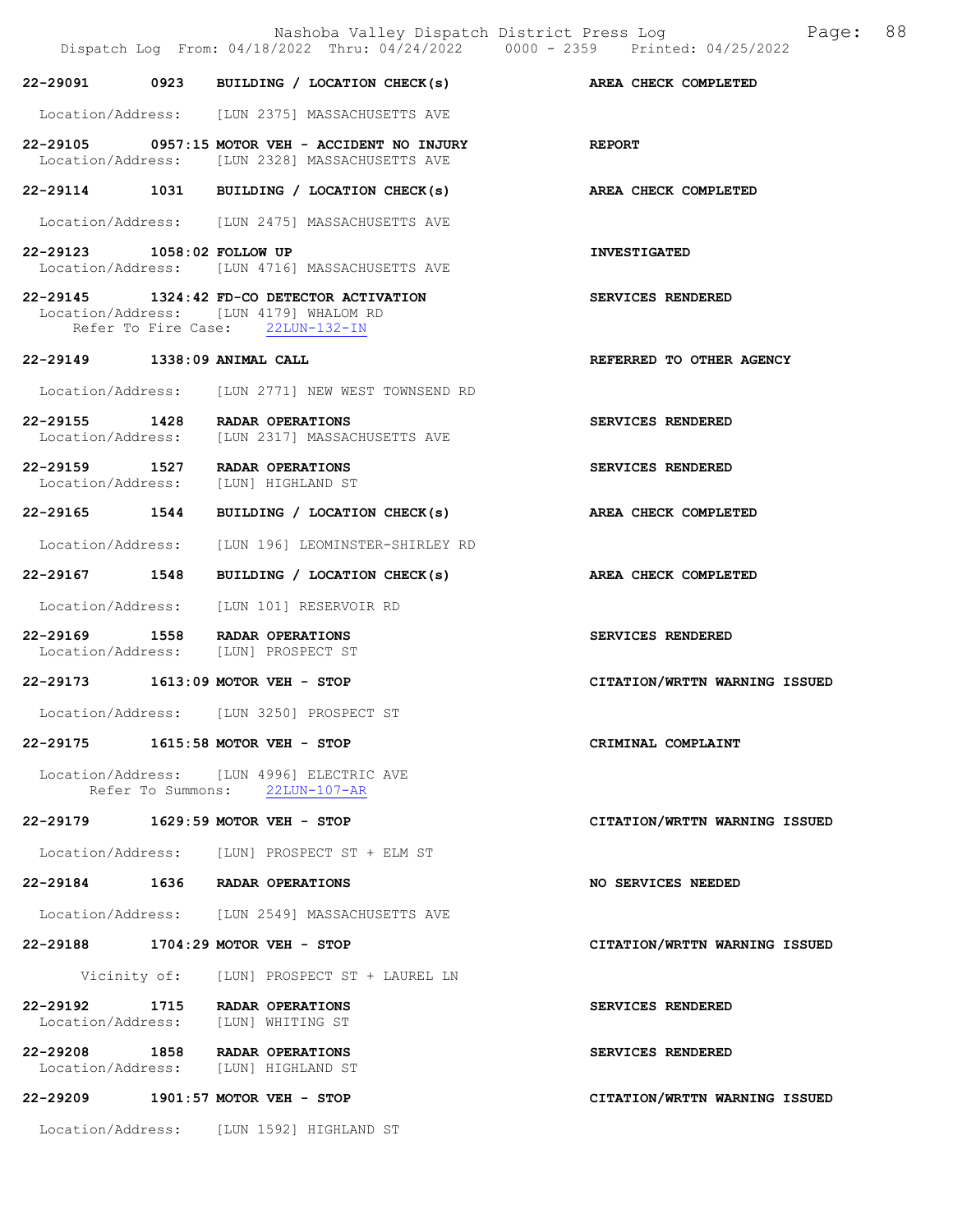|                              | Nashoba Valley Dispatch District Press Log<br>Dispatch Log From: 04/18/2022 Thru: 04/24/2022 0000 - 2359 Printed: 04/25/2022 | 88<br>Page:                   |
|------------------------------|------------------------------------------------------------------------------------------------------------------------------|-------------------------------|
|                              | 22-29091 0923 BUILDING / LOCATION CHECK(s) AREA CHECK COMPLETED                                                              |                               |
|                              | Location/Address: [LUN 2375] MASSACHUSETTS AVE                                                                               |                               |
|                              | $22-29105$ 0957:15 MOTOR VEH - ACCIDENT NO INJURY<br>Location/Address: [LUN 2328] MASSACHUSETTS AVE                          | <b>REPORT</b>                 |
|                              | 22-29114 1031 BUILDING / LOCATION CHECK(s)                                                                                   | AREA CHECK COMPLETED          |
|                              | Location/Address: [LUN 2475] MASSACHUSETTS AVE                                                                               |                               |
| 22-29123 1058:02 FOLLOW UP   | Location/Address: [LUN 4716] MASSACHUSETTS AVE                                                                               | <b>INVESTIGATED</b>           |
|                              | 22-29145 1324:42 FD-CO DETECTOR ACTIVATION<br>Location/Address: [LUN 4179] WHALOM RD<br>Refer To Fire Case: 22LUN-132-IN     | SERVICES RENDERED             |
| 22-29149 1338:09 ANIMAL CALL |                                                                                                                              | REFERRED TO OTHER AGENCY      |
|                              | Location/Address: [LUN 2771] NEW WEST TOWNSEND RD                                                                            |                               |
| 22-29155 1428                | RADAR OPERATIONS<br>Location/Address: [LUN 2317] MASSACHUSETTS AVE                                                           | SERVICES RENDERED             |
| 22-29159 1527                | RADAR OPERATIONS<br>Location/Address: [LUN] HIGHLAND ST                                                                      | SERVICES RENDERED             |
| 22-29165 1544                | BUILDING / LOCATION CHECK(s)                                                                                                 | AREA CHECK COMPLETED          |
| Location/Address:            | [LUN 196] LEOMINSTER-SHIRLEY RD                                                                                              |                               |
| 22-29167 1548                | BUILDING / LOCATION CHECK(s)                                                                                                 | AREA CHECK COMPLETED          |
| Location/Address:            | [LUN 101] RESERVOIR RD                                                                                                       |                               |
|                              | 22-29169 1558 RADAR OPERATIONS<br>Location/Address: [LUN] PROSPECT ST                                                        | SERVICES RENDERED             |
|                              | 22-29173 1613:09 MOTOR VEH - STOP                                                                                            | CITATION/WRTTN WARNING ISSUED |
|                              | Location/Address: [LUN 3250] PROSPECT ST                                                                                     |                               |
|                              | 22-29175 1615:58 MOTOR VEH - STOP                                                                                            | CRIMINAL COMPLAINT            |
|                              | Location/Address: [LUN 4996] ELECTRIC AVE<br>Refer To Summons: 22LUN-107-AR                                                  |                               |
|                              | 22-29179 1629:59 MOTOR VEH - STOP                                                                                            | CITATION/WRTTN WARNING ISSUED |
|                              | Location/Address: [LUN] PROSPECT ST + ELM ST                                                                                 |                               |
|                              | 22-29184 1636 RADAR OPERATIONS                                                                                               | NO SERVICES NEEDED            |
|                              | Location/Address: [LUN 2549] MASSACHUSETTS AVE                                                                               |                               |
|                              | 22-29188 1704:29 MOTOR VEH - STOP                                                                                            | CITATION/WRTTN WARNING ISSUED |
|                              | Vicinity of: [LUN] PROSPECT ST + LAUREL LN                                                                                   |                               |
| 22-29192 1715                | RADAR OPERATIONS<br>Location/Address: [LUN] WHITING ST                                                                       | <b>SERVICES RENDERED</b>      |
|                              | 22-29208 1858 RADAR OPERATIONS<br>Location/Address: [LUN] HIGHLAND ST                                                        | SERVICES RENDERED             |
| 22-29209                     | $1901:57$ MOTOR VEH - STOP                                                                                                   | CITATION/WRTTN WARNING ISSUED |
|                              | Location/Address: [LUN 1592] HIGHLAND ST                                                                                     |                               |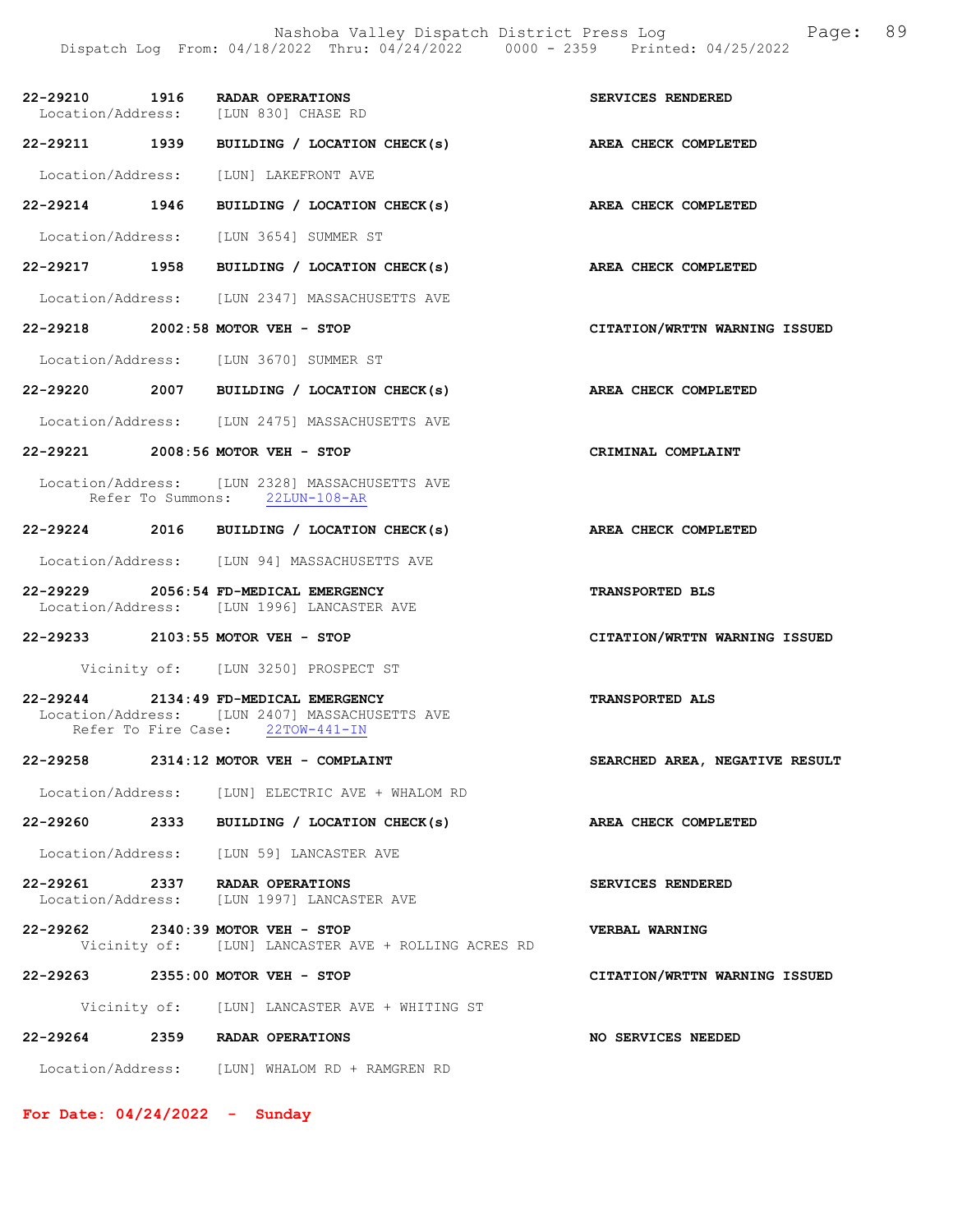|               | 22-29210 1916 RADAR OPERATIONS<br>Location/Address: [LUN 830] CHASE RD                                                      | SERVICES RENDERED              |
|---------------|-----------------------------------------------------------------------------------------------------------------------------|--------------------------------|
|               | 22-29211 1939 BUILDING / LOCATION CHECK(s) AREA CHECK COMPLETED                                                             |                                |
|               | Location/Address: [LUN] LAKEFRONT AVE                                                                                       |                                |
| 22-29214 1946 | BUILDING / LOCATION CHECK(s) AREA CHECK COMPLETED                                                                           |                                |
|               | Location/Address: [LUN 3654] SUMMER ST                                                                                      |                                |
|               | 22-29217 1958 BUILDING / LOCATION CHECK(s)                                                                                  | AREA CHECK COMPLETED           |
|               | Location/Address: [LUN 2347] MASSACHUSETTS AVE                                                                              |                                |
|               | 22-29218 2002:58 MOTOR VEH - STOP                                                                                           | CITATION/WRTTN WARNING ISSUED  |
|               | Location/Address: [LUN 3670] SUMMER ST                                                                                      |                                |
|               | 22-29220 2007 BUILDING / LOCATION CHECK(s)                                                                                  | AREA CHECK COMPLETED           |
|               | Location/Address: [LUN 2475] MASSACHUSETTS AVE                                                                              |                                |
|               | 22-29221 2008:56 MOTOR VEH - STOP                                                                                           | CRIMINAL COMPLAINT             |
|               | Location/Address: [LUN 2328] MASSACHUSETTS AVE<br>Refer To Summons: 22LUN-108-AR                                            |                                |
|               | 22-29224 2016 BUILDING / LOCATION CHECK(s)                                                                                  | <b>AREA CHECK COMPLETED</b>    |
|               | Location/Address: [LUN 94] MASSACHUSETTS AVE                                                                                |                                |
|               | 22-29229 2056:54 FD-MEDICAL EMERGENCY<br>Location/Address: [LUN 1996] LANCASTER AVE                                         | TRANSPORTED BLS                |
|               | 22-29233 2103:55 MOTOR VEH - STOP                                                                                           | CITATION/WRTTN WARNING ISSUED  |
|               | Vicinity of: [LUN 3250] PROSPECT ST                                                                                         |                                |
|               | 22-29244 2134:49 FD-MEDICAL EMERGENCY<br>Location/Address: [LUN 2407] MASSACHUSETTS AVE<br>Refer To Fire Case: 22TOW-441-IN | <b>TRANSPORTED ALS</b>         |
|               | 22-29258 2314:12 MOTOR VEH - COMPLAINT                                                                                      | SEARCHED AREA, NEGATIVE RESULT |
|               | Location/Address: [LUN] ELECTRIC AVE + WHALOM RD                                                                            |                                |
|               | 22-29260 2333 BUILDING / LOCATION CHECK(s)                                                                                  | AREA CHECK COMPLETED           |
|               | Location/Address: [LUN 59] LANCASTER AVE                                                                                    |                                |
|               | 22-29261 2337 RADAR OPERATIONS<br>Location/Address: [LUN 1997] LANCASTER AVE                                                | SERVICES RENDERED              |
|               | 22-29262 2340:39 MOTOR VEH - STOP<br>Vicinity of: [LUN] LANCASTER AVE + ROLLING ACRES RD                                    | VERBAL WARNING                 |
|               | 22-29263 2355:00 MOTOR VEH - STOP                                                                                           | CITATION/WRTTN WARNING ISSUED  |
|               | Vicinity of: [LUN] LANCASTER AVE + WHITING ST                                                                               |                                |
|               | 22-29264 2359 RADAR OPERATIONS                                                                                              | NO SERVICES NEEDED             |
|               | Location/Address: [LUN] WHALOM RD + RAMGREN RD                                                                              |                                |

For Date: 04/24/2022 - Sunday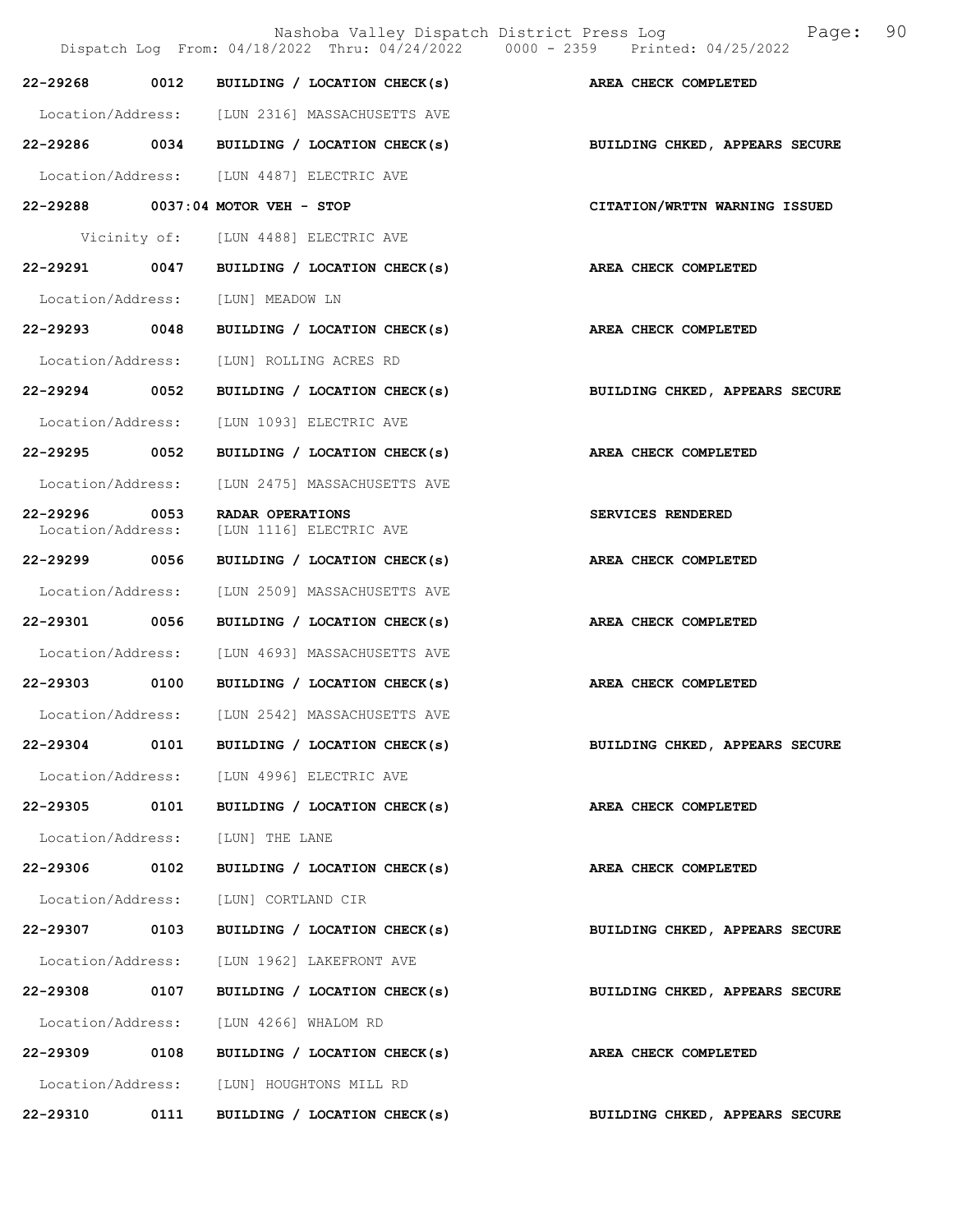|                               |      | Nashoba Valley Dispatch District Press Log<br>Dispatch Log From: 04/18/2022 Thru: 04/24/2022 0000 - 2359 Printed: 04/25/2022 | 90<br>Page:                    |
|-------------------------------|------|------------------------------------------------------------------------------------------------------------------------------|--------------------------------|
| 22-29268                      | 0012 | BUILDING / LOCATION CHECK(s)                                                                                                 | AREA CHECK COMPLETED           |
|                               |      | Location/Address: [LUN 2316] MASSACHUSETTS AVE                                                                               |                                |
| 22-29286 0034                 |      | BUILDING / LOCATION CHECK(s)                                                                                                 | BUILDING CHKED, APPEARS SECURE |
|                               |      | Location/Address: [LUN 4487] ELECTRIC AVE                                                                                    |                                |
|                               |      | 22-29288 0037:04 MOTOR VEH - STOP                                                                                            | CITATION/WRTTN WARNING ISSUED  |
|                               |      | Vicinity of: [LUN 4488] ELECTRIC AVE                                                                                         |                                |
| 22-29291                      | 0047 | BUILDING / LOCATION CHECK(s)                                                                                                 | AREA CHECK COMPLETED           |
| Location/Address:             |      | [LUN] MEADOW LN                                                                                                              |                                |
| 22-29293 0048                 |      | BUILDING / LOCATION CHECK(s)                                                                                                 | AREA CHECK COMPLETED           |
| Location/Address:             |      | [LUN] ROLLING ACRES RD                                                                                                       |                                |
| 22-29294 0052                 |      | BUILDING / LOCATION CHECK(s)                                                                                                 | BUILDING CHKED, APPEARS SECURE |
| Location/Address:             |      | [LUN 1093] ELECTRIC AVE                                                                                                      |                                |
| 22-29295                      | 0052 | BUILDING / LOCATION CHECK(s)                                                                                                 | AREA CHECK COMPLETED           |
| Location/Address:             |      | [LUN 2475] MASSACHUSETTS AVE                                                                                                 |                                |
| 22-29296<br>Location/Address: | 0053 | RADAR OPERATIONS<br>[LUN 1116] ELECTRIC AVE                                                                                  | SERVICES RENDERED              |
| 22-29299 0056                 |      | BUILDING / LOCATION CHECK(s)                                                                                                 | AREA CHECK COMPLETED           |
| Location/Address:             |      | [LUN 2509] MASSACHUSETTS AVE                                                                                                 |                                |
| 22-29301                      | 0056 | BUILDING / LOCATION CHECK(s)                                                                                                 | AREA CHECK COMPLETED           |
| Location/Address:             |      | [LUN 4693] MASSACHUSETTS AVE                                                                                                 |                                |
| 22-29303 0100                 |      | BUILDING / LOCATION CHECK(s)                                                                                                 | AREA CHECK COMPLETED           |
| Location/Address:             |      | [LUN 2542] MASSACHUSETTS AVE                                                                                                 |                                |
| 22-29304                      | 0101 | BUILDING / LOCATION CHECK(s)                                                                                                 | BUILDING CHKED, APPEARS SECURE |
|                               |      | Location/Address: [LUN 4996] ELECTRIC AVE                                                                                    |                                |
| 22-29305 0101                 |      | BUILDING / LOCATION CHECK(s)                                                                                                 | AREA CHECK COMPLETED           |
| Location/Address:             |      | [LUN] THE LANE                                                                                                               |                                |
| 22-29306 0102                 |      | BUILDING / LOCATION CHECK(s)                                                                                                 | AREA CHECK COMPLETED           |
| Location/Address:             |      | [LUN] CORTLAND CIR                                                                                                           |                                |
| 22-29307                      | 0103 | BUILDING / LOCATION CHECK(s)                                                                                                 | BUILDING CHKED, APPEARS SECURE |
| Location/Address:             |      | [LUN 1962] LAKEFRONT AVE                                                                                                     |                                |
| 22-29308                      | 0107 | BUILDING / LOCATION CHECK(s)                                                                                                 | BUILDING CHKED, APPEARS SECURE |
| Location/Address:             |      | [LUN 4266] WHALOM RD                                                                                                         |                                |
| 22-29309 0108                 |      | BUILDING / LOCATION CHECK(s)                                                                                                 | AREA CHECK COMPLETED           |
|                               |      | Location/Address: [LUN] HOUGHTONS MILL RD                                                                                    |                                |
| 22-29310                      | 0111 | BUILDING / LOCATION CHECK(s)                                                                                                 | BUILDING CHKED, APPEARS SECURE |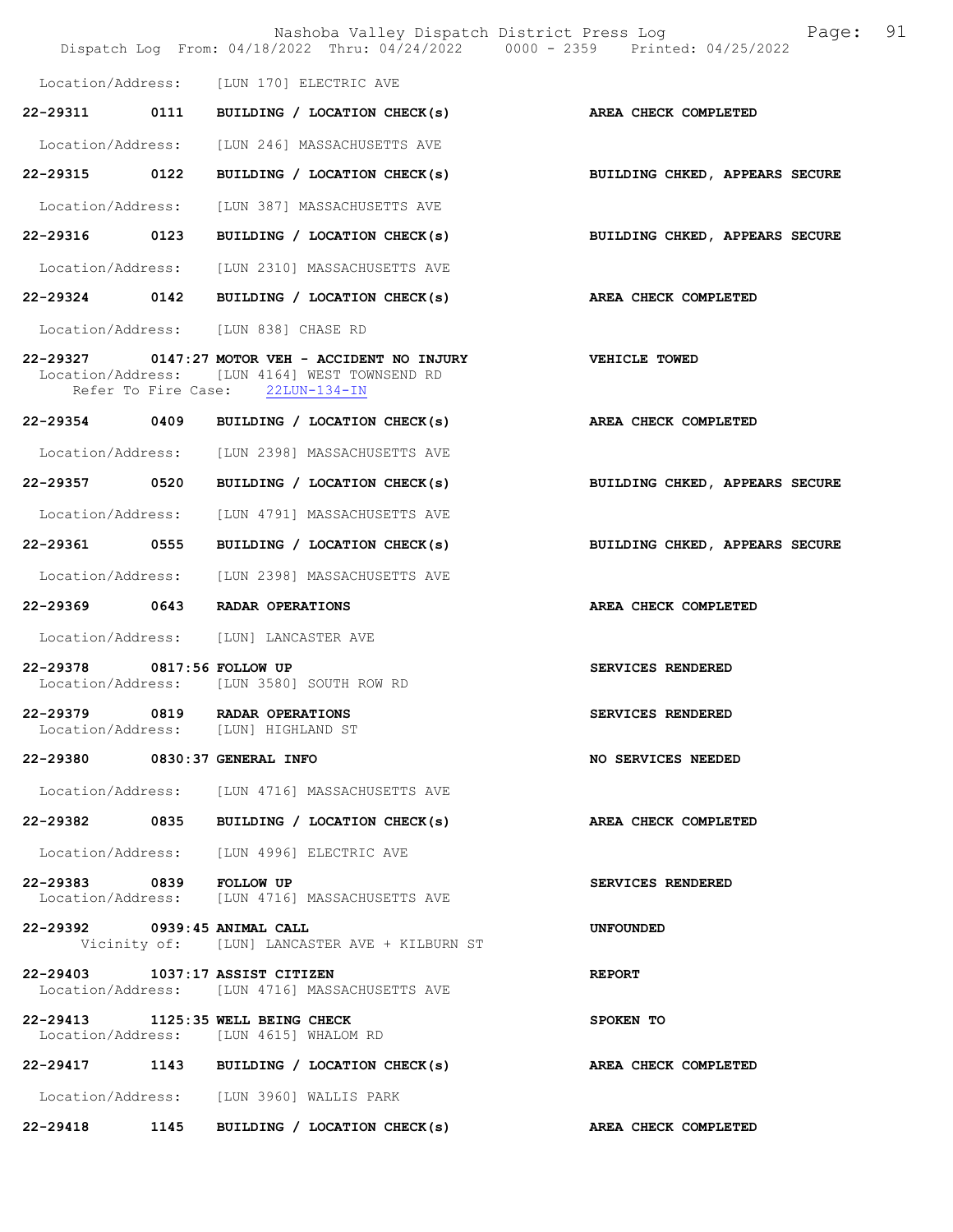|                            |      |                                                                                                                                      | Nashoba Valley Dispatch District Press Log Fage: 91<br>Dispatch Log From: 04/18/2022 Thru: 04/24/2022 0000 - 2359 Printed: 04/25/2022 |  |
|----------------------------|------|--------------------------------------------------------------------------------------------------------------------------------------|---------------------------------------------------------------------------------------------------------------------------------------|--|
|                            |      | Location/Address: [LUN 170] ELECTRIC AVE                                                                                             |                                                                                                                                       |  |
| 22-29311 0111              |      | BUILDING / LOCATION CHECK(s)                                                                                                         | AREA CHECK COMPLETED                                                                                                                  |  |
|                            |      | Location/Address: [LUN 246] MASSACHUSETTS AVE                                                                                        |                                                                                                                                       |  |
| 22-29315 0122              |      | BUILDING / LOCATION CHECK(s)                                                                                                         | BUILDING CHKED, APPEARS SECURE                                                                                                        |  |
| Location/Address:          |      | [LUN 387] MASSACHUSETTS AVE                                                                                                          |                                                                                                                                       |  |
| 22-29316 0123              |      | BUILDING / LOCATION CHECK(s)                                                                                                         | BUILDING CHKED, APPEARS SECURE                                                                                                        |  |
|                            |      | Location/Address: [LUN 2310] MASSACHUSETTS AVE                                                                                       |                                                                                                                                       |  |
| 22-29324                   | 0142 | BUILDING / LOCATION CHECK(s)                                                                                                         | <b>AREA CHECK COMPLETED</b>                                                                                                           |  |
|                            |      | Location/Address: [LUN 838] CHASE RD                                                                                                 |                                                                                                                                       |  |
|                            |      | 22-29327 0147:27 MOTOR VEH - ACCIDENT NO INJURY<br>Location/Address: [LUN 4164] WEST TOWNSEND RD<br>Refer To Fire Case: 22LUN-134-IN | <b>VEHICLE TOWED</b>                                                                                                                  |  |
|                            |      | 22-29354 0409 BUILDING / LOCATION CHECK(s)                                                                                           | AREA CHECK COMPLETED                                                                                                                  |  |
|                            |      | Location/Address: [LUN 2398] MASSACHUSETTS AVE                                                                                       |                                                                                                                                       |  |
| 22-29357 0520              |      | BUILDING / LOCATION CHECK(s)                                                                                                         | BUILDING CHKED, APPEARS SECURE                                                                                                        |  |
|                            |      | Location/Address: [LUN 4791] MASSACHUSETTS AVE                                                                                       |                                                                                                                                       |  |
| 22-29361 0555              |      | BUILDING / LOCATION CHECK(s)                                                                                                         | BUILDING CHKED, APPEARS SECURE                                                                                                        |  |
|                            |      | Location/Address: [LUN 2398] MASSACHUSETTS AVE                                                                                       |                                                                                                                                       |  |
|                            |      | 22-29369 0643 RADAR OPERATIONS                                                                                                       | AREA CHECK COMPLETED                                                                                                                  |  |
|                            |      | Location/Address: [LUN] LANCASTER AVE                                                                                                |                                                                                                                                       |  |
| 22-29378 0817:56 FOLLOW UP |      | Location/Address: [LUN 3580] SOUTH ROW RD                                                                                            | SERVICES RENDERED                                                                                                                     |  |
|                            |      | 22-29379 0819 RADAR OPERATIONS<br>Location/Address: [LUN] HIGHLAND ST                                                                | SERVICES RENDERED                                                                                                                     |  |
|                            |      | 22-29380 0830:37 GENERAL INFO                                                                                                        | NO SERVICES NEEDED                                                                                                                    |  |
|                            |      | Location/Address: [LUN 4716] MASSACHUSETTS AVE                                                                                       |                                                                                                                                       |  |
|                            |      | 22-29382 0835 BUILDING / LOCATION CHECK(s)                                                                                           | <b>AREA CHECK COMPLETED</b>                                                                                                           |  |
|                            |      | Location/Address: [LUN 4996] ELECTRIC AVE                                                                                            |                                                                                                                                       |  |
| 22-29383 0839 FOLLOW UP    |      | Location/Address: [LUN 4716] MASSACHUSETTS AVE                                                                                       | SERVICES RENDERED                                                                                                                     |  |
|                            |      | 22-29392 0939:45 ANIMAL CALL<br>Vicinity of: [LUN] LANCASTER AVE + KILBURN ST                                                        | UNFOUNDED                                                                                                                             |  |
|                            |      | 22-29403 1037:17 ASSIST CITIZEN<br>Location/Address: [LUN 4716] MASSACHUSETTS AVE                                                    | <b>REPORT</b>                                                                                                                         |  |
|                            |      | 22-29413 1125:35 WELL BEING CHECK<br>Location/Address: [LUN 4615] WHALOM RD                                                          | SPOKEN TO                                                                                                                             |  |
|                            |      | 22-29417 1143 BUILDING / LOCATION CHECK(s)                                                                                           | AREA CHECK COMPLETED                                                                                                                  |  |
|                            |      | Location/Address: [LUN 3960] WALLIS PARK                                                                                             |                                                                                                                                       |  |
|                            |      | 22-29418 1145 BUILDING / LOCATION CHECK(s) AREA CHECK COMPLETED                                                                      |                                                                                                                                       |  |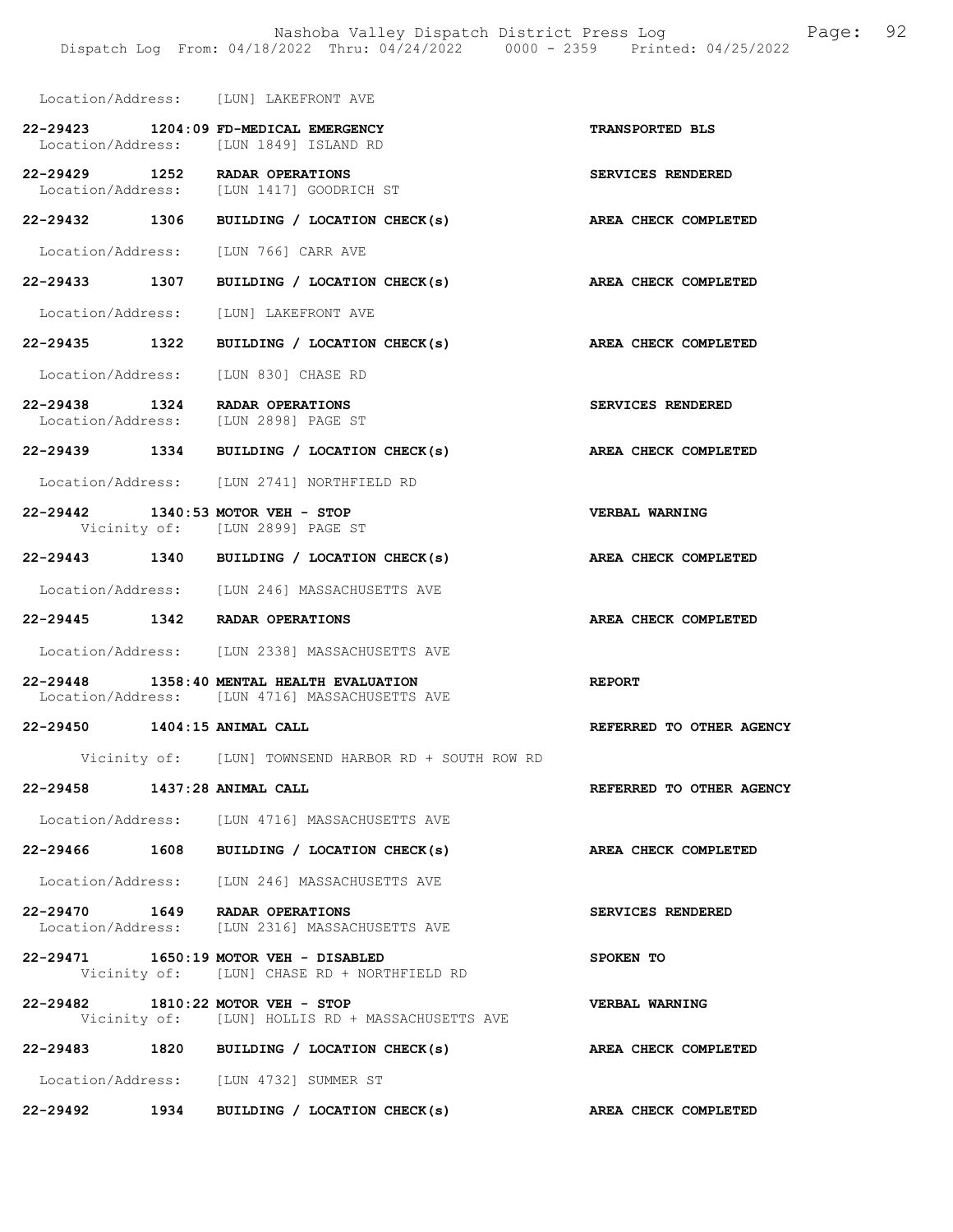|                              | Location/Address: [LUN] LAKEFRONT AVE                                                       |                             |
|------------------------------|---------------------------------------------------------------------------------------------|-----------------------------|
|                              | 22-29423 1204:09 FD-MEDICAL EMERGENCY<br>Location/Address: [LUN 1849] ISLAND RD             | TRANSPORTED BLS             |
|                              | 22-29429 1252 RADAR OPERATIONS<br>Location/Address: [LUN 1417] GOODRICH ST                  | SERVICES RENDERED           |
|                              | 22-29432 1306 BUILDING / LOCATION CHECK(s)                                                  | AREA CHECK COMPLETED        |
|                              | Location/Address: [LUN 766] CARR AVE                                                        |                             |
|                              | 22-29433 1307 BUILDING / LOCATION CHECK(s)                                                  | <b>AREA CHECK COMPLETED</b> |
|                              | Location/Address: [LUN] LAKEFRONT AVE                                                       |                             |
|                              | 22-29435 1322 BUILDING / LOCATION CHECK(s)                                                  | AREA CHECK COMPLETED        |
|                              | Location/Address: [LUN 830] CHASE RD                                                        |                             |
|                              | 22-29438 1324 RADAR OPERATIONS<br>Location/Address: [LUN 2898] PAGE ST                      | SERVICES RENDERED           |
|                              | 22-29439 1334 BUILDING / LOCATION CHECK(s)                                                  | <b>AREA CHECK COMPLETED</b> |
|                              | Location/Address: [LUN 2741] NORTHFIELD RD                                                  |                             |
|                              | 22-29442 1340:53 MOTOR VEH - STOP<br>Vicinity of: [LUN 2899] PAGE ST                        | <b>VERBAL WARNING</b>       |
|                              | 22-29443 1340 BUILDING / LOCATION CHECK(s)                                                  | AREA CHECK COMPLETED        |
|                              | Location/Address: [LUN 246] MASSACHUSETTS AVE                                               |                             |
|                              | 22-29445 1342 RADAR OPERATIONS                                                              | AREA CHECK COMPLETED        |
|                              | Location/Address: [LUN 2338] MASSACHUSETTS AVE                                              |                             |
|                              |                                                                                             |                             |
|                              | 22-29448 1358:40 MENTAL HEALTH EVALUATION<br>Location/Address: [LUN 4716] MASSACHUSETTS AVE | <b>REPORT</b>               |
| 22-29450 1404:15 ANIMAL CALL |                                                                                             | REFERRED TO OTHER AGENCY    |
|                              | Vicinity of: [LUN] TOWNSEND HARBOR RD + SOUTH ROW RD                                        |                             |
| 22-29458 1437:28 ANIMAL CALL |                                                                                             | REFERRED TO OTHER AGENCY    |
|                              | Location/Address: [LUN 4716] MASSACHUSETTS AVE                                              |                             |
|                              | 22-29466 1608 BUILDING / LOCATION CHECK(s)                                                  | AREA CHECK COMPLETED        |
|                              | Location/Address: [LUN 246] MASSACHUSETTS AVE                                               |                             |
|                              | 22-29470 1649 RADAR OPERATIONS<br>Location/Address: [LUN 2316] MASSACHUSETTS AVE            | SERVICES RENDERED           |
|                              | 22-29471 1650:19 MOTOR VEH - DISABLED<br>Vicinity of: [LUN] CHASE RD + NORTHFIELD RD        | SPOKEN TO                   |
|                              | 22-29482 1810:22 MOTOR VEH - STOP<br>Vicinity of: [LUN] HOLLIS RD + MASSACHUSETTS AVE       | <b>VERBAL WARNING</b>       |
|                              | 22-29483 1820 BUILDING / LOCATION CHECK(s)                                                  | AREA CHECK COMPLETED        |
|                              | Location/Address: [LUN 4732] SUMMER ST                                                      |                             |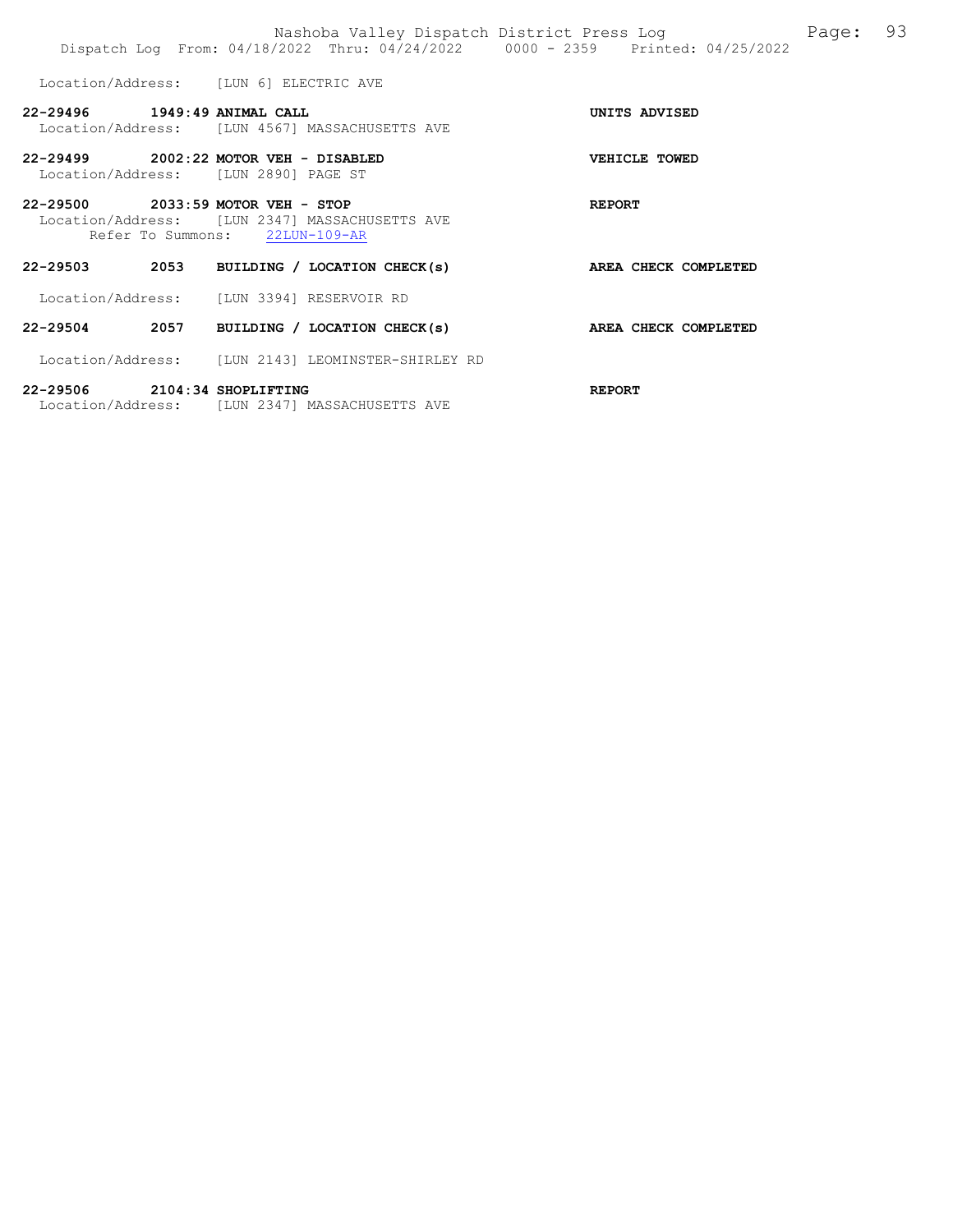|                              |                                                                               | Nashoba Valley Dispatch District Press Log<br>Dispatch Log From: 04/18/2022 Thru: 04/24/2022 0000 - 2359 Printed: 04/25/2022 |               |                      | Page: | 93 |
|------------------------------|-------------------------------------------------------------------------------|------------------------------------------------------------------------------------------------------------------------------|---------------|----------------------|-------|----|
|                              | Location/Address: [LUN 6] ELECTRIC AVE                                        |                                                                                                                              |               |                      |       |    |
| 22-29496 1949:49 ANIMAL CALL |                                                                               | Location/Address: [LUN 4567] MASSACHUSETTS AVE                                                                               |               | UNITS ADVISED        |       |    |
|                              | 22-29499 2002:22 MOTOR VEH - DISABLED<br>Location/Address: [LUN 2890] PAGE ST |                                                                                                                              |               | VEHICLE TOWED        |       |    |
|                              | 22-29500 2033:59 MOTOR VEH - STOP<br>Refer To Summons: 22LUN-109-AR           | Location/Address: [LUN 2347] MASSACHUSETTS AVE                                                                               | <b>REPORT</b> |                      |       |    |
|                              |                                                                               | 22-29503 2053 BUILDING / LOCATION CHECK(s)                                                                                   |               | AREA CHECK COMPLETED |       |    |
|                              | Location/Address: [LUN 3394] RESERVOIR RD                                     |                                                                                                                              |               |                      |       |    |
|                              |                                                                               | 22-29504 2057 BUILDING / LOCATION CHECK(s)                                                                                   |               | AREA CHECK COMPLETED |       |    |
|                              |                                                                               | Location/Address: [LUN 2143] LEOMINSTER-SHIRLEY RD                                                                           |               |                      |       |    |
| 22-29506 2104:34 SHOPLIFTING |                                                                               |                                                                                                                              | <b>REPORT</b> |                      |       |    |

Location/Address: [LUN 2347] MASSACHUSETTS AVE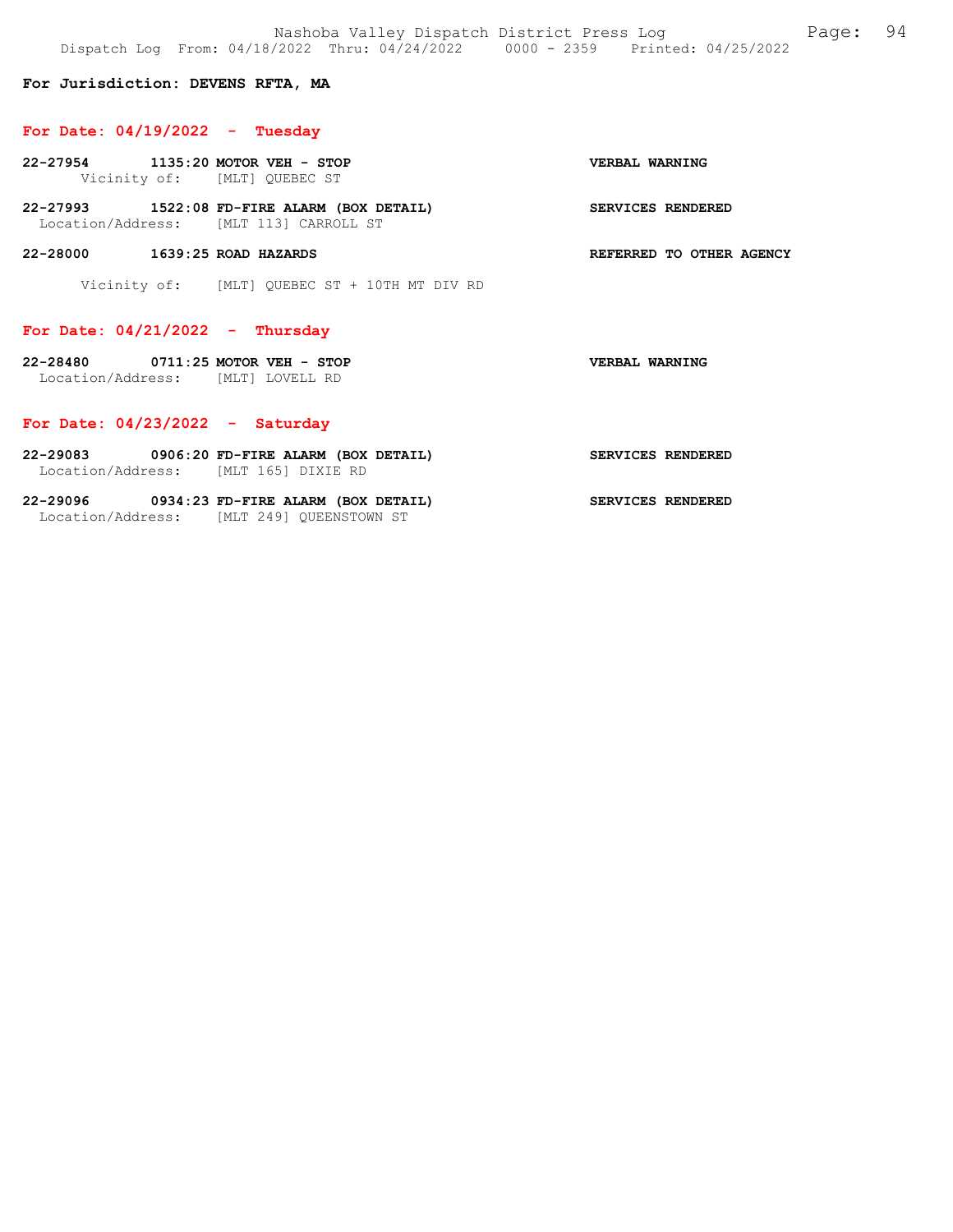Nashoba Valley Dispatch District Press Log Fage: 94 Dispatch Log From: 04/18/2022 Thru: 04/24/2022 0000 - 2359 Printed: 04/25/2022

For Jurisdiction: DEVENS RFTA, MA

### For Date: 04/19/2022 - Tuesday

| 22-27954 1135:20 MOTOR VEH - STOP                                      | Vicinity of: [MLT] QUEBEC ST                                                          | VERBAL WARNING           |
|------------------------------------------------------------------------|---------------------------------------------------------------------------------------|--------------------------|
|                                                                        | 22-27993 1522:08 FD-FIRE ALARM (BOX DETAIL)<br>Location/Address: [MLT 113] CARROLL ST | <b>SERVICES RENDERED</b> |
| 22-28000<br>$1639:25$ ROAD HAZARDS                                     |                                                                                       | REFERRED TO OTHER AGENCY |
|                                                                        | Vicinity of: [MLT] OUEBEC ST + 10TH MT DIV RD                                         |                          |
| For Date: $04/21/2022 -$ Thursday                                      |                                                                                       |                          |
| 22-28480 0711:25 MOTOR VEH - STOP<br>Location/Address: [MLT] LOVELL RD |                                                                                       | VERBAL WARNING           |

### For Date: 04/23/2022 - Saturday

| 22-29083          | 0906:20 FD-FIRE ALARM (BOX DETAIL) |                   | SERVICES RENDERED |  |
|-------------------|------------------------------------|-------------------|-------------------|--|
| Location/Address: |                                    | MLT 1651 DIXIE RD |                   |  |

| $22 - 29096$      | 0934:23 FD-FIRE ALARM (BOX DETAIL) | <b>SERVICES RENDERED</b> |
|-------------------|------------------------------------|--------------------------|
| Location/Address: | IMLT 2491 OUEENSTOWN ST            |                          |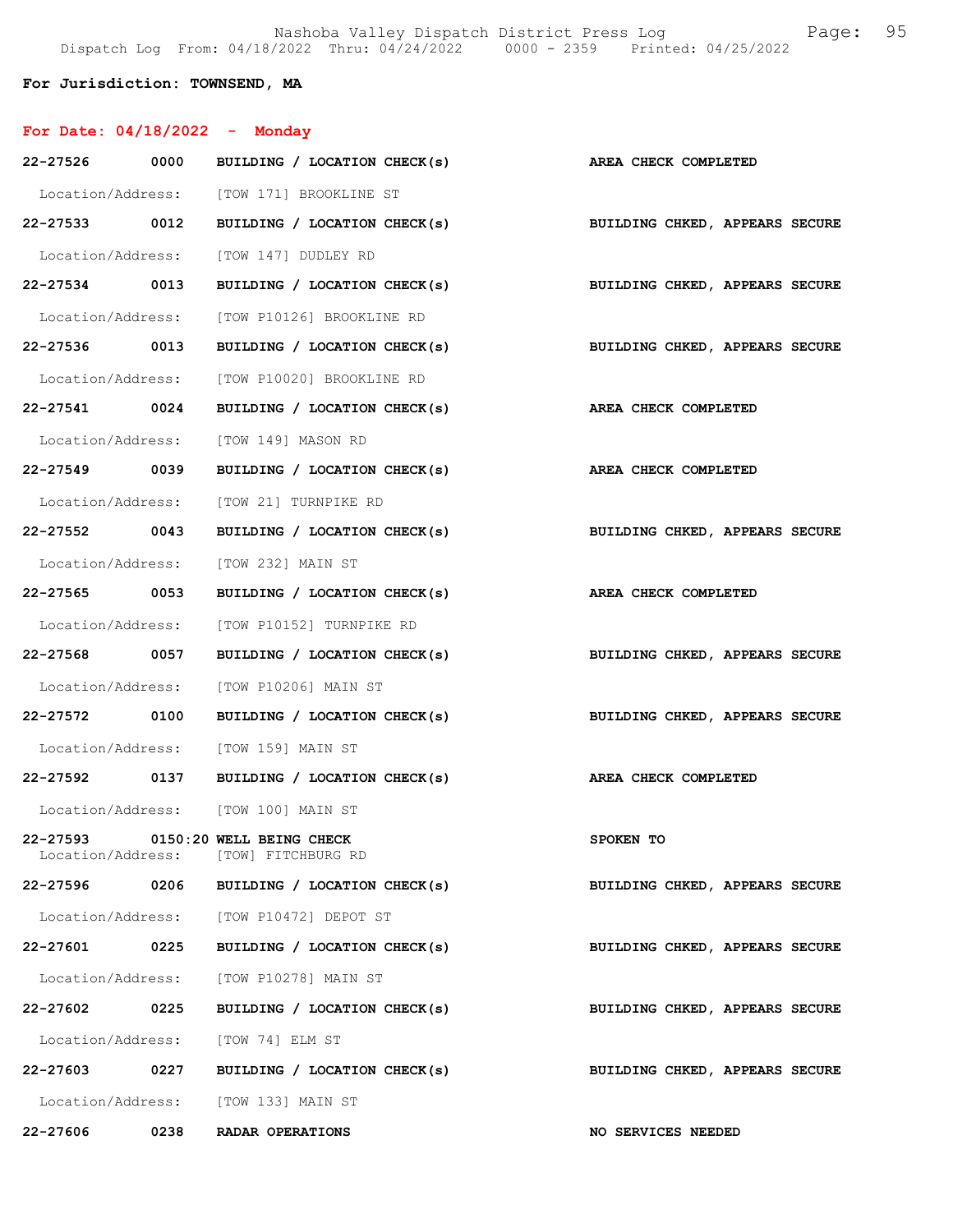Nashoba Valley Dispatch District Press Log Fage: 95 Dispatch Log From: 04/18/2022 Thru: 04/24/2022 0000 - 2359 Printed: 04/25/2022

#### For Jurisdiction: TOWNSEND, MA

| For Date: $04/18/2022$ | - Monday |
|------------------------|----------|
|                        |          |

| 22-27526 0000 |      | BUILDING / LOCATION CHECK(s)                                              | AREA CHECK COMPLETED           |
|---------------|------|---------------------------------------------------------------------------|--------------------------------|
|               |      | Location/Address: [TOW 171] BROOKLINE ST                                  |                                |
|               |      | 22-27533 0012 BUILDING / LOCATION CHECK(s)                                | BUILDING CHKED, APPEARS SECURE |
|               |      | Location/Address: [TOW 147] DUDLEY RD                                     |                                |
|               |      | 22-27534 0013 BUILDING / LOCATION CHECK(s) BUILDING CHKED, APPEARS SECURE |                                |
|               |      | Location/Address: [TOW P10126] BROOKLINE RD                               |                                |
|               |      | 22-27536 0013 BUILDING / LOCATION CHECK(s)                                | BUILDING CHKED, APPEARS SECURE |
|               |      | Location/Address: [TOW P10020] BROOKLINE RD                               |                                |
| 22-27541 0024 |      | BUILDING / LOCATION CHECK(s)                                              | AREA CHECK COMPLETED           |
|               |      | Location/Address: [TOW 149] MASON RD                                      |                                |
| 22-27549 0039 |      | BUILDING / LOCATION CHECK(s) AREA CHECK COMPLETED                         |                                |
|               |      | Location/Address: [TOW 21] TURNPIKE RD                                    |                                |
| 22-27552 0043 |      | BUILDING / LOCATION CHECK(s)                                              | BUILDING CHKED, APPEARS SECURE |
|               |      | Location/Address: [TOW 232] MAIN ST                                       |                                |
| 22-27565 0053 |      | BUILDING / LOCATION CHECK(s) AREA CHECK COMPLETED                         |                                |
|               |      | Location/Address: [TOW P10152] TURNPIKE RD                                |                                |
| 22-27568 0057 |      | BUILDING / LOCATION CHECK(s)                                              | BUILDING CHKED, APPEARS SECURE |
|               |      | Location/Address: [TOW P10206] MAIN ST                                    |                                |
|               |      | 22-27572 0100 BUILDING / LOCATION CHECK(s)                                | BUILDING CHKED, APPEARS SECURE |
|               |      | Location/Address: [TOW 159] MAIN ST                                       |                                |
|               |      | 22-27592 0137 BUILDING / LOCATION CHECK(s)                                | AREA CHECK COMPLETED           |
|               |      | Location/Address: [TOW 100] MAIN ST                                       |                                |
|               |      | 22-27593 0150:20 WELL BEING CHECK<br>Location/Address: [TOW] FITCHBURG RD | SPOKEN TO                      |
| 22-27596      | 0206 | BUILDING / LOCATION CHECK(s)                                              | BUILDING CHKED, APPEARS SECURE |
|               |      | Location/Address: [TOW P10472] DEPOT ST                                   |                                |
| 22-27601 0225 |      | BUILDING / LOCATION CHECK(s)                                              | BUILDING CHKED, APPEARS SECURE |
|               |      | Location/Address: [TOW P10278] MAIN ST                                    |                                |
| 22-27602 0225 |      | BUILDING / LOCATION CHECK(s)                                              | BUILDING CHKED, APPEARS SECURE |
|               |      | Location/Address: [TOW 74] ELM ST                                         |                                |
| 22-27603      | 0227 | BUILDING / LOCATION CHECK(s)                                              | BUILDING CHKED, APPEARS SECURE |
|               |      | Location/Address: [TOW 133] MAIN ST                                       |                                |
| 22-27606      | 0238 | RADAR OPERATIONS                                                          | NO SERVICES NEEDED             |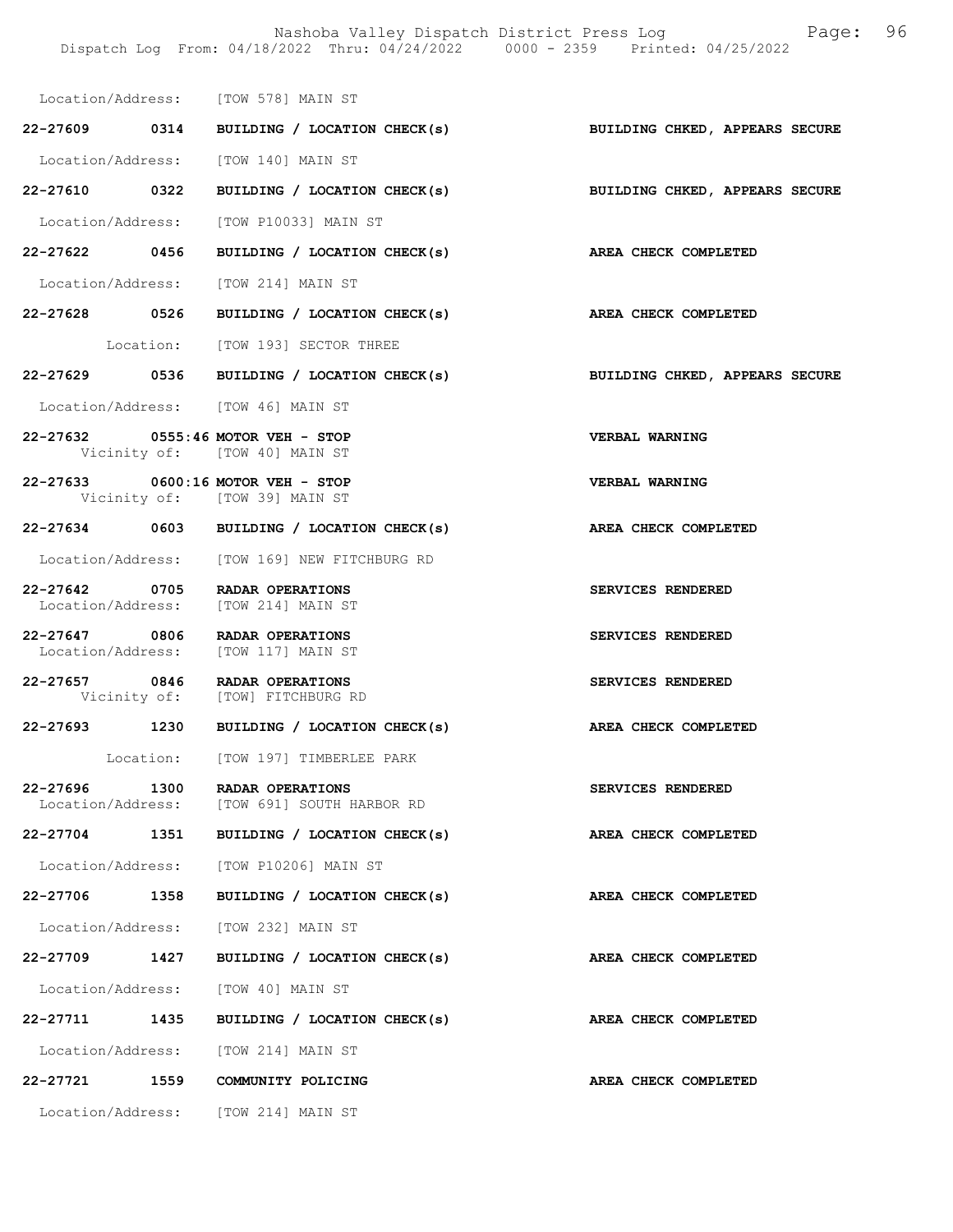|              |                   | Location/Address: [TOW 578] MAIN ST                                   |                                                                 |
|--------------|-------------------|-----------------------------------------------------------------------|-----------------------------------------------------------------|
|              |                   | 22-27609 0314 BUILDING / LOCATION CHECK(s)                            | BUILDING CHKED, APPEARS SECURE                                  |
|              |                   | Location/Address: [TOW 140] MAIN ST                                   |                                                                 |
|              |                   | 22-27610 0322 BUILDING / LOCATION CHECK(s)                            | BUILDING CHKED, APPEARS SECURE                                  |
|              |                   | Location/Address: [TOW P10033] MAIN ST                                |                                                                 |
|              |                   |                                                                       | 22-27622 0456 BUILDING / LOCATION CHECK(s) AREA CHECK COMPLETED |
|              |                   | Location/Address: [TOW 214] MAIN ST                                   |                                                                 |
|              |                   |                                                                       | 22-27628 0526 BUILDING / LOCATION CHECK(s) AREA CHECK COMPLETED |
|              |                   | Location: [TOW 193] SECTOR THREE                                      |                                                                 |
|              |                   | 22-27629 0536 BUILDING / LOCATION CHECK(s)                            | BUILDING CHKED, APPEARS SECURE                                  |
|              |                   | Location/Address: [TOW 46] MAIN ST                                    |                                                                 |
|              |                   | 22-27632 0555:46 MOTOR VEH - STOP<br>Vicinity of: [TOW 40] MAIN ST    | VERBAL WARNING                                                  |
|              |                   | 22-27633 0600:16 MOTOR VEH - STOP<br>Vicinity of: [TOW 39] MAIN ST    | VERBAL WARNING                                                  |
|              |                   | 22-27634 0603 BUILDING / LOCATION CHECK(s)                            | AREA CHECK COMPLETED                                            |
|              |                   | Location/Address: [TOW 169] NEW FITCHBURG RD                          |                                                                 |
|              |                   | 22-27642 0705 RADAR OPERATIONS<br>Location/Address: [TOW 214] MAIN ST | SERVICES RENDERED                                               |
|              |                   | 22-27647 0806 RADAR OPERATIONS<br>Location/Address: [TOW 117] MAIN ST | SERVICES RENDERED                                               |
|              |                   | 22-27657 0846 RADAR OPERATIONS<br>Vicinity of: [TOW] FITCHBURG RD     | SERVICES RENDERED                                               |
|              |                   | 22-27693 1230 BUILDING / LOCATION CHECK(s)                            | AREA CHECK COMPLETED                                            |
|              |                   | Location: [TOW 197] TIMBERLEE PARK                                    |                                                                 |
| 22-27696     | 1300              | RADAR OPERATIONS<br>Location/Address: [TOW 691] SOUTH HARBOR RD       | <b>SERVICES RENDERED</b>                                        |
| $22 - 27704$ | 1351              | BUILDING / LOCATION CHECK(s)                                          | AREA CHECK COMPLETED                                            |
|              |                   | Location/Address: [TOW P10206] MAIN ST                                |                                                                 |
|              | 22-27706 1358     | BUILDING / LOCATION CHECK(s)                                          | AREA CHECK COMPLETED                                            |
|              |                   | Location/Address: [TOW 232] MAIN ST                                   |                                                                 |
|              | 22–27709 1427     | BUILDING / LOCATION CHECK(s)                                          | AREA CHECK COMPLETED                                            |
|              | Location/Address: | [TOW 40] MAIN ST                                                      |                                                                 |
| 22-27711     | 1435              | BUILDING / LOCATION CHECK(s)                                          | AREA CHECK COMPLETED                                            |
|              |                   | Location/Address: [TOW 214] MAIN ST                                   |                                                                 |
| 22-27721     | 1559              | COMMUNITY POLICING                                                    | AREA CHECK COMPLETED                                            |
|              |                   | Location/Address: [TOW 214] MAIN ST                                   |                                                                 |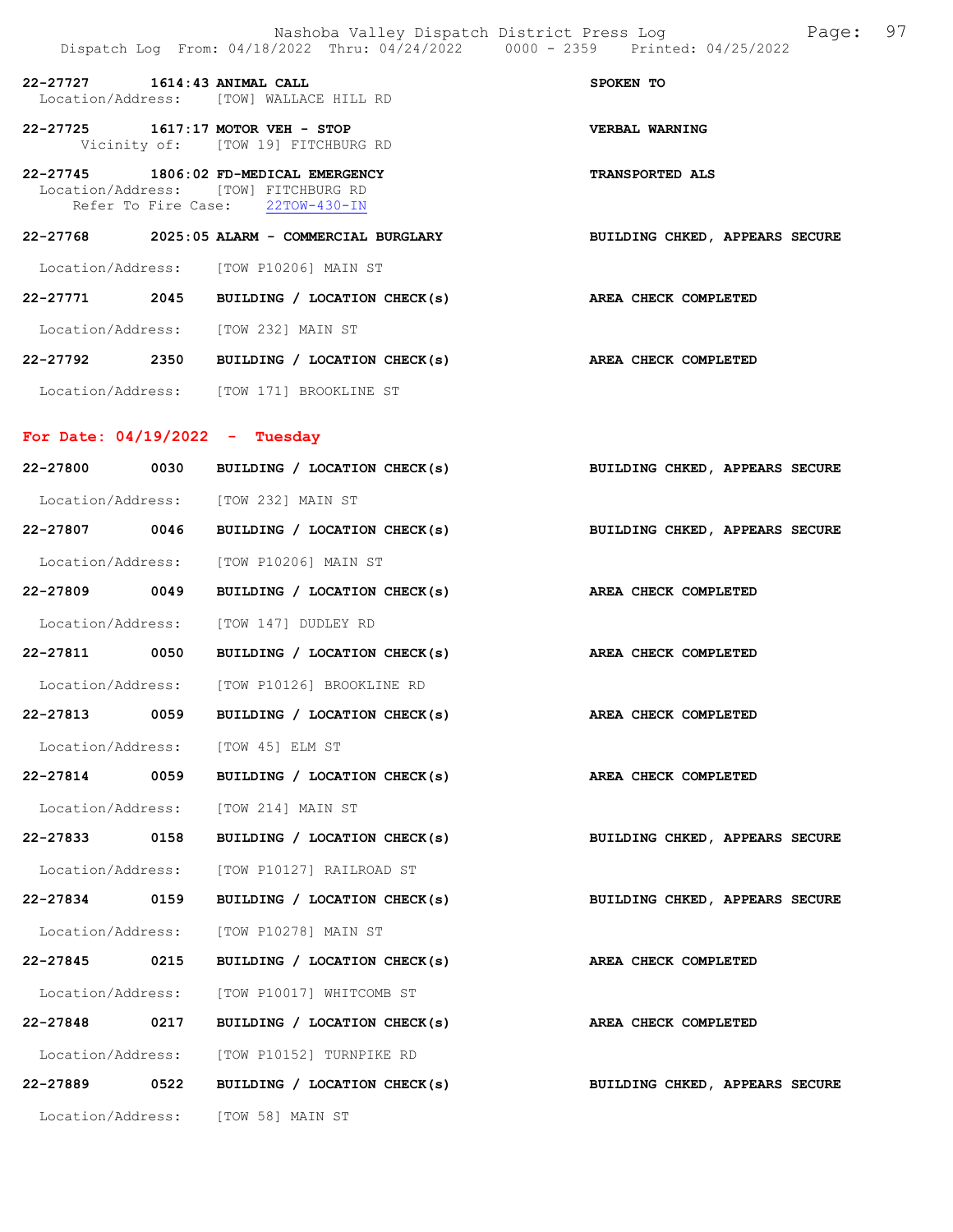|                   |      | Dispatch Log From: 04/18/2022 Thru: 04/24/2022 0000 - 2359 Printed: 04/25/2022                                    |                                                                             |
|-------------------|------|-------------------------------------------------------------------------------------------------------------------|-----------------------------------------------------------------------------|
|                   |      | 22-27727 1614:43 ANIMAL CALL<br>Location/Address: [TOW] WALLACE HILL RD                                           | SPOKEN TO                                                                   |
|                   |      | 22-27725 1617:17 MOTOR VEH - STOP<br>Vicinity of: [TOW 19] FITCHBURG RD                                           | <b>VERBAL WARNING</b>                                                       |
|                   |      | 22-27745 1806:02 FD-MEDICAL EMERGENCY<br>Location/Address: [TOW] FITCHBURG RD<br>Refer To Fire Case: 22TOW-430-IN | <b>TRANSPORTED ALS</b>                                                      |
|                   |      |                                                                                                                   | 22-27768 2025:05 ALARM - COMMERCIAL BURGLARY BUILDING CHKED, APPEARS SECURE |
|                   |      | Location/Address: [TOW P10206] MAIN ST                                                                            |                                                                             |
|                   |      | 22-27771 2045 BUILDING / LOCATION CHECK(s) AREA CHECK COMPLETED                                                   |                                                                             |
|                   |      | Location/Address: [TOW 232] MAIN ST                                                                               |                                                                             |
|                   |      | 22-27792 2350 BUILDING / LOCATION CHECK(s)                                                                        | AREA CHECK COMPLETED                                                        |
|                   |      | Location/Address: [TOW 171] BROOKLINE ST                                                                          |                                                                             |
|                   |      | For Date: $04/19/2022 - Tuesday$                                                                                  |                                                                             |
|                   |      | 22-27800 0030 BUILDING / LOCATION CHECK(s)                                                                        | BUILDING CHKED, APPEARS SECURE                                              |
|                   |      | Location/Address: [TOW 232] MAIN ST                                                                               |                                                                             |
|                   |      | 22-27807 0046 BUILDING / LOCATION CHECK(s)                                                                        | BUILDING CHKED, APPEARS SECURE                                              |
|                   |      | Location/Address: [TOW P10206] MAIN ST                                                                            |                                                                             |
|                   |      | 22-27809 0049 BUILDING / LOCATION CHECK(s)                                                                        | AREA CHECK COMPLETED                                                        |
|                   |      | Location/Address: [TOW 147] DUDLEY RD                                                                             |                                                                             |
|                   |      | 22-27811 0050 BUILDING / LOCATION CHECK(s) AREA CHECK COMPLETED                                                   |                                                                             |
|                   |      | Location/Address: [TOW P10126] BROOKLINE RD                                                                       |                                                                             |
|                   |      | 22-27813 0059 BUILDING / LOCATION CHECK(s)                                                                        | <b>AREA CHECK COMPLETED</b>                                                 |
| Location/Address: |      | [TOW 45] ELM ST                                                                                                   |                                                                             |
| $22 - 27814$      | 0059 | BUILDING / LOCATION CHECK(s)                                                                                      | AREA CHECK COMPLETED                                                        |
|                   |      | Location/Address: [TOW 214] MAIN ST                                                                               |                                                                             |
| 22-27833          | 0158 | BUILDING / LOCATION CHECK(s)                                                                                      | BUILDING CHKED, APPEARS SECURE                                              |
| Location/Address: |      | [TOW P10127] RAILROAD ST                                                                                          |                                                                             |
| 22-27834 0159     |      | BUILDING / LOCATION CHECK(s)                                                                                      | BUILDING CHKED, APPEARS SECURE                                              |
| Location/Address: |      | [TOW P10278] MAIN ST                                                                                              |                                                                             |
| 22-27845 0215     |      | BUILDING / LOCATION CHECK(s)                                                                                      | AREA CHECK COMPLETED                                                        |
| Location/Address: |      | [TOW P10017] WHITCOMB ST                                                                                          |                                                                             |
| 22-27848          | 0217 | BUILDING / LOCATION CHECK(s)                                                                                      | AREA CHECK COMPLETED                                                        |
| Location/Address: |      | [TOW P10152] TURNPIKE RD                                                                                          |                                                                             |
| 22-27889          | 0522 | BUILDING / LOCATION CHECK(s)                                                                                      | BUILDING CHKED, APPEARS SECURE                                              |
| Location/Address: |      | [TOW 58] MAIN ST                                                                                                  |                                                                             |
|                   |      |                                                                                                                   |                                                                             |

Nashoba Valley Dispatch District Press Log Fage: 97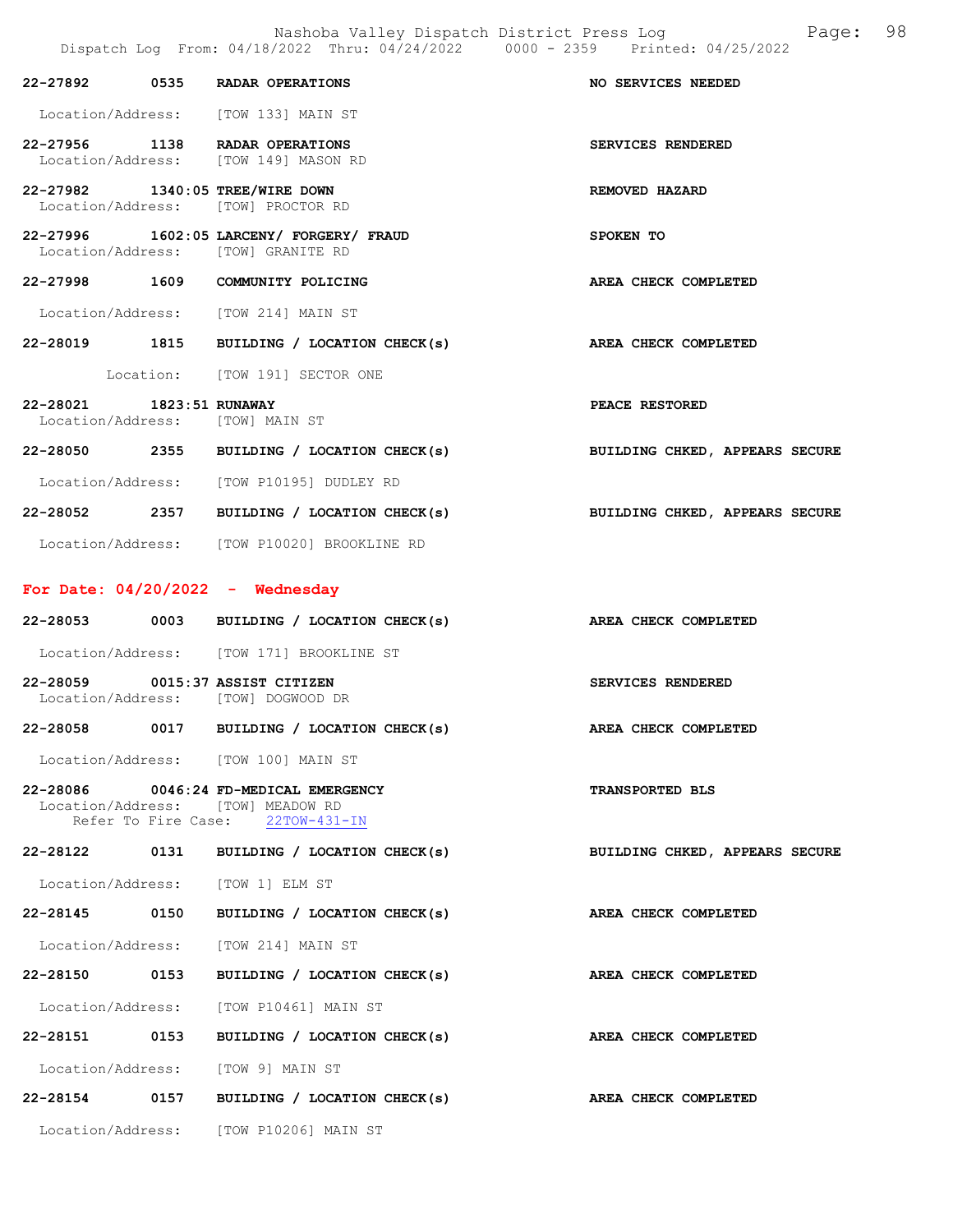Nashoba Valley Dispatch District Press Log Fage: 98 Dispatch Log From: 04/18/2022 Thru: 04/24/2022 0000 - 2359 Printed: 04/25/2022

|                                                             | 22-27892 0535 RADAR OPERATIONS                                                                                 | NO SERVICES NEEDED             |
|-------------------------------------------------------------|----------------------------------------------------------------------------------------------------------------|--------------------------------|
|                                                             | Location/Address: [TOW 133] MAIN ST                                                                            |                                |
|                                                             | 22-27956 1138 RADAR OPERATIONS<br>Location/Address: [TOW 149] MASON RD                                         | SERVICES RENDERED              |
| 22-27982 1340:05 TREE/WIRE DOWN                             | Location/Address: [TOW] PROCTOR RD                                                                             | <b>REMOVED HAZARD</b>          |
|                                                             | 22-27996 1602:05 LARCENY/ FORGERY/ FRAUD<br>Location/Address: [TOW] GRANITE RD                                 | SPOKEN TO                      |
|                                                             | 22-27998 1609 COMMUNITY POLICING                                                                               | AREA CHECK COMPLETED           |
|                                                             | Location/Address: [TOW 214] MAIN ST                                                                            |                                |
|                                                             | 22-28019 1815 BUILDING / LOCATION CHECK(s)                                                                     | AREA CHECK COMPLETED           |
|                                                             | Location: [TOW 191] SECTOR ONE                                                                                 |                                |
| 22-28021 1823:51 RUNAWAY<br>Location/Address: [TOW] MAIN ST |                                                                                                                | PEACE RESTORED                 |
|                                                             | 22-28050 2355 BUILDING / LOCATION CHECK(s)                                                                     | BUILDING CHKED, APPEARS SECURE |
|                                                             | Location/Address: [TOW P10195] DUDLEY RD                                                                       |                                |
|                                                             | 22-28052 2357 BUILDING / LOCATION CHECK(s)                                                                     | BUILDING CHKED, APPEARS SECURE |
|                                                             | Location/Address: [TOW P10020] BROOKLINE RD                                                                    |                                |
| For Date: $04/20/2022 -$ Wednesday                          |                                                                                                                |                                |
|                                                             |                                                                                                                |                                |
|                                                             | 22-28053 0003 BUILDING / LOCATION CHECK(s)                                                                     | AREA CHECK COMPLETED           |
|                                                             | Location/Address: [TOW 171] BROOKLINE ST                                                                       |                                |
| 22-28059 0015:37 ASSIST CITIZEN                             | Location/Address: [TOW] DOGWOOD DR                                                                             | SERVICES RENDERED              |
|                                                             | 22-28058 0017 BUILDING / LOCATION CHECK(s)                                                                     | AREA CHECK COMPLETED           |
|                                                             | Location/Address: [TOW 100] MAIN ST                                                                            |                                |
|                                                             | 22-28086 0046:24 FD-MEDICAL EMERGENCY<br>Location/Address: [TOW] MEADOW RD<br>Refer To Fire Case: 22TOW-431-IN | <b>TRANSPORTED BLS</b>         |
|                                                             | 22-28122 0131 BUILDING / LOCATION CHECK(s)                                                                     | BUILDING CHKED, APPEARS SECURE |
|                                                             | Location/Address: [TOW 1] ELM ST                                                                               |                                |
| 22-28145 0150                                               | BUILDING / LOCATION CHECK(s)                                                                                   | AREA CHECK COMPLETED           |
|                                                             | Location/Address: [TOW 214] MAIN ST                                                                            |                                |
| 22-28150 0153                                               | BUILDING / LOCATION CHECK(s)                                                                                   | AREA CHECK COMPLETED           |
|                                                             | Location/Address: [TOW P10461] MAIN ST                                                                         |                                |
| 22-28151 0153                                               | BUILDING / LOCATION CHECK(s)                                                                                   | AREA CHECK COMPLETED           |
|                                                             | Location/Address: [TOW 9] MAIN ST                                                                              |                                |
|                                                             | 22-28154 0157 BUILDING / LOCATION CHECK(s)                                                                     | AREA CHECK COMPLETED           |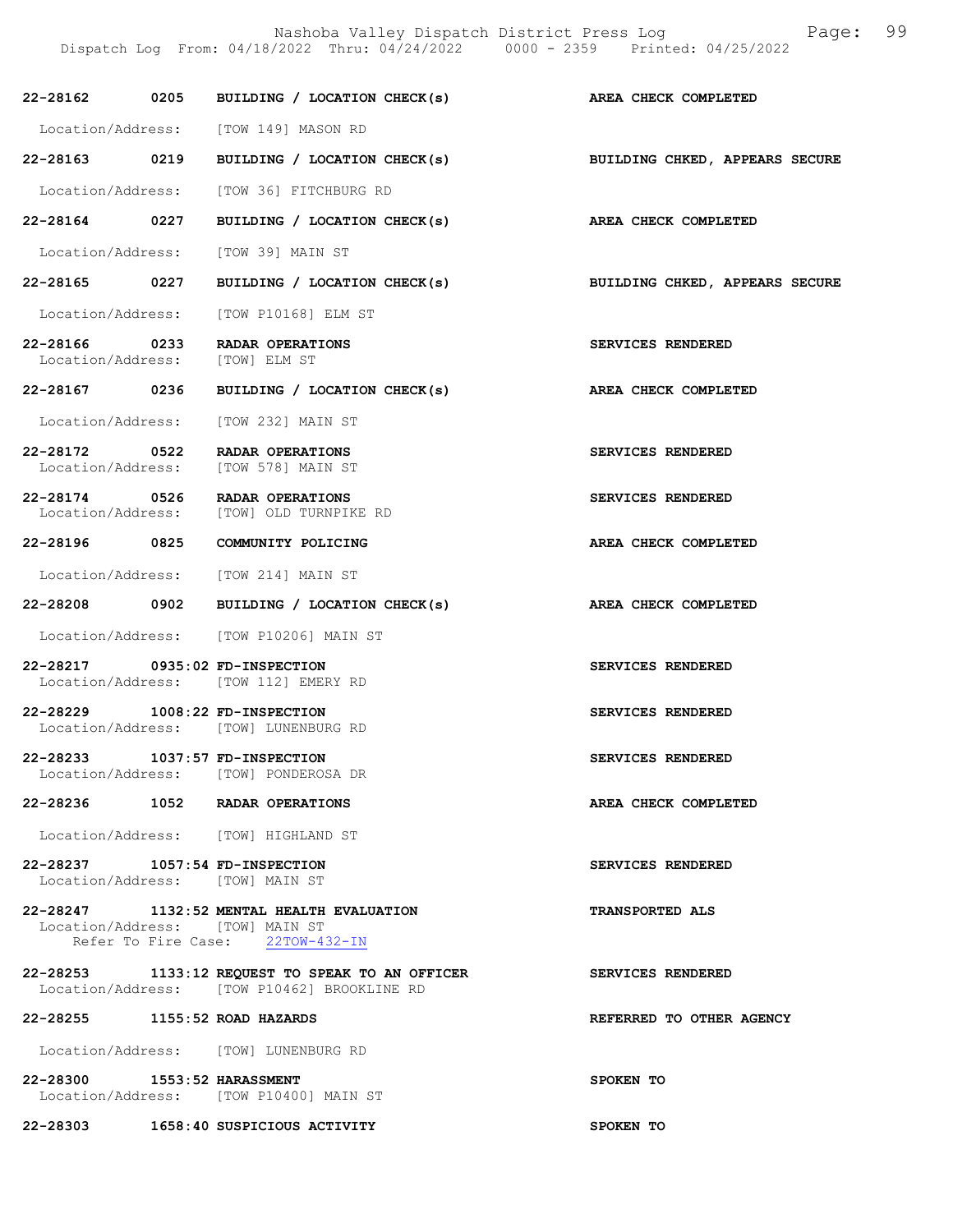|                                                 | 22-28162 0205 BUILDING / LOCATION CHECK(s)                                                                       | AREA CHECK COMPLETED           |
|-------------------------------------------------|------------------------------------------------------------------------------------------------------------------|--------------------------------|
|                                                 | Location/Address: [TOW 149] MASON RD                                                                             |                                |
| 22-28163 0219                                   | BUILDING / LOCATION CHECK(s) BUILDING CHKED, APPEARS SECURE                                                      |                                |
|                                                 | Location/Address: [TOW 36] FITCHBURG RD                                                                          |                                |
| 22-28164 0227                                   | BUILDING / LOCATION CHECK(s) AREA CHECK COMPLETED                                                                |                                |
|                                                 | Location/Address: [TOW 39] MAIN ST                                                                               |                                |
| 22-28165 0227                                   | BUILDING / LOCATION CHECK(s)                                                                                     | BUILDING CHKED, APPEARS SECURE |
|                                                 | Location/Address: [TOW P10168] ELM ST                                                                            |                                |
| 22-28166 0233<br>Location/Address: [TOW] ELM ST | RADAR OPERATIONS                                                                                                 | SERVICES RENDERED              |
| 22-28167 0236                                   | BUILDING / LOCATION CHECK(s)                                                                                     | AREA CHECK COMPLETED           |
|                                                 | Location/Address: [TOW 232] MAIN ST                                                                              |                                |
| 22-28172 0522                                   | RADAR OPERATIONS<br>Location/Address: [TOW 578] MAIN ST                                                          | SERVICES RENDERED              |
| 22-28174 0526                                   | RADAR OPERATIONS<br>Location/Address: [TOW] OLD TURNPIKE RD                                                      | SERVICES RENDERED              |
|                                                 | 22-28196 0825 COMMUNITY POLICING                                                                                 | AREA CHECK COMPLETED           |
|                                                 | Location/Address: [TOW 214] MAIN ST                                                                              |                                |
|                                                 | 22-28208 0902 BUILDING / LOCATION CHECK(s)                                                                       | AREA CHECK COMPLETED           |
|                                                 | Location/Address: [TOW P10206] MAIN ST                                                                           |                                |
| 22-28217 0935:02 FD-INSPECTION                  | Location/Address: [TOW 112] EMERY RD                                                                             | SERVICES RENDERED              |
| 22-28229 1008:22 FD-INSPECTION                  | Location/Address: [TOW] LUNENBURG RD                                                                             | SERVICES RENDERED              |
| 22-28233                                        | 1037:57 FD-INSPECTION<br>Location/Address: [TOW] PONDEROSA DR                                                    | SERVICES RENDERED              |
|                                                 | 22-28236 1052 RADAR OPERATIONS                                                                                   | AREA CHECK COMPLETED           |
|                                                 | Location/Address: [TOW] HIGHLAND ST                                                                              |                                |
| 22-28237 1057:54 FD-INSPECTION                  | Location/Address: [TOW] MAIN ST                                                                                  | SERVICES RENDERED              |
|                                                 | 22-28247 1132:52 MENTAL HEALTH EVALUATION<br>Location/Address: [TOW] MAIN ST<br>Refer To Fire Case: 22TOW-432-IN | <b>TRANSPORTED ALS</b>         |
|                                                 | 22-28253 1133:12 REQUEST TO SPEAK TO AN OFFICER<br>Location/Address: [TOW P10462] BROOKLINE RD                   | SERVICES RENDERED              |
| 22-28255 1155:52 ROAD HAZARDS                   |                                                                                                                  | REFERRED TO OTHER AGENCY       |
|                                                 | Location/Address: [TOW] LUNENBURG RD                                                                             |                                |
| 22-28300 1553:52 HARASSMENT                     | Location/Address: [TOW P10400] MAIN ST                                                                           | SPOKEN TO                      |
|                                                 | 22-28303 1658:40 SUSPICIOUS ACTIVITY                                                                             | SPOKEN TO                      |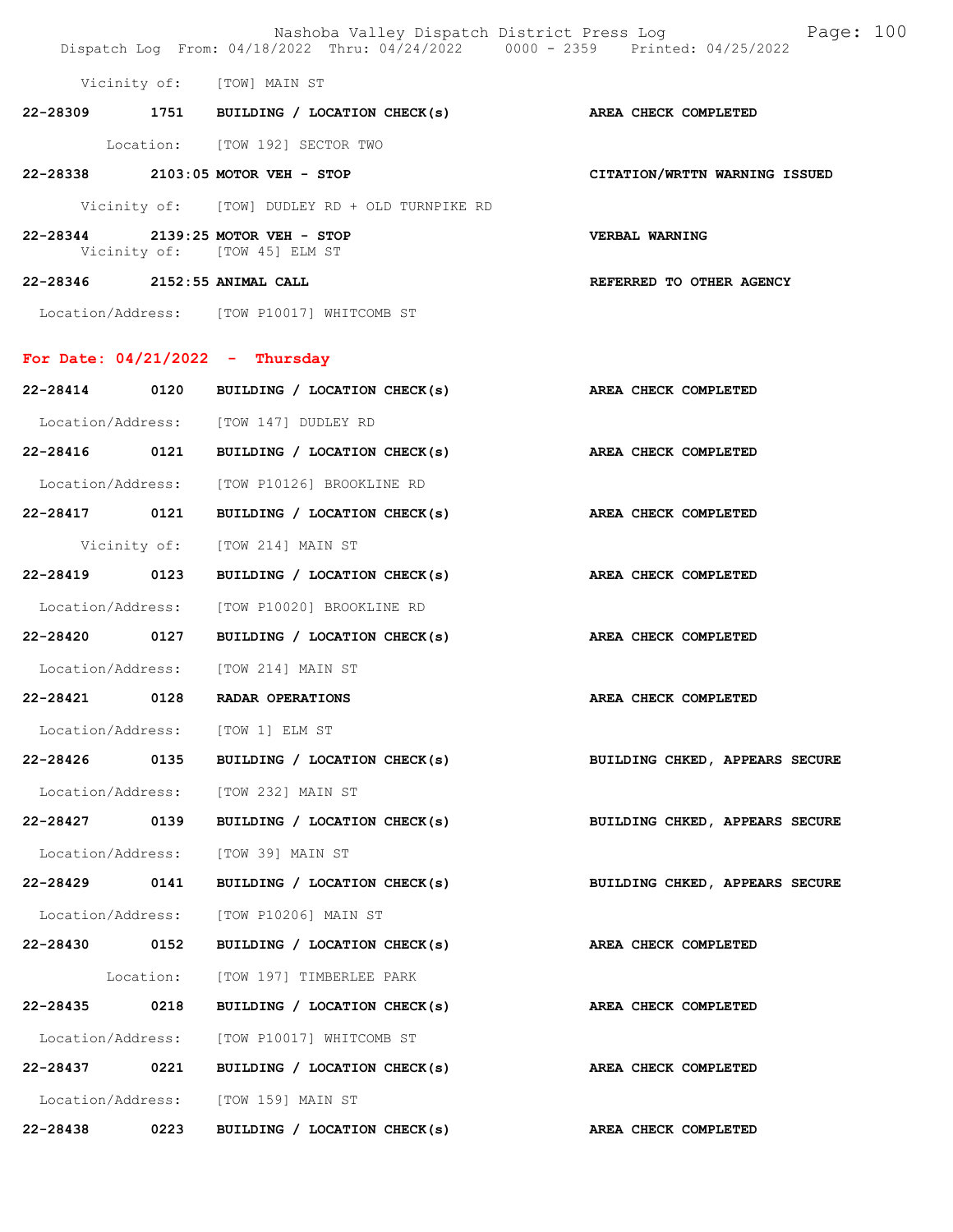|                                   |      | Nashoba Valley Dispatch District Press Log<br>Dispatch Log From: 04/18/2022 Thru: 04/24/2022 0000 - 2359 Printed: 04/25/2022 | Page: 100                      |
|-----------------------------------|------|------------------------------------------------------------------------------------------------------------------------------|--------------------------------|
|                                   |      | Vicinity of: [TOW] MAIN ST                                                                                                   |                                |
|                                   |      | 22-28309 1751 BUILDING / LOCATION CHECK(s) AREA CHECK COMPLETED                                                              |                                |
|                                   |      | Location: [TOW 192] SECTOR TWO                                                                                               |                                |
|                                   |      | 22-28338 2103:05 MOTOR VEH - STOP                                                                                            | CITATION/WRTTN WARNING ISSUED  |
|                                   |      | Vicinity of: [TOW] DUDLEY RD + OLD TURNPIKE RD                                                                               |                                |
|                                   |      | 22-28344 2139:25 MOTOR VEH - STOP<br>Vicinity of: [TOW 45] ELM ST                                                            | VERBAL WARNING                 |
| 22-28346 2152:55 ANIMAL CALL      |      |                                                                                                                              | REFERRED TO OTHER AGENCY       |
|                                   |      | Location/Address: [TOW P10017] WHITCOMB ST                                                                                   |                                |
| For Date: $04/21/2022 - Thursday$ |      |                                                                                                                              |                                |
|                                   |      | 22-28414 0120 BUILDING / LOCATION CHECK(s)                                                                                   | AREA CHECK COMPLETED           |
|                                   |      | Location/Address: [TOW 147] DUDLEY RD                                                                                        |                                |
|                                   |      | 22-28416 0121 BUILDING / LOCATION CHECK(s)                                                                                   | AREA CHECK COMPLETED           |
|                                   |      | Location/Address: [TOW P10126] BROOKLINE RD                                                                                  |                                |
| 22-28417 0121                     |      | BUILDING / LOCATION CHECK(s) AREA CHECK COMPLETED                                                                            |                                |
|                                   |      | Vicinity of: [TOW 214] MAIN ST                                                                                               |                                |
| 22-28419 0123                     |      | BUILDING / LOCATION CHECK(s)                                                                                                 | AREA CHECK COMPLETED           |
| Location/Address:                 |      | [TOW P10020] BROOKLINE RD                                                                                                    |                                |
| 22-28420 0127                     |      | BUILDING / LOCATION CHECK(s) AREA CHECK COMPLETED                                                                            |                                |
|                                   |      | Location/Address: [TOW 214] MAIN ST                                                                                          |                                |
| 22-28421 0128                     |      | <b>RADAR OPERATIONS</b>                                                                                                      | AREA CHECK COMPLETED           |
|                                   |      | Location/Address: [TOW 1] ELM ST                                                                                             |                                |
|                                   |      | $22-28426$ 0135 BUILDING / LOCATION CHECK(s)                                                                                 | BUILDING CHKED, APPEARS SECURE |
|                                   |      | Location/Address: [TOW 232] MAIN ST                                                                                          |                                |
| 22-28427                          | 0139 | BUILDING / LOCATION CHECK(s)                                                                                                 | BUILDING CHKED, APPEARS SECURE |
|                                   |      | Location/Address: [TOW 39] MAIN ST                                                                                           |                                |
|                                   |      | 22-28429 0141 BUILDING / LOCATION CHECK(s)                                                                                   | BUILDING CHKED, APPEARS SECURE |
|                                   |      | Location/Address: [TOW P10206] MAIN ST                                                                                       |                                |
|                                   |      | 22-28430 0152 BUILDING / LOCATION CHECK(s)                                                                                   | AREA CHECK COMPLETED           |
|                                   |      | Location: [TOW 197] TIMBERLEE PARK                                                                                           |                                |
| 22-28435 0218                     |      | BUILDING / LOCATION CHECK(s)                                                                                                 | AREA CHECK COMPLETED           |
|                                   |      | Location/Address: [TOW P10017] WHITCOMB ST                                                                                   |                                |
|                                   |      | 22-28437 0221 BUILDING / LOCATION CHECK(s)                                                                                   | AREA CHECK COMPLETED           |
|                                   |      | Location/Address: [TOW 159] MAIN ST                                                                                          |                                |
| 22-28438                          | 0223 | BUILDING / LOCATION CHECK(s)                                                                                                 | AREA CHECK COMPLETED           |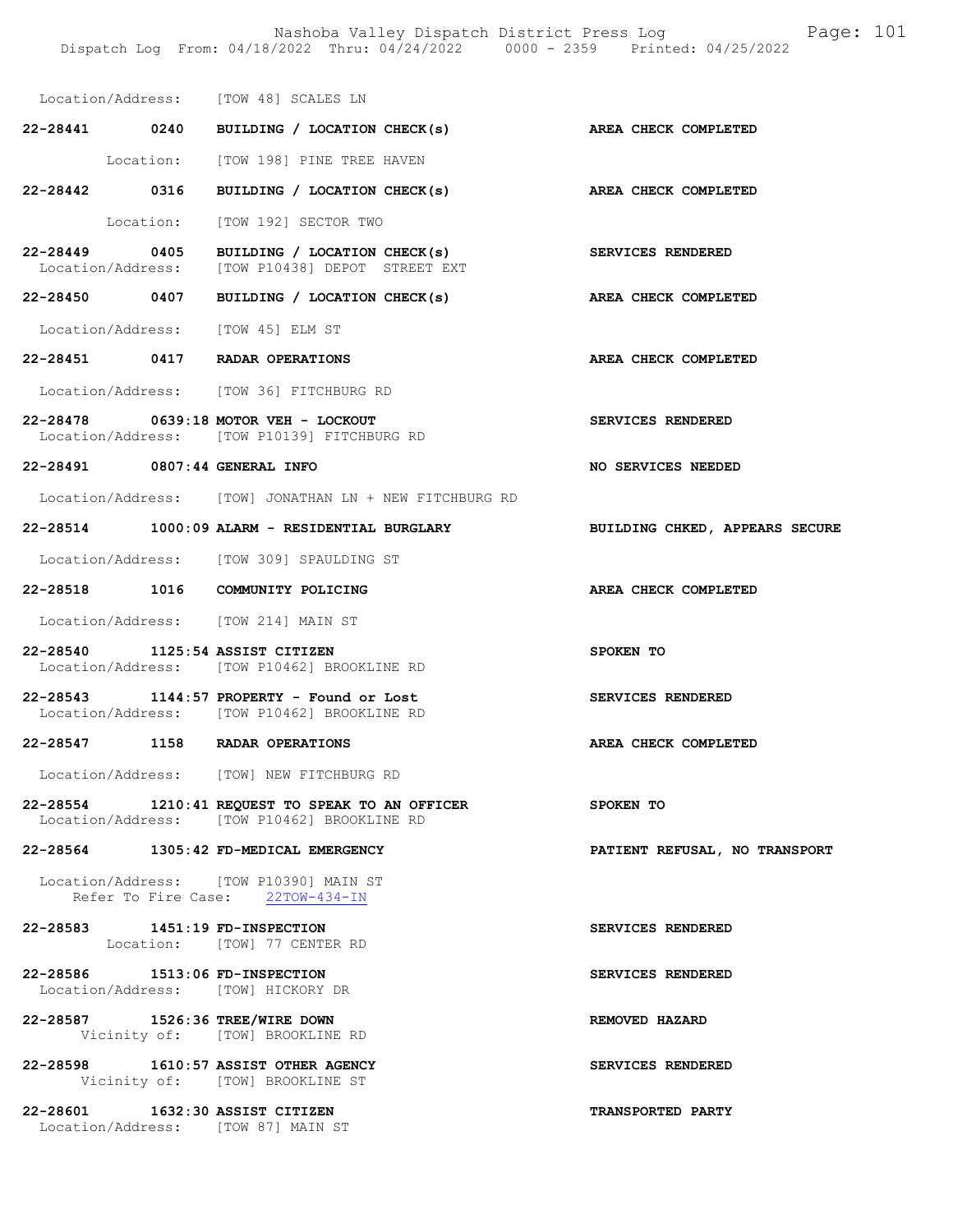Nashoba Valley Dispatch District Press Log Fage: 101

|                                | Dispatch Log From: 04/18/2022 Thru: 04/24/2022 0000 - 2359 Printed: 04/25/2022                                  |                                |
|--------------------------------|-----------------------------------------------------------------------------------------------------------------|--------------------------------|
|                                | Location/Address: [TOW 48] SCALES LN                                                                            |                                |
|                                | 22-28441 0240 BUILDING / LOCATION CHECK(s) AREA CHECK COMPLETED                                                 |                                |
|                                | Location: [TOW 198] PINE TREE HAVEN                                                                             |                                |
|                                | 22-28442 0316 BUILDING / LOCATION CHECK(s)                                                                      | AREA CHECK COMPLETED           |
|                                | Location: [TOW 192] SECTOR TWO                                                                                  |                                |
|                                | 22-28449 0405 BUILDING / LOCATION CHECK(s) SERVICES RENDERED<br>Location/Address: [TOW P10438] DEPOT STREET EXT |                                |
|                                | 22-28450 0407 BUILDING / LOCATION CHECK(s) AREA CHECK COMPLETED                                                 |                                |
|                                | Location/Address: [TOW 45] ELM ST                                                                               |                                |
|                                | 22-28451 0417 RADAR OPERATIONS                                                                                  | AREA CHECK COMPLETED           |
|                                | Location/Address: [TOW 36] FITCHBURG RD                                                                         |                                |
|                                | 22-28478 0639:18 MOTOR VEH - LOCKOUT<br>Location/Address: [TOW P10139] FITCHBURG RD                             | SERVICES RENDERED              |
| 22-28491 0807:44 GENERAL INFO  |                                                                                                                 | NO SERVICES NEEDED             |
|                                | Location/Address: [TOW] JONATHAN LN + NEW FITCHBURG RD                                                          |                                |
|                                | 22-28514 1000:09 ALARM - RESIDENTIAL BURGLARY                                                                   | BUILDING CHKED, APPEARS SECURE |
|                                | Location/Address: [TOW 309] SPAULDING ST                                                                        |                                |
|                                | 22-28518 1016 COMMUNITY POLICING                                                                                | AREA CHECK COMPLETED           |
|                                | Location/Address: [TOW 214] MAIN ST                                                                             |                                |
|                                | 22-28540 1125:54 ASSIST CITIZEN<br>Location/Address: [TOW P10462] BROOKLINE RD                                  | SPOKEN TO                      |
|                                | $22 - 28543$ 1144:57 PROPERTY - Found or Lost<br>Location/Address: [TOW P10462] BROOKLINE RD                    | SERVICES RENDERED              |
|                                | 22-28547 1158 RADAR OPERATIONS                                                                                  | AREA CHECK COMPLETED           |
|                                | Location/Address: [TOW] NEW FITCHBURG RD                                                                        |                                |
|                                | 22-28554 1210:41 REQUEST TO SPEAK TO AN OFFICER SPOKEN TO<br>Location/Address: [TOW P10462] BROOKLINE RD        |                                |
|                                | 22-28564 1305:42 FD-MEDICAL EMERGENCY                                                                           | PATIENT REFUSAL, NO TRANSPORT  |
|                                | Location/Address: [TOW P10390] MAIN ST<br>Refer To Fire Case: 22TOW-434-IN                                      |                                |
|                                | 22-28583 1451:19 FD-INSPECTION<br>Location: [TOW] 77 CENTER RD                                                  | SERVICES RENDERED              |
| 22-28586 1513:06 FD-INSPECTION | Location/Address: [TOW] HICKORY DR                                                                              | SERVICES RENDERED              |
|                                | 22-28587 1526:36 TREE/WIRE DOWN<br>Vicinity of: [TOW] BROOKLINE RD                                              | REMOVED HAZARD                 |
|                                | 22-28598 1610:57 ASSIST OTHER AGENCY<br>Vicinity of: [TOW] BROOKLINE ST                                         | SERVICES RENDERED              |
|                                | 22-28601 1632:30 ASSIST CITIZEN<br>Location/Address: [TOW 87] MAIN ST                                           | <b>TRANSPORTED PARTY</b>       |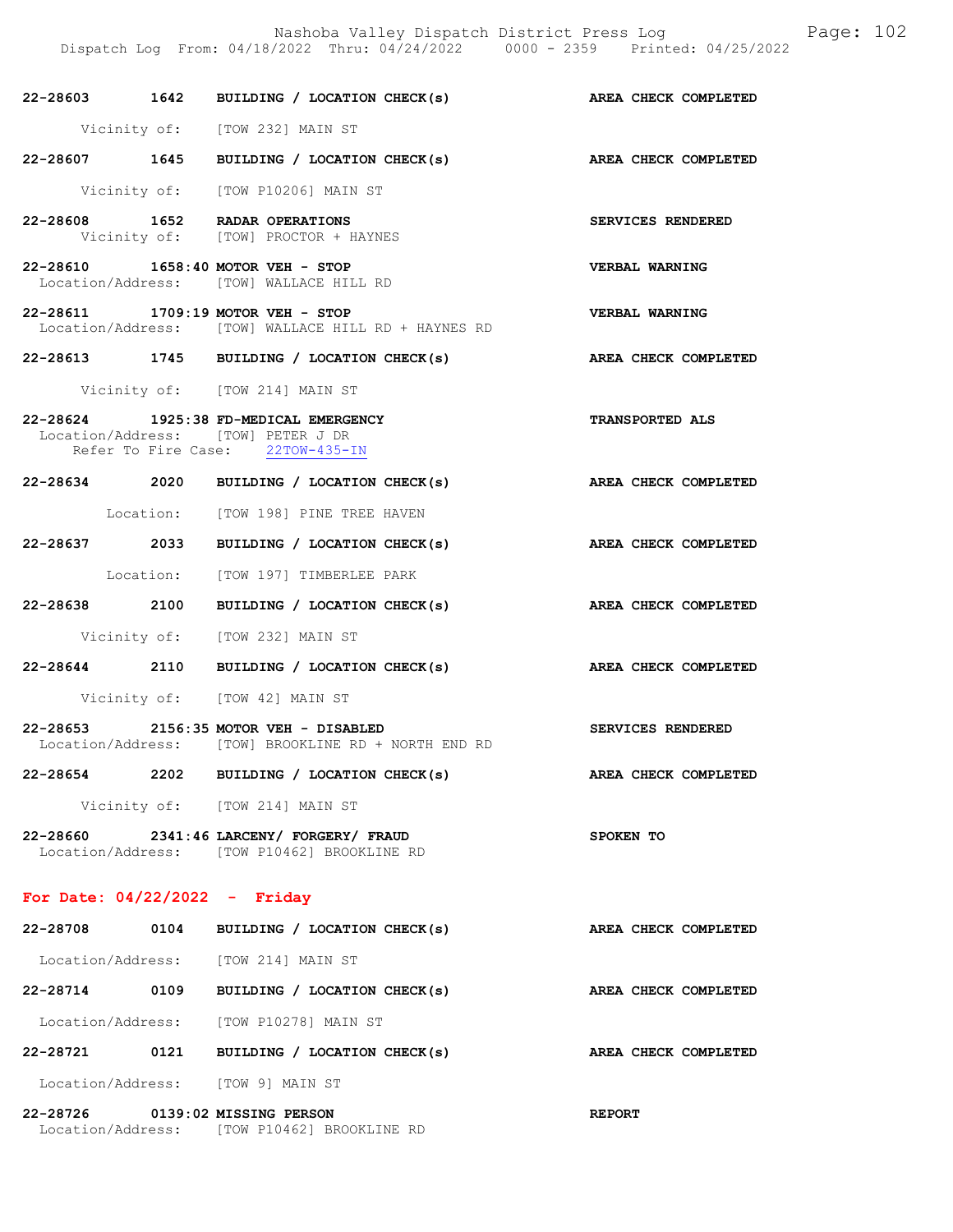Dispatch Log From: 04/18/2022 Thru: 04/24/2022 0000 - 2359 Printed: 04/25/2022

|                                 |      | 22-28603 1642 BUILDING / LOCATION CHECK(s)                                                                      | AREA CHECK COMPLETED   |
|---------------------------------|------|-----------------------------------------------------------------------------------------------------------------|------------------------|
|                                 |      | Vicinity of: [TOW 232] MAIN ST                                                                                  |                        |
|                                 |      | 22-28607 1645 BUILDING / LOCATION CHECK(s)                                                                      | AREA CHECK COMPLETED   |
|                                 |      | Vicinity of: [TOW P10206] MAIN ST                                                                               |                        |
|                                 |      | 22-28608 1652 RADAR OPERATIONS<br>Vicinity of: [TOW] PROCTOR + HAYNES                                           | SERVICES RENDERED      |
|                                 |      | 22-28610 1658:40 MOTOR VEH - STOP<br>Location/Address: [TOW] WALLACE HILL RD                                    | VERBAL WARNING         |
|                                 |      | 22-28611 1709:19 MOTOR VEH - STOP<br>Location/Address: [TOW] WALLACE HILL RD + HAYNES RD                        | VERBAL WARNING         |
|                                 |      | 22-28613 1745 BUILDING / LOCATION CHECK(s)                                                                      | AREA CHECK COMPLETED   |
|                                 |      | Vicinity of: [TOW 214] MAIN ST                                                                                  |                        |
|                                 |      | 22-28624 1925:38 FD-MEDICAL EMERGENCY<br>Location/Address: [TOW] PETER J DR<br>Refer To Fire Case: 22TOW-435-IN | <b>TRANSPORTED ALS</b> |
|                                 |      | 22-28634 2020 BUILDING / LOCATION CHECK(s)                                                                      | AREA CHECK COMPLETED   |
|                                 |      | Location: [TOW 198] PINE TREE HAVEN                                                                             |                        |
|                                 |      | 22-28637 2033 BUILDING / LOCATION CHECK(s)                                                                      | AREA CHECK COMPLETED   |
|                                 |      | Location: [TOW 197] TIMBERLEE PARK                                                                              |                        |
|                                 |      | 22-28638 2100 BUILDING / LOCATION CHECK(s)                                                                      | AREA CHECK COMPLETED   |
|                                 |      | Vicinity of: [TOW 232] MAIN ST                                                                                  |                        |
|                                 |      | 22-28644 2110 BUILDING / LOCATION CHECK(s)                                                                      | AREA CHECK COMPLETED   |
|                                 |      | Vicinity of: [TOW 42] MAIN ST                                                                                   |                        |
|                                 |      | 22-28653 2156:35 MOTOR VEH - DISABLED<br>Location/Address: [TOW] BROOKLINE RD + NORTH END RD                    | SERVICES RENDERED      |
| 22-28654                        | 2202 | BUILDING / LOCATION CHECK(s)                                                                                    | AREA CHECK COMPLETED   |
|                                 |      | Vicinity of: [TOW 214] MAIN ST                                                                                  |                        |
|                                 |      | 22-28660 2341:46 LARCENY/ FORGERY/ FRAUD<br>Location/Address: [TOW P10462] BROOKLINE RD                         | SPOKEN TO              |
| For Date: $04/22/2022 -$ Friday |      |                                                                                                                 |                        |
| 22-28708 0104                   |      | BUILDING / LOCATION CHECK(s)                                                                                    | AREA CHECK COMPLETED   |
|                                 |      | Location/Address: [TOW 214] MAIN ST                                                                             |                        |
| 22-28714                        | 0109 | BUILDING / LOCATION CHECK(s)                                                                                    | AREA CHECK COMPLETED   |
|                                 |      | Location/Address: [TOW P10278] MAIN ST                                                                          |                        |
| 22-28721 0121                   |      | BUILDING / LOCATION CHECK(s)                                                                                    | AREA CHECK COMPLETED   |
| Location/Address:               |      | [TOW 9] MAIN ST                                                                                                 |                        |

22-28726 0139:02 MISSING PERSON REPORT Location/Address: [TOW P10462] BROOKLINE RD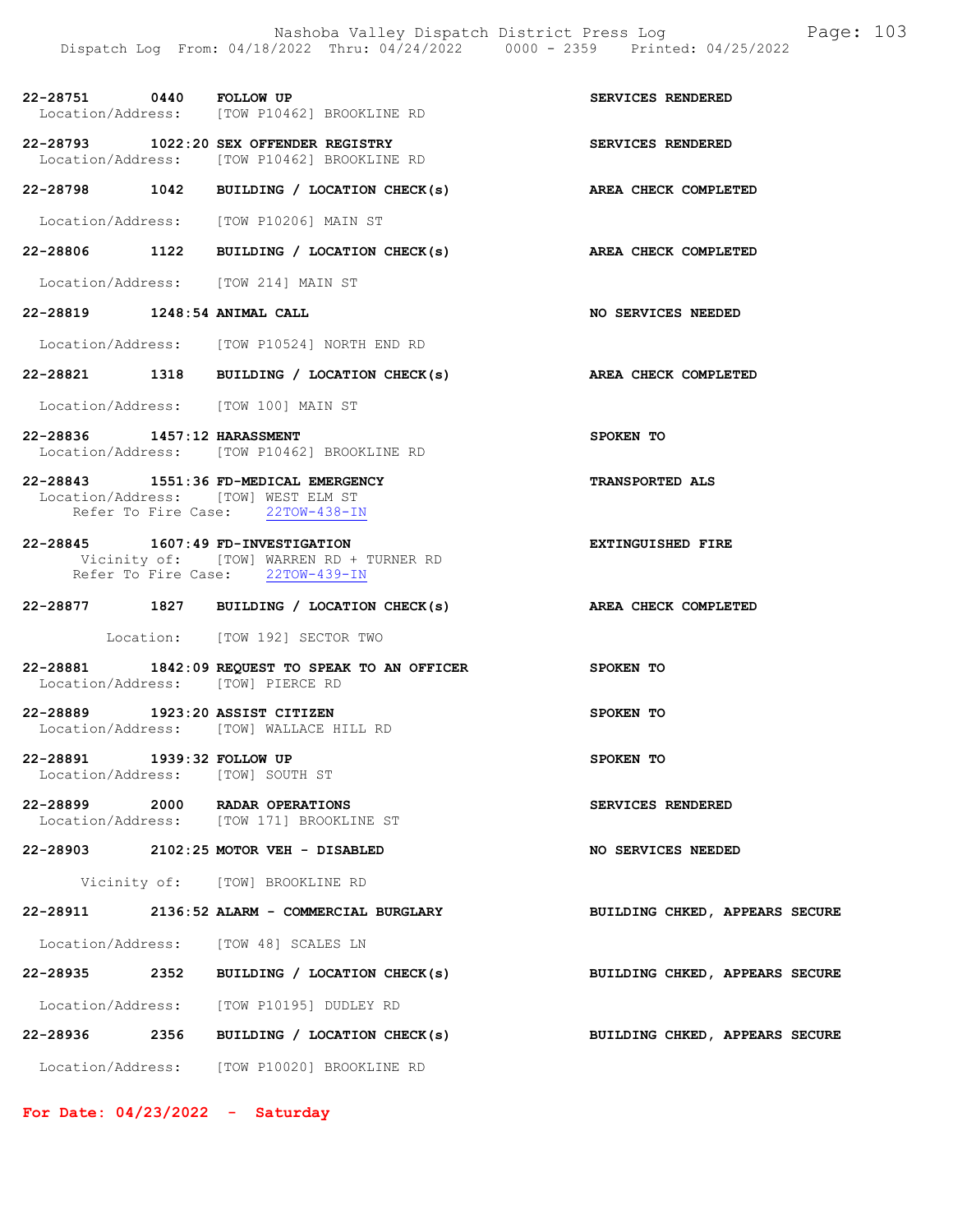22-28751 0440 FOLLOW UP SERVICES RENDERED Location/Address: [TOW P10462] BROOKLINE RD

22-28793 1022:20 SEX OFFENDER REGISTRY<br>
Location/Address: [TOW P10462] BROOKLINE RD [TOW P10462] BROOKLINE RD

22-28798 1042 BUILDING / LOCATION CHECK(s) AREA CHECK COMPLETED

Location/Address: [TOW P10206] MAIN ST

22-28806 1122 BUILDING / LOCATION CHECK(s) AREA CHECK COMPLETED

Location/Address: [TOW 214] MAIN ST

22-28819 1248:54 ANIMAL CALL 32-28819 NO SERVICES NEEDED

Location/Address: [TOW P10524] NORTH END RD

22-28821 1318 BUILDING / LOCATION CHECK(s) AREA CHECK COMPLETED

Location/Address: [TOW 100] MAIN ST

22-28836 1457:12 HARASSMENT SPOKEN TO Location/Address: [TOW P10462] BROOKLINE RD

22-28843 1551:36 FD-MEDICAL EMERGENCY TRANSPORTED ALS Location/Address: [TOW] WEST ELM ST Refer To Fire Case: 22TOW-438-IN

22-28845 1607:49 FD-INVESTIGATION EXTINGUISHED FIRE Vicinity of: [TOW] WARREN RD + TURNER RD Refer To Fire Case: 22TOW-439-IN

#### 22-28877 1827 BUILDING / LOCATION CHECK(s) AREA CHECK COMPLETED

Location: [TOW 192] SECTOR TWO

- 22-28881 1842:09 REQUEST TO SPEAK TO AN OFFICER SPOKEN TO Location/Address: [TOW] PIERCE RD
- 22-28889 1923:20 ASSIST CITIZEN SPOKEN TO Location/Address: [TOW] WALLACE HILL RD

22-28891 1939:32 FOLLOW UP SPOKEN TO Location/Address: [TOW] SOUTH ST

22-28899 2000 RADAR OPERATIONS SERVICES RENDERED Location/Address: [TOW 171] BROOKLINE ST

22-28903 2102:25 MOTOR VEH - DISABLED NO SERVICES NEEDED

Vicinity of: [TOW] BROOKLINE RD

22-28911 2136:52 ALARM - COMMERCIAL BURGLARY BUILDING CHKED, APPEARS SECURE

Location/Address: [TOW 48] SCALES LN

- 22-28935 2352 BUILDING / LOCATION CHECK(s) BUILDING CHKED, APPEARS SECURE Location/Address: [TOW P10195] DUDLEY RD
- 

Location/Address: [TOW P10020] BROOKLINE RD

For Date: 04/23/2022 - Saturday

22-28936 2356 BUILDING / LOCATION CHECK(s) BUILDING CHKED, APPEARS SECURE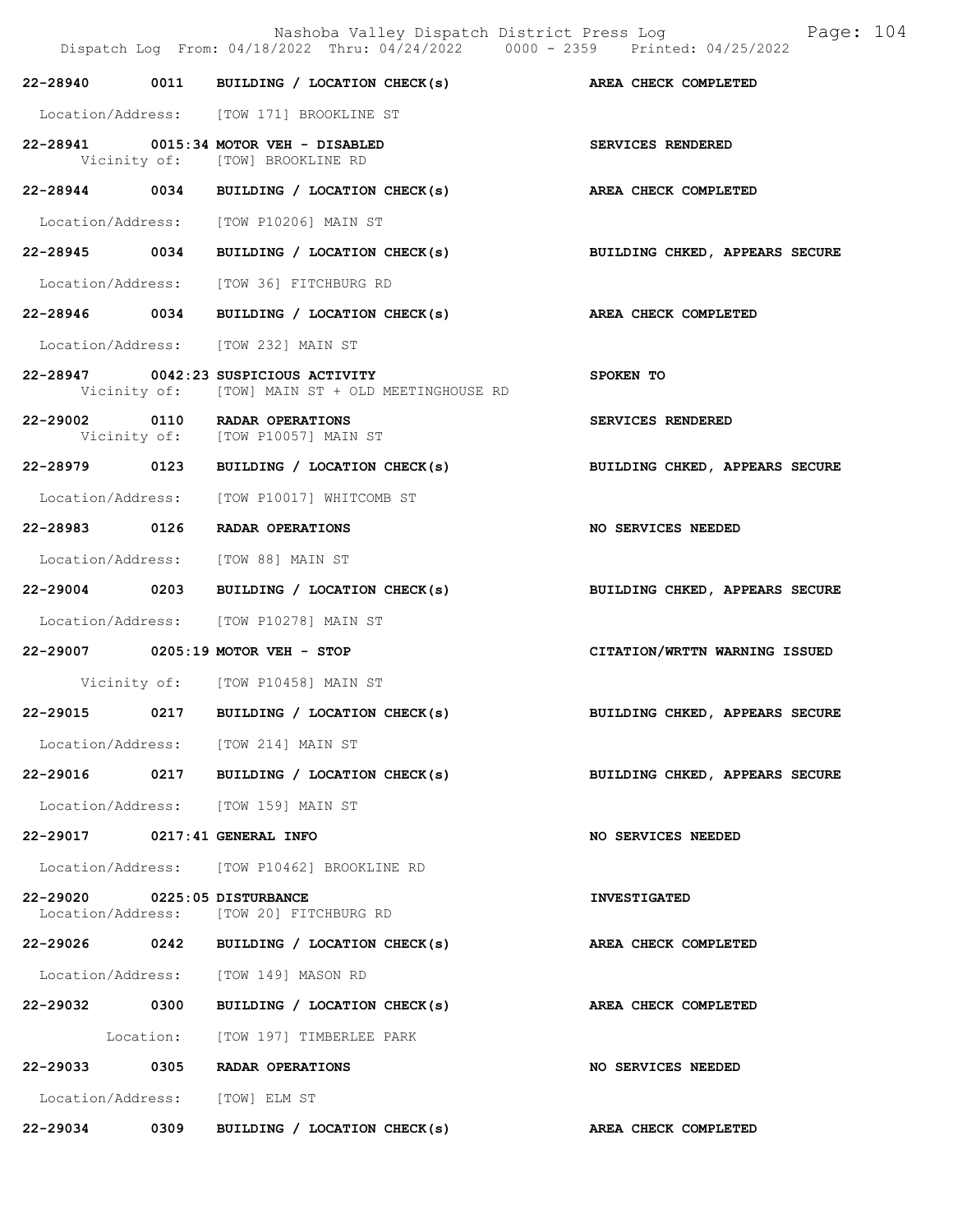|                                | Nashoba Valley Dispatch District Press Log<br>Dispatch Log From: 04/18/2022 Thru: 04/24/2022 0000 - 2359 Printed: 04/25/2022 | Page: 104                      |
|--------------------------------|------------------------------------------------------------------------------------------------------------------------------|--------------------------------|
|                                | 22-28940 0011 BUILDING / LOCATION CHECK(s) AREA CHECK COMPLETED                                                              |                                |
|                                | Location/Address: [TOW 171] BROOKLINE ST                                                                                     |                                |
|                                | 22-28941 0015:34 MOTOR VEH - DISABLED<br>Vicinity of: [TOW] BROOKLINE RD                                                     | SERVICES RENDERED              |
|                                | 22-28944 0034 BUILDING / LOCATION CHECK(s)                                                                                   | AREA CHECK COMPLETED           |
|                                | Location/Address: [TOW P10206] MAIN ST                                                                                       |                                |
|                                | 22-28945 0034 BUILDING / LOCATION CHECK(s) BUILDING CHKED, APPEARS SECURE                                                    |                                |
|                                | Location/Address: [TOW 36] FITCHBURG RD                                                                                      |                                |
|                                | 22-28946 0034 BUILDING / LOCATION CHECK(s)                                                                                   | AREA CHECK COMPLETED           |
|                                | Location/Address: [TOW 232] MAIN ST                                                                                          |                                |
|                                | 22-28947 0042:23 SUSPICIOUS ACTIVITY<br>Vicinity of: [TOW] MAIN ST + OLD MEETINGHOUSE RD                                     | SPOKEN TO                      |
|                                | 22-29002 0110 RADAR OPERATIONS<br>Vicinity of: [TOW P10057] MAIN ST                                                          | SERVICES RENDERED              |
|                                | 22-28979 0123 BUILDING / LOCATION CHECK(s)                                                                                   | BUILDING CHKED, APPEARS SECURE |
|                                | Location/Address: [TOW P10017] WHITCOMB ST                                                                                   |                                |
|                                | 22-28983 0126 RADAR OPERATIONS                                                                                               | NO SERVICES NEEDED             |
|                                | Location/Address: [TOW 88] MAIN ST                                                                                           |                                |
|                                | 22-29004 0203 BUILDING / LOCATION CHECK(s)                                                                                   | BUILDING CHKED, APPEARS SECURE |
|                                | Location/Address: [TOW P10278] MAIN ST                                                                                       |                                |
|                                | 22-29007 0205:19 MOTOR VEH - STOP                                                                                            | CITATION/WRTTN WARNING ISSUED  |
|                                | Vicinity of: [TOW P10458] MAIN ST                                                                                            |                                |
|                                | 22-29015 0217 BUILDING / LOCATION CHECK(s) BUILDING CHKED, APPEARS SECURE                                                    |                                |
|                                | Location/Address: [TOW 214] MAIN ST                                                                                          |                                |
|                                | 22-29016 0217 BUILDING / LOCATION CHECK(s)                                                                                   | BUILDING CHKED, APPEARS SECURE |
|                                | Location/Address: [TOW 159] MAIN ST                                                                                          |                                |
| 22-29017 0217:41 GENERAL INFO  |                                                                                                                              | NO SERVICES NEEDED             |
|                                | Location/Address: [TOW P10462] BROOKLINE RD                                                                                  |                                |
| 22-29020 0225:05 DISTURBANCE   | Location/Address: [TOW 20] FITCHBURG RD                                                                                      | <b>INVESTIGATED</b>            |
|                                | 22-29026 0242 BUILDING / LOCATION CHECK(s)                                                                                   | AREA CHECK COMPLETED           |
|                                | Location/Address: [TOW 149] MASON RD                                                                                         |                                |
|                                | 22-29032 0300 BUILDING / LOCATION CHECK(s)                                                                                   | AREA CHECK COMPLETED           |
|                                | Location: [TOW 197] TIMBERLEE PARK                                                                                           |                                |
|                                | 22-29033 0305 RADAR OPERATIONS                                                                                               | NO SERVICES NEEDED             |
| Location/Address: [TOW] ELM ST |                                                                                                                              |                                |
|                                | 22-29034 0309 BUILDING / LOCATION CHECK(s)                                                                                   | AREA CHECK COMPLETED           |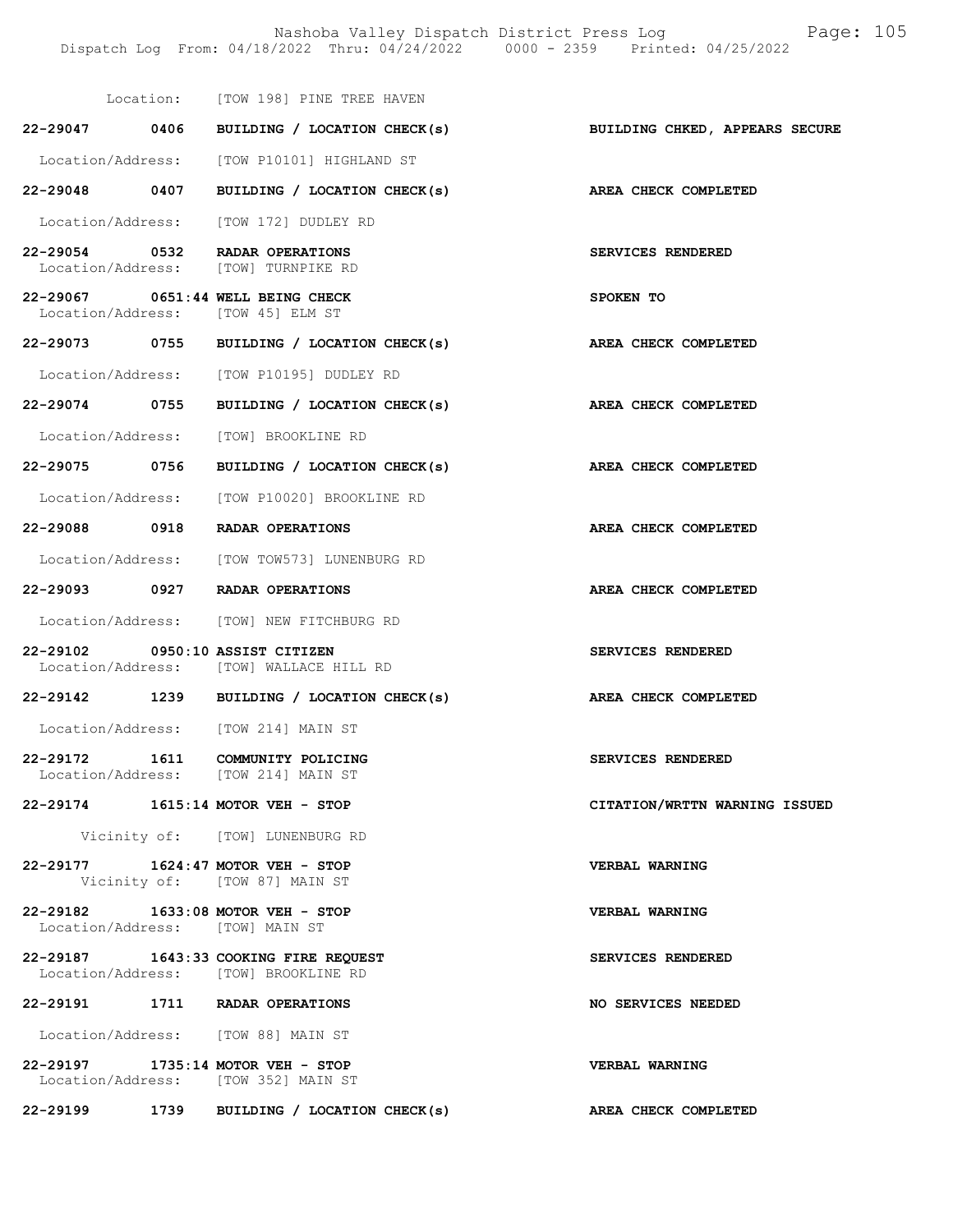Nashoba Valley Dispatch District Press Log Fage: 105 Dispatch Log From: 04/18/2022 Thru: 04/24/2022 0000 - 2359 Printed: 04/25/2022

|                   | Location: [TOW 198] PINE TREE HAVEN                                           |                               |
|-------------------|-------------------------------------------------------------------------------|-------------------------------|
| 22-29047 0406     | BUILDING / LOCATION CHECK(s) BUILDING CHKED, APPEARS SECURE                   |                               |
|                   | Location/Address: [TOW P10101] HIGHLAND ST                                    |                               |
| 22-29048 0407     | BUILDING / LOCATION CHECK(s)                                                  | AREA CHECK COMPLETED          |
|                   | Location/Address: [TOW 172] DUDLEY RD                                         |                               |
| 22-29054 0532     | RADAR OPERATIONS<br>Location/Address: [TOW] TURNPIKE RD                       | SERVICES RENDERED             |
|                   | 22-29067 0651:44 WELL BEING CHECK<br>Location/Address: [TOW 45] ELM ST        | SPOKEN TO                     |
|                   | 22-29073 0755 BUILDING / LOCATION CHECK(s)                                    | AREA CHECK COMPLETED          |
|                   | Location/Address: [TOW P10195] DUDLEY RD                                      |                               |
| 22-29074 0755     | BUILDING / LOCATION CHECK(s)                                                  | AREA CHECK COMPLETED          |
|                   | Location/Address: [TOW] BROOKLINE RD                                          |                               |
| 22-29075 0756     | BUILDING / LOCATION CHECK(s) AREA CHECK COMPLETED                             |                               |
| Location/Address: | [TOW P10020] BROOKLINE RD                                                     |                               |
| 22-29088 0918     | RADAR OPERATIONS                                                              | AREA CHECK COMPLETED          |
|                   | Location/Address: [TOW TOW573] LUNENBURG RD                                   |                               |
|                   | 22-29093 0927 RADAR OPERATIONS                                                | AREA CHECK COMPLETED          |
|                   | Location/Address: [TOW] NEW FITCHBURG RD                                      |                               |
|                   | 22-29102 0950:10 ASSIST CITIZEN<br>Location/Address: [TOW] WALLACE HILL RD    | <b>SERVICES RENDERED</b>      |
|                   | 22-29142 1239 BUILDING / LOCATION CHECK(s)                                    | AREA CHECK COMPLETED          |
|                   | Location/Address: [TOW 214] MAIN ST                                           |                               |
|                   | 22-29172 1611 COMMUNITY POLICING<br>Location/Address: [TOW 214] MAIN ST       | <b>SERVICES RENDERED</b>      |
|                   | 22-29174 1615:14 MOTOR VEH - STOP                                             | CITATION/WRTTN WARNING ISSUED |
|                   | Vicinity of: [TOW] LUNENBURG RD                                               |                               |
|                   | 22-29177 1624:47 MOTOR VEH - STOP<br>Vicinity of: [TOW 87] MAIN ST            | <b>VERBAL WARNING</b>         |
|                   | 22-29182 1633:08 MOTOR VEH - STOP<br>Location/Address: [TOW] MAIN ST          | VERBAL WARNING                |
|                   | 22-29187 1643:33 COOKING FIRE REQUEST<br>Location/Address: [TOW] BROOKLINE RD | SERVICES RENDERED             |
|                   | 22-29191 1711 RADAR OPERATIONS                                                | NO SERVICES NEEDED            |
|                   | Location/Address: [TOW 88] MAIN ST                                            |                               |
|                   | 22-29197 1735:14 MOTOR VEH - STOP<br>Location/Address: [TOW 352] MAIN ST      | VERBAL WARNING                |
|                   | 22-29199 1739 BUILDING / LOCATION CHECK(s)                                    | <b>AREA CHECK COMPLETED</b>   |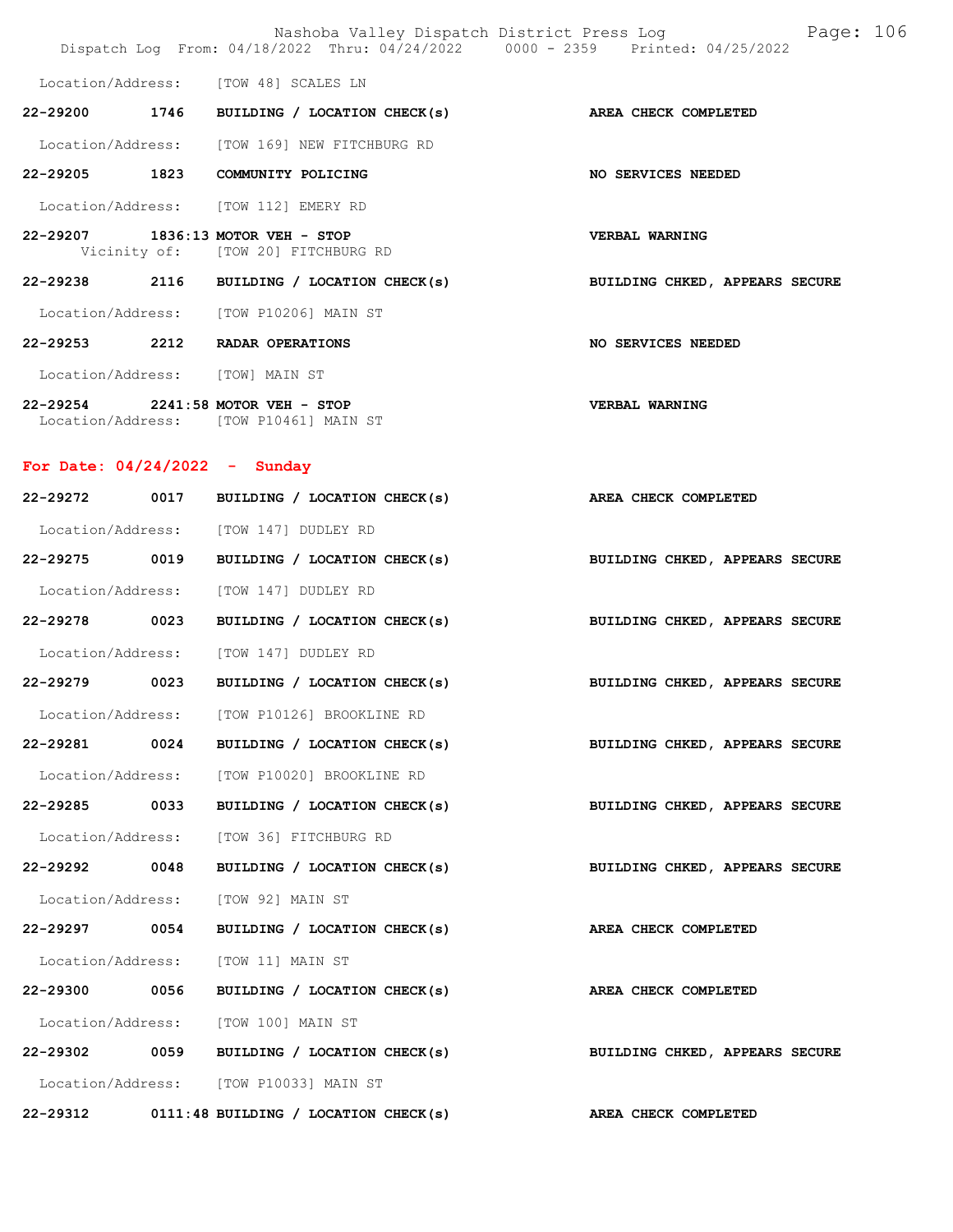|                                 |  | Nashoba Valley Dispatch District Press Log<br>Dispatch Log From: 04/18/2022 Thru: 04/24/2022 0000 - 2359 Printed: 04/25/2022 |                                | Page: 106 |  |
|---------------------------------|--|------------------------------------------------------------------------------------------------------------------------------|--------------------------------|-----------|--|
|                                 |  | Location/Address: [TOW 48] SCALES LN                                                                                         |                                |           |  |
|                                 |  | $22-29200$ 1746 BUILDING / LOCATION CHECK(s)                                                                                 | <b>AREA CHECK COMPLETED</b>    |           |  |
|                                 |  | Location/Address: [TOW 169] NEW FITCHBURG RD                                                                                 |                                |           |  |
| 22-29205 1823                   |  | COMMUNITY POLICING                                                                                                           | NO SERVICES NEEDED             |           |  |
|                                 |  | Location/Address: [TOW 112] EMERY RD                                                                                         |                                |           |  |
|                                 |  | 22-29207 1836:13 MOTOR VEH - STOP<br>Vicinity of: [TOW 20] FITCHBURG RD                                                      | <b>VERBAL WARNING</b>          |           |  |
|                                 |  | 22-29238 2116 BUILDING / LOCATION CHECK(s)                                                                                   | BUILDING CHKED, APPEARS SECURE |           |  |
|                                 |  | Location/Address: [TOW P10206] MAIN ST                                                                                       |                                |           |  |
| 22-29253 2212                   |  | RADAR OPERATIONS                                                                                                             | <b>NO SERVICES NEEDED</b>      |           |  |
| Location/Address: [TOW] MAIN ST |  |                                                                                                                              |                                |           |  |

22-29254 2241:58 MOTOR VEH - STOP VERBAL WARNING Location/Address: [TOW P10461] MAIN ST

### For Date: 04/24/2022 - Sunday

| 22-29272 0017 | BUILDING / LOCATION CHECK(s)                      | AREA CHECK COMPLETED                                        |  |  |
|---------------|---------------------------------------------------|-------------------------------------------------------------|--|--|
|               | Location/Address: [TOW 147] DUDLEY RD             |                                                             |  |  |
| 22-29275 0019 |                                                   | BUILDING / LOCATION CHECK(s) BUILDING CHKED, APPEARS SECURE |  |  |
|               | Location/Address: [TOW 147] DUDLEY RD             |                                                             |  |  |
| 22-29278 0023 | BUILDING / LOCATION CHECK(s)                      | BUILDING CHKED, APPEARS SECURE                              |  |  |
|               | Location/Address: [TOW 147] DUDLEY RD             |                                                             |  |  |
| 22-29279 0023 |                                                   | BUILDING / LOCATION CHECK(s) BUILDING CHKED, APPEARS SECURE |  |  |
|               | Location/Address: [TOW P10126] BROOKLINE RD       |                                                             |  |  |
| 22-29281 0024 |                                                   | BUILDING / LOCATION CHECK(s) BUILDING CHKED, APPEARS SECURE |  |  |
|               | Location/Address: [TOW P10020] BROOKLINE RD       |                                                             |  |  |
| 22-29285 0033 | BUILDING / LOCATION CHECK(s)                      | BUILDING CHKED, APPEARS SECURE                              |  |  |
|               | Location/Address: [TOW 36] FITCHBURG RD           |                                                             |  |  |
| 22-29292 0048 |                                                   | BUILDING / LOCATION CHECK(s) BUILDING CHKED, APPEARS SECURE |  |  |
|               | Location/Address: [TOW 92] MAIN ST                |                                                             |  |  |
| 22-29297 0054 | BUILDING / LOCATION CHECK(s) AREA CHECK COMPLETED |                                                             |  |  |
|               | Location/Address: [TOW 11] MAIN ST                |                                                             |  |  |
| 22-29300 0056 | BUILDING / LOCATION CHECK(s)                      | AREA CHECK COMPLETED                                        |  |  |
|               | Location/Address: [TOW 100] MAIN ST               |                                                             |  |  |
|               | 22-29302 0059 BUILDING / LOCATION CHECK(s)        | BUILDING CHKED, APPEARS SECURE                              |  |  |
|               | Location/Address: [TOW P10033] MAIN ST            |                                                             |  |  |
|               | 22-29312 0111:48 BUILDING / LOCATION CHECK(s)     | AREA CHECK COMPLETED                                        |  |  |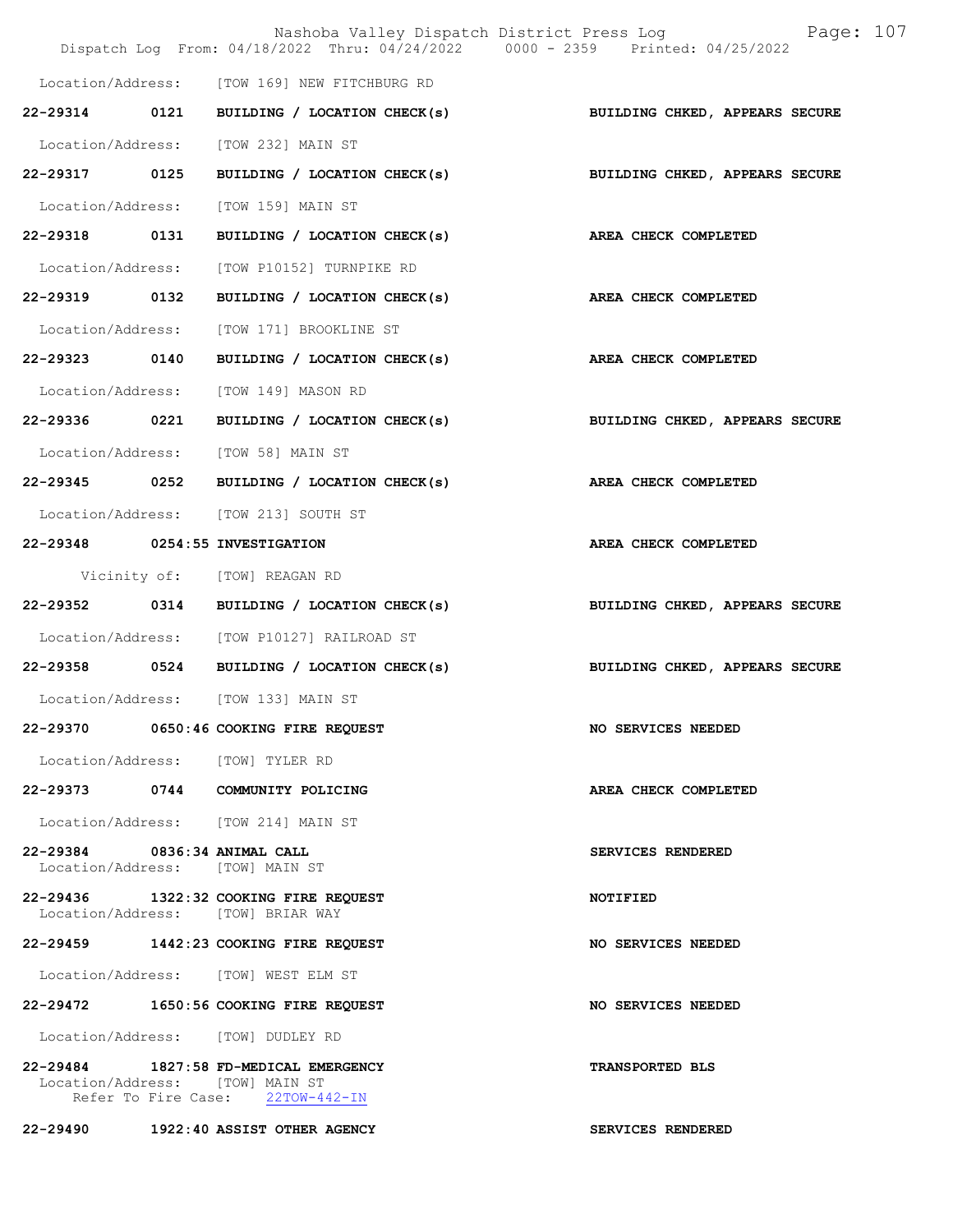|                                                                 | Nashoba Valley Dispatch District Press Log<br>Dispatch Log From: 04/18/2022 Thru: 04/24/2022 0000 - 2359 Printed: 04/25/2022 | Page: 107                      |
|-----------------------------------------------------------------|------------------------------------------------------------------------------------------------------------------------------|--------------------------------|
|                                                                 | Location/Address: [TOW 169] NEW FITCHBURG RD                                                                                 |                                |
| 22-29314 0121                                                   | BUILDING / LOCATION CHECK(s)                                                                                                 | BUILDING CHKED, APPEARS SECURE |
|                                                                 |                                                                                                                              |                                |
|                                                                 | Location/Address: [TOW 232] MAIN ST                                                                                          |                                |
| 22-29317 0125                                                   | BUILDING / LOCATION CHECK(s)                                                                                                 | BUILDING CHKED, APPEARS SECURE |
| Location/Address:                                               | [TOW 159] MAIN ST                                                                                                            |                                |
| 22-29318 0131                                                   | BUILDING / LOCATION CHECK(s)                                                                                                 | AREA CHECK COMPLETED           |
| Location/Address:                                               | [TOW P10152] TURNPIKE RD                                                                                                     |                                |
| 22-29319 0132                                                   | BUILDING / LOCATION CHECK(s)                                                                                                 | AREA CHECK COMPLETED           |
| Location/Address:                                               | [TOW 171] BROOKLINE ST                                                                                                       |                                |
| 22-29323 0140                                                   | BUILDING / LOCATION CHECK(s)                                                                                                 | AREA CHECK COMPLETED           |
|                                                                 | Location/Address: [TOW 149] MASON RD                                                                                         |                                |
| 22-29336 0221                                                   | BUILDING / LOCATION CHECK(s) BUILDING CHKED, APPEARS SECURE                                                                  |                                |
| Location/Address:                                               | [TOW 58] MAIN ST                                                                                                             |                                |
| 22-29345 0252                                                   | BUILDING / LOCATION CHECK(s)                                                                                                 | AREA CHECK COMPLETED           |
|                                                                 | Location/Address: [TOW 213] SOUTH ST                                                                                         |                                |
| 22-29348 0254:55 INVESTIGATION                                  |                                                                                                                              | AREA CHECK COMPLETED           |
|                                                                 | Vicinity of: [TOW] REAGAN RD                                                                                                 |                                |
| 22-29352 0314                                                   | BUILDING / LOCATION CHECK(s)                                                                                                 | BUILDING CHKED, APPEARS SECURE |
| Location/Address:                                               | [TOW P10127] RAILROAD ST                                                                                                     |                                |
| 22-29358 0524                                                   | BUILDING / LOCATION CHECK(s)                                                                                                 | BUILDING CHKED, APPEARS SECURE |
|                                                                 | Location/Address: [TOW 133] MAIN ST                                                                                          |                                |
|                                                                 | 22-29370 0650:46 COOKING FIRE REQUEST                                                                                        | NO SERVICES NEEDED             |
| Location/Address: [TOW] TYLER RD                                |                                                                                                                              |                                |
|                                                                 | 22-29373 0744 COMMUNITY POLICING                                                                                             | AREA CHECK COMPLETED           |
|                                                                 | Location/Address: [TOW 214] MAIN ST                                                                                          |                                |
| 22-29384 0836:34 ANIMAL CALL<br>Location/Address: [TOW] MAIN ST |                                                                                                                              | SERVICES RENDERED              |
|                                                                 | 22-29436 1322:32 COOKING FIRE REQUEST<br>Location/Address: [TOW] BRIAR WAY                                                   | NOTIFIED                       |
|                                                                 | 22-29459 1442:23 COOKING FIRE REQUEST                                                                                        | NO SERVICES NEEDED             |
|                                                                 | Location/Address: [TOW] WEST ELM ST                                                                                          |                                |
|                                                                 | 22-29472 1650:56 COOKING FIRE REQUEST                                                                                        | NO SERVICES NEEDED             |
|                                                                 | Location/Address: [TOW] DUDLEY RD                                                                                            |                                |
| Location/Address: [TOW] MAIN ST                                 | 22-29484 1827:58 FD-MEDICAL EMERGENCY<br>Refer To Fire Case: 22TOW-442-IN                                                    | <b>TRANSPORTED BLS</b>         |
|                                                                 | 22-29490 1922:40 ASSIST OTHER AGENCY                                                                                         | SERVICES RENDERED              |